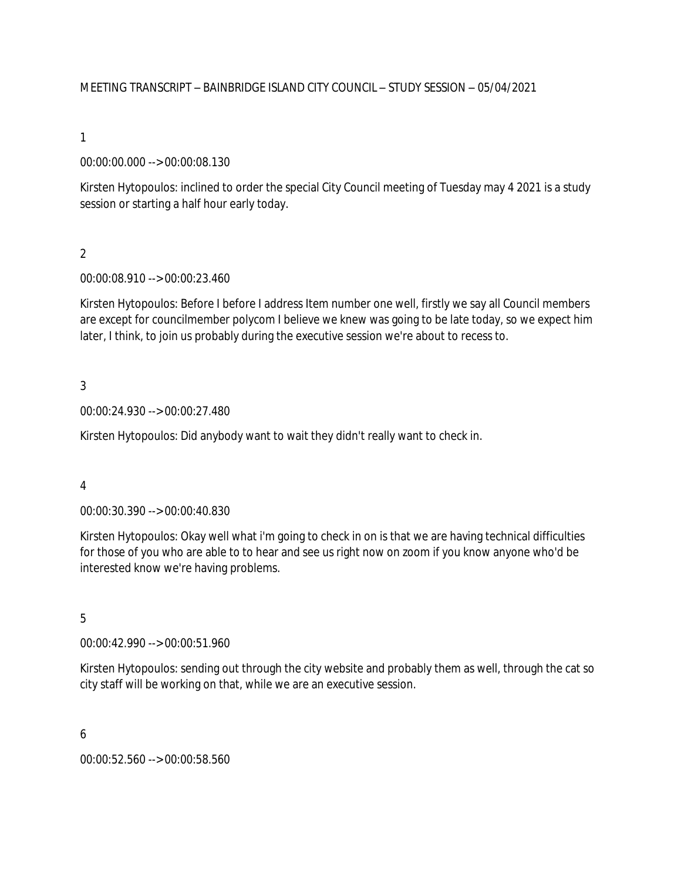MEETING TRANSCRIPT – BAINBRIDGE ISLAND CITY COUNCIL – STUDY SESSION – 05/04/2021

1

00:00:00.000 --> 00:00:08.130

Kirsten Hytopoulos: inclined to order the special City Council meeting of Tuesday may 4 2021 is a study session or starting a half hour early today.

 $\overline{2}$ 

00:00:08.910 --> 00:00:23.460

Kirsten Hytopoulos: Before I before I address Item number one well, firstly we say all Council members are except for councilmember polycom I believe we knew was going to be late today, so we expect him later, I think, to join us probably during the executive session we're about to recess to.

3

00:00:24.930 --> 00:00:27.480

Kirsten Hytopoulos: Did anybody want to wait they didn't really want to check in.

4

00:00:30.390 --> 00:00:40.830

Kirsten Hytopoulos: Okay well what i'm going to check in on is that we are having technical difficulties for those of you who are able to to hear and see us right now on zoom if you know anyone who'd be interested know we're having problems.

5

00:00:42.990 --> 00:00:51.960

Kirsten Hytopoulos: sending out through the city website and probably them as well, through the cat so city staff will be working on that, while we are an executive session.

6

00:00:52.560 --> 00:00:58.560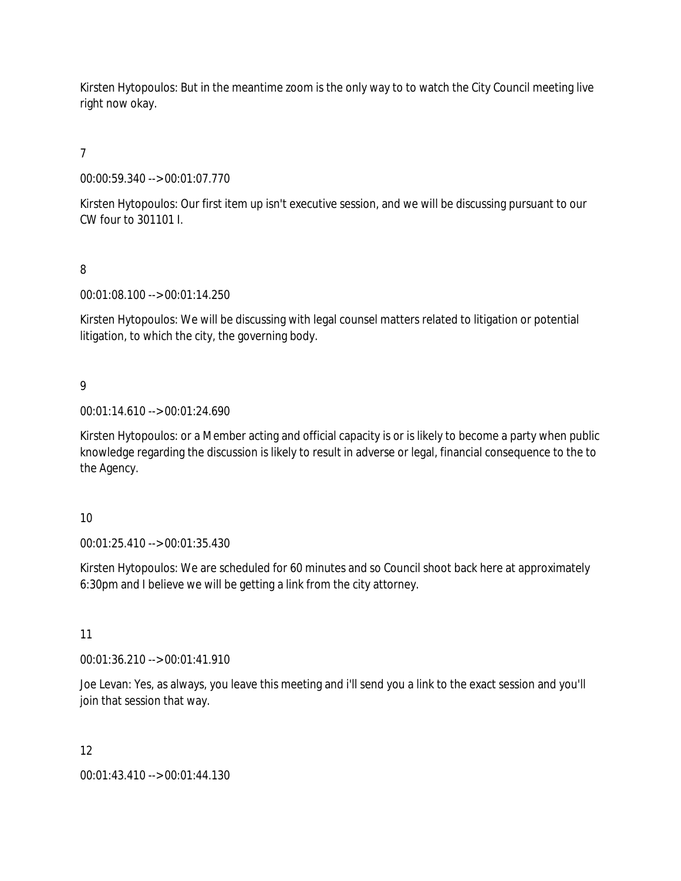Kirsten Hytopoulos: But in the meantime zoom is the only way to to watch the City Council meeting live right now okay.

# 7

00:00:59.340 --> 00:01:07.770

Kirsten Hytopoulos: Our first item up isn't executive session, and we will be discussing pursuant to our CW four to 301101 I.

# 8

00:01:08.100 --> 00:01:14.250

Kirsten Hytopoulos: We will be discussing with legal counsel matters related to litigation or potential litigation, to which the city, the governing body.

# 9

00:01:14.610 --> 00:01:24.690

Kirsten Hytopoulos: or a Member acting and official capacity is or is likely to become a party when public knowledge regarding the discussion is likely to result in adverse or legal, financial consequence to the to the Agency.

# 10

00:01:25.410 --> 00:01:35.430

Kirsten Hytopoulos: We are scheduled for 60 minutes and so Council shoot back here at approximately 6:30pm and I believe we will be getting a link from the city attorney.

# 11

00:01:36.210 --> 00:01:41.910

Joe Levan: Yes, as always, you leave this meeting and i'll send you a link to the exact session and you'll join that session that way.

# 12

00:01:43.410 --> 00:01:44.130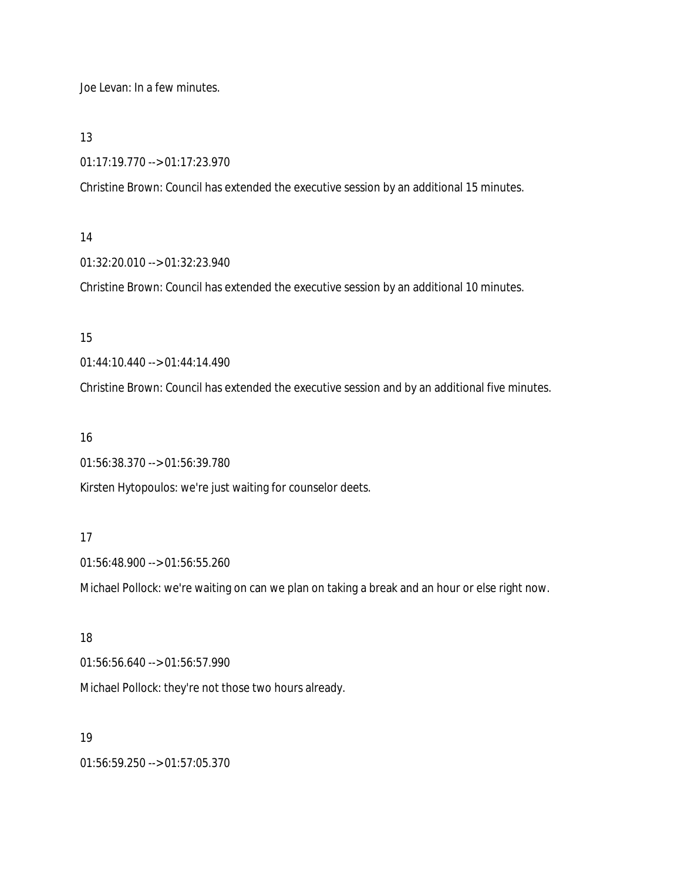Joe Levan: In a few minutes.

13

01:17:19.770 --> 01:17:23.970

Christine Brown: Council has extended the executive session by an additional 15 minutes.

# 14

01:32:20.010 --> 01:32:23.940

Christine Brown: Council has extended the executive session by an additional 10 minutes.

# 15

01:44:10.440 --> 01:44:14.490

Christine Brown: Council has extended the executive session and by an additional five minutes.

# 16

01:56:38.370 --> 01:56:39.780

Kirsten Hytopoulos: we're just waiting for counselor deets.

# 17

01:56:48.900 --> 01:56:55.260

Michael Pollock: we're waiting on can we plan on taking a break and an hour or else right now.

# 18

01:56:56.640 --> 01:56:57.990

Michael Pollock: they're not those two hours already.

# 19

01:56:59.250 --> 01:57:05.370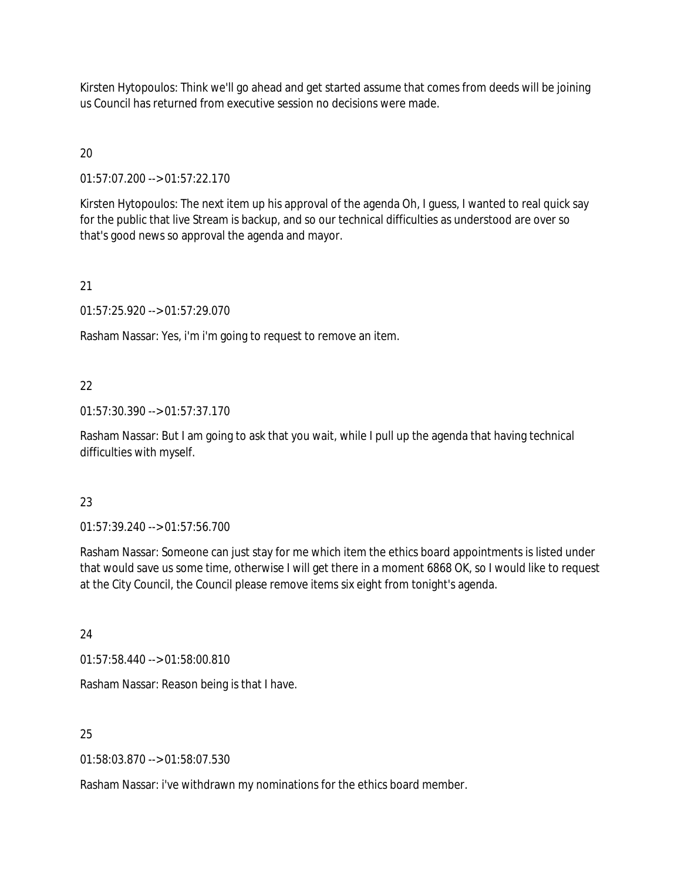Kirsten Hytopoulos: Think we'll go ahead and get started assume that comes from deeds will be joining us Council has returned from executive session no decisions were made.

# $20$

01:57:07.200 --> 01:57:22.170

Kirsten Hytopoulos: The next item up his approval of the agenda Oh, I guess, I wanted to real quick say for the public that live Stream is backup, and so our technical difficulties as understood are over so that's good news so approval the agenda and mayor.

# 21

01:57:25.920 --> 01:57:29.070

Rasham Nassar: Yes, i'm i'm going to request to remove an item.

# 22

01:57:30.390 --> 01:57:37.170

Rasham Nassar: But I am going to ask that you wait, while I pull up the agenda that having technical difficulties with myself.

# 23

01:57:39.240 --> 01:57:56.700

Rasham Nassar: Someone can just stay for me which item the ethics board appointments is listed under that would save us some time, otherwise I will get there in a moment 6868 OK, so I would like to request at the City Council, the Council please remove items six eight from tonight's agenda.

24

01:57:58.440 --> 01:58:00.810

Rasham Nassar: Reason being is that I have.

# 25

01:58:03.870 --> 01:58:07.530

Rasham Nassar: i've withdrawn my nominations for the ethics board member.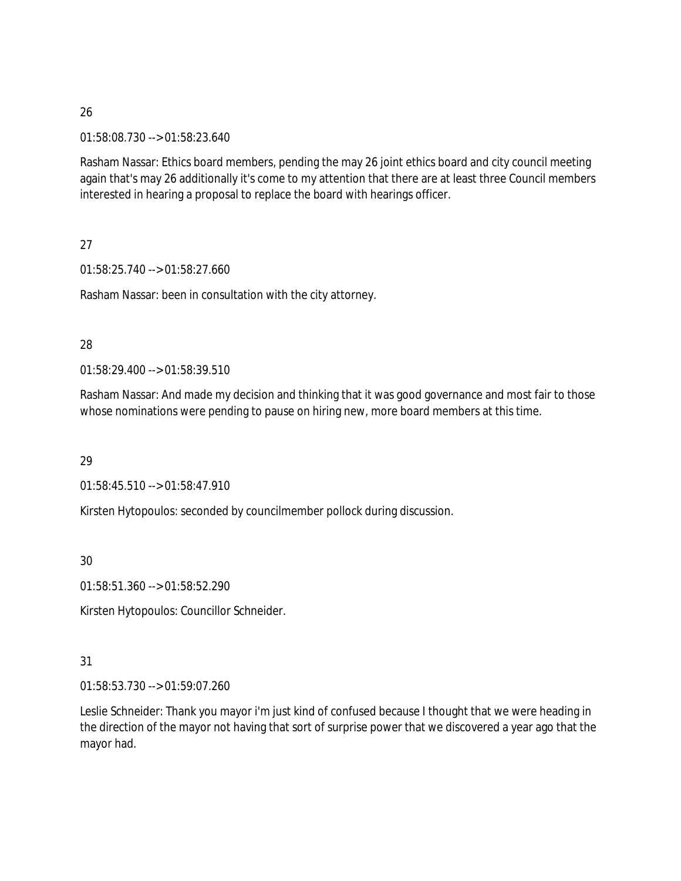01:58:08.730 --> 01:58:23.640

Rasham Nassar: Ethics board members, pending the may 26 joint ethics board and city council meeting again that's may 26 additionally it's come to my attention that there are at least three Council members interested in hearing a proposal to replace the board with hearings officer.

27

01:58:25.740 --> 01:58:27.660

Rasham Nassar: been in consultation with the city attorney.

### 28

01:58:29.400 --> 01:58:39.510

Rasham Nassar: And made my decision and thinking that it was good governance and most fair to those whose nominations were pending to pause on hiring new, more board members at this time.

29

01:58:45.510 --> 01:58:47.910

Kirsten Hytopoulos: seconded by councilmember pollock during discussion.

30

01:58:51.360 --> 01:58:52.290

Kirsten Hytopoulos: Councillor Schneider.

# 31

01:58:53.730 --> 01:59:07.260

Leslie Schneider: Thank you mayor i'm just kind of confused because I thought that we were heading in the direction of the mayor not having that sort of surprise power that we discovered a year ago that the mayor had.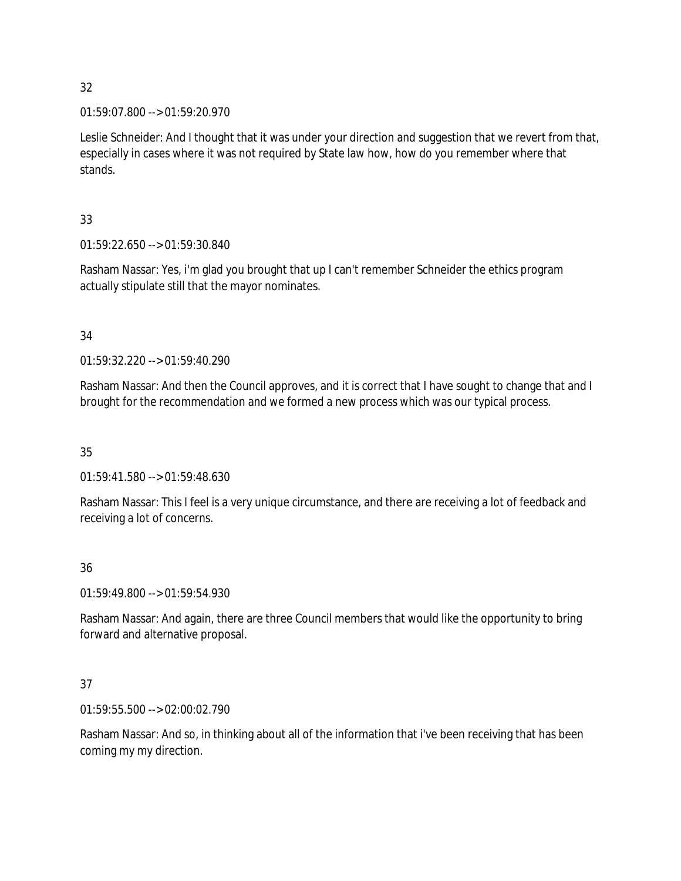01:59:07.800 --> 01:59:20.970

Leslie Schneider: And I thought that it was under your direction and suggestion that we revert from that, especially in cases where it was not required by State law how, how do you remember where that stands.

# 33

01:59:22.650 --> 01:59:30.840

Rasham Nassar: Yes, i'm glad you brought that up I can't remember Schneider the ethics program actually stipulate still that the mayor nominates.

# 34

01:59:32.220 --> 01:59:40.290

Rasham Nassar: And then the Council approves, and it is correct that I have sought to change that and I brought for the recommendation and we formed a new process which was our typical process.

# 35

01:59:41.580 --> 01:59:48.630

Rasham Nassar: This I feel is a very unique circumstance, and there are receiving a lot of feedback and receiving a lot of concerns.

# 36

01:59:49.800 --> 01:59:54.930

Rasham Nassar: And again, there are three Council members that would like the opportunity to bring forward and alternative proposal.

# 37

01:59:55.500 --> 02:00:02.790

Rasham Nassar: And so, in thinking about all of the information that i've been receiving that has been coming my my direction.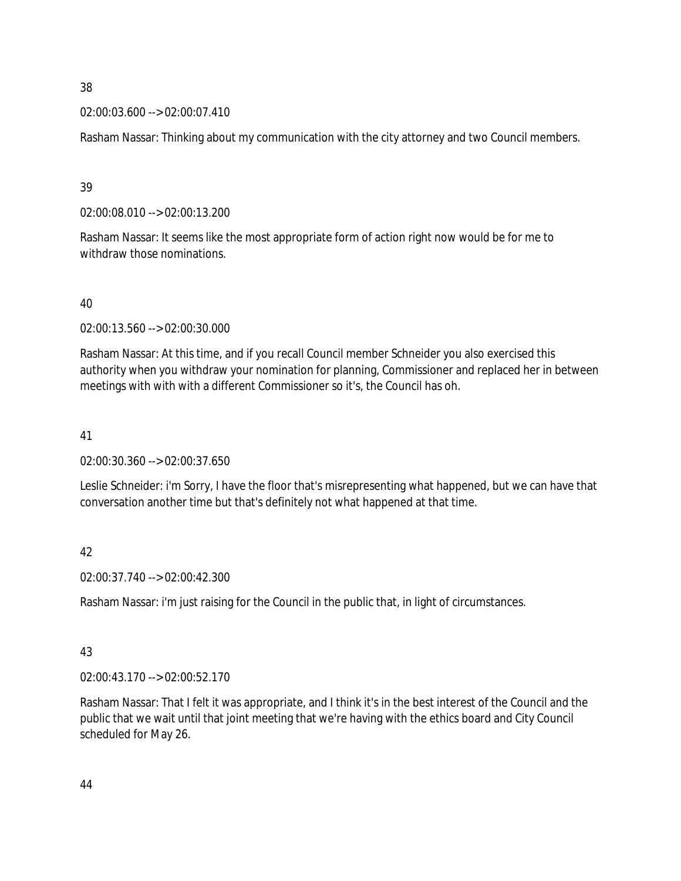### 02:00:03.600 --> 02:00:07.410

Rasham Nassar: Thinking about my communication with the city attorney and two Council members.

39

02:00:08.010 --> 02:00:13.200

Rasham Nassar: It seems like the most appropriate form of action right now would be for me to withdraw those nominations.

### 40

02:00:13.560 --> 02:00:30.000

Rasham Nassar: At this time, and if you recall Council member Schneider you also exercised this authority when you withdraw your nomination for planning, Commissioner and replaced her in between meetings with with with a different Commissioner so it's, the Council has oh.

# 41

02:00:30.360 --> 02:00:37.650

Leslie Schneider: i'm Sorry, I have the floor that's misrepresenting what happened, but we can have that conversation another time but that's definitely not what happened at that time.

# 42

02:00:37.740 --> 02:00:42.300

Rasham Nassar: i'm just raising for the Council in the public that, in light of circumstances.

# 43

02:00:43.170 --> 02:00:52.170

Rasham Nassar: That I felt it was appropriate, and I think it's in the best interest of the Council and the public that we wait until that joint meeting that we're having with the ethics board and City Council scheduled for May 26.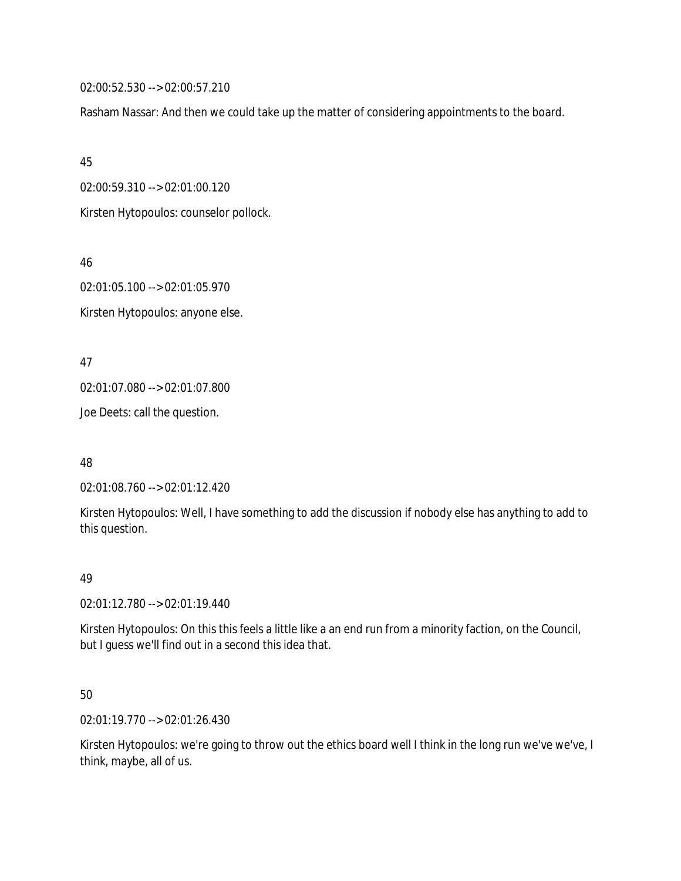02:00:52.530 --> 02:00:57.210

Rasham Nassar: And then we could take up the matter of considering appointments to the board.

45

02:00:59.310 --> 02:01:00.120

Kirsten Hytopoulos: counselor pollock.

46

02:01:05.100 --> 02:01:05.970 Kirsten Hytopoulos: anyone else.

47

02:01:07.080 --> 02:01:07.800

Joe Deets: call the question.

48

02:01:08.760 --> 02:01:12.420

Kirsten Hytopoulos: Well, I have something to add the discussion if nobody else has anything to add to this question.

# 49

02:01:12.780 --> 02:01:19.440

Kirsten Hytopoulos: On this this feels a little like a an end run from a minority faction, on the Council, but I guess we'll find out in a second this idea that.

# 50

02:01:19.770 --> 02:01:26.430

Kirsten Hytopoulos: we're going to throw out the ethics board well I think in the long run we've we've, I think, maybe, all of us.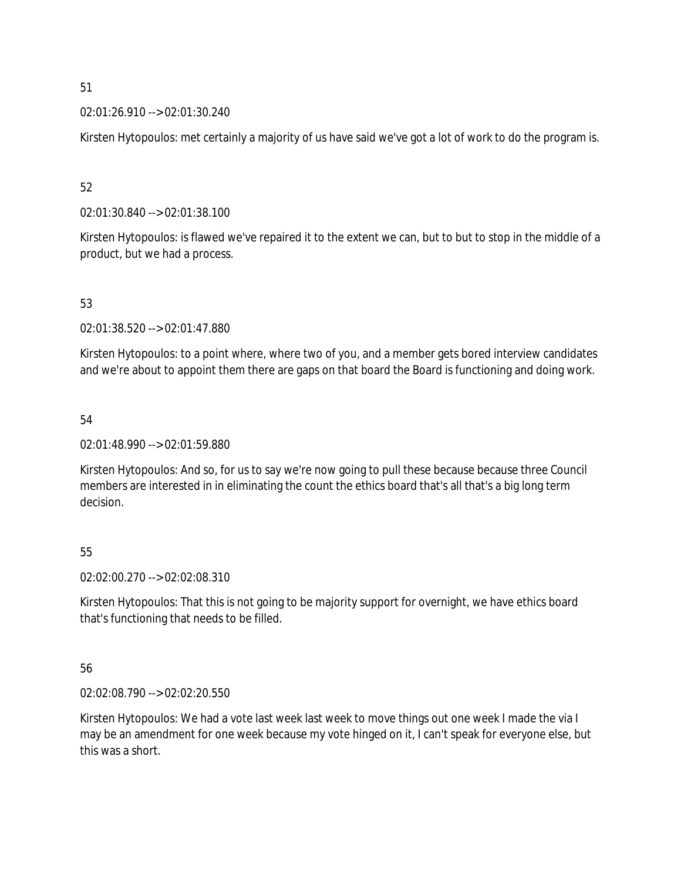### 02:01:26.910 --> 02:01:30.240

Kirsten Hytopoulos: met certainly a majority of us have said we've got a lot of work to do the program is.

52

02:01:30.840 --> 02:01:38.100

Kirsten Hytopoulos: is flawed we've repaired it to the extent we can, but to but to stop in the middle of a product, but we had a process.

### 53

02:01:38.520 --> 02:01:47.880

Kirsten Hytopoulos: to a point where, where two of you, and a member gets bored interview candidates and we're about to appoint them there are gaps on that board the Board is functioning and doing work.

### 54

02:01:48.990 --> 02:01:59.880

Kirsten Hytopoulos: And so, for us to say we're now going to pull these because because three Council members are interested in in eliminating the count the ethics board that's all that's a big long term decision.

# 55

02:02:00.270 --> 02:02:08.310

Kirsten Hytopoulos: That this is not going to be majority support for overnight, we have ethics board that's functioning that needs to be filled.

# 56

02:02:08.790 --> 02:02:20.550

Kirsten Hytopoulos: We had a vote last week last week to move things out one week I made the via I may be an amendment for one week because my vote hinged on it, I can't speak for everyone else, but this was a short.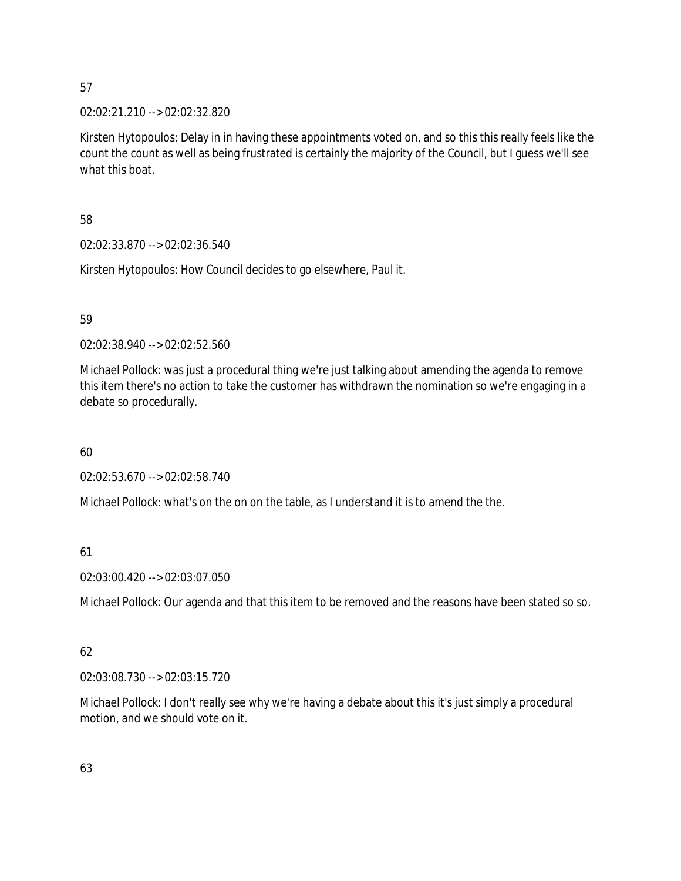02:02:21.210 --> 02:02:32.820

Kirsten Hytopoulos: Delay in in having these appointments voted on, and so this this really feels like the count the count as well as being frustrated is certainly the majority of the Council, but I guess we'll see what this boat.

# 58

02:02:33.870 --> 02:02:36.540

Kirsten Hytopoulos: How Council decides to go elsewhere, Paul it.

# 59

02:02:38.940 --> 02:02:52.560

Michael Pollock: was just a procedural thing we're just talking about amending the agenda to remove this item there's no action to take the customer has withdrawn the nomination so we're engaging in a debate so procedurally.

# 60

02:02:53.670 --> 02:02:58.740

Michael Pollock: what's on the on on the table, as I understand it is to amend the the.

# 61

02:03:00.420 --> 02:03:07.050

Michael Pollock: Our agenda and that this item to be removed and the reasons have been stated so so.

# 62

02:03:08.730 --> 02:03:15.720

Michael Pollock: I don't really see why we're having a debate about this it's just simply a procedural motion, and we should vote on it.

# 63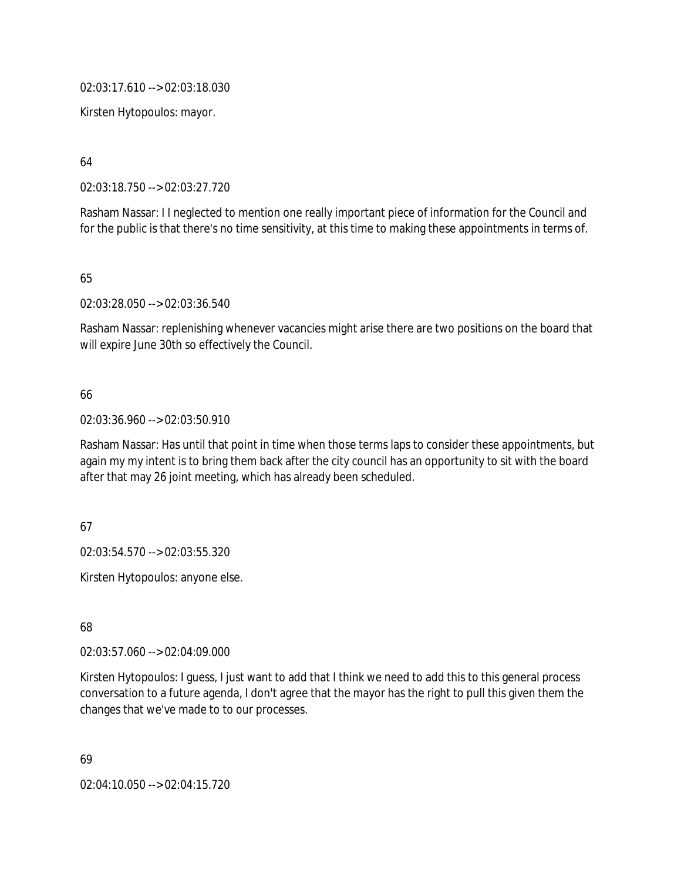02:03:17.610 --> 02:03:18.030

Kirsten Hytopoulos: mayor.

64

02:03:18.750 --> 02:03:27.720

Rasham Nassar: I I neglected to mention one really important piece of information for the Council and for the public is that there's no time sensitivity, at this time to making these appointments in terms of.

65

02:03:28.050 --> 02:03:36.540

Rasham Nassar: replenishing whenever vacancies might arise there are two positions on the board that will expire June 30th so effectively the Council.

### 66

02:03:36.960 --> 02:03:50.910

Rasham Nassar: Has until that point in time when those terms laps to consider these appointments, but again my my intent is to bring them back after the city council has an opportunity to sit with the board after that may 26 joint meeting, which has already been scheduled.

67

02:03:54.570 --> 02:03:55.320

Kirsten Hytopoulos: anyone else.

68

02:03:57.060 --> 02:04:09.000

Kirsten Hytopoulos: I guess, I just want to add that I think we need to add this to this general process conversation to a future agenda, I don't agree that the mayor has the right to pull this given them the changes that we've made to to our processes.

69

02:04:10.050 --> 02:04:15.720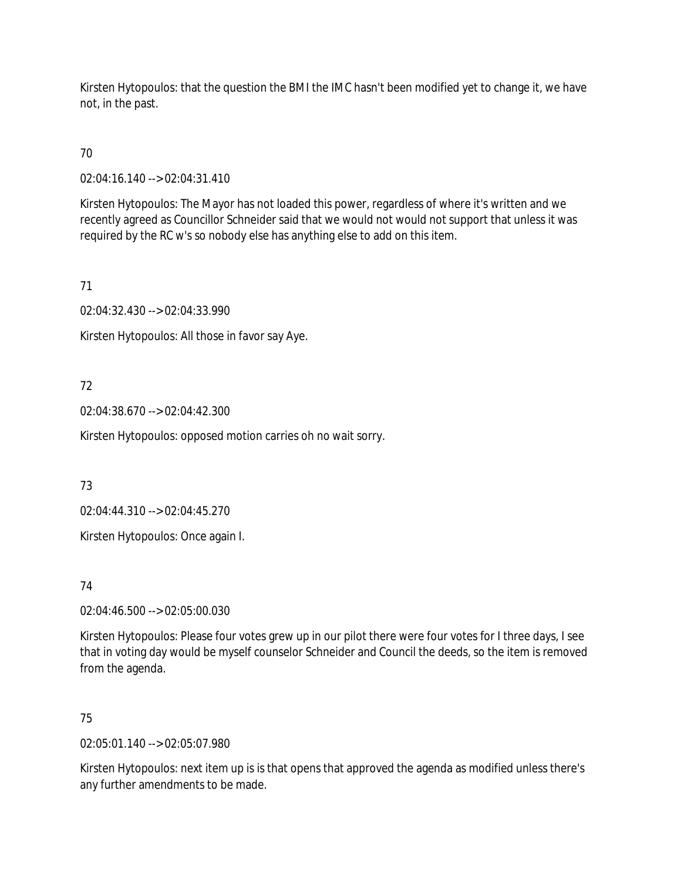Kirsten Hytopoulos: that the question the BMI the IMC hasn't been modified yet to change it, we have not, in the past.

70

02:04:16.140 --> 02:04:31.410

Kirsten Hytopoulos: The Mayor has not loaded this power, regardless of where it's written and we recently agreed as Councillor Schneider said that we would not would not support that unless it was required by the RC w's so nobody else has anything else to add on this item.

71

02:04:32.430 --> 02:04:33.990

Kirsten Hytopoulos: All those in favor say Aye.

# 72

02:04:38.670 --> 02:04:42.300

Kirsten Hytopoulos: opposed motion carries oh no wait sorry.

73

02:04:44.310 --> 02:04:45.270

Kirsten Hytopoulos: Once again I.

74

02:04:46.500 --> 02:05:00.030

Kirsten Hytopoulos: Please four votes grew up in our pilot there were four votes for I three days, I see that in voting day would be myself counselor Schneider and Council the deeds, so the item is removed from the agenda.

# 75

02:05:01.140 --> 02:05:07.980

Kirsten Hytopoulos: next item up is is that opens that approved the agenda as modified unless there's any further amendments to be made.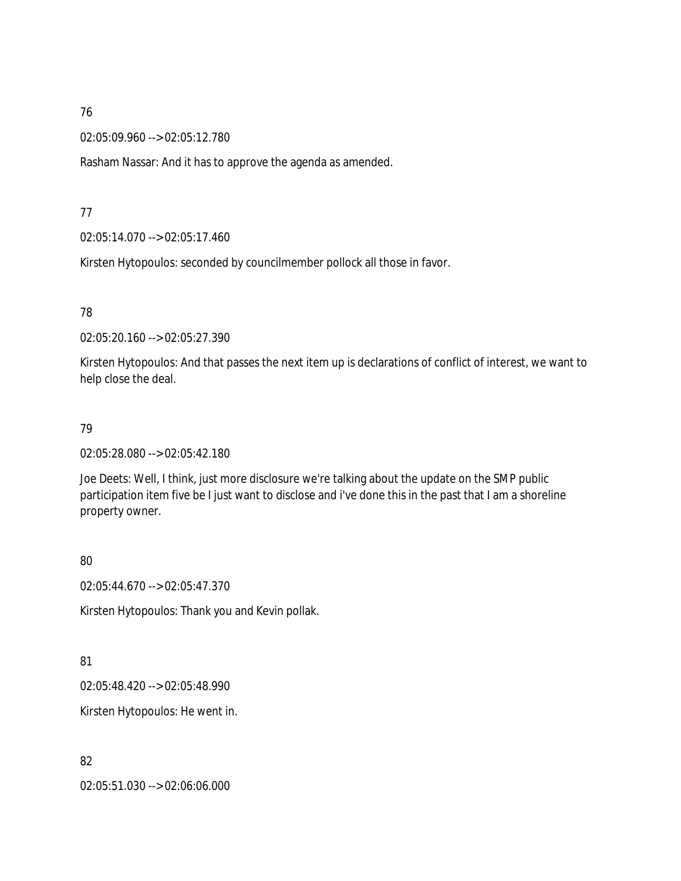02:05:09.960 --> 02:05:12.780

Rasham Nassar: And it has to approve the agenda as amended.

### 77

02:05:14.070 --> 02:05:17.460

Kirsten Hytopoulos: seconded by councilmember pollock all those in favor.

# 78

02:05:20.160 --> 02:05:27.390

Kirsten Hytopoulos: And that passes the next item up is declarations of conflict of interest, we want to help close the deal.

### 79

02:05:28.080 --> 02:05:42.180

Joe Deets: Well, I think, just more disclosure we're talking about the update on the SMP public participation item five be I just want to disclose and i've done this in the past that I am a shoreline property owner.

### 80

02:05:44.670 --> 02:05:47.370

Kirsten Hytopoulos: Thank you and Kevin pollak.

# 81

02:05:48.420 --> 02:05:48.990

Kirsten Hytopoulos: He went in.

### 82

02:05:51.030 --> 02:06:06.000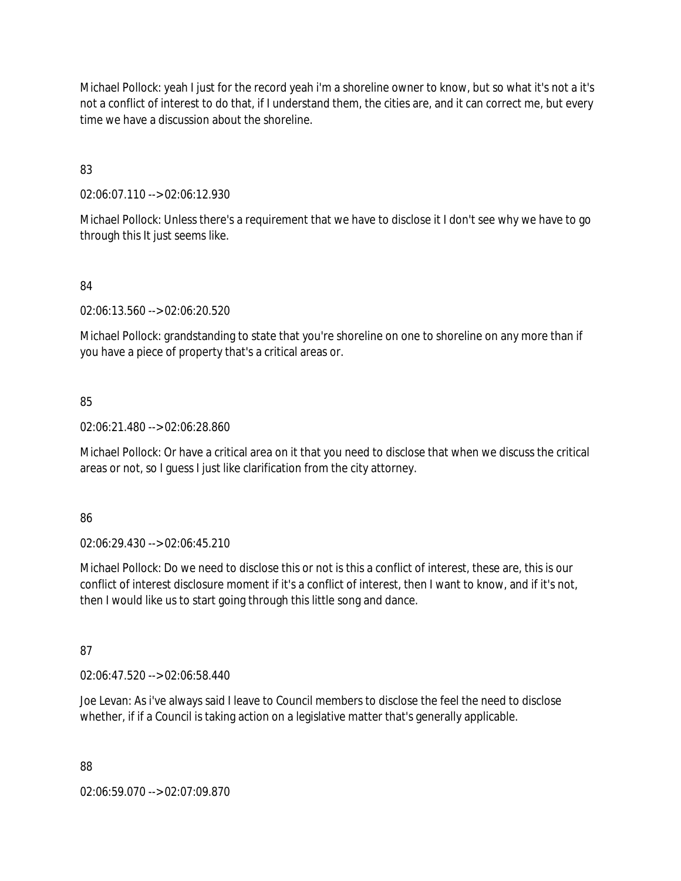Michael Pollock: yeah I just for the record yeah i'm a shoreline owner to know, but so what it's not a it's not a conflict of interest to do that, if I understand them, the cities are, and it can correct me, but every time we have a discussion about the shoreline.

83

02:06:07.110 --> 02:06:12.930

Michael Pollock: Unless there's a requirement that we have to disclose it I don't see why we have to go through this It just seems like.

# 84

02:06:13.560 --> 02:06:20.520

Michael Pollock: grandstanding to state that you're shoreline on one to shoreline on any more than if you have a piece of property that's a critical areas or.

85

02:06:21.480 --> 02:06:28.860

Michael Pollock: Or have a critical area on it that you need to disclose that when we discuss the critical areas or not, so I guess I just like clarification from the city attorney.

86

02:06:29.430 --> 02:06:45.210

Michael Pollock: Do we need to disclose this or not is this a conflict of interest, these are, this is our conflict of interest disclosure moment if it's a conflict of interest, then I want to know, and if it's not, then I would like us to start going through this little song and dance.

87

02:06:47.520 --> 02:06:58.440

Joe Levan: As i've always said I leave to Council members to disclose the feel the need to disclose whether, if if a Council is taking action on a legislative matter that's generally applicable.

88

02:06:59.070 --> 02:07:09.870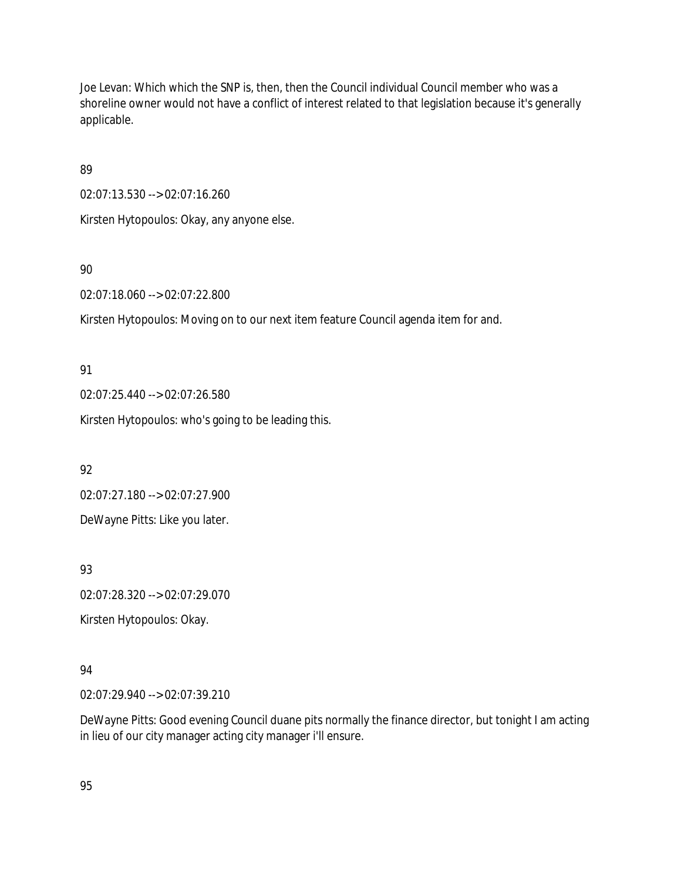Joe Levan: Which which the SNP is, then, then the Council individual Council member who was a shoreline owner would not have a conflict of interest related to that legislation because it's generally applicable.

89

02:07:13.530 --> 02:07:16.260

Kirsten Hytopoulos: Okay, any anyone else.

90

02:07:18.060 --> 02:07:22.800

Kirsten Hytopoulos: Moving on to our next item feature Council agenda item for and.

91

02:07:25.440 --> 02:07:26.580

Kirsten Hytopoulos: who's going to be leading this.

92

02:07:27.180 --> 02:07:27.900 DeWayne Pitts: Like you later.

93

02:07:28.320 --> 02:07:29.070

Kirsten Hytopoulos: Okay.

# 94

02:07:29.940 --> 02:07:39.210

DeWayne Pitts: Good evening Council duane pits normally the finance director, but tonight I am acting in lieu of our city manager acting city manager i'll ensure.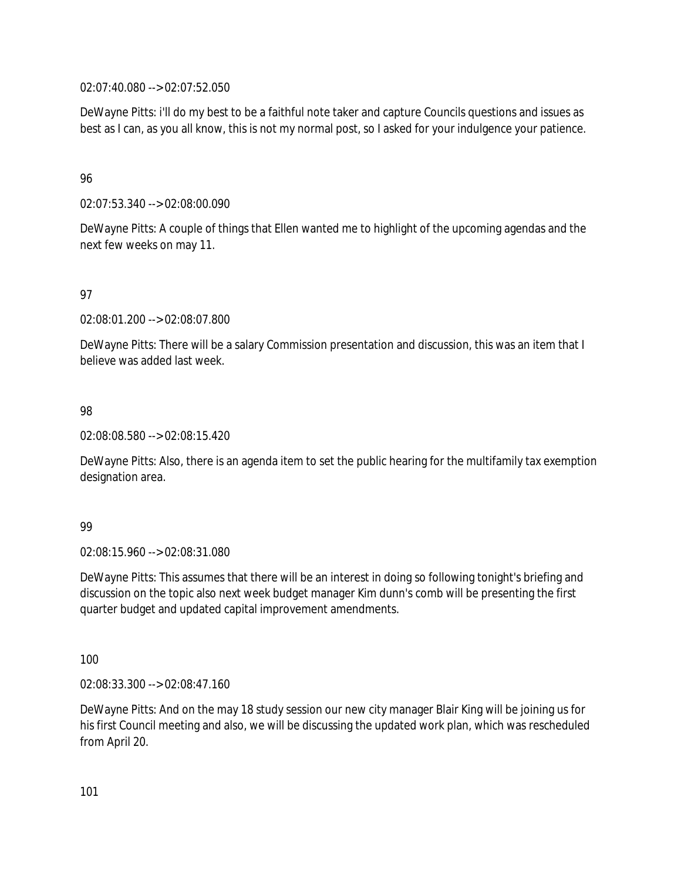02:07:40.080 --> 02:07:52.050

DeWayne Pitts: i'll do my best to be a faithful note taker and capture Councils questions and issues as best as I can, as you all know, this is not my normal post, so I asked for your indulgence your patience.

### 96

02:07:53.340 --> 02:08:00.090

DeWayne Pitts: A couple of things that Ellen wanted me to highlight of the upcoming agendas and the next few weeks on may 11.

### 97

02:08:01.200 --> 02:08:07.800

DeWayne Pitts: There will be a salary Commission presentation and discussion, this was an item that I believe was added last week.

### 98

02:08:08.580 --> 02:08:15.420

DeWayne Pitts: Also, there is an agenda item to set the public hearing for the multifamily tax exemption designation area.

### 99

02:08:15.960 --> 02:08:31.080

DeWayne Pitts: This assumes that there will be an interest in doing so following tonight's briefing and discussion on the topic also next week budget manager Kim dunn's comb will be presenting the first quarter budget and updated capital improvement amendments.

### 100

02:08:33.300 --> 02:08:47.160

DeWayne Pitts: And on the may 18 study session our new city manager Blair King will be joining us for his first Council meeting and also, we will be discussing the updated work plan, which was rescheduled from April 20.

101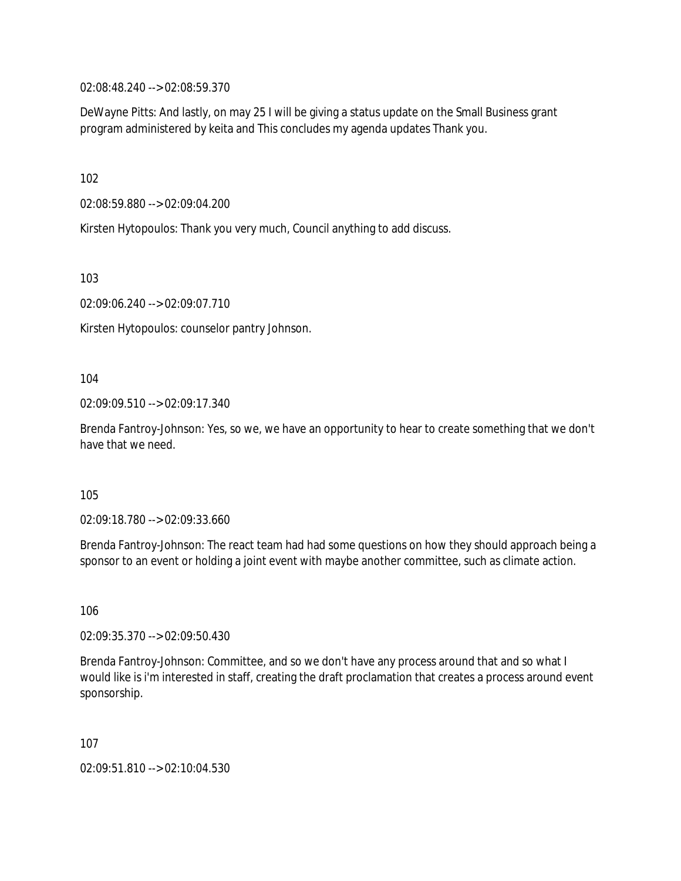02:08:48.240 --> 02:08:59.370

DeWayne Pitts: And lastly, on may 25 I will be giving a status update on the Small Business grant program administered by keita and This concludes my agenda updates Thank you.

102

02:08:59.880 --> 02:09:04.200

Kirsten Hytopoulos: Thank you very much, Council anything to add discuss.

103

02:09:06.240 --> 02:09:07.710

Kirsten Hytopoulos: counselor pantry Johnson.

104

02:09:09.510 --> 02:09:17.340

Brenda Fantroy-Johnson: Yes, so we, we have an opportunity to hear to create something that we don't have that we need.

105

02:09:18.780 --> 02:09:33.660

Brenda Fantroy-Johnson: The react team had had some questions on how they should approach being a sponsor to an event or holding a joint event with maybe another committee, such as climate action.

106

02:09:35.370 --> 02:09:50.430

Brenda Fantroy-Johnson: Committee, and so we don't have any process around that and so what I would like is i'm interested in staff, creating the draft proclamation that creates a process around event sponsorship.

107

02:09:51.810 --> 02:10:04.530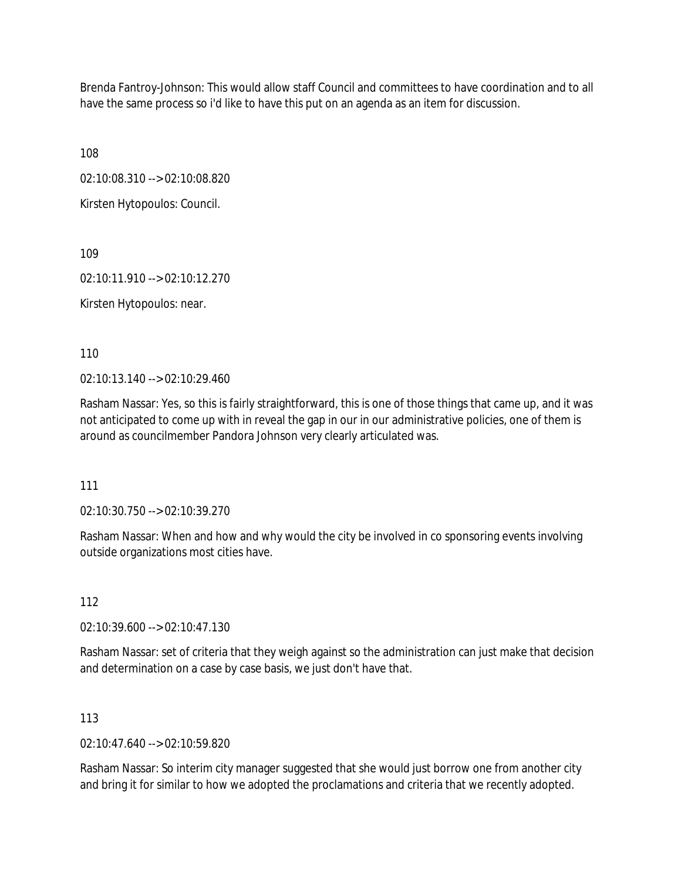Brenda Fantroy-Johnson: This would allow staff Council and committees to have coordination and to all have the same process so i'd like to have this put on an agenda as an item for discussion.

108

02:10:08.310 --> 02:10:08.820

Kirsten Hytopoulos: Council.

109

02:10:11.910 --> 02:10:12.270

Kirsten Hytopoulos: near.

110

02:10:13.140 --> 02:10:29.460

Rasham Nassar: Yes, so this is fairly straightforward, this is one of those things that came up, and it was not anticipated to come up with in reveal the gap in our in our administrative policies, one of them is around as councilmember Pandora Johnson very clearly articulated was.

111

02:10:30.750 --> 02:10:39.270

Rasham Nassar: When and how and why would the city be involved in co sponsoring events involving outside organizations most cities have.

112

02:10:39.600 --> 02:10:47.130

Rasham Nassar: set of criteria that they weigh against so the administration can just make that decision and determination on a case by case basis, we just don't have that.

### 113

 $02.10.47.640 - 02.10.59.820$ 

Rasham Nassar: So interim city manager suggested that she would just borrow one from another city and bring it for similar to how we adopted the proclamations and criteria that we recently adopted.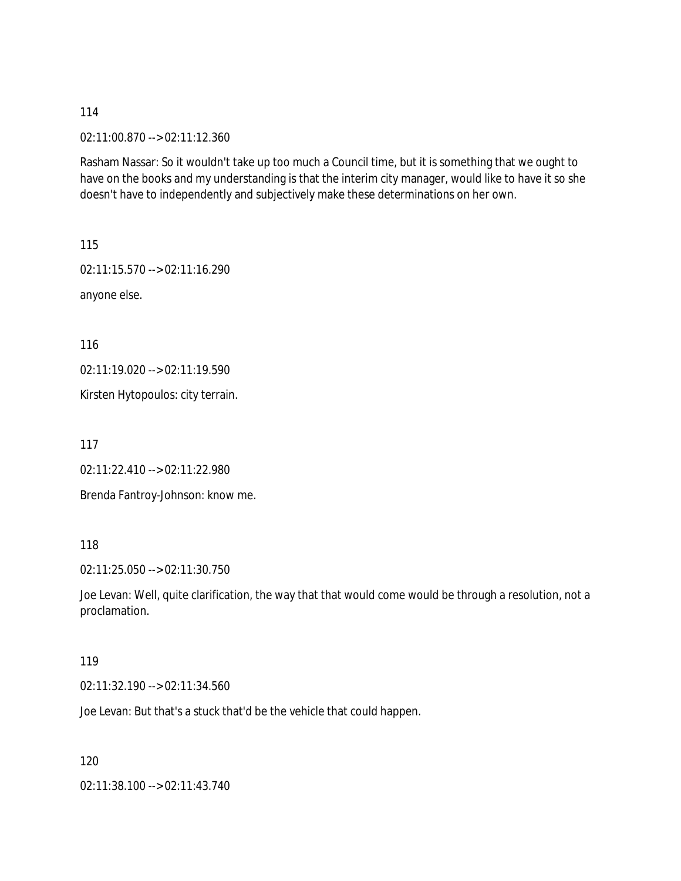02:11:00.870 --> 02:11:12.360

Rasham Nassar: So it wouldn't take up too much a Council time, but it is something that we ought to have on the books and my understanding is that the interim city manager, would like to have it so she doesn't have to independently and subjectively make these determinations on her own.

115 02:11:15.570 --> 02:11:16.290 anyone else.

116

02:11:19.020 --> 02:11:19.590

Kirsten Hytopoulos: city terrain.

117

02:11:22.410 --> 02:11:22.980

Brenda Fantroy-Johnson: know me.

118

02:11:25.050 --> 02:11:30.750

Joe Levan: Well, quite clarification, the way that that would come would be through a resolution, not a proclamation.

#### 119

02:11:32.190 --> 02:11:34.560

Joe Levan: But that's a stuck that'd be the vehicle that could happen.

120

02:11:38.100 --> 02:11:43.740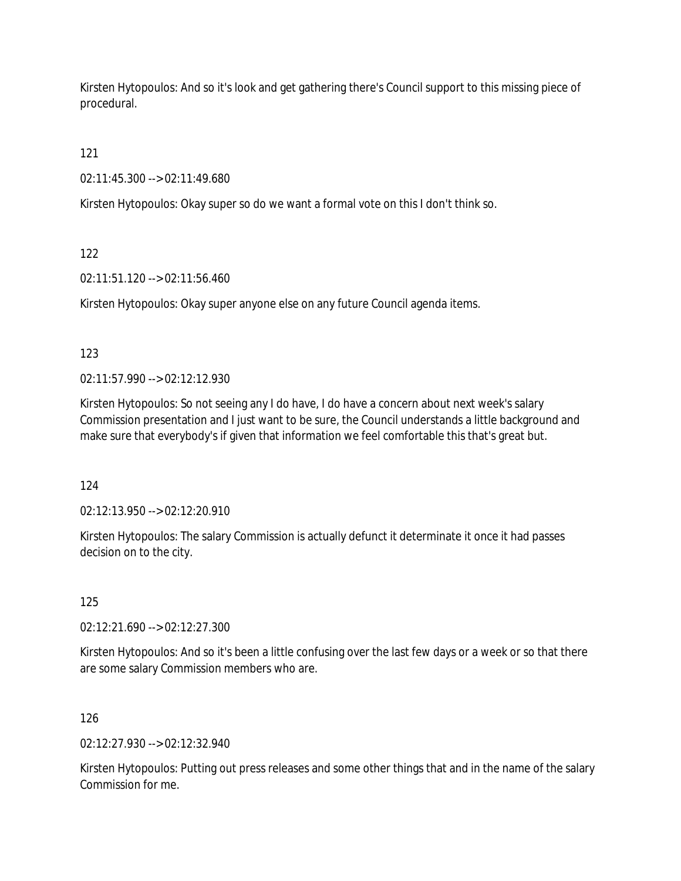Kirsten Hytopoulos: And so it's look and get gathering there's Council support to this missing piece of procedural.

121

02:11:45.300 --> 02:11:49.680

Kirsten Hytopoulos: Okay super so do we want a formal vote on this I don't think so.

122

02:11:51.120 --> 02:11:56.460

Kirsten Hytopoulos: Okay super anyone else on any future Council agenda items.

123

02:11:57.990 --> 02:12:12.930

Kirsten Hytopoulos: So not seeing any I do have, I do have a concern about next week's salary Commission presentation and I just want to be sure, the Council understands a little background and make sure that everybody's if given that information we feel comfortable this that's great but.

124

02:12:13.950 --> 02:12:20.910

Kirsten Hytopoulos: The salary Commission is actually defunct it determinate it once it had passes decision on to the city.

125

02:12:21.690 --> 02:12:27.300

Kirsten Hytopoulos: And so it's been a little confusing over the last few days or a week or so that there are some salary Commission members who are.

# 126

02:12:27.930 --> 02:12:32.940

Kirsten Hytopoulos: Putting out press releases and some other things that and in the name of the salary Commission for me.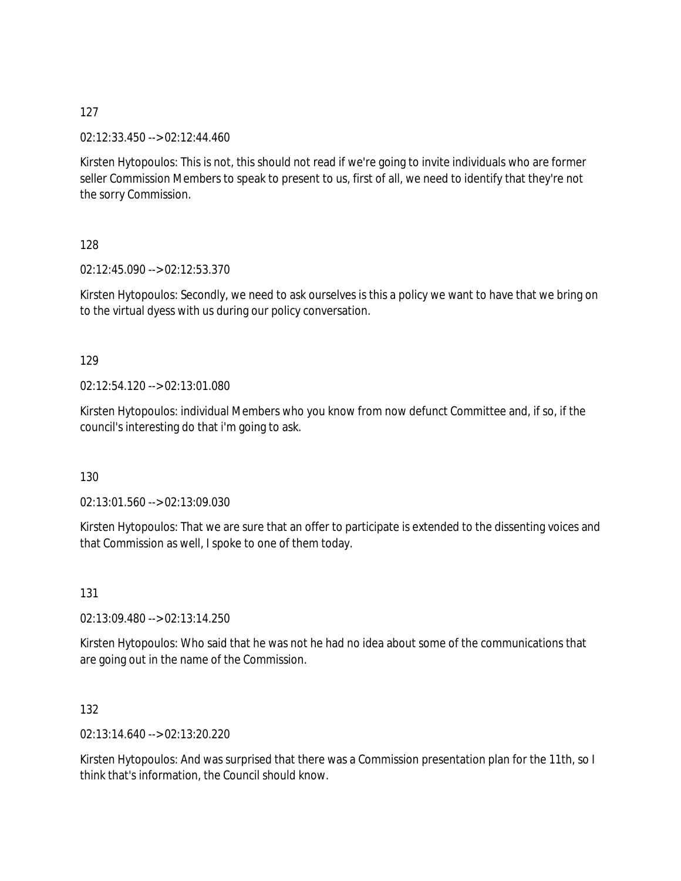02:12:33.450 --> 02:12:44.460

Kirsten Hytopoulos: This is not, this should not read if we're going to invite individuals who are former seller Commission Members to speak to present to us, first of all, we need to identify that they're not the sorry Commission.

128

02:12:45.090 --> 02:12:53.370

Kirsten Hytopoulos: Secondly, we need to ask ourselves is this a policy we want to have that we bring on to the virtual dyess with us during our policy conversation.

### 129

02:12:54.120 --> 02:13:01.080

Kirsten Hytopoulos: individual Members who you know from now defunct Committee and, if so, if the council's interesting do that i'm going to ask.

130

02:13:01.560 --> 02:13:09.030

Kirsten Hytopoulos: That we are sure that an offer to participate is extended to the dissenting voices and that Commission as well, I spoke to one of them today.

131

02:13:09.480 --> 02:13:14.250

Kirsten Hytopoulos: Who said that he was not he had no idea about some of the communications that are going out in the name of the Commission.

132

02:13:14.640 --> 02:13:20.220

Kirsten Hytopoulos: And was surprised that there was a Commission presentation plan for the 11th, so I think that's information, the Council should know.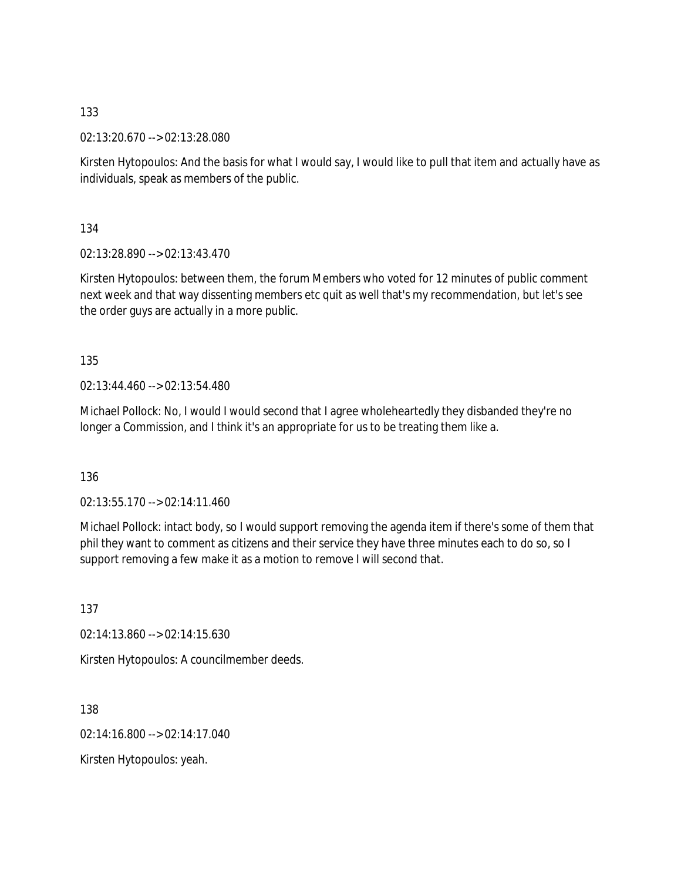02:13:20.670 --> 02:13:28.080

Kirsten Hytopoulos: And the basis for what I would say, I would like to pull that item and actually have as individuals, speak as members of the public.

134

02:13:28.890 --> 02:13:43.470

Kirsten Hytopoulos: between them, the forum Members who voted for 12 minutes of public comment next week and that way dissenting members etc quit as well that's my recommendation, but let's see the order guys are actually in a more public.

135

02:13:44.460 --> 02:13:54.480

Michael Pollock: No, I would I would second that I agree wholeheartedly they disbanded they're no longer a Commission, and I think it's an appropriate for us to be treating them like a.

136

02:13:55.170 --> 02:14:11.460

Michael Pollock: intact body, so I would support removing the agenda item if there's some of them that phil they want to comment as citizens and their service they have three minutes each to do so, so I support removing a few make it as a motion to remove I will second that.

137

02:14:13.860 --> 02:14:15.630

Kirsten Hytopoulos: A councilmember deeds.

138

02:14:16.800 --> 02:14:17.040

Kirsten Hytopoulos: yeah.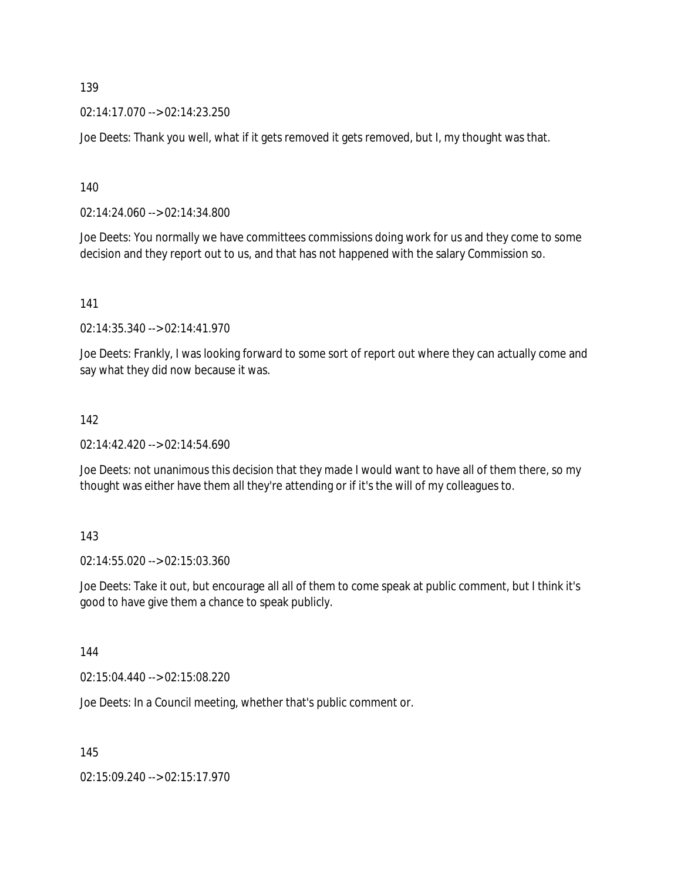02:14:17.070 --> 02:14:23.250

Joe Deets: Thank you well, what if it gets removed it gets removed, but I, my thought was that.

140

02:14:24.060 --> 02:14:34.800

Joe Deets: You normally we have committees commissions doing work for us and they come to some decision and they report out to us, and that has not happened with the salary Commission so.

141

02:14:35.340 --> 02:14:41.970

Joe Deets: Frankly, I was looking forward to some sort of report out where they can actually come and say what they did now because it was.

#### 142

02:14:42.420 --> 02:14:54.690

Joe Deets: not unanimous this decision that they made I would want to have all of them there, so my thought was either have them all they're attending or if it's the will of my colleagues to.

#### 143

02:14:55.020 --> 02:15:03.360

Joe Deets: Take it out, but encourage all all of them to come speak at public comment, but I think it's good to have give them a chance to speak publicly.

#### 144

02:15:04.440 --> 02:15:08.220

Joe Deets: In a Council meeting, whether that's public comment or.

145

02:15:09.240 --> 02:15:17.970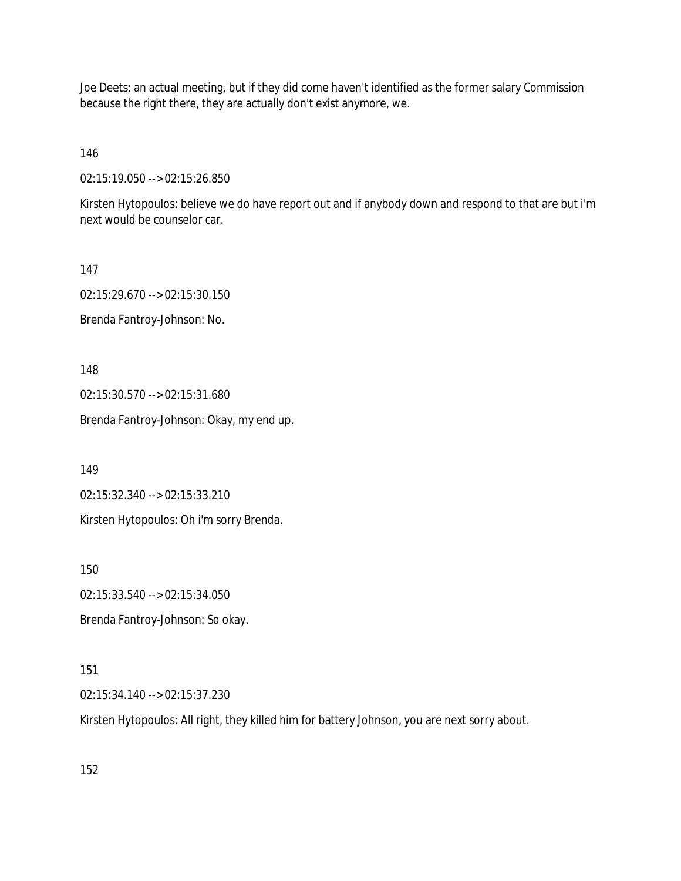Joe Deets: an actual meeting, but if they did come haven't identified as the former salary Commission because the right there, they are actually don't exist anymore, we.

146

02:15:19.050 --> 02:15:26.850

Kirsten Hytopoulos: believe we do have report out and if anybody down and respond to that are but i'm next would be counselor car.

147 02:15:29.670 --> 02:15:30.150 Brenda Fantroy-Johnson: No.

148

02:15:30.570 --> 02:15:31.680

Brenda Fantroy-Johnson: Okay, my end up.

149

02:15:32.340 --> 02:15:33.210

Kirsten Hytopoulos: Oh i'm sorry Brenda.

150

02:15:33.540 --> 02:15:34.050

Brenda Fantroy-Johnson: So okay.

151

02:15:34.140 --> 02:15:37.230

Kirsten Hytopoulos: All right, they killed him for battery Johnson, you are next sorry about.

152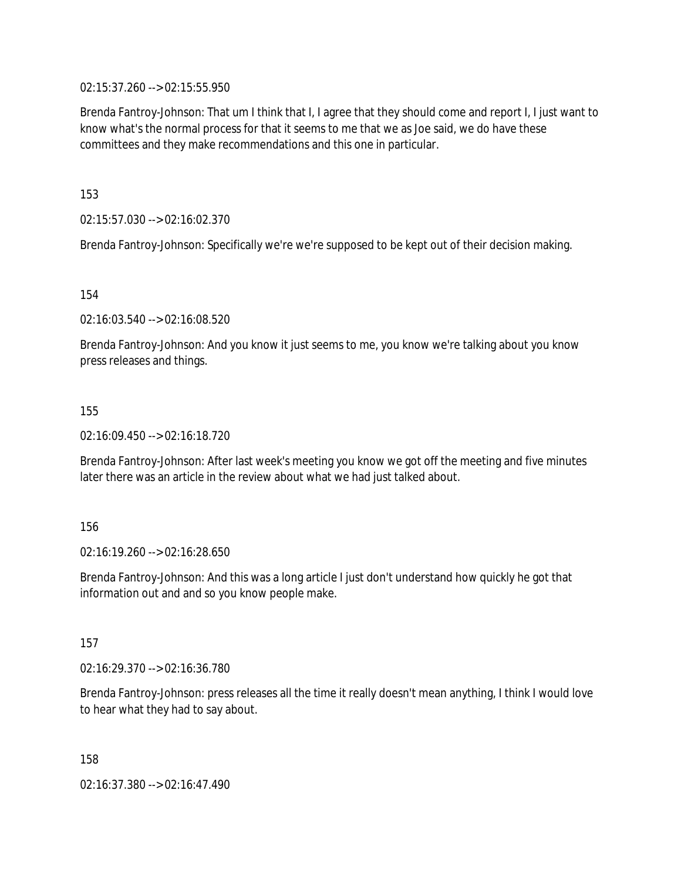02:15:37.260 --> 02:15:55.950

Brenda Fantroy-Johnson: That um I think that I, I agree that they should come and report I, I just want to know what's the normal process for that it seems to me that we as Joe said, we do have these committees and they make recommendations and this one in particular.

153

02:15:57.030 --> 02:16:02.370

Brenda Fantroy-Johnson: Specifically we're we're supposed to be kept out of their decision making.

154

02:16:03.540 --> 02:16:08.520

Brenda Fantroy-Johnson: And you know it just seems to me, you know we're talking about you know press releases and things.

155

02:16:09.450 --> 02:16:18.720

Brenda Fantroy-Johnson: After last week's meeting you know we got off the meeting and five minutes later there was an article in the review about what we had just talked about.

156

02:16:19.260 --> 02:16:28.650

Brenda Fantroy-Johnson: And this was a long article I just don't understand how quickly he got that information out and and so you know people make.

157

02:16:29.370 --> 02:16:36.780

Brenda Fantroy-Johnson: press releases all the time it really doesn't mean anything, I think I would love to hear what they had to say about.

158

02:16:37.380 --> 02:16:47.490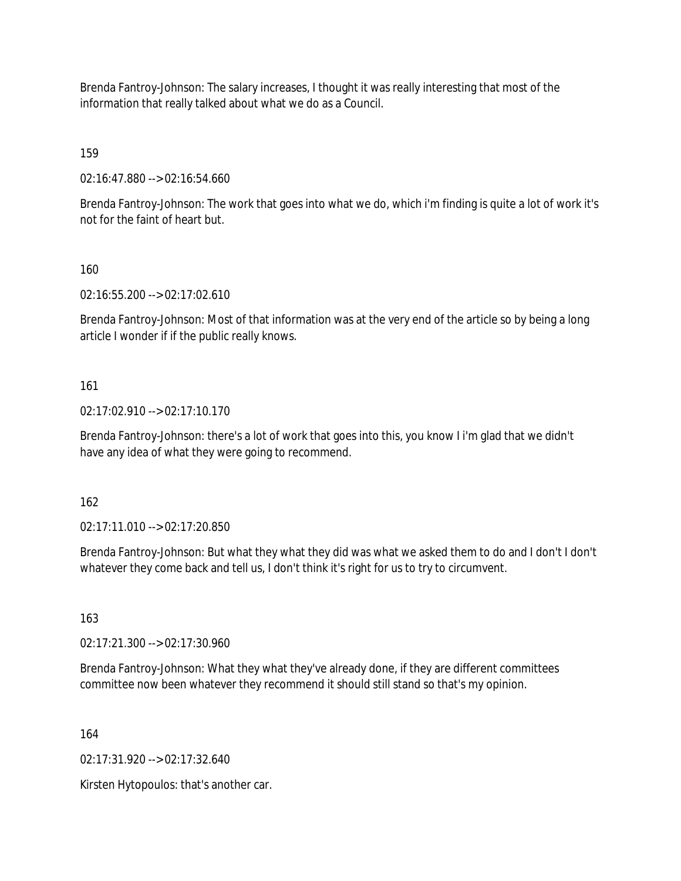Brenda Fantroy-Johnson: The salary increases, I thought it was really interesting that most of the information that really talked about what we do as a Council.

159

02:16:47.880 --> 02:16:54.660

Brenda Fantroy-Johnson: The work that goes into what we do, which i'm finding is quite a lot of work it's not for the faint of heart but.

160

02:16:55.200 --> 02:17:02.610

Brenda Fantroy-Johnson: Most of that information was at the very end of the article so by being a long article I wonder if if the public really knows.

161

02:17:02.910 --> 02:17:10.170

Brenda Fantroy-Johnson: there's a lot of work that goes into this, you know I i'm glad that we didn't have any idea of what they were going to recommend.

162

02:17:11.010 --> 02:17:20.850

Brenda Fantroy-Johnson: But what they what they did was what we asked them to do and I don't I don't whatever they come back and tell us, I don't think it's right for us to try to circumvent.

163

02:17:21.300 --> 02:17:30.960

Brenda Fantroy-Johnson: What they what they've already done, if they are different committees committee now been whatever they recommend it should still stand so that's my opinion.

164

02:17:31.920 --> 02:17:32.640

Kirsten Hytopoulos: that's another car.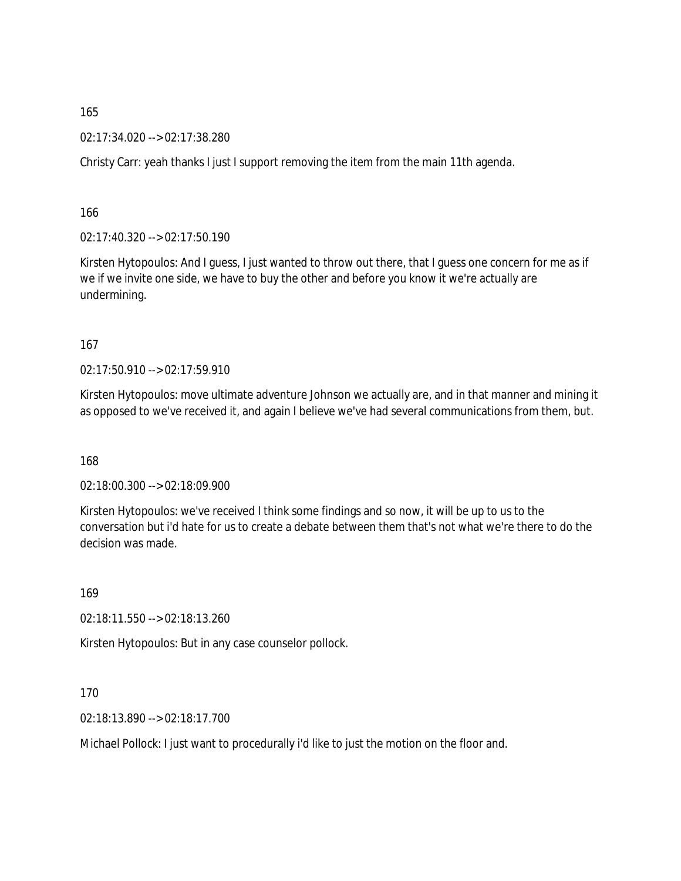02:17:34.020 --> 02:17:38.280

Christy Carr: yeah thanks I just I support removing the item from the main 11th agenda.

166

02:17:40.320 --> 02:17:50.190

Kirsten Hytopoulos: And I guess, I just wanted to throw out there, that I guess one concern for me as if we if we invite one side, we have to buy the other and before you know it we're actually are undermining.

167

02:17:50.910 --> 02:17:59.910

Kirsten Hytopoulos: move ultimate adventure Johnson we actually are, and in that manner and mining it as opposed to we've received it, and again I believe we've had several communications from them, but.

168

02:18:00.300 --> 02:18:09.900

Kirsten Hytopoulos: we've received I think some findings and so now, it will be up to us to the conversation but i'd hate for us to create a debate between them that's not what we're there to do the decision was made.

169

02:18:11.550 --> 02:18:13.260

Kirsten Hytopoulos: But in any case counselor pollock.

170

02:18:13.890 --> 02:18:17.700

Michael Pollock: I just want to procedurally i'd like to just the motion on the floor and.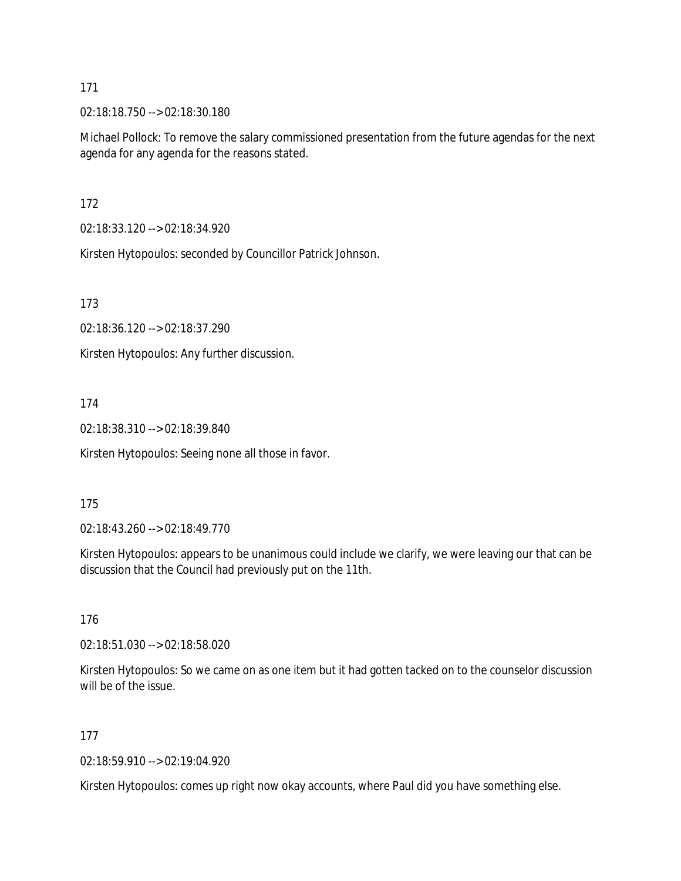02:18:18.750 --> 02:18:30.180

Michael Pollock: To remove the salary commissioned presentation from the future agendas for the next agenda for any agenda for the reasons stated.

172

02:18:33.120 --> 02:18:34.920

Kirsten Hytopoulos: seconded by Councillor Patrick Johnson.

173

02:18:36.120 --> 02:18:37.290

Kirsten Hytopoulos: Any further discussion.

### 174

02:18:38.310 --> 02:18:39.840

Kirsten Hytopoulos: Seeing none all those in favor.

#### 175

02:18:43.260 --> 02:18:49.770

Kirsten Hytopoulos: appears to be unanimous could include we clarify, we were leaving our that can be discussion that the Council had previously put on the 11th.

176

02:18:51.030 --> 02:18:58.020

Kirsten Hytopoulos: So we came on as one item but it had gotten tacked on to the counselor discussion will be of the issue.

### 177

02:18:59.910 --> 02:19:04.920

Kirsten Hytopoulos: comes up right now okay accounts, where Paul did you have something else.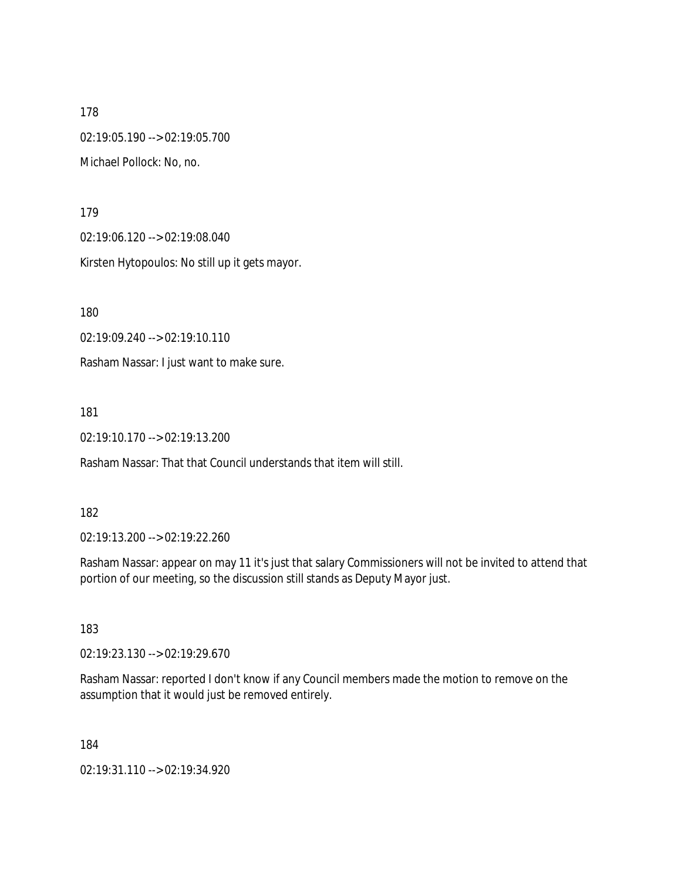178 02:19:05.190 --> 02:19:05.700 Michael Pollock: No, no.

179

02:19:06.120 --> 02:19:08.040

Kirsten Hytopoulos: No still up it gets mayor.

180

02:19:09.240 --> 02:19:10.110

Rasham Nassar: I just want to make sure.

181

02:19:10.170 --> 02:19:13.200

Rasham Nassar: That that Council understands that item will still.

182

02:19:13.200 --> 02:19:22.260

Rasham Nassar: appear on may 11 it's just that salary Commissioners will not be invited to attend that portion of our meeting, so the discussion still stands as Deputy Mayor just.

183

02:19:23.130 --> 02:19:29.670

Rasham Nassar: reported I don't know if any Council members made the motion to remove on the assumption that it would just be removed entirely.

184

02:19:31.110 --> 02:19:34.920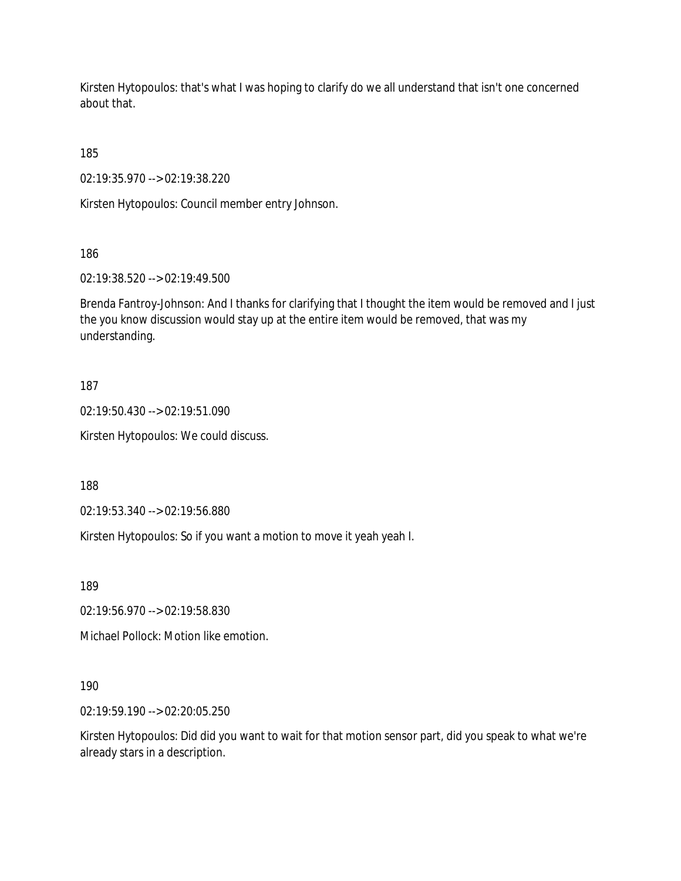Kirsten Hytopoulos: that's what I was hoping to clarify do we all understand that isn't one concerned about that.

185

02:19:35.970 --> 02:19:38.220

Kirsten Hytopoulos: Council member entry Johnson.

186

02:19:38.520 --> 02:19:49.500

Brenda Fantroy-Johnson: And I thanks for clarifying that I thought the item would be removed and I just the you know discussion would stay up at the entire item would be removed, that was my understanding.

# 187

02:19:50.430 --> 02:19:51.090

Kirsten Hytopoulos: We could discuss.

188

02:19:53.340 --> 02:19:56.880

Kirsten Hytopoulos: So if you want a motion to move it yeah yeah I.

189

02:19:56.970 --> 02:19:58.830

Michael Pollock: Motion like emotion.

# 190

02:19:59.190 --> 02:20:05.250

Kirsten Hytopoulos: Did did you want to wait for that motion sensor part, did you speak to what we're already stars in a description.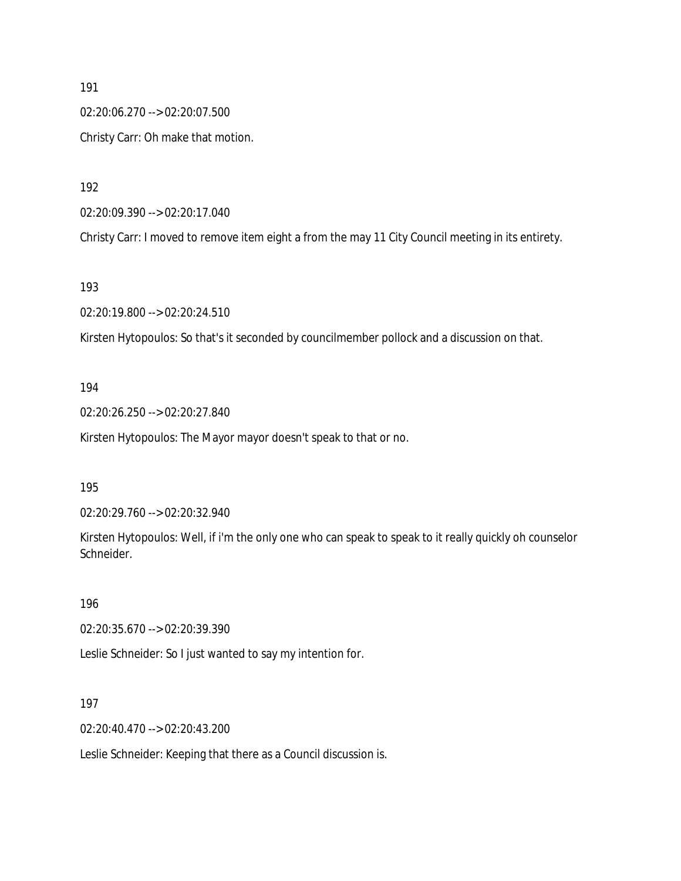02:20:06.270 --> 02:20:07.500 Christy Carr: Oh make that motion.

192

02:20:09.390 --> 02:20:17.040

Christy Carr: I moved to remove item eight a from the may 11 City Council meeting in its entirety.

193

02:20:19.800 --> 02:20:24.510

Kirsten Hytopoulos: So that's it seconded by councilmember pollock and a discussion on that.

#### 194

02:20:26.250 --> 02:20:27.840

Kirsten Hytopoulos: The Mayor mayor doesn't speak to that or no.

195

02:20:29.760 --> 02:20:32.940

Kirsten Hytopoulos: Well, if i'm the only one who can speak to speak to it really quickly oh counselor Schneider.

196

02:20:35.670 --> 02:20:39.390

Leslie Schneider: So I just wanted to say my intention for.

197

02:20:40.470 --> 02:20:43.200

Leslie Schneider: Keeping that there as a Council discussion is.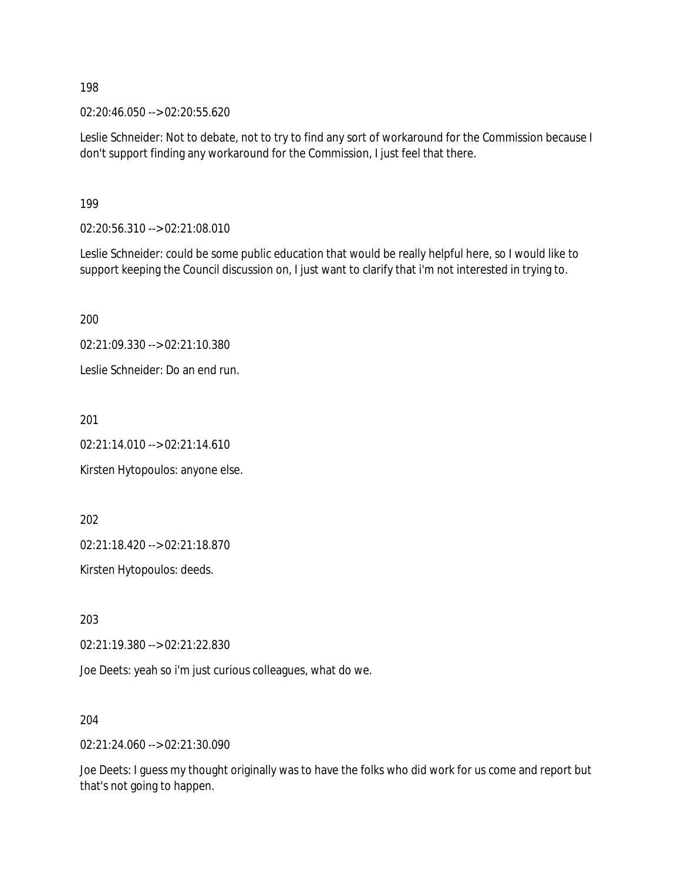02:20:46.050 --> 02:20:55.620

Leslie Schneider: Not to debate, not to try to find any sort of workaround for the Commission because I don't support finding any workaround for the Commission, I just feel that there.

199

02:20:56.310 --> 02:21:08.010

Leslie Schneider: could be some public education that would be really helpful here, so I would like to support keeping the Council discussion on, I just want to clarify that i'm not interested in trying to.

200

02:21:09.330 --> 02:21:10.380

Leslie Schneider: Do an end run.

201

02:21:14.010 --> 02:21:14.610

Kirsten Hytopoulos: anyone else.

202

02:21:18.420 --> 02:21:18.870

Kirsten Hytopoulos: deeds.

203

02:21:19.380 --> 02:21:22.830

Joe Deets: yeah so i'm just curious colleagues, what do we.

204

02:21:24.060 --> 02:21:30.090

Joe Deets: I guess my thought originally was to have the folks who did work for us come and report but that's not going to happen.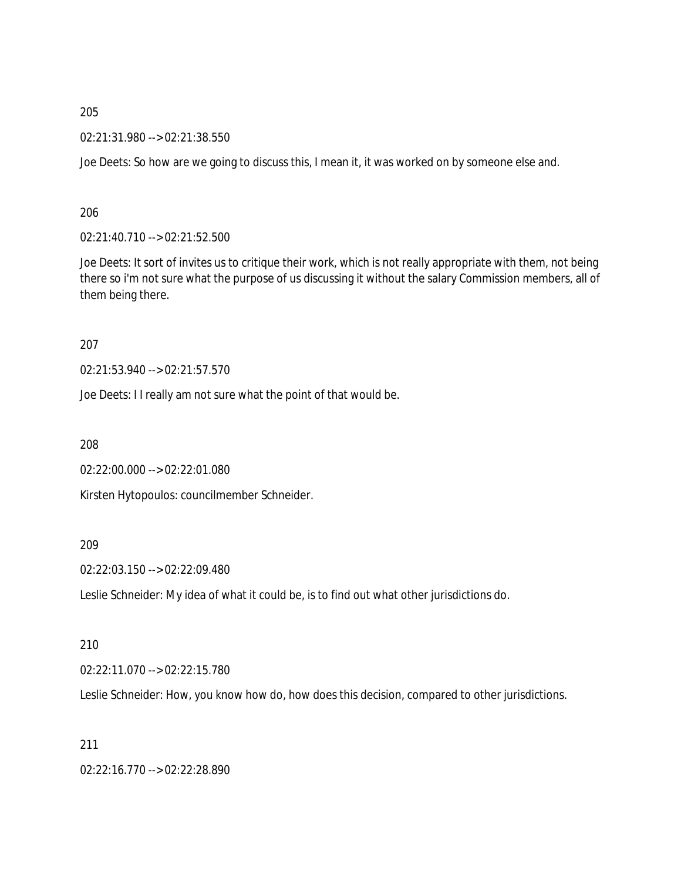02:21:31.980 --> 02:21:38.550

Joe Deets: So how are we going to discuss this, I mean it, it was worked on by someone else and.

206

02:21:40.710 --> 02:21:52.500

Joe Deets: It sort of invites us to critique their work, which is not really appropriate with them, not being there so i'm not sure what the purpose of us discussing it without the salary Commission members, all of them being there.

207

02:21:53.940 --> 02:21:57.570

Joe Deets: I I really am not sure what the point of that would be.

208

02:22:00.000 --> 02:22:01.080

Kirsten Hytopoulos: councilmember Schneider.

### 209

02:22:03.150 --> 02:22:09.480

Leslie Schneider: My idea of what it could be, is to find out what other jurisdictions do.

210

02:22:11.070 --> 02:22:15.780

Leslie Schneider: How, you know how do, how does this decision, compared to other jurisdictions.

211

02:22:16.770 --> 02:22:28.890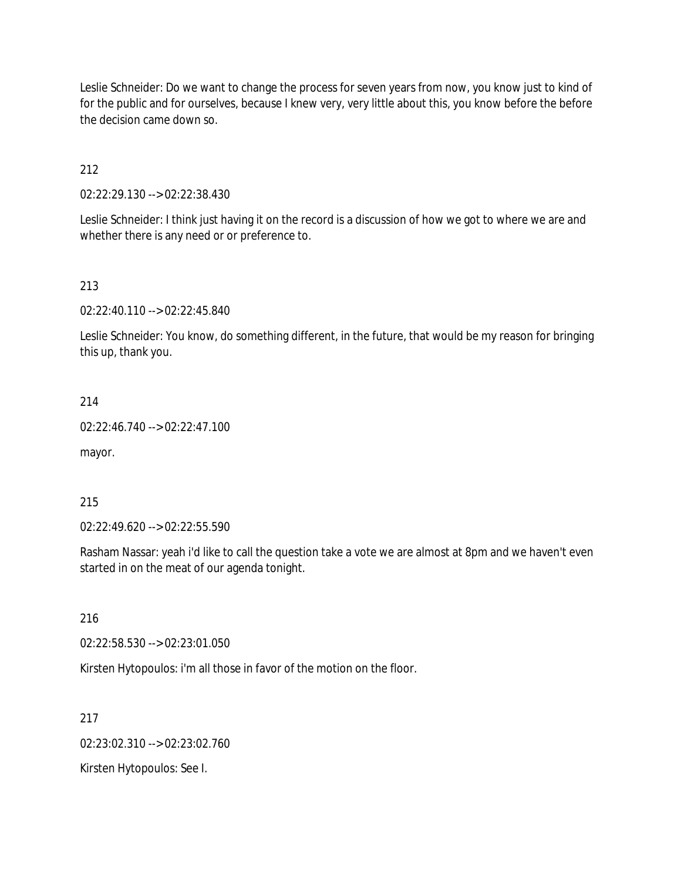Leslie Schneider: Do we want to change the process for seven years from now, you know just to kind of for the public and for ourselves, because I knew very, very little about this, you know before the before the decision came down so.

212

02:22:29.130 --> 02:22:38.430

Leslie Schneider: I think just having it on the record is a discussion of how we got to where we are and whether there is any need or or preference to.

#### 213

02:22:40.110 --> 02:22:45.840

Leslie Schneider: You know, do something different, in the future, that would be my reason for bringing this up, thank you.

214

02:22:46.740 --> 02:22:47.100

mayor.

215

02:22:49.620 --> 02:22:55.590

Rasham Nassar: yeah i'd like to call the question take a vote we are almost at 8pm and we haven't even started in on the meat of our agenda tonight.

216

02:22:58.530 --> 02:23:01.050

Kirsten Hytopoulos: i'm all those in favor of the motion on the floor.

217

02:23:02.310 --> 02:23:02.760

Kirsten Hytopoulos: See I.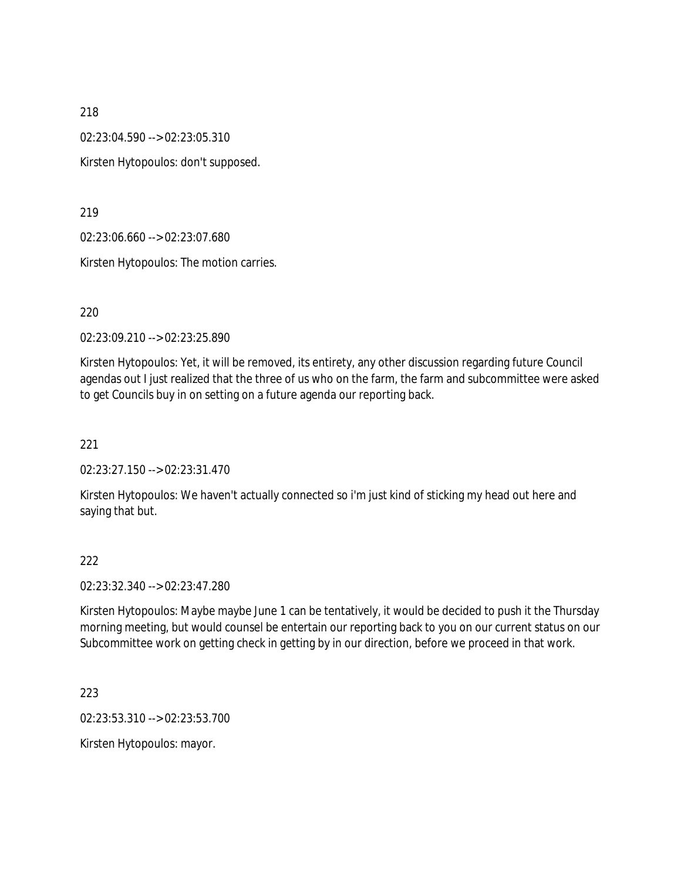02:23:04.590 --> 02:23:05.310

Kirsten Hytopoulos: don't supposed.

219

02:23:06.660 --> 02:23:07.680

Kirsten Hytopoulos: The motion carries.

220

02:23:09.210 --> 02:23:25.890

Kirsten Hytopoulos: Yet, it will be removed, its entirety, any other discussion regarding future Council agendas out I just realized that the three of us who on the farm, the farm and subcommittee were asked to get Councils buy in on setting on a future agenda our reporting back.

221

02:23:27.150 --> 02:23:31.470

Kirsten Hytopoulos: We haven't actually connected so i'm just kind of sticking my head out here and saying that but.

222

02:23:32.340 --> 02:23:47.280

Kirsten Hytopoulos: Maybe maybe June 1 can be tentatively, it would be decided to push it the Thursday morning meeting, but would counsel be entertain our reporting back to you on our current status on our Subcommittee work on getting check in getting by in our direction, before we proceed in that work.

223

02:23:53.310 --> 02:23:53.700

Kirsten Hytopoulos: mayor.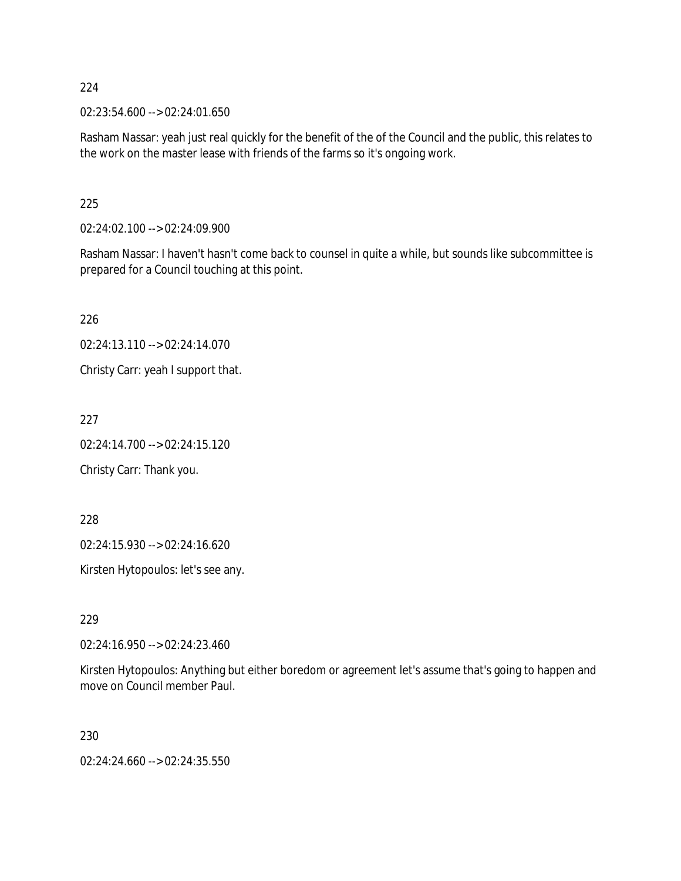02:23:54.600 --> 02:24:01.650

Rasham Nassar: yeah just real quickly for the benefit of the of the Council and the public, this relates to the work on the master lease with friends of the farms so it's ongoing work.

225

02:24:02.100 --> 02:24:09.900

Rasham Nassar: I haven't hasn't come back to counsel in quite a while, but sounds like subcommittee is prepared for a Council touching at this point.

226

02:24:13.110 --> 02:24:14.070

Christy Carr: yeah I support that.

227

02:24:14.700 --> 02:24:15.120

Christy Carr: Thank you.

228

02:24:15.930 --> 02:24:16.620

Kirsten Hytopoulos: let's see any.

229

02:24:16.950 --> 02:24:23.460

Kirsten Hytopoulos: Anything but either boredom or agreement let's assume that's going to happen and move on Council member Paul.

230

02:24:24.660 --> 02:24:35.550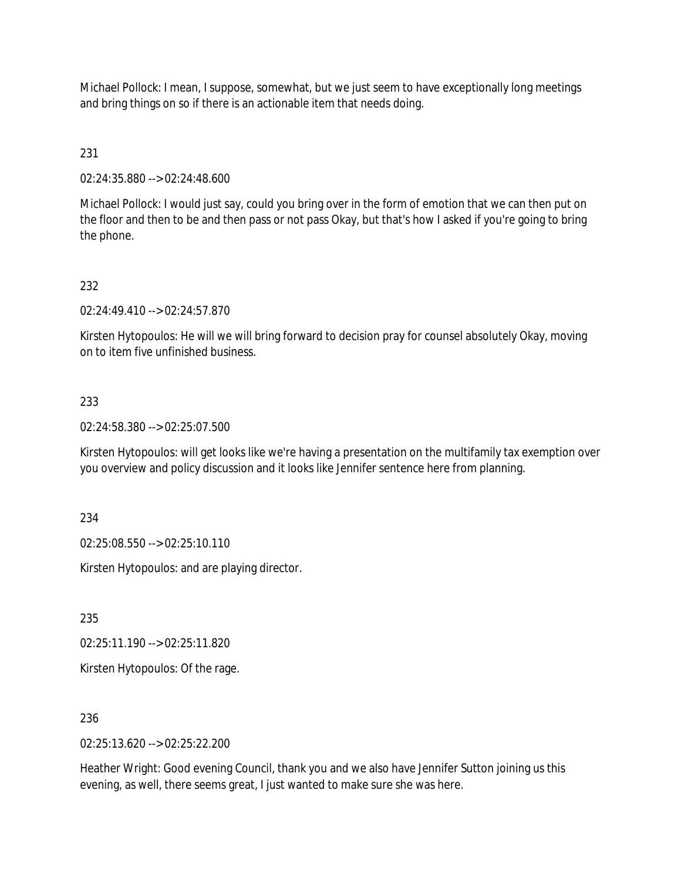Michael Pollock: I mean, I suppose, somewhat, but we just seem to have exceptionally long meetings and bring things on so if there is an actionable item that needs doing.

# 231

02:24:35.880 --> 02:24:48.600

Michael Pollock: I would just say, could you bring over in the form of emotion that we can then put on the floor and then to be and then pass or not pass Okay, but that's how I asked if you're going to bring the phone.

# 232

02:24:49.410 --> 02:24:57.870

Kirsten Hytopoulos: He will we will bring forward to decision pray for counsel absolutely Okay, moving on to item five unfinished business.

## 233

02:24:58.380 --> 02:25:07.500

Kirsten Hytopoulos: will get looks like we're having a presentation on the multifamily tax exemption over you overview and policy discussion and it looks like Jennifer sentence here from planning.

234

02:25:08.550 --> 02:25:10.110

Kirsten Hytopoulos: and are playing director.

235

02:25:11.190 --> 02:25:11.820

Kirsten Hytopoulos: Of the rage.

## 236

02:25:13.620 --> 02:25:22.200

Heather Wright: Good evening Council, thank you and we also have Jennifer Sutton joining us this evening, as well, there seems great, I just wanted to make sure she was here.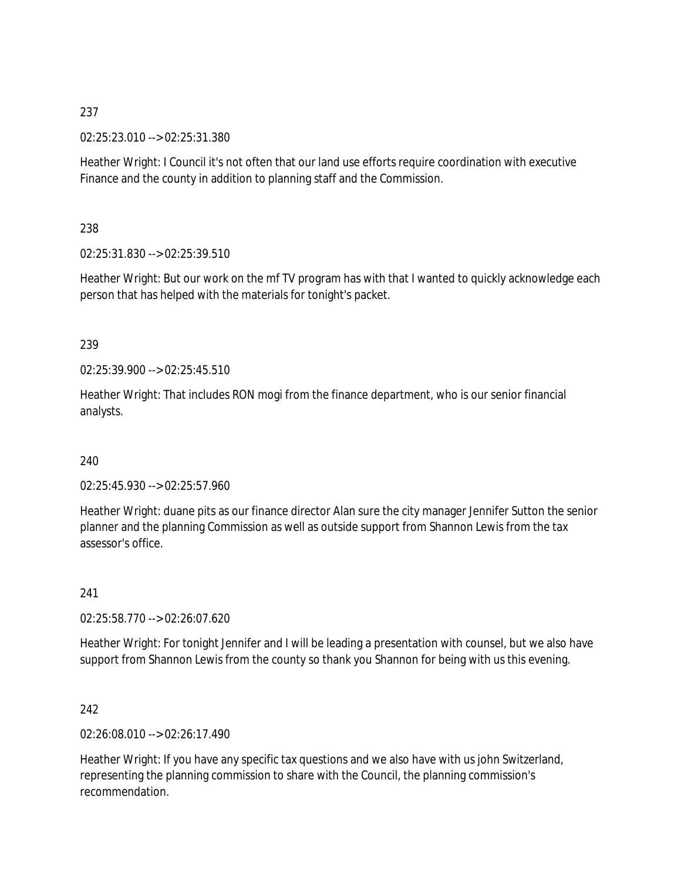02:25:23.010 --> 02:25:31.380

Heather Wright: I Council it's not often that our land use efforts require coordination with executive Finance and the county in addition to planning staff and the Commission.

238

02:25:31.830 --> 02:25:39.510

Heather Wright: But our work on the mf TV program has with that I wanted to quickly acknowledge each person that has helped with the materials for tonight's packet.

239

02:25:39.900 --> 02:25:45.510

Heather Wright: That includes RON mogi from the finance department, who is our senior financial analysts.

240

02:25:45.930 --> 02:25:57.960

Heather Wright: duane pits as our finance director Alan sure the city manager Jennifer Sutton the senior planner and the planning Commission as well as outside support from Shannon Lewis from the tax assessor's office.

241

02:25:58.770 --> 02:26:07.620

Heather Wright: For tonight Jennifer and I will be leading a presentation with counsel, but we also have support from Shannon Lewis from the county so thank you Shannon for being with us this evening.

242

02:26:08.010 --> 02:26:17.490

Heather Wright: If you have any specific tax questions and we also have with us john Switzerland, representing the planning commission to share with the Council, the planning commission's recommendation.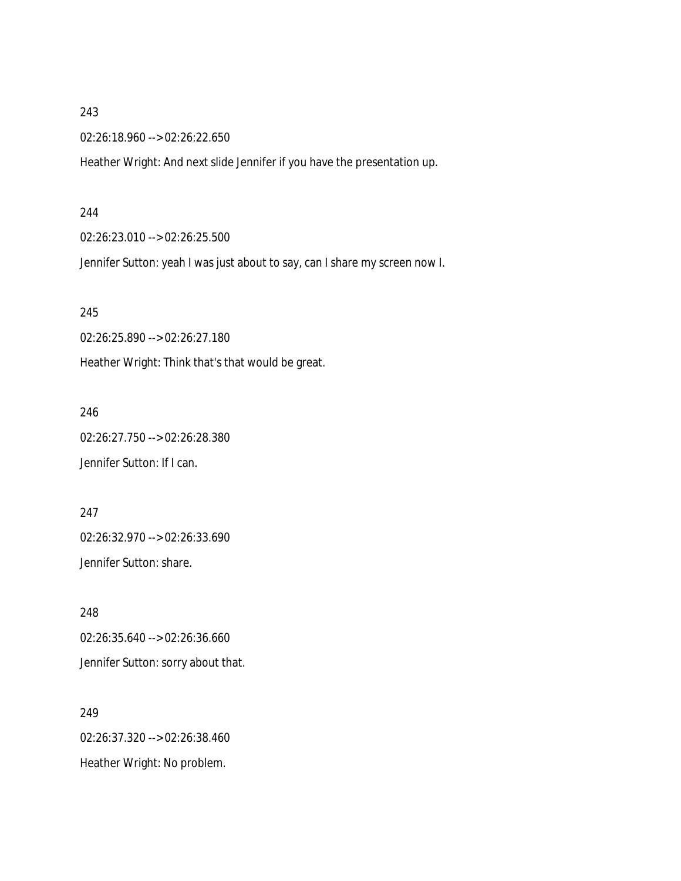02:26:18.960 --> 02:26:22.650

Heather Wright: And next slide Jennifer if you have the presentation up.

#### 244

02:26:23.010 --> 02:26:25.500

Jennifer Sutton: yeah I was just about to say, can I share my screen now I.

245

02:26:25.890 --> 02:26:27.180

Heather Wright: Think that's that would be great.

246

02:26:27.750 --> 02:26:28.380 Jennifer Sutton: If I can.

247

02:26:32.970 --> 02:26:33.690 Jennifer Sutton: share.

248 02:26:35.640 --> 02:26:36.660 Jennifer Sutton: sorry about that.

249 02:26:37.320 --> 02:26:38.460 Heather Wright: No problem.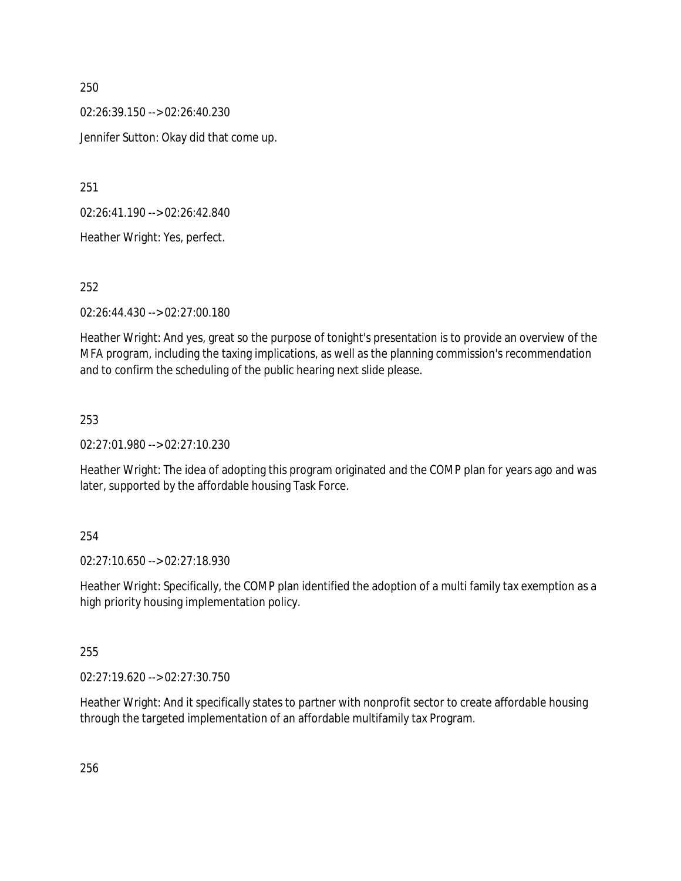02:26:39.150 --> 02:26:40.230 Jennifer Sutton: Okay did that come up.

251

02:26:41.190 --> 02:26:42.840

Heather Wright: Yes, perfect.

252

02:26:44.430 --> 02:27:00.180

Heather Wright: And yes, great so the purpose of tonight's presentation is to provide an overview of the MFA program, including the taxing implications, as well as the planning commission's recommendation and to confirm the scheduling of the public hearing next slide please.

## 253

02:27:01.980 --> 02:27:10.230

Heather Wright: The idea of adopting this program originated and the COMP plan for years ago and was later, supported by the affordable housing Task Force.

## 254

02:27:10.650 --> 02:27:18.930

Heather Wright: Specifically, the COMP plan identified the adoption of a multi family tax exemption as a high priority housing implementation policy.

## 255

02:27:19.620 --> 02:27:30.750

Heather Wright: And it specifically states to partner with nonprofit sector to create affordable housing through the targeted implementation of an affordable multifamily tax Program.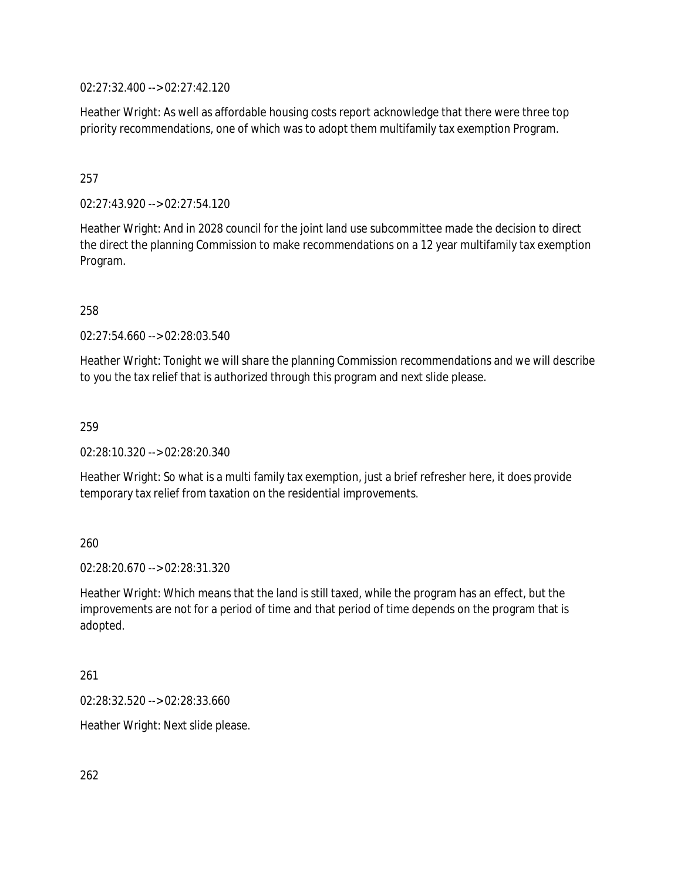02:27:32.400 --> 02:27:42.120

Heather Wright: As well as affordable housing costs report acknowledge that there were three top priority recommendations, one of which was to adopt them multifamily tax exemption Program.

## 257

02:27:43.920 --> 02:27:54.120

Heather Wright: And in 2028 council for the joint land use subcommittee made the decision to direct the direct the planning Commission to make recommendations on a 12 year multifamily tax exemption Program.

258

02:27:54.660 --> 02:28:03.540

Heather Wright: Tonight we will share the planning Commission recommendations and we will describe to you the tax relief that is authorized through this program and next slide please.

259

02:28:10.320 --> 02:28:20.340

Heather Wright: So what is a multi family tax exemption, just a brief refresher here, it does provide temporary tax relief from taxation on the residential improvements.

260

02:28:20.670 --> 02:28:31.320

Heather Wright: Which means that the land is still taxed, while the program has an effect, but the improvements are not for a period of time and that period of time depends on the program that is adopted.

261

02:28:32.520 --> 02:28:33.660

Heather Wright: Next slide please.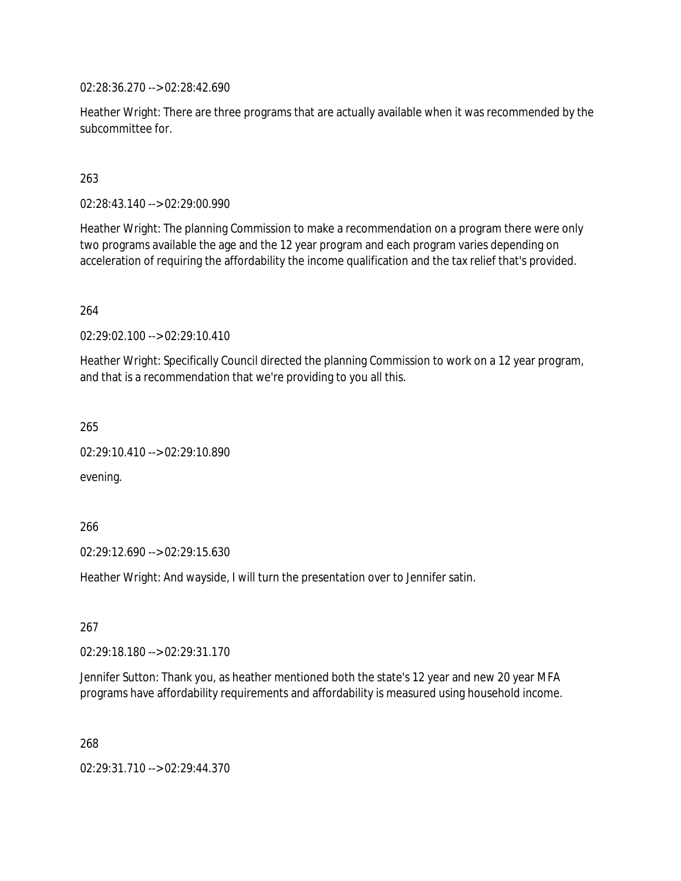02:28:36.270 --> 02:28:42.690

Heather Wright: There are three programs that are actually available when it was recommended by the subcommittee for.

## 263

02:28:43.140 --> 02:29:00.990

Heather Wright: The planning Commission to make a recommendation on a program there were only two programs available the age and the 12 year program and each program varies depending on acceleration of requiring the affordability the income qualification and the tax relief that's provided.

## 264

02:29:02.100 --> 02:29:10.410

Heather Wright: Specifically Council directed the planning Commission to work on a 12 year program, and that is a recommendation that we're providing to you all this.

265

02:29:10.410 --> 02:29:10.890

evening.

266

02:29:12.690 --> 02:29:15.630

Heather Wright: And wayside, I will turn the presentation over to Jennifer satin.

267

02:29:18.180 --> 02:29:31.170

Jennifer Sutton: Thank you, as heather mentioned both the state's 12 year and new 20 year MFA programs have affordability requirements and affordability is measured using household income.

268

02:29:31.710 --> 02:29:44.370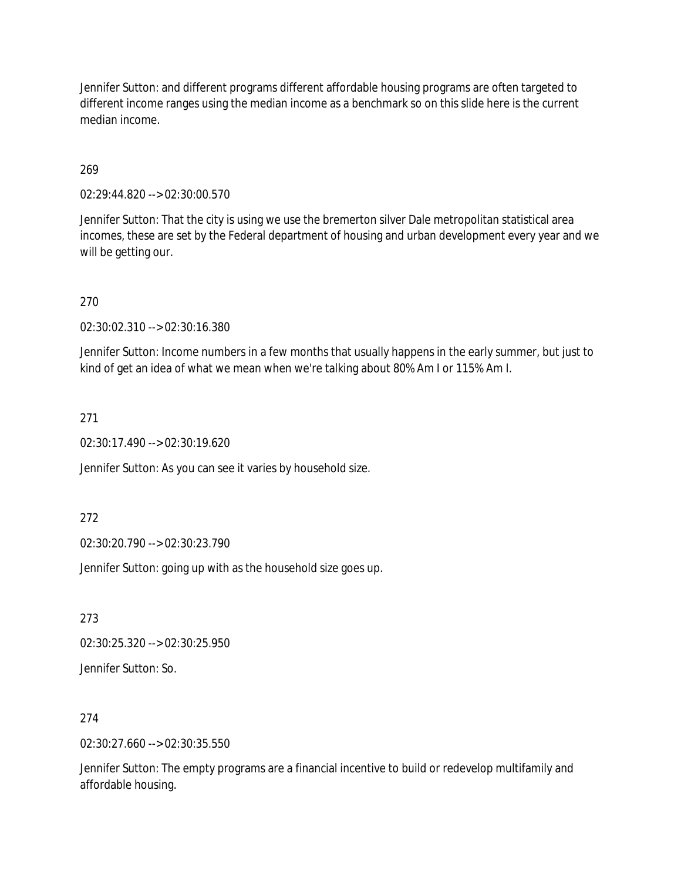Jennifer Sutton: and different programs different affordable housing programs are often targeted to different income ranges using the median income as a benchmark so on this slide here is the current median income.

## 269

02:29:44.820 --> 02:30:00.570

Jennifer Sutton: That the city is using we use the bremerton silver Dale metropolitan statistical area incomes, these are set by the Federal department of housing and urban development every year and we will be getting our.

270

02:30:02.310 --> 02:30:16.380

Jennifer Sutton: Income numbers in a few months that usually happens in the early summer, but just to kind of get an idea of what we mean when we're talking about 80% Am I or 115% Am I.

271

02:30:17.490 --> 02:30:19.620

Jennifer Sutton: As you can see it varies by household size.

272

02:30:20.790 --> 02:30:23.790

Jennifer Sutton: going up with as the household size goes up.

273

02:30:25.320 --> 02:30:25.950

Jennifer Sutton: So.

274

02:30:27.660 --> 02:30:35.550

Jennifer Sutton: The empty programs are a financial incentive to build or redevelop multifamily and affordable housing.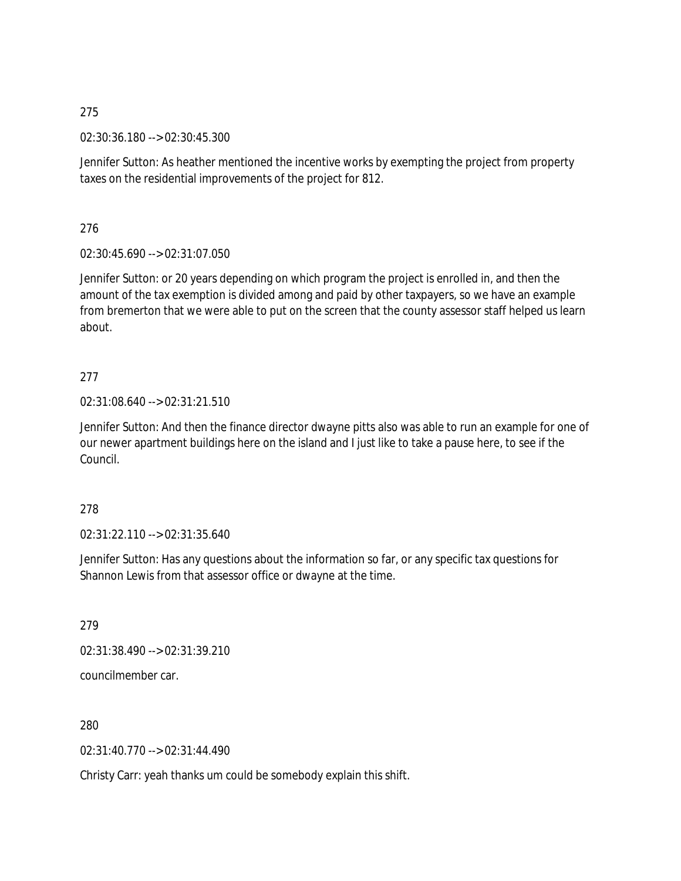02:30:36.180 --> 02:30:45.300

Jennifer Sutton: As heather mentioned the incentive works by exempting the project from property taxes on the residential improvements of the project for 812.

276

02:30:45.690 --> 02:31:07.050

Jennifer Sutton: or 20 years depending on which program the project is enrolled in, and then the amount of the tax exemption is divided among and paid by other taxpayers, so we have an example from bremerton that we were able to put on the screen that the county assessor staff helped us learn about.

## 277

02:31:08.640 --> 02:31:21.510

Jennifer Sutton: And then the finance director dwayne pitts also was able to run an example for one of our newer apartment buildings here on the island and I just like to take a pause here, to see if the Council.

## 278

02:31:22.110 --> 02:31:35.640

Jennifer Sutton: Has any questions about the information so far, or any specific tax questions for Shannon Lewis from that assessor office or dwayne at the time.

279

02:31:38.490 --> 02:31:39.210

councilmember car.

280

02:31:40.770 --> 02:31:44.490

Christy Carr: yeah thanks um could be somebody explain this shift.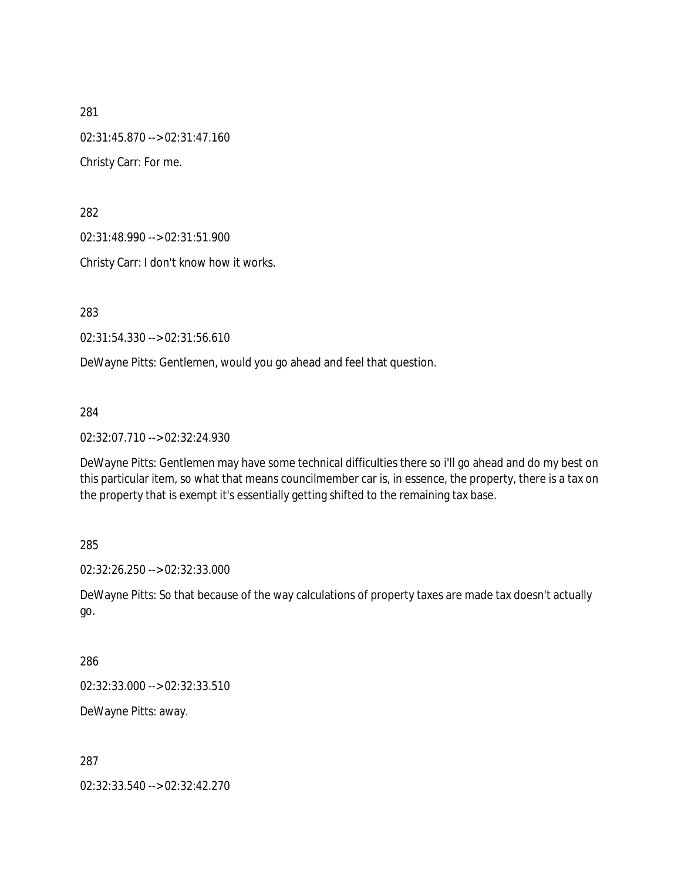281 02:31:45.870 --> 02:31:47.160 Christy Carr: For me.

282

02:31:48.990 --> 02:31:51.900

Christy Carr: I don't know how it works.

283

02:31:54.330 --> 02:31:56.610

DeWayne Pitts: Gentlemen, would you go ahead and feel that question.

284

02:32:07.710 --> 02:32:24.930

DeWayne Pitts: Gentlemen may have some technical difficulties there so i'll go ahead and do my best on this particular item, so what that means councilmember car is, in essence, the property, there is a tax on the property that is exempt it's essentially getting shifted to the remaining tax base.

285

02:32:26.250 --> 02:32:33.000

DeWayne Pitts: So that because of the way calculations of property taxes are made tax doesn't actually go.

286

02:32:33.000 --> 02:32:33.510

DeWayne Pitts: away.

287

02:32:33.540 --> 02:32:42.270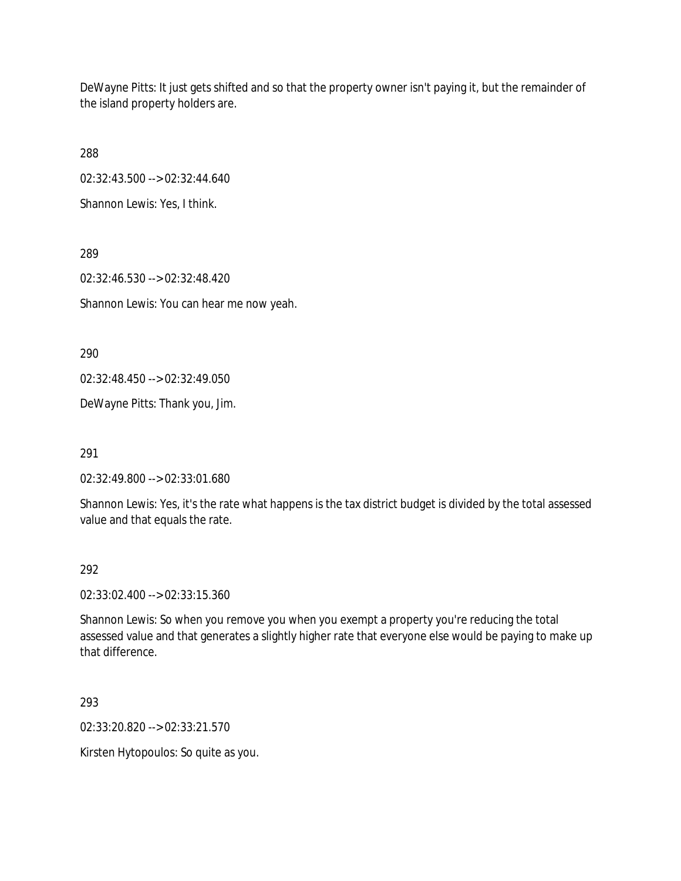DeWayne Pitts: It just gets shifted and so that the property owner isn't paying it, but the remainder of the island property holders are.

288

02:32:43.500 --> 02:32:44.640

Shannon Lewis: Yes, I think.

289 02:32:46.530 --> 02:32:48.420 Shannon Lewis: You can hear me now yeah.

290

02:32:48.450 --> 02:32:49.050

DeWayne Pitts: Thank you, Jim.

291

02:32:49.800 --> 02:33:01.680

Shannon Lewis: Yes, it's the rate what happens is the tax district budget is divided by the total assessed value and that equals the rate.

## 292

02:33:02.400 --> 02:33:15.360

Shannon Lewis: So when you remove you when you exempt a property you're reducing the total assessed value and that generates a slightly higher rate that everyone else would be paying to make up that difference.

293

02:33:20.820 --> 02:33:21.570

Kirsten Hytopoulos: So quite as you.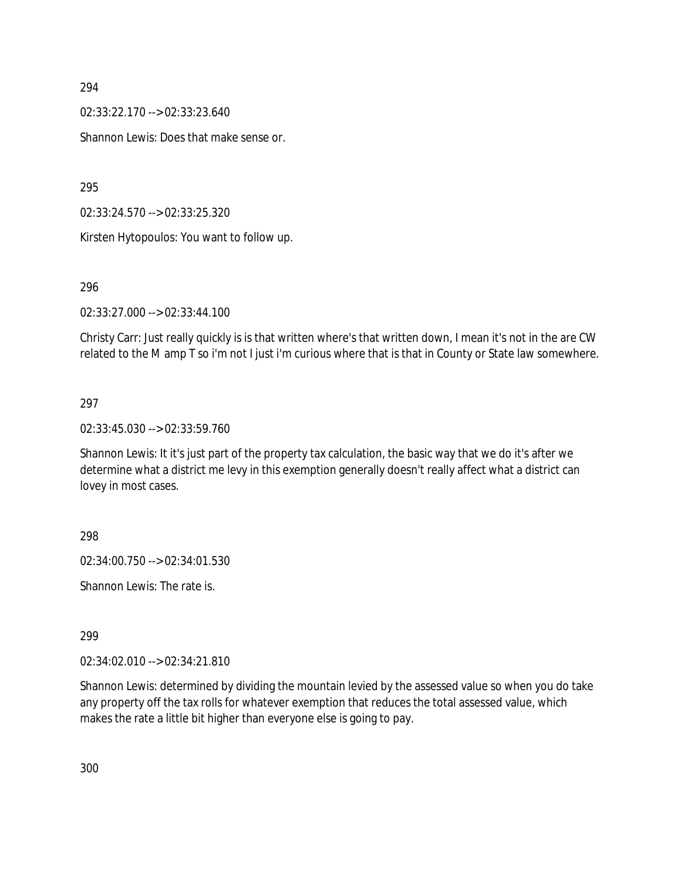02:33:22.170 --> 02:33:23.640

Shannon Lewis: Does that make sense or.

295

02:33:24.570 --> 02:33:25.320

Kirsten Hytopoulos: You want to follow up.

#### 296

02:33:27.000 --> 02:33:44.100

Christy Carr: Just really quickly is is that written where's that written down, I mean it's not in the are CW related to the M amp T so i'm not I just i'm curious where that is that in County or State law somewhere.

## 297

02:33:45.030 --> 02:33:59.760

Shannon Lewis: It it's just part of the property tax calculation, the basic way that we do it's after we determine what a district me levy in this exemption generally doesn't really affect what a district can lovey in most cases.

298

02:34:00.750 --> 02:34:01.530

Shannon Lewis: The rate is.

299

02:34:02.010 --> 02:34:21.810

Shannon Lewis: determined by dividing the mountain levied by the assessed value so when you do take any property off the tax rolls for whatever exemption that reduces the total assessed value, which makes the rate a little bit higher than everyone else is going to pay.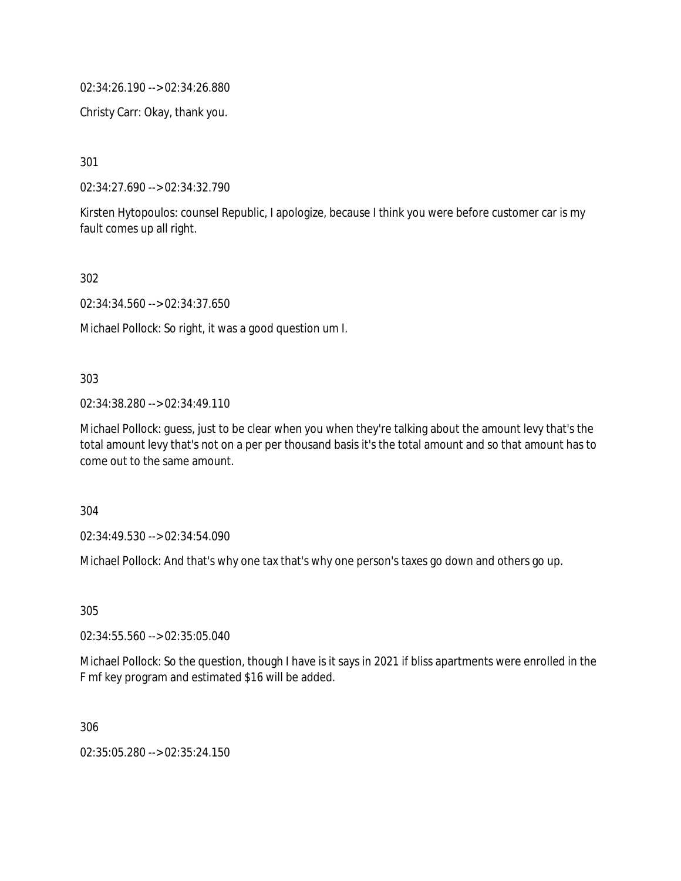02:34:26.190 --> 02:34:26.880

Christy Carr: Okay, thank you.

301

02:34:27.690 --> 02:34:32.790

Kirsten Hytopoulos: counsel Republic, I apologize, because I think you were before customer car is my fault comes up all right.

302

02:34:34.560 --> 02:34:37.650

Michael Pollock: So right, it was a good question um I.

#### 303

02:34:38.280 --> 02:34:49.110

Michael Pollock: guess, just to be clear when you when they're talking about the amount levy that's the total amount levy that's not on a per per thousand basis it's the total amount and so that amount has to come out to the same amount.

304

02:34:49.530 --> 02:34:54.090

Michael Pollock: And that's why one tax that's why one person's taxes go down and others go up.

305

02:34:55.560 --> 02:35:05.040

Michael Pollock: So the question, though I have is it says in 2021 if bliss apartments were enrolled in the F mf key program and estimated \$16 will be added.

306

02:35:05.280 --> 02:35:24.150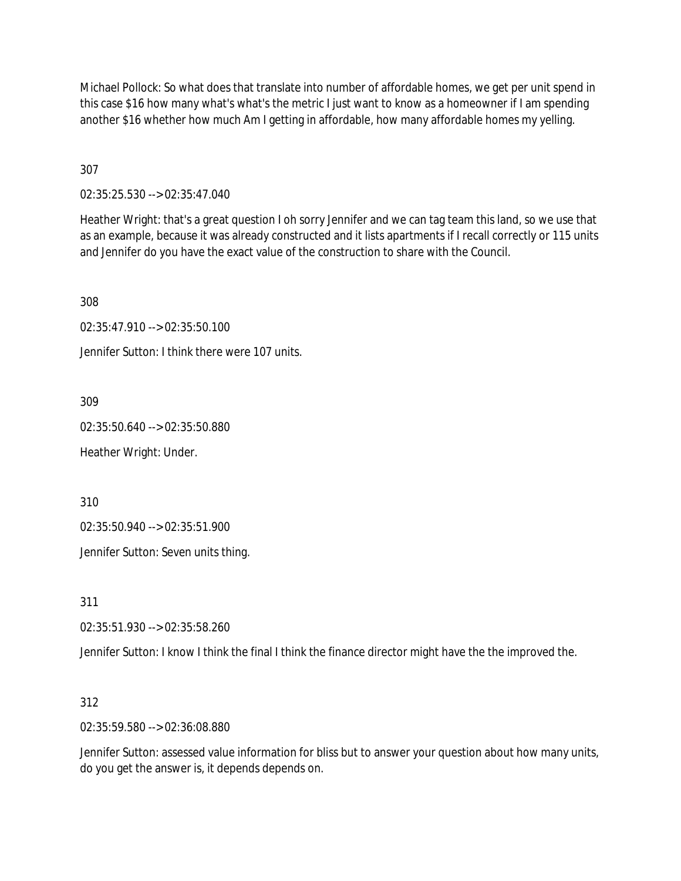Michael Pollock: So what does that translate into number of affordable homes, we get per unit spend in this case \$16 how many what's what's the metric I just want to know as a homeowner if I am spending another \$16 whether how much Am I getting in affordable, how many affordable homes my yelling.

307

02:35:25.530 --> 02:35:47.040

Heather Wright: that's a great question I oh sorry Jennifer and we can tag team this land, so we use that as an example, because it was already constructed and it lists apartments if I recall correctly or 115 units and Jennifer do you have the exact value of the construction to share with the Council.

308

02:35:47.910 --> 02:35:50.100

Jennifer Sutton: I think there were 107 units.

309

02:35:50.640 --> 02:35:50.880

Heather Wright: Under.

310

02:35:50.940 --> 02:35:51.900

Jennifer Sutton: Seven units thing.

311

02:35:51.930 --> 02:35:58.260

Jennifer Sutton: I know I think the final I think the finance director might have the the improved the.

312

02:35:59.580 --> 02:36:08.880

Jennifer Sutton: assessed value information for bliss but to answer your question about how many units, do you get the answer is, it depends depends on.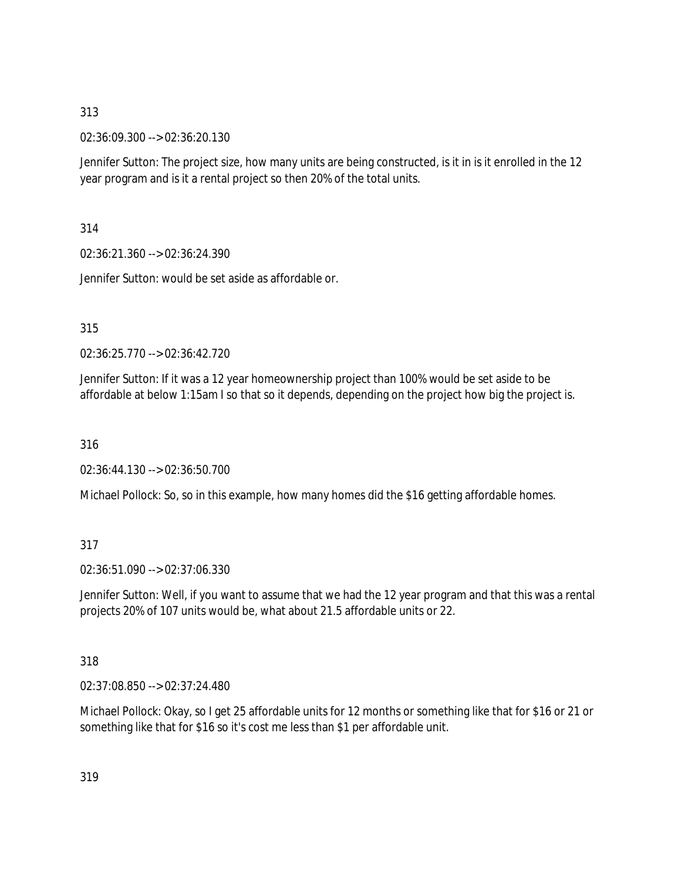02:36:09.300 --> 02:36:20.130

Jennifer Sutton: The project size, how many units are being constructed, is it in is it enrolled in the 12 year program and is it a rental project so then 20% of the total units.

314

02:36:21.360 --> 02:36:24.390

Jennifer Sutton: would be set aside as affordable or.

## 315

02:36:25.770 --> 02:36:42.720

Jennifer Sutton: If it was a 12 year homeownership project than 100% would be set aside to be affordable at below 1:15am I so that so it depends, depending on the project how big the project is.

316

02:36:44.130 --> 02:36:50.700

Michael Pollock: So, so in this example, how many homes did the \$16 getting affordable homes.

## 317

02:36:51.090 --> 02:37:06.330

Jennifer Sutton: Well, if you want to assume that we had the 12 year program and that this was a rental projects 20% of 107 units would be, what about 21.5 affordable units or 22.

## 318

02:37:08.850 --> 02:37:24.480

Michael Pollock: Okay, so I get 25 affordable units for 12 months or something like that for \$16 or 21 or something like that for \$16 so it's cost me less than \$1 per affordable unit.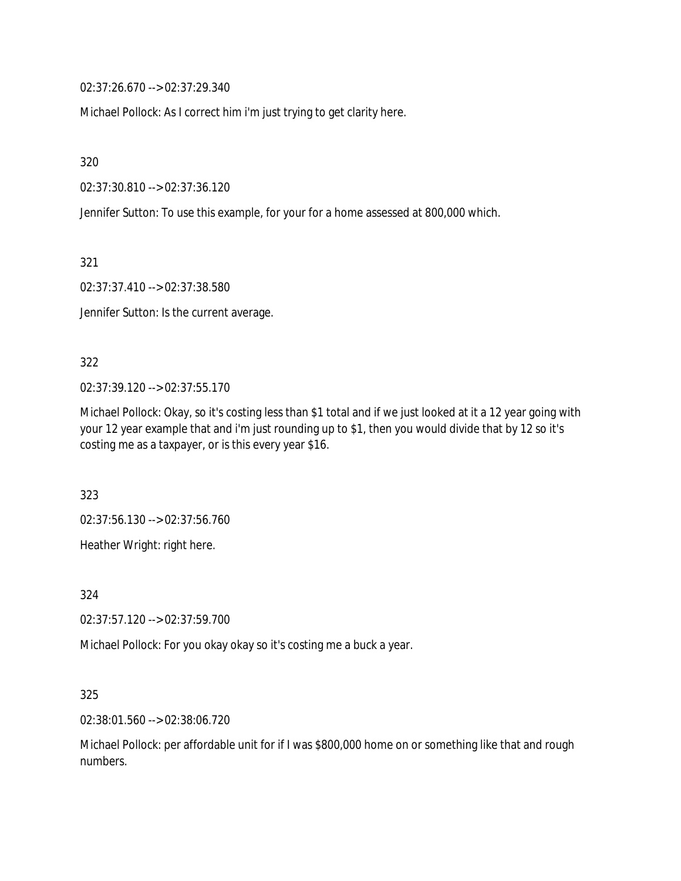02:37:26.670 --> 02:37:29.340

Michael Pollock: As I correct him i'm just trying to get clarity here.

320

02:37:30.810 --> 02:37:36.120

Jennifer Sutton: To use this example, for your for a home assessed at 800,000 which.

321

02:37:37.410 --> 02:37:38.580

Jennifer Sutton: Is the current average.

#### 322

02:37:39.120 --> 02:37:55.170

Michael Pollock: Okay, so it's costing less than \$1 total and if we just looked at it a 12 year going with your 12 year example that and i'm just rounding up to \$1, then you would divide that by 12 so it's costing me as a taxpayer, or is this every year \$16.

323

02:37:56.130 --> 02:37:56.760

Heather Wright: right here.

324

02:37:57.120 --> 02:37:59.700

Michael Pollock: For you okay okay so it's costing me a buck a year.

325

02:38:01.560 --> 02:38:06.720

Michael Pollock: per affordable unit for if I was \$800,000 home on or something like that and rough numbers.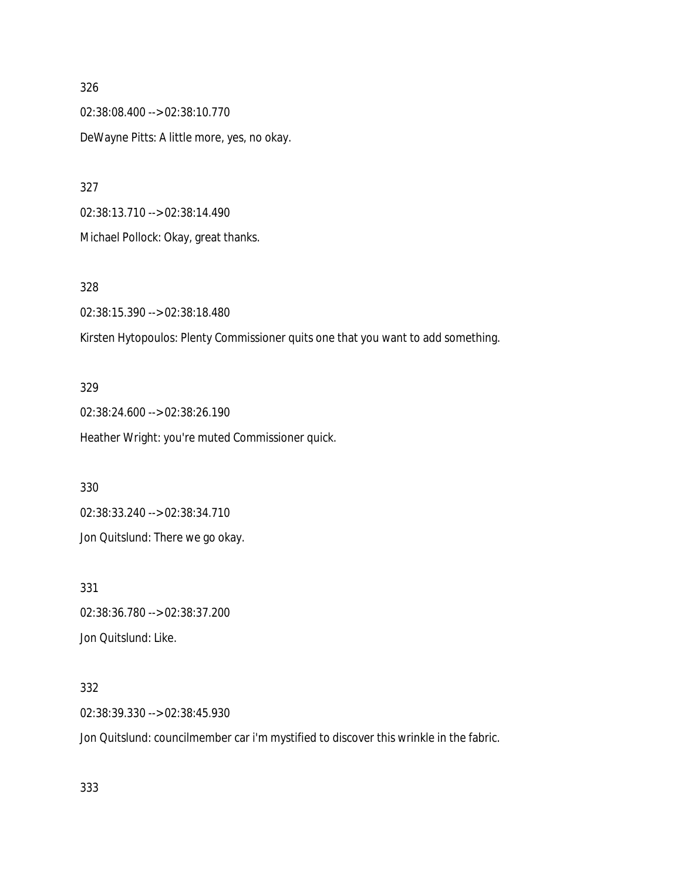326 02:38:08.400 --> 02:38:10.770 DeWayne Pitts: A little more, yes, no okay.

327

02:38:13.710 --> 02:38:14.490

Michael Pollock: Okay, great thanks.

328

02:38:15.390 --> 02:38:18.480

Kirsten Hytopoulos: Plenty Commissioner quits one that you want to add something.

#### 329

02:38:24.600 --> 02:38:26.190 Heather Wright: you're muted Commissioner quick.

330

02:38:33.240 --> 02:38:34.710

Jon Quitslund: There we go okay.

331 02:38:36.780 --> 02:38:37.200

Jon Quitslund: Like.

### 332

02:38:39.330 --> 02:38:45.930

Jon Quitslund: councilmember car i'm mystified to discover this wrinkle in the fabric.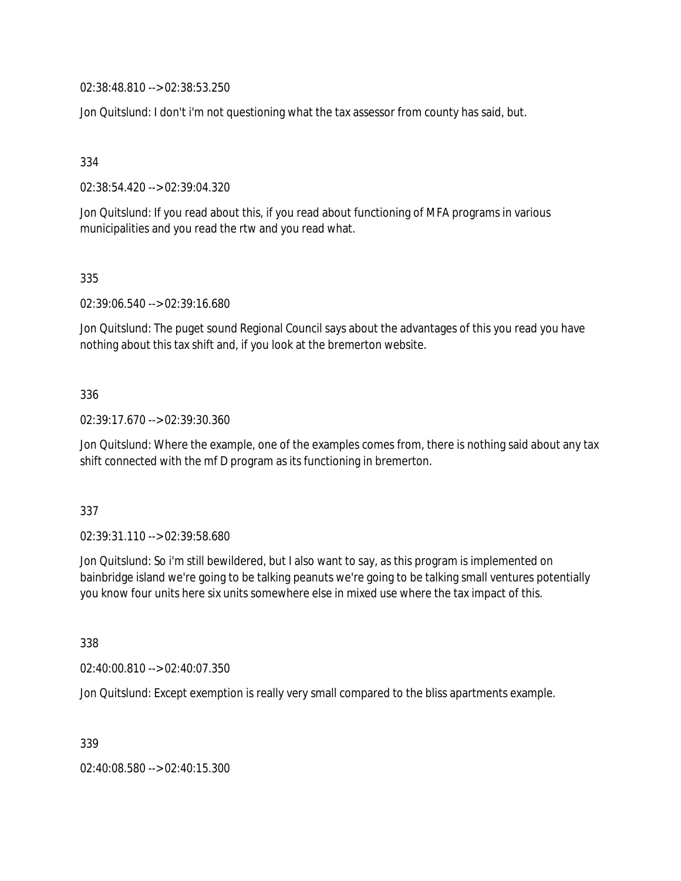02:38:48.810 --> 02:38:53.250

Jon Quitslund: I don't i'm not questioning what the tax assessor from county has said, but.

334

02:38:54.420 --> 02:39:04.320

Jon Quitslund: If you read about this, if you read about functioning of MFA programs in various municipalities and you read the rtw and you read what.

335

02:39:06.540 --> 02:39:16.680

Jon Quitslund: The puget sound Regional Council says about the advantages of this you read you have nothing about this tax shift and, if you look at the bremerton website.

## 336

02:39:17.670 --> 02:39:30.360

Jon Quitslund: Where the example, one of the examples comes from, there is nothing said about any tax shift connected with the mf D program as its functioning in bremerton.

#### 337

02:39:31.110 --> 02:39:58.680

Jon Quitslund: So i'm still bewildered, but I also want to say, as this program is implemented on bainbridge island we're going to be talking peanuts we're going to be talking small ventures potentially you know four units here six units somewhere else in mixed use where the tax impact of this.

338

02:40:00.810 --> 02:40:07.350

Jon Quitslund: Except exemption is really very small compared to the bliss apartments example.

339

02:40:08.580 --> 02:40:15.300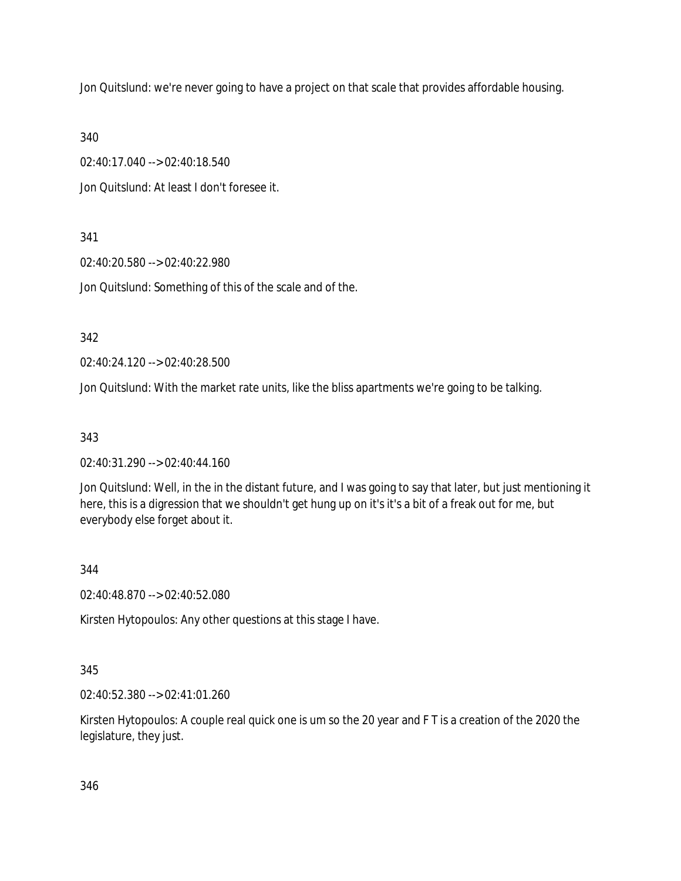Jon Quitslund: we're never going to have a project on that scale that provides affordable housing.

340

02:40:17.040 --> 02:40:18.540

Jon Quitslund: At least I don't foresee it.

341

02:40:20.580 --> 02:40:22.980

Jon Quitslund: Something of this of the scale and of the.

342

02:40:24.120 --> 02:40:28.500

Jon Quitslund: With the market rate units, like the bliss apartments we're going to be talking.

343

02:40:31.290 --> 02:40:44.160

Jon Quitslund: Well, in the in the distant future, and I was going to say that later, but just mentioning it here, this is a digression that we shouldn't get hung up on it's it's a bit of a freak out for me, but everybody else forget about it.

344

02:40:48.870 --> 02:40:52.080

Kirsten Hytopoulos: Any other questions at this stage I have.

345

02:40:52.380 --> 02:41:01.260

Kirsten Hytopoulos: A couple real quick one is um so the 20 year and F T is a creation of the 2020 the legislature, they just.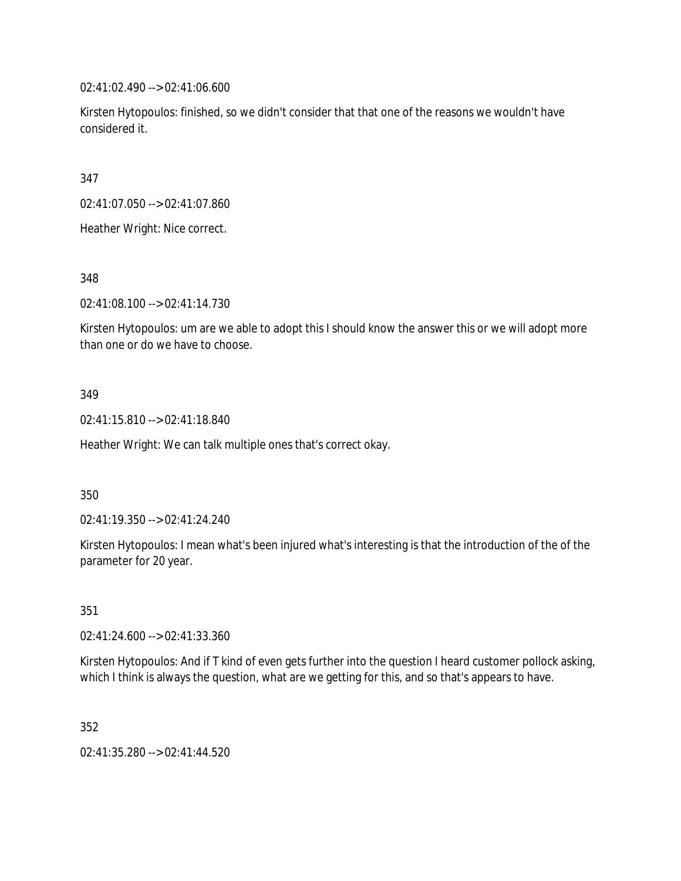02:41:02.490 --> 02:41:06.600

Kirsten Hytopoulos: finished, so we didn't consider that that one of the reasons we wouldn't have considered it.

347

02:41:07.050 --> 02:41:07.860

Heather Wright: Nice correct.

348

02:41:08.100 --> 02:41:14.730

Kirsten Hytopoulos: um are we able to adopt this I should know the answer this or we will adopt more than one or do we have to choose.

## 349

02:41:15.810 --> 02:41:18.840

Heather Wright: We can talk multiple ones that's correct okay.

350

02:41:19.350 --> 02:41:24.240

Kirsten Hytopoulos: I mean what's been injured what's interesting is that the introduction of the of the parameter for 20 year.

351

02:41:24.600 --> 02:41:33.360

Kirsten Hytopoulos: And if T kind of even gets further into the question I heard customer pollock asking, which I think is always the question, what are we getting for this, and so that's appears to have.

352

02:41:35.280 --> 02:41:44.520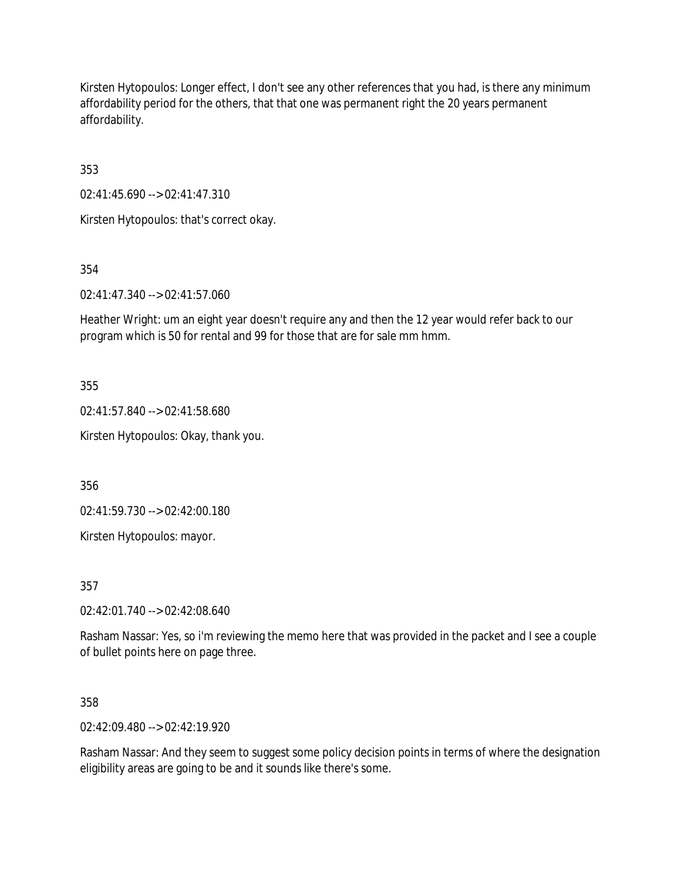Kirsten Hytopoulos: Longer effect, I don't see any other references that you had, is there any minimum affordability period for the others, that that one was permanent right the 20 years permanent affordability.

353

02:41:45.690 --> 02:41:47.310

Kirsten Hytopoulos: that's correct okay.

354

02:41:47.340 --> 02:41:57.060

Heather Wright: um an eight year doesn't require any and then the 12 year would refer back to our program which is 50 for rental and 99 for those that are for sale mm hmm.

355

02:41:57.840 --> 02:41:58.680

Kirsten Hytopoulos: Okay, thank you.

356

02:41:59.730 --> 02:42:00.180

Kirsten Hytopoulos: mayor.

357

02:42:01.740 --> 02:42:08.640

Rasham Nassar: Yes, so i'm reviewing the memo here that was provided in the packet and I see a couple of bullet points here on page three.

358

02:42:09.480 --> 02:42:19.920

Rasham Nassar: And they seem to suggest some policy decision points in terms of where the designation eligibility areas are going to be and it sounds like there's some.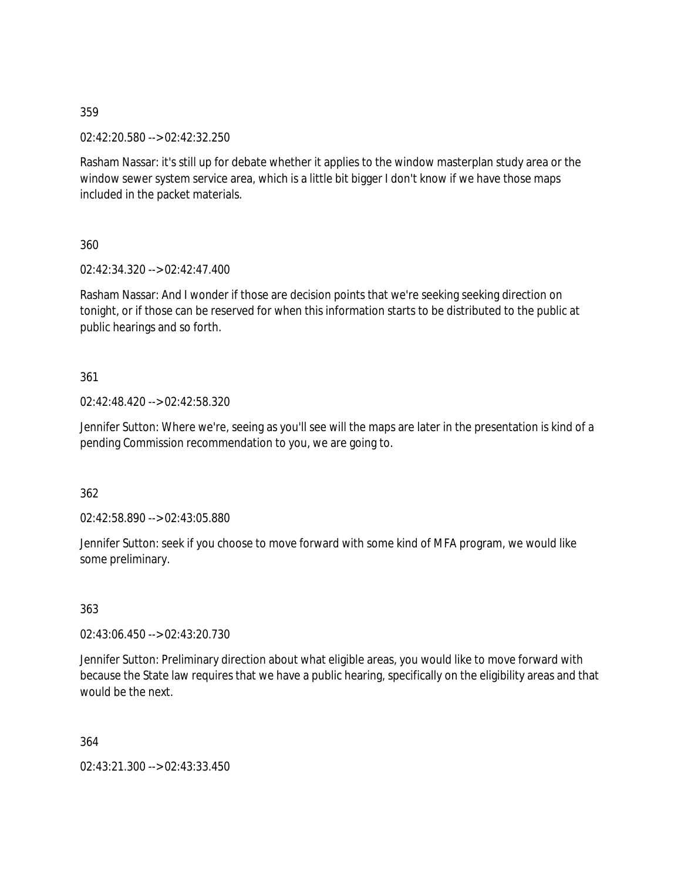02:42:20.580 --> 02:42:32.250

Rasham Nassar: it's still up for debate whether it applies to the window masterplan study area or the window sewer system service area, which is a little bit bigger I don't know if we have those maps included in the packet materials.

360

02:42:34.320 --> 02:42:47.400

Rasham Nassar: And I wonder if those are decision points that we're seeking seeking direction on tonight, or if those can be reserved for when this information starts to be distributed to the public at public hearings and so forth.

361

02:42:48.420 --> 02:42:58.320

Jennifer Sutton: Where we're, seeing as you'll see will the maps are later in the presentation is kind of a pending Commission recommendation to you, we are going to.

362

02:42:58.890 --> 02:43:05.880

Jennifer Sutton: seek if you choose to move forward with some kind of MFA program, we would like some preliminary.

363

02:43:06.450 --> 02:43:20.730

Jennifer Sutton: Preliminary direction about what eligible areas, you would like to move forward with because the State law requires that we have a public hearing, specifically on the eligibility areas and that would be the next.

364

02:43:21.300 --> 02:43:33.450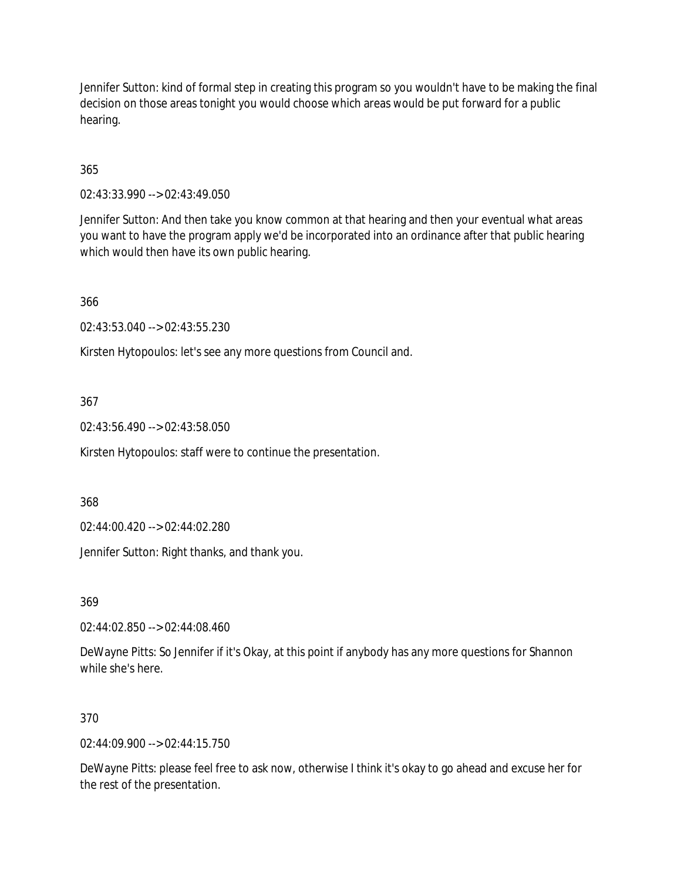Jennifer Sutton: kind of formal step in creating this program so you wouldn't have to be making the final decision on those areas tonight you would choose which areas would be put forward for a public hearing.

365

02:43:33.990 --> 02:43:49.050

Jennifer Sutton: And then take you know common at that hearing and then your eventual what areas you want to have the program apply we'd be incorporated into an ordinance after that public hearing which would then have its own public hearing.

366

02:43:53.040 --> 02:43:55.230

Kirsten Hytopoulos: let's see any more questions from Council and.

367

02:43:56.490 --> 02:43:58.050

Kirsten Hytopoulos: staff were to continue the presentation.

368

02:44:00.420 --> 02:44:02.280

Jennifer Sutton: Right thanks, and thank you.

369

02:44:02.850 --> 02:44:08.460

DeWayne Pitts: So Jennifer if it's Okay, at this point if anybody has any more questions for Shannon while she's here.

#### 370

 $02.44.09.900 -5.02.44.15.750$ 

DeWayne Pitts: please feel free to ask now, otherwise I think it's okay to go ahead and excuse her for the rest of the presentation.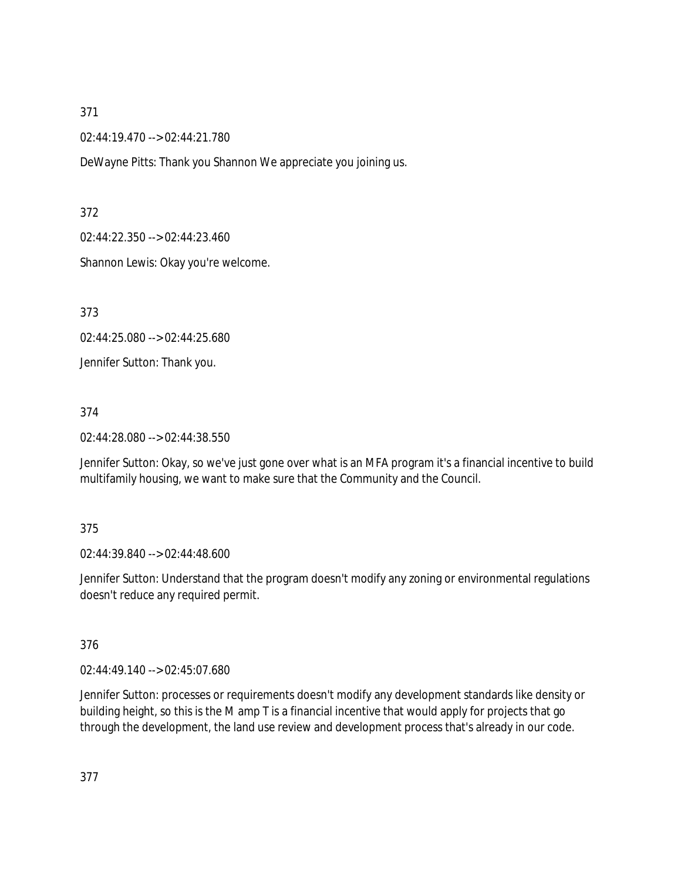02:44:19.470 --> 02:44:21.780

DeWayne Pitts: Thank you Shannon We appreciate you joining us.

372

02:44:22.350 --> 02:44:23.460

Shannon Lewis: Okay you're welcome.

373

02:44:25.080 --> 02:44:25.680

Jennifer Sutton: Thank you.

374

02:44:28.080 --> 02:44:38.550

Jennifer Sutton: Okay, so we've just gone over what is an MFA program it's a financial incentive to build multifamily housing, we want to make sure that the Community and the Council.

#### 375

02:44:39.840 --> 02:44:48.600

Jennifer Sutton: Understand that the program doesn't modify any zoning or environmental regulations doesn't reduce any required permit.

## 376

02:44:49.140 --> 02:45:07.680

Jennifer Sutton: processes or requirements doesn't modify any development standards like density or building height, so this is the M amp T is a financial incentive that would apply for projects that go through the development, the land use review and development process that's already in our code.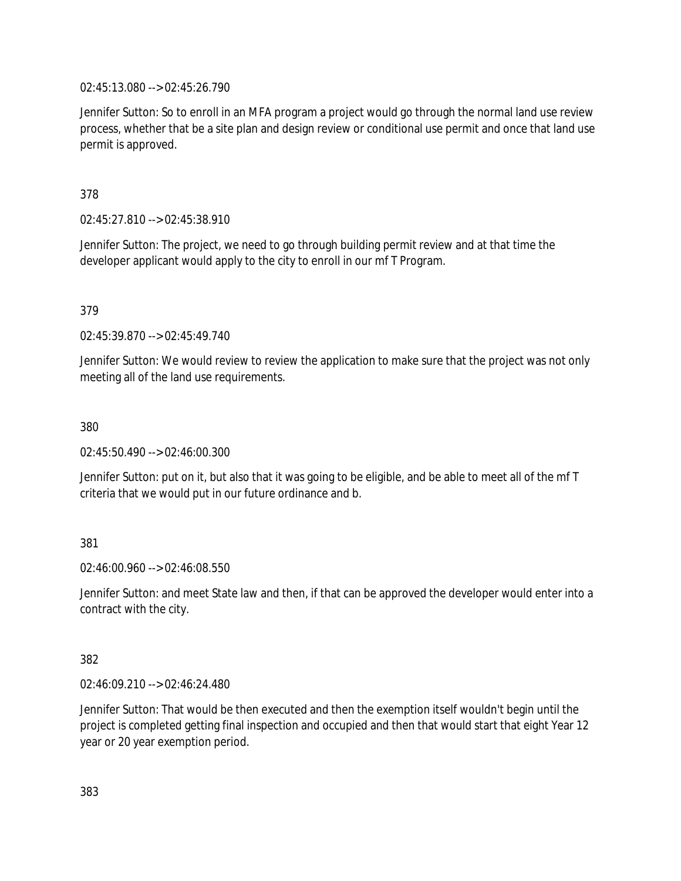02:45:13.080 --> 02:45:26.790

Jennifer Sutton: So to enroll in an MFA program a project would go through the normal land use review process, whether that be a site plan and design review or conditional use permit and once that land use permit is approved.

378

02:45:27.810 --> 02:45:38.910

Jennifer Sutton: The project, we need to go through building permit review and at that time the developer applicant would apply to the city to enroll in our mf T Program.

379

02:45:39.870 --> 02:45:49.740

Jennifer Sutton: We would review to review the application to make sure that the project was not only meeting all of the land use requirements.

380

02:45:50.490 --> 02:46:00.300

Jennifer Sutton: put on it, but also that it was going to be eligible, and be able to meet all of the mf T criteria that we would put in our future ordinance and b.

381

02:46:00.960 --> 02:46:08.550

Jennifer Sutton: and meet State law and then, if that can be approved the developer would enter into a contract with the city.

382

02:46:09.210 --> 02:46:24.480

Jennifer Sutton: That would be then executed and then the exemption itself wouldn't begin until the project is completed getting final inspection and occupied and then that would start that eight Year 12 year or 20 year exemption period.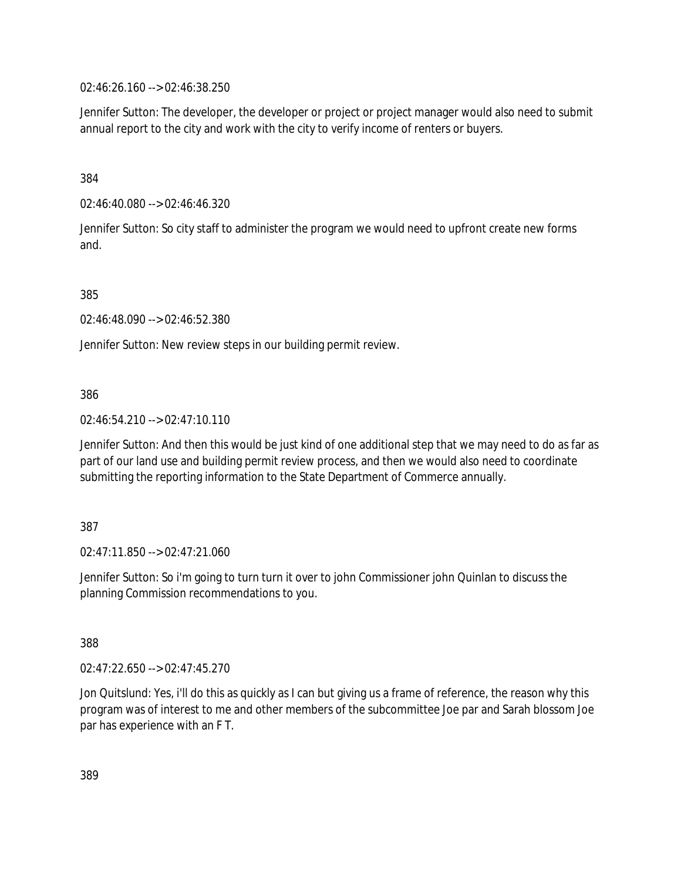02:46:26.160 --> 02:46:38.250

Jennifer Sutton: The developer, the developer or project or project manager would also need to submit annual report to the city and work with the city to verify income of renters or buyers.

384

02:46:40.080 --> 02:46:46.320

Jennifer Sutton: So city staff to administer the program we would need to upfront create new forms and.

385

02:46:48.090 --> 02:46:52.380

Jennifer Sutton: New review steps in our building permit review.

386

02:46:54.210 --> 02:47:10.110

Jennifer Sutton: And then this would be just kind of one additional step that we may need to do as far as part of our land use and building permit review process, and then we would also need to coordinate submitting the reporting information to the State Department of Commerce annually.

387

02:47:11.850 --> 02:47:21.060

Jennifer Sutton: So i'm going to turn turn it over to john Commissioner john Quinlan to discuss the planning Commission recommendations to you.

388

02:47:22.650 --> 02:47:45.270

Jon Quitslund: Yes, i'll do this as quickly as I can but giving us a frame of reference, the reason why this program was of interest to me and other members of the subcommittee Joe par and Sarah blossom Joe par has experience with an F T.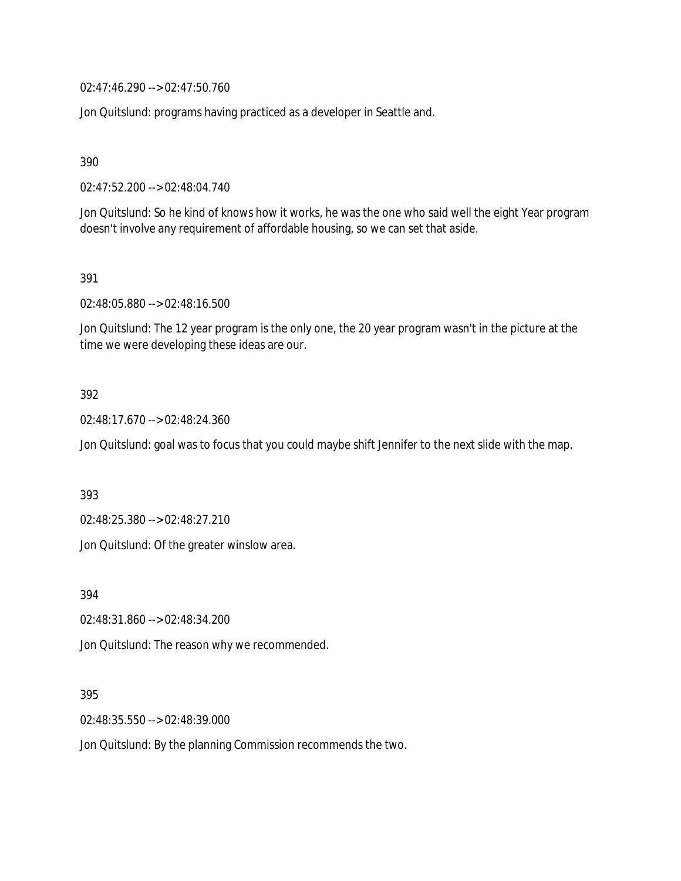02:47:46.290 --> 02:47:50.760

Jon Quitslund: programs having practiced as a developer in Seattle and.

390

02:47:52.200 --> 02:48:04.740

Jon Quitslund: So he kind of knows how it works, he was the one who said well the eight Year program doesn't involve any requirement of affordable housing, so we can set that aside.

391

02:48:05.880 --> 02:48:16.500

Jon Quitslund: The 12 year program is the only one, the 20 year program wasn't in the picture at the time we were developing these ideas are our.

## 392

02:48:17.670 --> 02:48:24.360

Jon Quitslund: goal was to focus that you could maybe shift Jennifer to the next slide with the map.

393

02:48:25.380 --> 02:48:27.210

Jon Quitslund: Of the greater winslow area.

394

02:48:31.860 --> 02:48:34.200

Jon Quitslund: The reason why we recommended.

395

02:48:35.550 --> 02:48:39.000

Jon Quitslund: By the planning Commission recommends the two.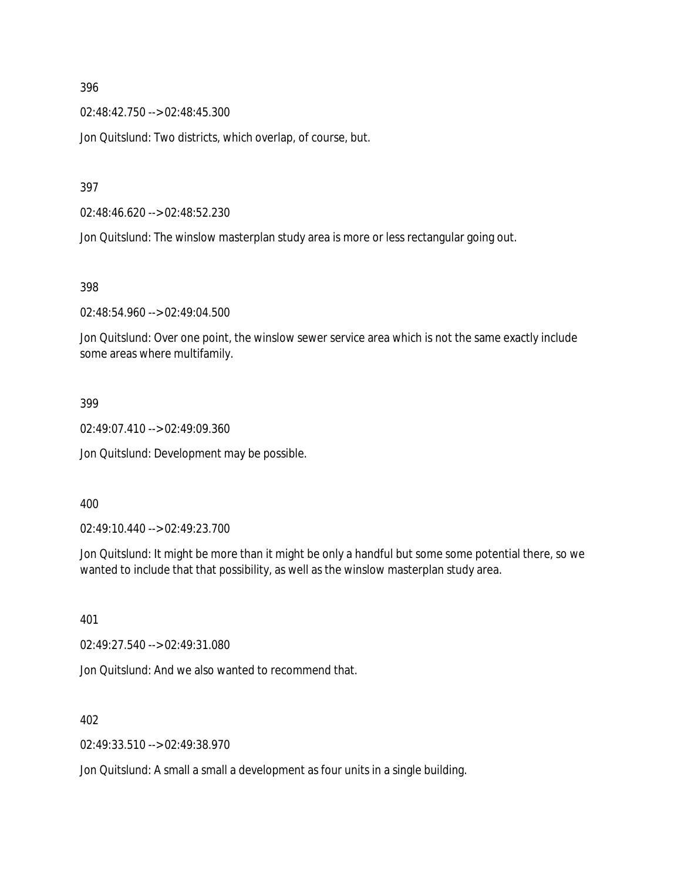02:48:42.750 --> 02:48:45.300

Jon Quitslund: Two districts, which overlap, of course, but.

397

02:48:46.620 --> 02:48:52.230

Jon Quitslund: The winslow masterplan study area is more or less rectangular going out.

398

02:48:54.960 --> 02:49:04.500

Jon Quitslund: Over one point, the winslow sewer service area which is not the same exactly include some areas where multifamily.

#### 399

02:49:07.410 --> 02:49:09.360

Jon Quitslund: Development may be possible.

400

02:49:10.440 --> 02:49:23.700

Jon Quitslund: It might be more than it might be only a handful but some some potential there, so we wanted to include that that possibility, as well as the winslow masterplan study area.

401

02:49:27.540 --> 02:49:31.080

Jon Quitslund: And we also wanted to recommend that.

402

02:49:33.510 --> 02:49:38.970

Jon Quitslund: A small a small a development as four units in a single building.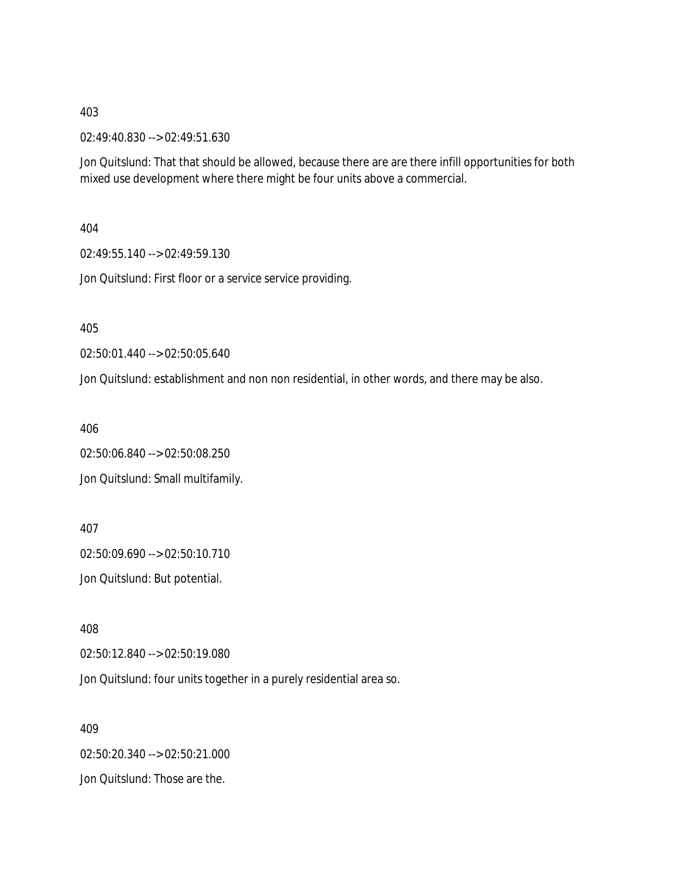02:49:40.830 --> 02:49:51.630

Jon Quitslund: That that should be allowed, because there are are there infill opportunities for both mixed use development where there might be four units above a commercial.

404

02:49:55.140 --> 02:49:59.130

Jon Quitslund: First floor or a service service providing.

405

02:50:01.440 --> 02:50:05.640

Jon Quitslund: establishment and non non residential, in other words, and there may be also.

406

02:50:06.840 --> 02:50:08.250 Jon Quitslund: Small multifamily.

407

02:50:09.690 --> 02:50:10.710

Jon Quitslund: But potential.

408

02:50:12.840 --> 02:50:19.080

Jon Quitslund: four units together in a purely residential area so.

409 02:50:20.340 --> 02:50:21.000 Jon Quitslund: Those are the.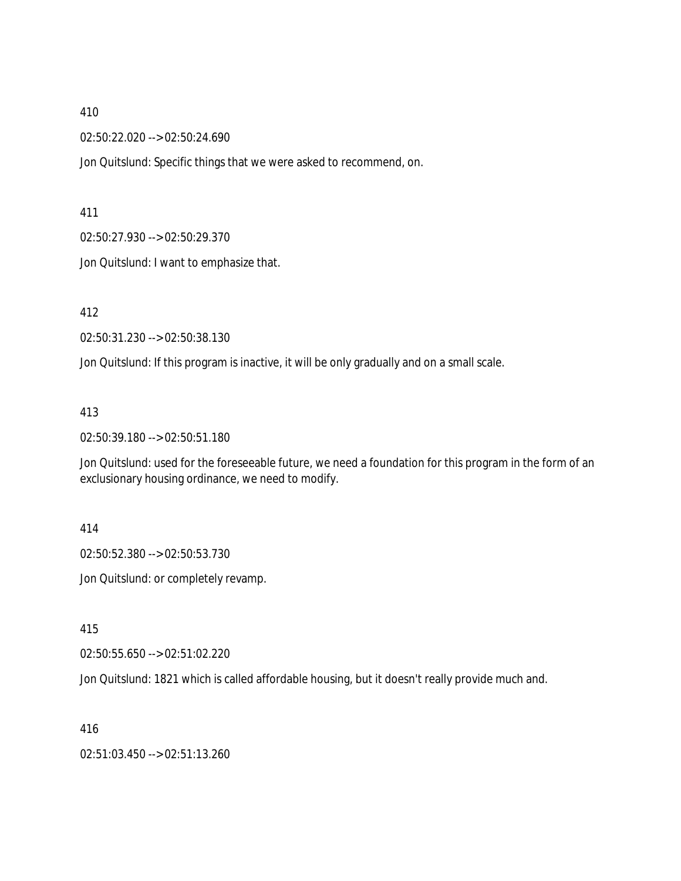02:50:22.020 --> 02:50:24.690

Jon Quitslund: Specific things that we were asked to recommend, on.

411

02:50:27.930 --> 02:50:29.370

Jon Quitslund: I want to emphasize that.

412

02:50:31.230 --> 02:50:38.130

Jon Quitslund: If this program is inactive, it will be only gradually and on a small scale.

413

02:50:39.180 --> 02:50:51.180

Jon Quitslund: used for the foreseeable future, we need a foundation for this program in the form of an exclusionary housing ordinance, we need to modify.

414

02:50:52.380 --> 02:50:53.730

Jon Quitslund: or completely revamp.

415

02:50:55.650 --> 02:51:02.220

Jon Quitslund: 1821 which is called affordable housing, but it doesn't really provide much and.

416

02:51:03.450 --> 02:51:13.260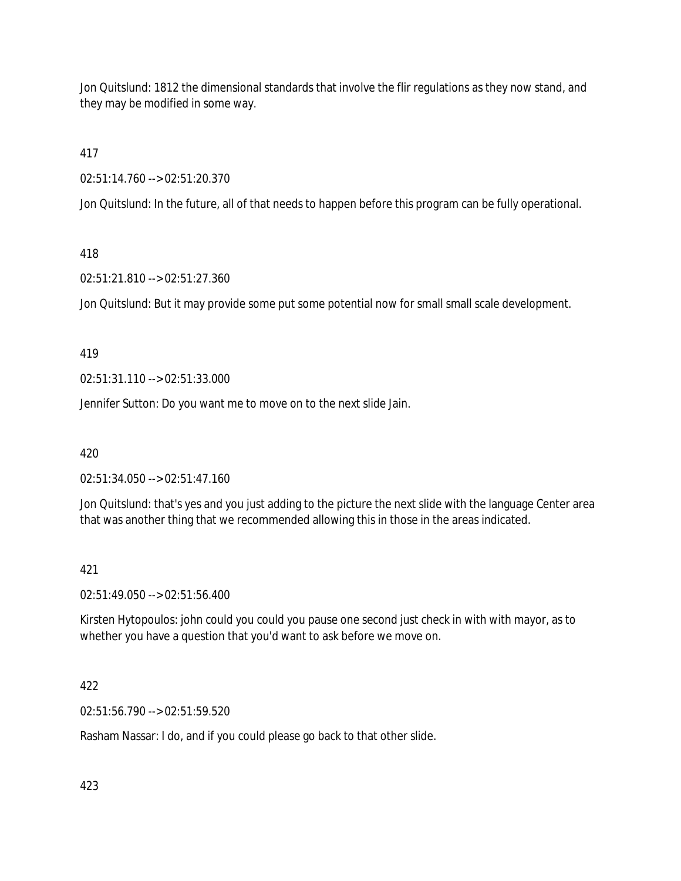Jon Quitslund: 1812 the dimensional standards that involve the flir regulations as they now stand, and they may be modified in some way.

417

02:51:14.760 --> 02:51:20.370

Jon Quitslund: In the future, all of that needs to happen before this program can be fully operational.

# 418

02:51:21.810 --> 02:51:27.360

Jon Quitslund: But it may provide some put some potential now for small small scale development.

## 419

02:51:31.110 --> 02:51:33.000

Jennifer Sutton: Do you want me to move on to the next slide Jain.

420

02:51:34.050 --> 02:51:47.160

Jon Quitslund: that's yes and you just adding to the picture the next slide with the language Center area that was another thing that we recommended allowing this in those in the areas indicated.

# 421

02:51:49.050 --> 02:51:56.400

Kirsten Hytopoulos: john could you could you pause one second just check in with with mayor, as to whether you have a question that you'd want to ask before we move on.

# 422

02:51:56.790 --> 02:51:59.520

Rasham Nassar: I do, and if you could please go back to that other slide.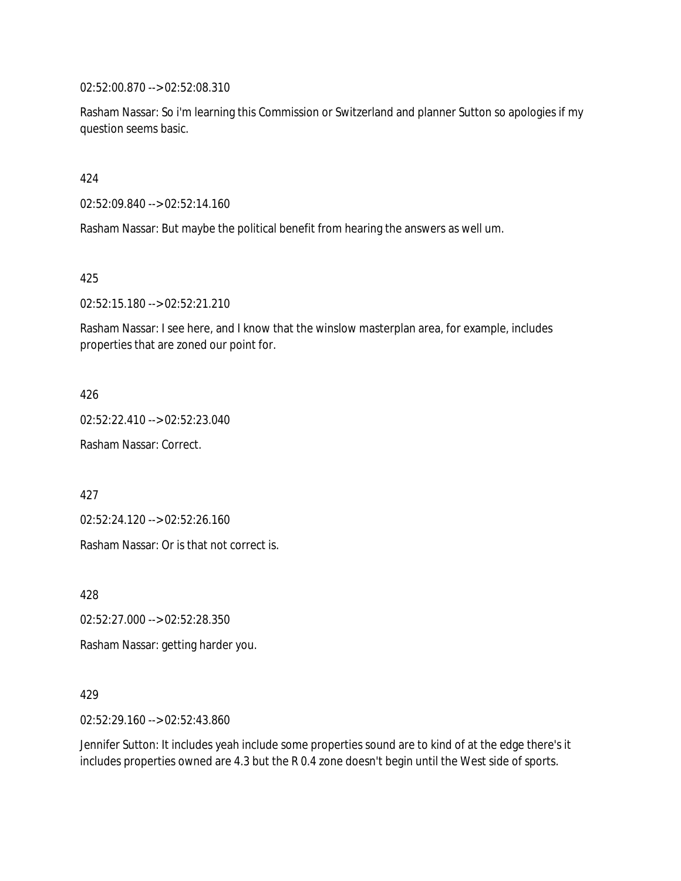02:52:00.870 --> 02:52:08.310

Rasham Nassar: So i'm learning this Commission or Switzerland and planner Sutton so apologies if my question seems basic.

424

02:52:09.840 --> 02:52:14.160

Rasham Nassar: But maybe the political benefit from hearing the answers as well um.

425

02:52:15.180 --> 02:52:21.210

Rasham Nassar: I see here, and I know that the winslow masterplan area, for example, includes properties that are zoned our point for.

426

02:52:22.410 --> 02:52:23.040

Rasham Nassar: Correct.

427

02:52:24.120 --> 02:52:26.160

Rasham Nassar: Or is that not correct is.

428

02:52:27.000 --> 02:52:28.350

Rasham Nassar: getting harder you.

429

02:52:29.160 --> 02:52:43.860

Jennifer Sutton: It includes yeah include some properties sound are to kind of at the edge there's it includes properties owned are 4.3 but the R 0.4 zone doesn't begin until the West side of sports.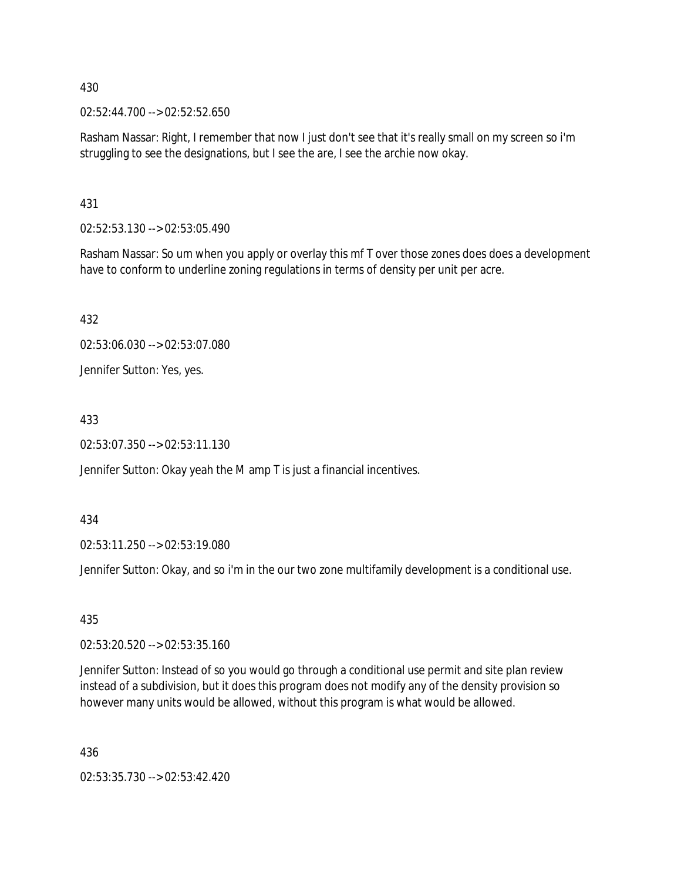02:52:44.700 --> 02:52:52.650

Rasham Nassar: Right, I remember that now I just don't see that it's really small on my screen so i'm struggling to see the designations, but I see the are, I see the archie now okay.

431

02:52:53.130 --> 02:53:05.490

Rasham Nassar: So um when you apply or overlay this mf T over those zones does does a development have to conform to underline zoning regulations in terms of density per unit per acre.

432

02:53:06.030 --> 02:53:07.080

Jennifer Sutton: Yes, yes.

433

02:53:07.350 --> 02:53:11.130

Jennifer Sutton: Okay yeah the M amp T is just a financial incentives.

434

02:53:11.250 --> 02:53:19.080

Jennifer Sutton: Okay, and so i'm in the our two zone multifamily development is a conditional use.

435

02:53:20.520 --> 02:53:35.160

Jennifer Sutton: Instead of so you would go through a conditional use permit and site plan review instead of a subdivision, but it does this program does not modify any of the density provision so however many units would be allowed, without this program is what would be allowed.

436

02:53:35.730 --> 02:53:42.420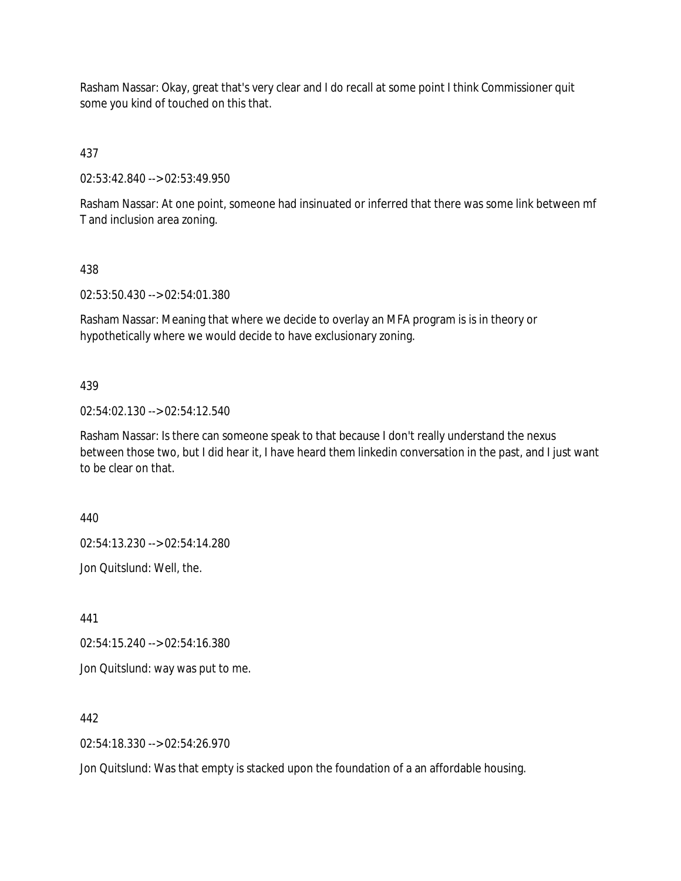Rasham Nassar: Okay, great that's very clear and I do recall at some point I think Commissioner quit some you kind of touched on this that.

437

02:53:42.840 --> 02:53:49.950

Rasham Nassar: At one point, someone had insinuated or inferred that there was some link between mf T and inclusion area zoning.

#### 438

02:53:50.430 --> 02:54:01.380

Rasham Nassar: Meaning that where we decide to overlay an MFA program is is in theory or hypothetically where we would decide to have exclusionary zoning.

## 439

02:54:02.130 --> 02:54:12.540

Rasham Nassar: Is there can someone speak to that because I don't really understand the nexus between those two, but I did hear it, I have heard them linkedin conversation in the past, and I just want to be clear on that.

440

02:54:13.230 --> 02:54:14.280

Jon Quitslund: Well, the.

441

02:54:15.240 --> 02:54:16.380

Jon Quitslund: way was put to me.

442

02:54:18.330 --> 02:54:26.970

Jon Quitslund: Was that empty is stacked upon the foundation of a an affordable housing.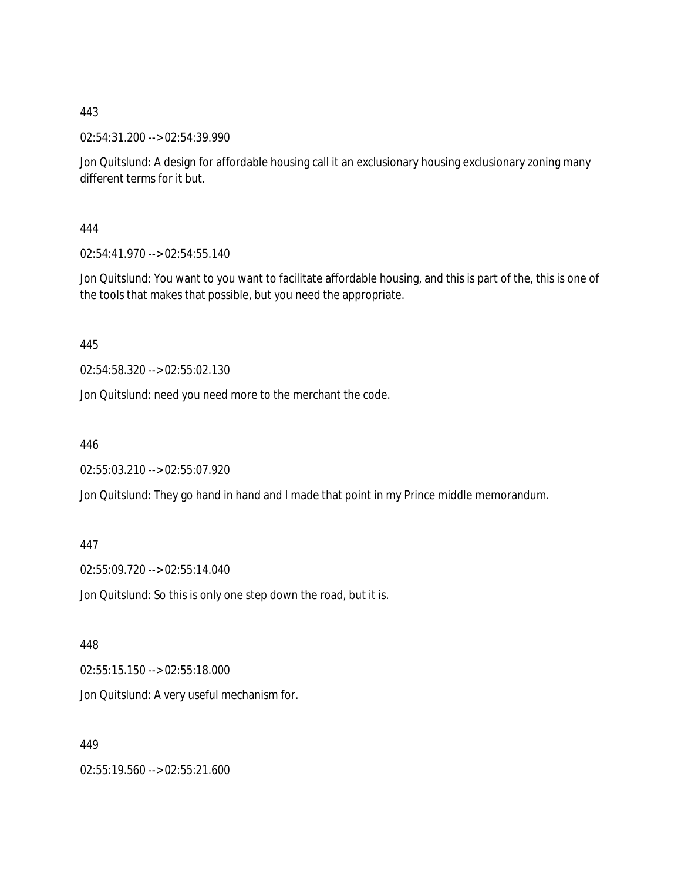02:54:31.200 --> 02:54:39.990

Jon Quitslund: A design for affordable housing call it an exclusionary housing exclusionary zoning many different terms for it but.

444

02:54:41.970 --> 02:54:55.140

Jon Quitslund: You want to you want to facilitate affordable housing, and this is part of the, this is one of the tools that makes that possible, but you need the appropriate.

445

02:54:58.320 --> 02:55:02.130

Jon Quitslund: need you need more to the merchant the code.

446

02:55:03.210 --> 02:55:07.920

Jon Quitslund: They go hand in hand and I made that point in my Prince middle memorandum.

447

02:55:09.720 --> 02:55:14.040

Jon Quitslund: So this is only one step down the road, but it is.

448

02:55:15.150 --> 02:55:18.000

Jon Quitslund: A very useful mechanism for.

449

02:55:19.560 --> 02:55:21.600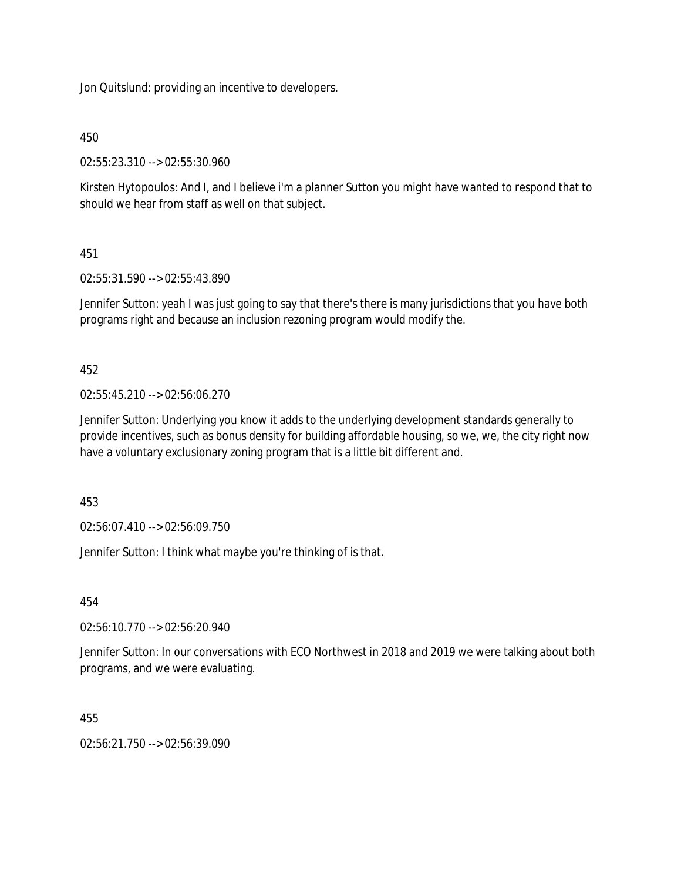Jon Quitslund: providing an incentive to developers.

## 450

02:55:23.310 --> 02:55:30.960

Kirsten Hytopoulos: And I, and I believe i'm a planner Sutton you might have wanted to respond that to should we hear from staff as well on that subject.

## 451

02:55:31.590 --> 02:55:43.890

Jennifer Sutton: yeah I was just going to say that there's there is many jurisdictions that you have both programs right and because an inclusion rezoning program would modify the.

## 452

02:55:45.210 --> 02:56:06.270

Jennifer Sutton: Underlying you know it adds to the underlying development standards generally to provide incentives, such as bonus density for building affordable housing, so we, we, the city right now have a voluntary exclusionary zoning program that is a little bit different and.

453

02:56:07.410 --> 02:56:09.750

Jennifer Sutton: I think what maybe you're thinking of is that.

454

02:56:10.770 --> 02:56:20.940

Jennifer Sutton: In our conversations with ECO Northwest in 2018 and 2019 we were talking about both programs, and we were evaluating.

## 455

02:56:21.750 --> 02:56:39.090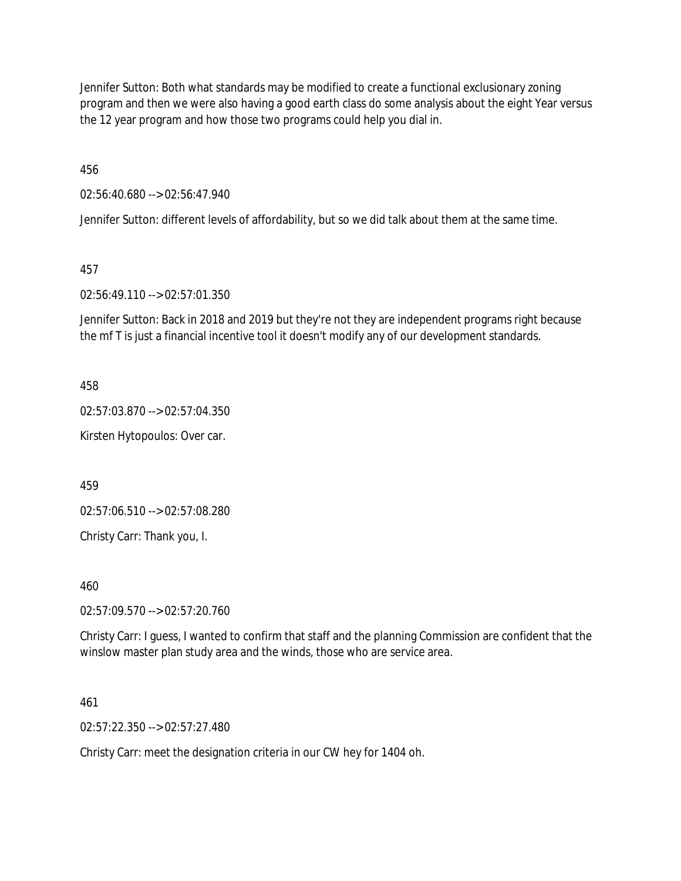Jennifer Sutton: Both what standards may be modified to create a functional exclusionary zoning program and then we were also having a good earth class do some analysis about the eight Year versus the 12 year program and how those two programs could help you dial in.

456

02:56:40.680 --> 02:56:47.940

Jennifer Sutton: different levels of affordability, but so we did talk about them at the same time.

457

02:56:49.110 --> 02:57:01.350

Jennifer Sutton: Back in 2018 and 2019 but they're not they are independent programs right because the mf T is just a financial incentive tool it doesn't modify any of our development standards.

458

02:57:03.870 --> 02:57:04.350

Kirsten Hytopoulos: Over car.

459

02:57:06.510 --> 02:57:08.280

Christy Carr: Thank you, I.

460

02:57:09.570 --> 02:57:20.760

Christy Carr: I guess, I wanted to confirm that staff and the planning Commission are confident that the winslow master plan study area and the winds, those who are service area.

461

02:57:22.350 --> 02:57:27.480

Christy Carr: meet the designation criteria in our CW hey for 1404 oh.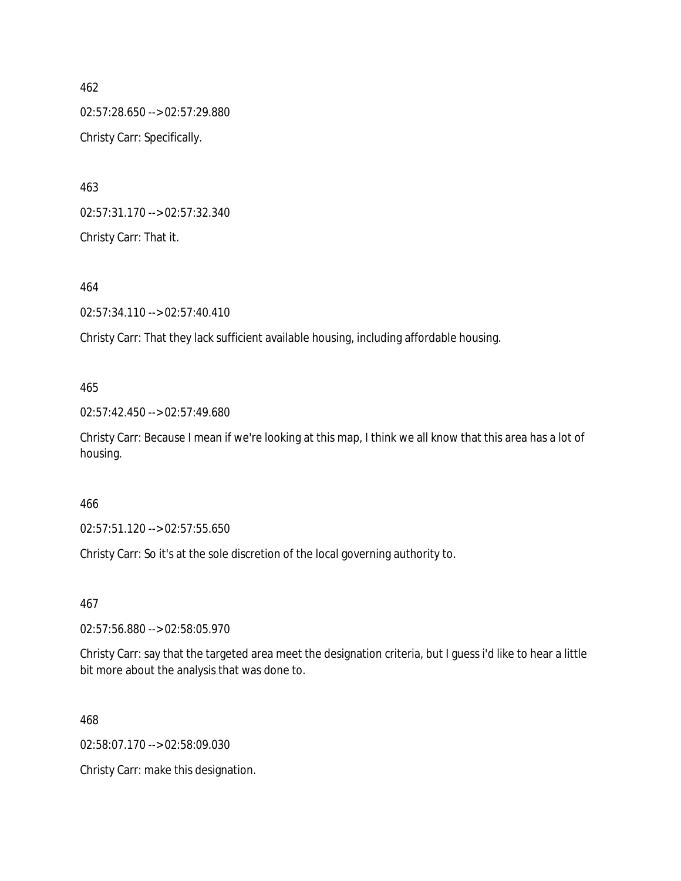462 02:57:28.650 --> 02:57:29.880 Christy Carr: Specifically.

463 02:57:31.170 --> 02:57:32.340 Christy Carr: That it.

464

02:57:34.110 --> 02:57:40.410

Christy Carr: That they lack sufficient available housing, including affordable housing.

## 465

02:57:42.450 --> 02:57:49.680

Christy Carr: Because I mean if we're looking at this map, I think we all know that this area has a lot of housing.

## 466

02:57:51.120 --> 02:57:55.650

Christy Carr: So it's at the sole discretion of the local governing authority to.

#### 467

02:57:56.880 --> 02:58:05.970

Christy Carr: say that the targeted area meet the designation criteria, but I guess i'd like to hear a little bit more about the analysis that was done to.

468

02:58:07.170 --> 02:58:09.030

Christy Carr: make this designation.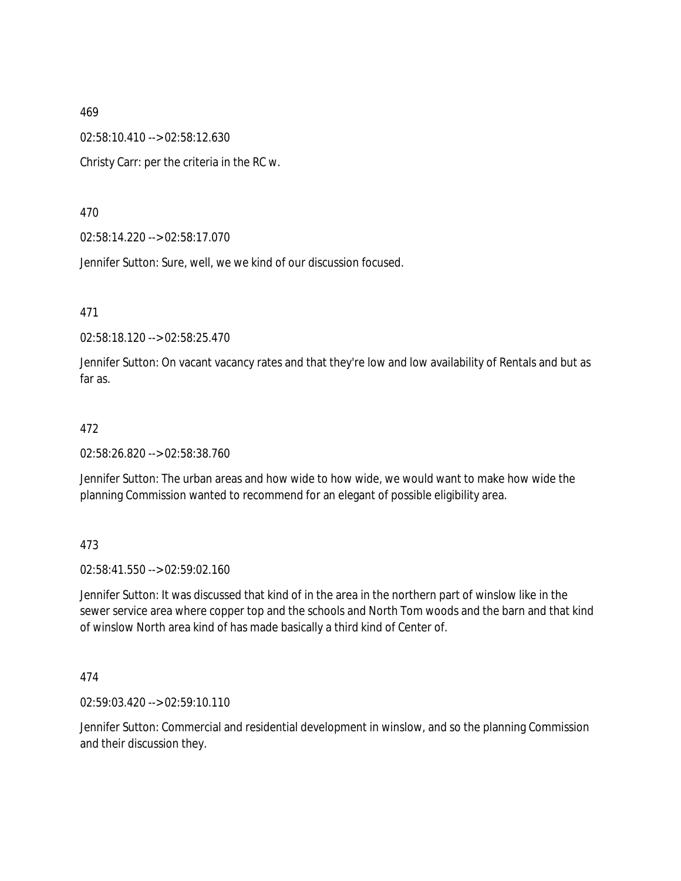02:58:10.410 --> 02:58:12.630

Christy Carr: per the criteria in the RC w.

470

02:58:14.220 --> 02:58:17.070

Jennifer Sutton: Sure, well, we we kind of our discussion focused.

471

02:58:18.120 --> 02:58:25.470

Jennifer Sutton: On vacant vacancy rates and that they're low and low availability of Rentals and but as far as.

#### 472

02:58:26.820 --> 02:58:38.760

Jennifer Sutton: The urban areas and how wide to how wide, we would want to make how wide the planning Commission wanted to recommend for an elegant of possible eligibility area.

473

02:58:41.550 --> 02:59:02.160

Jennifer Sutton: It was discussed that kind of in the area in the northern part of winslow like in the sewer service area where copper top and the schools and North Tom woods and the barn and that kind of winslow North area kind of has made basically a third kind of Center of.

474

02:59:03.420 --> 02:59:10.110

Jennifer Sutton: Commercial and residential development in winslow, and so the planning Commission and their discussion they.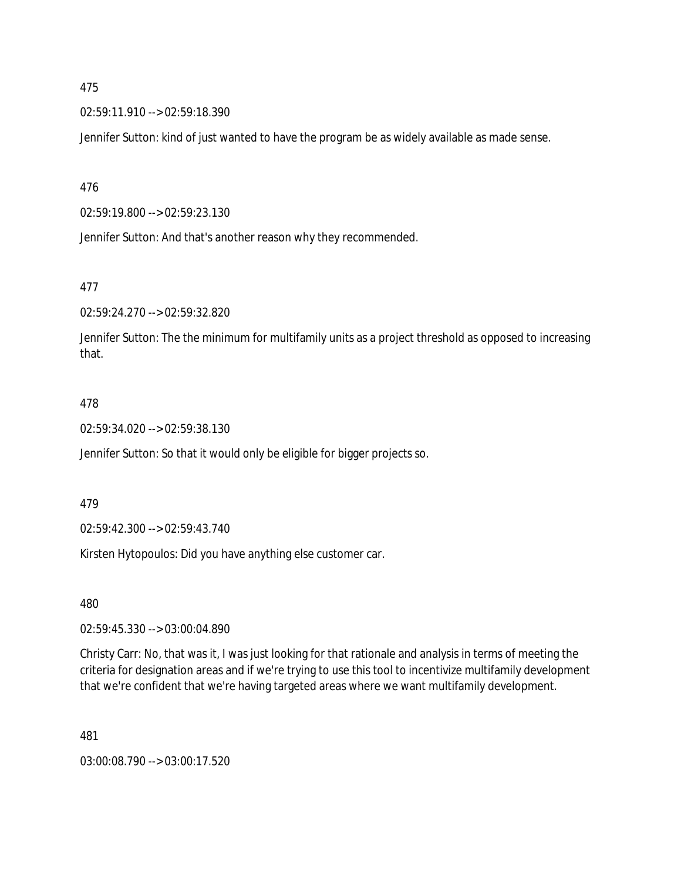02:59:11.910 --> 02:59:18.390

Jennifer Sutton: kind of just wanted to have the program be as widely available as made sense.

476

02:59:19.800 --> 02:59:23.130

Jennifer Sutton: And that's another reason why they recommended.

477

02:59:24.270 --> 02:59:32.820

Jennifer Sutton: The the minimum for multifamily units as a project threshold as opposed to increasing that.

#### 478

02:59:34.020 --> 02:59:38.130

Jennifer Sutton: So that it would only be eligible for bigger projects so.

479

02:59:42.300 --> 02:59:43.740

Kirsten Hytopoulos: Did you have anything else customer car.

480

02:59:45.330 --> 03:00:04.890

Christy Carr: No, that was it, I was just looking for that rationale and analysis in terms of meeting the criteria for designation areas and if we're trying to use this tool to incentivize multifamily development that we're confident that we're having targeted areas where we want multifamily development.

481

03:00:08.790 --> 03:00:17.520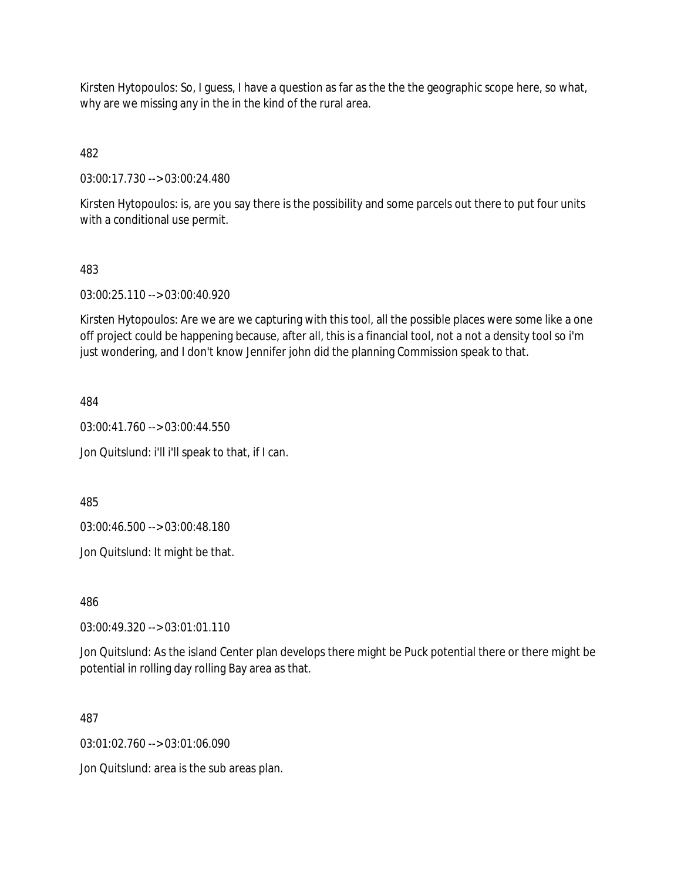Kirsten Hytopoulos: So, I guess, I have a question as far as the the the geographic scope here, so what, why are we missing any in the in the kind of the rural area.

482

03:00:17.730 --> 03:00:24.480

Kirsten Hytopoulos: is, are you say there is the possibility and some parcels out there to put four units with a conditional use permit.

## 483

03:00:25.110 --> 03:00:40.920

Kirsten Hytopoulos: Are we are we capturing with this tool, all the possible places were some like a one off project could be happening because, after all, this is a financial tool, not a not a density tool so i'm just wondering, and I don't know Jennifer john did the planning Commission speak to that.

484

03:00:41.760 --> 03:00:44.550

Jon Quitslund: i'll i'll speak to that, if I can.

485

03:00:46.500 --> 03:00:48.180

Jon Quitslund: It might be that.

486

03:00:49.320 --> 03:01:01.110

Jon Quitslund: As the island Center plan develops there might be Puck potential there or there might be potential in rolling day rolling Bay area as that.

487

03:01:02.760 --> 03:01:06.090

Jon Quitslund: area is the sub areas plan.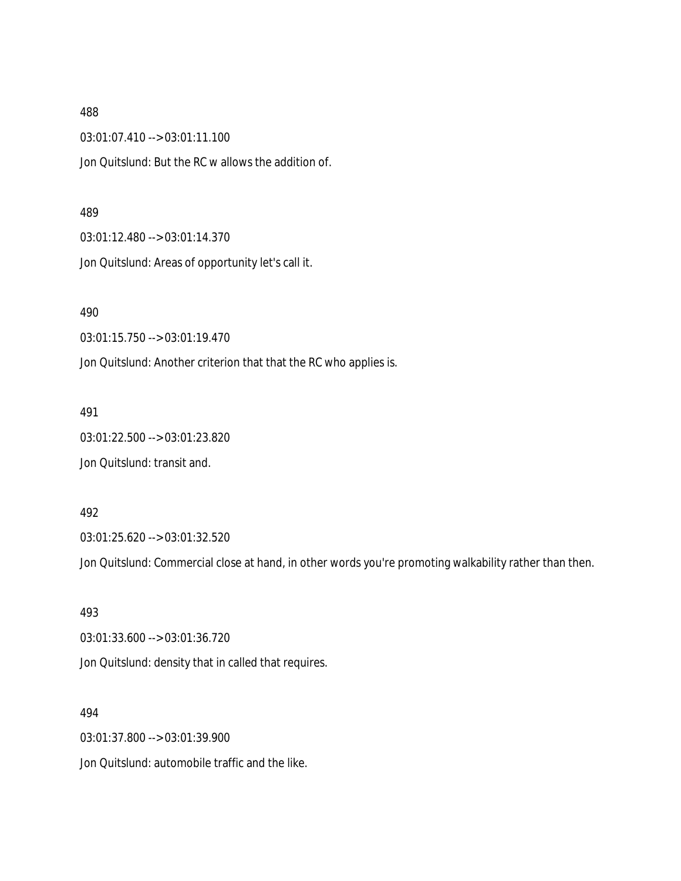03:01:07.410 --> 03:01:11.100

Jon Quitslund: But the RC w allows the addition of.

#### 489

03:01:12.480 --> 03:01:14.370

Jon Quitslund: Areas of opportunity let's call it.

490

03:01:15.750 --> 03:01:19.470

Jon Quitslund: Another criterion that that the RC who applies is.

#### 491

03:01:22.500 --> 03:01:23.820

Jon Quitslund: transit and.

#### 492

03:01:25.620 --> 03:01:32.520

Jon Quitslund: Commercial close at hand, in other words you're promoting walkability rather than then.

493 03:01:33.600 --> 03:01:36.720 Jon Quitslund: density that in called that requires.

494

03:01:37.800 --> 03:01:39.900

Jon Quitslund: automobile traffic and the like.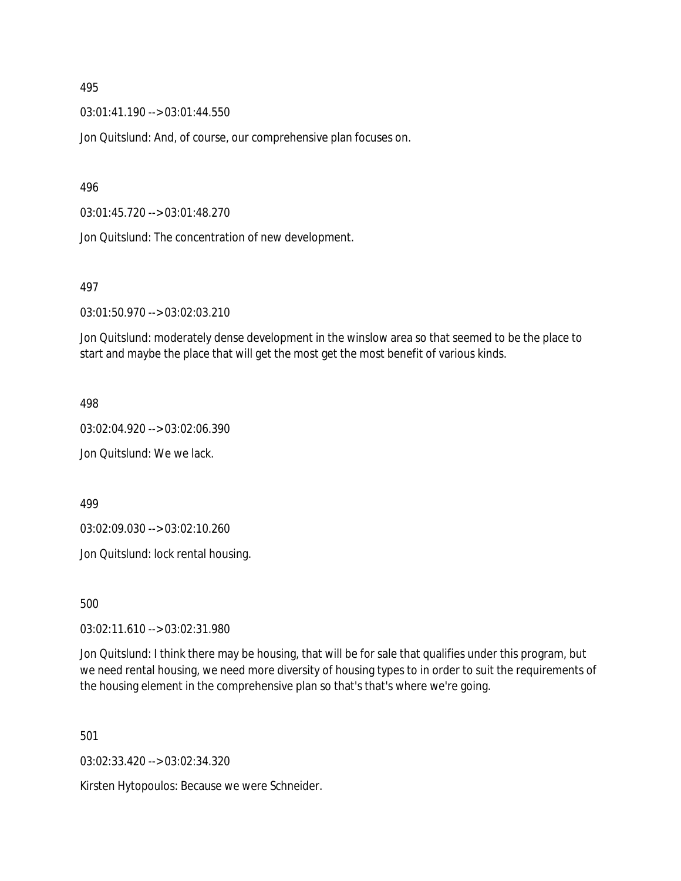03:01:41.190 --> 03:01:44.550

Jon Quitslund: And, of course, our comprehensive plan focuses on.

496

03:01:45.720 --> 03:01:48.270

Jon Quitslund: The concentration of new development.

497

03:01:50.970 --> 03:02:03.210

Jon Quitslund: moderately dense development in the winslow area so that seemed to be the place to start and maybe the place that will get the most get the most benefit of various kinds.

498

03:02:04.920 --> 03:02:06.390

Jon Quitslund: We we lack.

499

03:02:09.030 --> 03:02:10.260

Jon Quitslund: lock rental housing.

500

03:02:11.610 --> 03:02:31.980

Jon Quitslund: I think there may be housing, that will be for sale that qualifies under this program, but we need rental housing, we need more diversity of housing types to in order to suit the requirements of the housing element in the comprehensive plan so that's that's where we're going.

501

03:02:33.420 --> 03:02:34.320

Kirsten Hytopoulos: Because we were Schneider.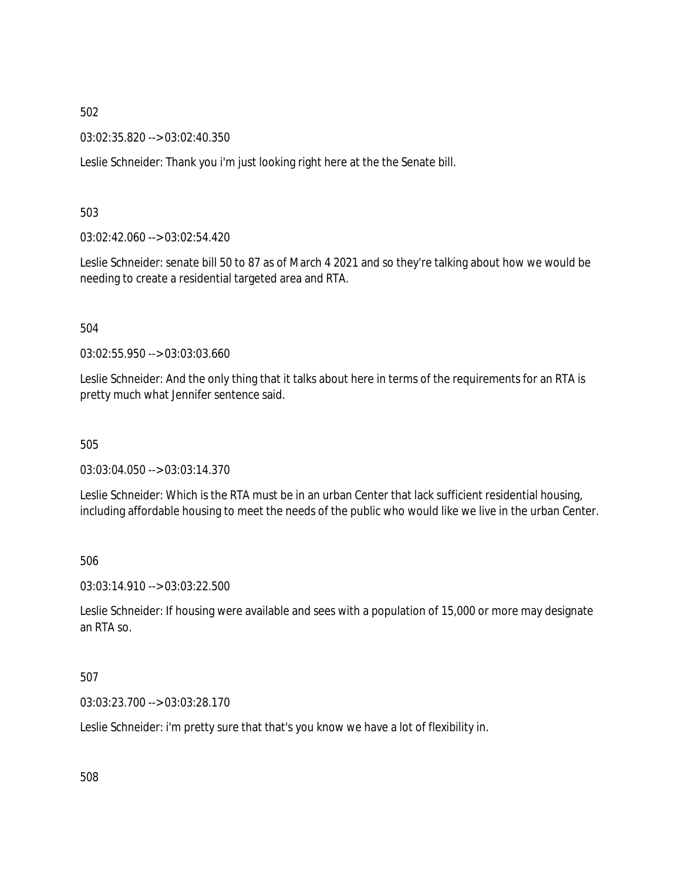03:02:35.820 --> 03:02:40.350

Leslie Schneider: Thank you i'm just looking right here at the the Senate bill.

503

03:02:42.060 --> 03:02:54.420

Leslie Schneider: senate bill 50 to 87 as of March 4 2021 and so they're talking about how we would be needing to create a residential targeted area and RTA.

504

03:02:55.950 --> 03:03:03.660

Leslie Schneider: And the only thing that it talks about here in terms of the requirements for an RTA is pretty much what Jennifer sentence said.

505

03:03:04.050 --> 03:03:14.370

Leslie Schneider: Which is the RTA must be in an urban Center that lack sufficient residential housing, including affordable housing to meet the needs of the public who would like we live in the urban Center.

506

03:03:14.910 --> 03:03:22.500

Leslie Schneider: If housing were available and sees with a population of 15,000 or more may designate an RTA so.

507

03:03:23.700 --> 03:03:28.170

Leslie Schneider: i'm pretty sure that that's you know we have a lot of flexibility in.

508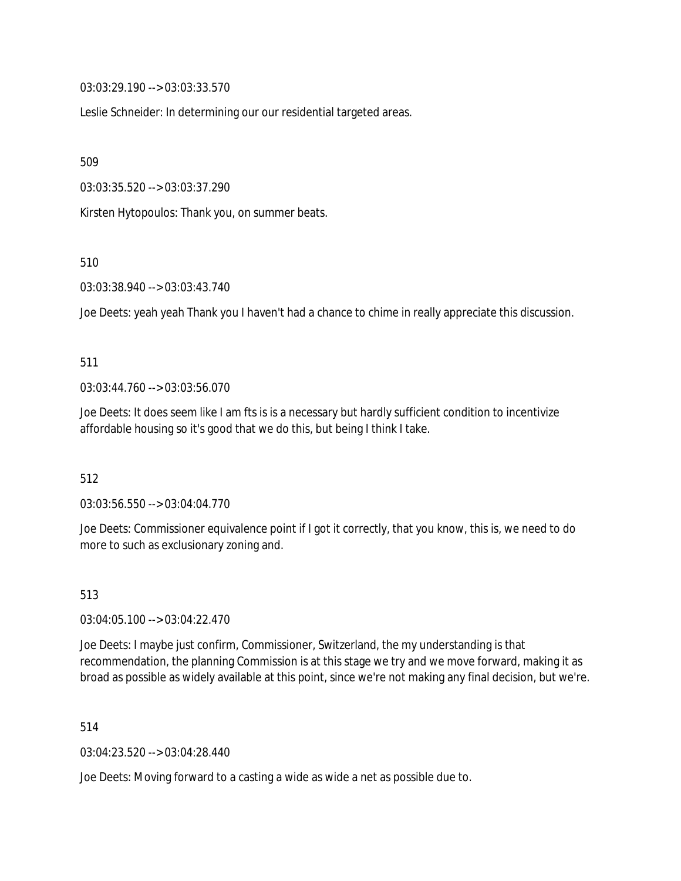03:03:29.190 --> 03:03:33.570

Leslie Schneider: In determining our our residential targeted areas.

509

03:03:35.520 --> 03:03:37.290

Kirsten Hytopoulos: Thank you, on summer beats.

510

03:03:38.940 --> 03:03:43.740

Joe Deets: yeah yeah Thank you I haven't had a chance to chime in really appreciate this discussion.

#### 511

03:03:44.760 --> 03:03:56.070

Joe Deets: It does seem like I am fts is is a necessary but hardly sufficient condition to incentivize affordable housing so it's good that we do this, but being I think I take.

512

03:03:56.550 --> 03:04:04.770

Joe Deets: Commissioner equivalence point if I got it correctly, that you know, this is, we need to do more to such as exclusionary zoning and.

513

03:04:05.100 --> 03:04:22.470

Joe Deets: I maybe just confirm, Commissioner, Switzerland, the my understanding is that recommendation, the planning Commission is at this stage we try and we move forward, making it as broad as possible as widely available at this point, since we're not making any final decision, but we're.

514

03:04:23.520 --> 03:04:28.440

Joe Deets: Moving forward to a casting a wide as wide a net as possible due to.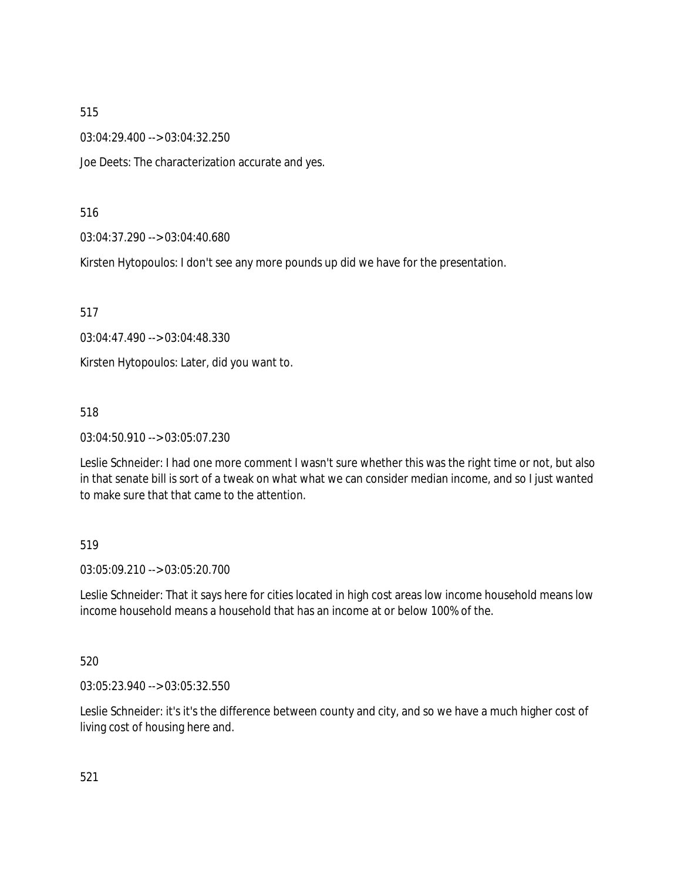03:04:29.400 --> 03:04:32.250

Joe Deets: The characterization accurate and yes.

## 516

03:04:37.290 --> 03:04:40.680

Kirsten Hytopoulos: I don't see any more pounds up did we have for the presentation.

517

03:04:47.490 --> 03:04:48.330

Kirsten Hytopoulos: Later, did you want to.

## 518

03:04:50.910 --> 03:05:07.230

Leslie Schneider: I had one more comment I wasn't sure whether this was the right time or not, but also in that senate bill is sort of a tweak on what what we can consider median income, and so I just wanted to make sure that that came to the attention.

## 519

03:05:09.210 --> 03:05:20.700

Leslie Schneider: That it says here for cities located in high cost areas low income household means low income household means a household that has an income at or below 100% of the.

## 520

03:05:23.940 --> 03:05:32.550

Leslie Schneider: it's it's the difference between county and city, and so we have a much higher cost of living cost of housing here and.

521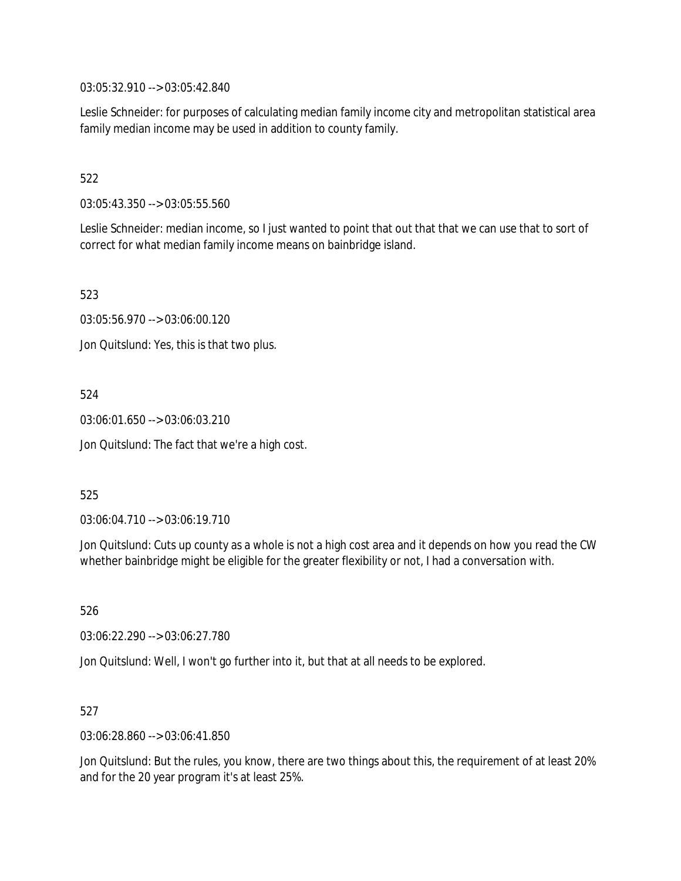03:05:32.910 --> 03:05:42.840

Leslie Schneider: for purposes of calculating median family income city and metropolitan statistical area family median income may be used in addition to county family.

# 522

03:05:43.350 --> 03:05:55.560

Leslie Schneider: median income, so I just wanted to point that out that that we can use that to sort of correct for what median family income means on bainbridge island.

523

03:05:56.970 --> 03:06:00.120

Jon Quitslund: Yes, this is that two plus.

# 524

03:06:01.650 --> 03:06:03.210

Jon Quitslund: The fact that we're a high cost.

## 525

03:06:04.710 --> 03:06:19.710

Jon Quitslund: Cuts up county as a whole is not a high cost area and it depends on how you read the CW whether bainbridge might be eligible for the greater flexibility or not, I had a conversation with.

526

03:06:22.290 --> 03:06:27.780

Jon Quitslund: Well, I won't go further into it, but that at all needs to be explored.

## 527

03:06:28.860 --> 03:06:41.850

Jon Quitslund: But the rules, you know, there are two things about this, the requirement of at least 20% and for the 20 year program it's at least 25%.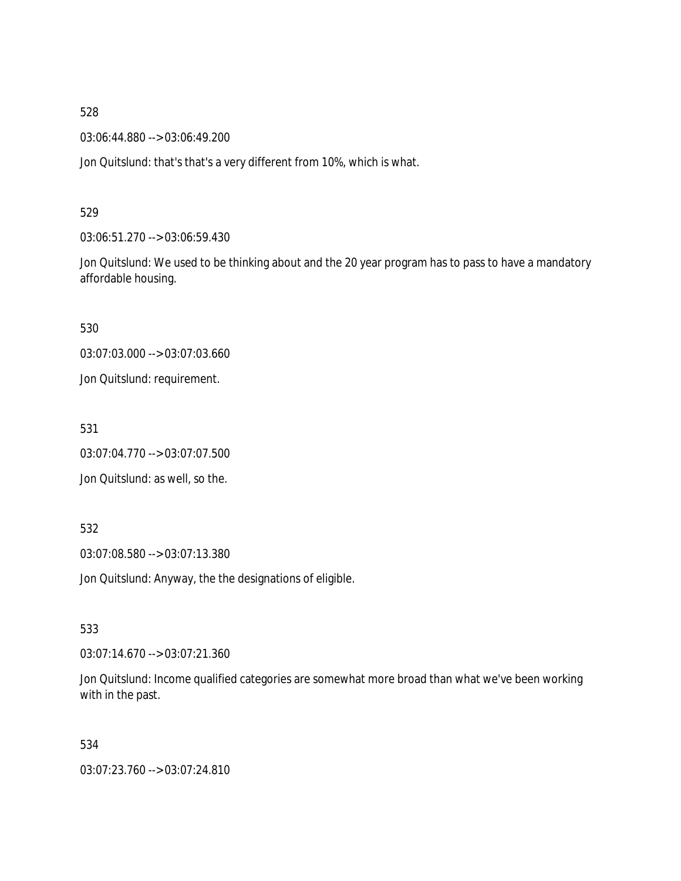03:06:44.880 --> 03:06:49.200

Jon Quitslund: that's that's a very different from 10%, which is what.

529

03:06:51.270 --> 03:06:59.430

Jon Quitslund: We used to be thinking about and the 20 year program has to pass to have a mandatory affordable housing.

530

03:07:03.000 --> 03:07:03.660

Jon Quitslund: requirement.

531

03:07:04.770 --> 03:07:07.500

Jon Quitslund: as well, so the.

532

03:07:08.580 --> 03:07:13.380

Jon Quitslund: Anyway, the the designations of eligible.

533

03:07:14.670 --> 03:07:21.360

Jon Quitslund: Income qualified categories are somewhat more broad than what we've been working with in the past.

534

03:07:23.760 --> 03:07:24.810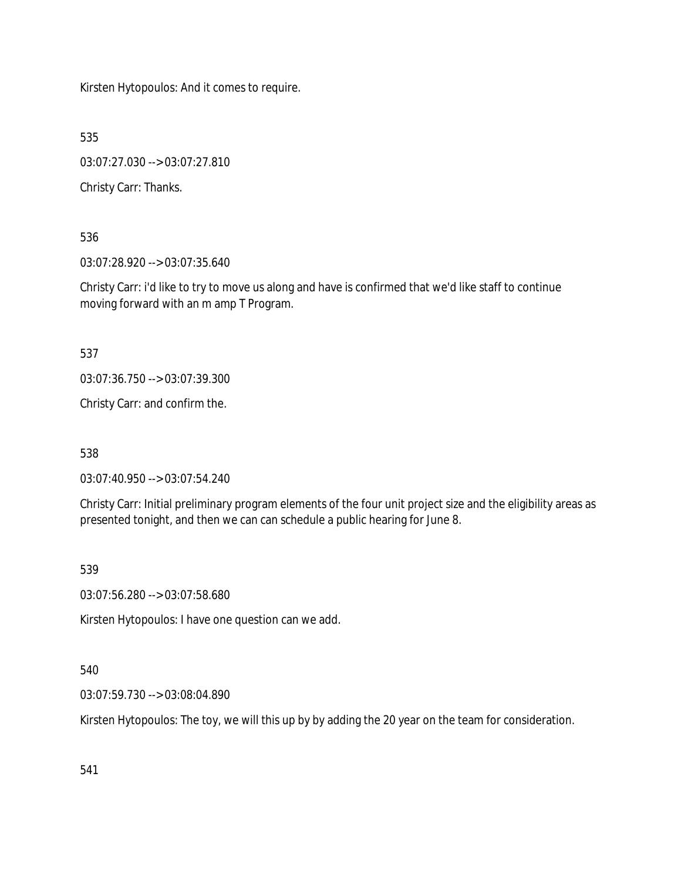Kirsten Hytopoulos: And it comes to require.

535

03:07:27.030 --> 03:07:27.810

Christy Carr: Thanks.

536

03:07:28.920 --> 03:07:35.640

Christy Carr: i'd like to try to move us along and have is confirmed that we'd like staff to continue moving forward with an m amp T Program.

537

03:07:36.750 --> 03:07:39.300

Christy Carr: and confirm the.

538

03:07:40.950 --> 03:07:54.240

Christy Carr: Initial preliminary program elements of the four unit project size and the eligibility areas as presented tonight, and then we can can schedule a public hearing for June 8.

539

03:07:56.280 --> 03:07:58.680

Kirsten Hytopoulos: I have one question can we add.

## 540

03:07:59.730 --> 03:08:04.890

Kirsten Hytopoulos: The toy, we will this up by by adding the 20 year on the team for consideration.

541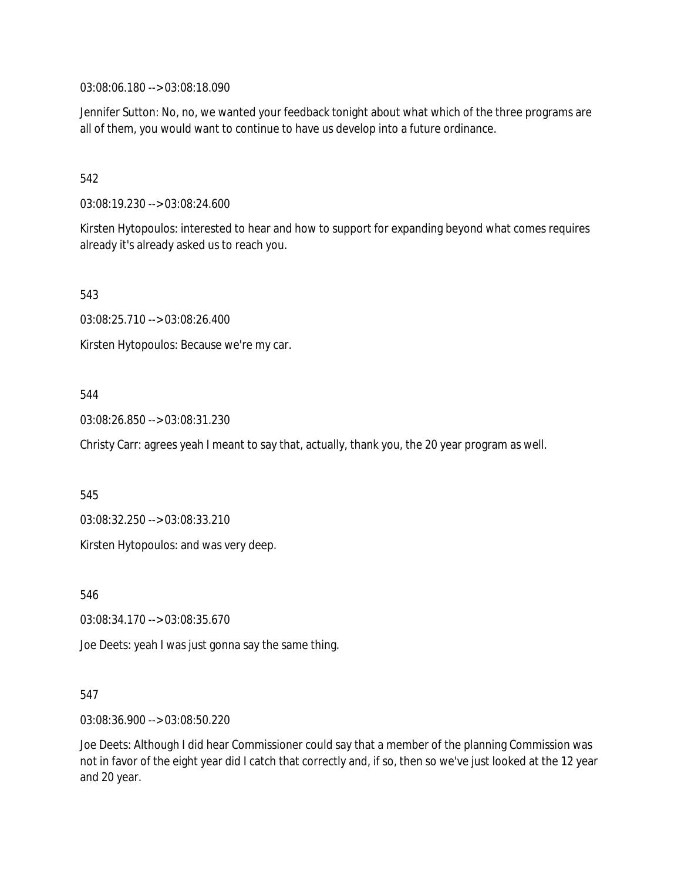03:08:06.180 --> 03:08:18.090

Jennifer Sutton: No, no, we wanted your feedback tonight about what which of the three programs are all of them, you would want to continue to have us develop into a future ordinance.

## 542

03:08:19.230 --> 03:08:24.600

Kirsten Hytopoulos: interested to hear and how to support for expanding beyond what comes requires already it's already asked us to reach you.

543

03:08:25.710 --> 03:08:26.400

Kirsten Hytopoulos: Because we're my car.

## 544

03:08:26.850 --> 03:08:31.230

Christy Carr: agrees yeah I meant to say that, actually, thank you, the 20 year program as well.

545

03:08:32.250 --> 03:08:33.210

Kirsten Hytopoulos: and was very deep.

546

03:08:34.170 --> 03:08:35.670

Joe Deets: yeah I was just gonna say the same thing.

## 547

03:08:36.900 --> 03:08:50.220

Joe Deets: Although I did hear Commissioner could say that a member of the planning Commission was not in favor of the eight year did I catch that correctly and, if so, then so we've just looked at the 12 year and 20 year.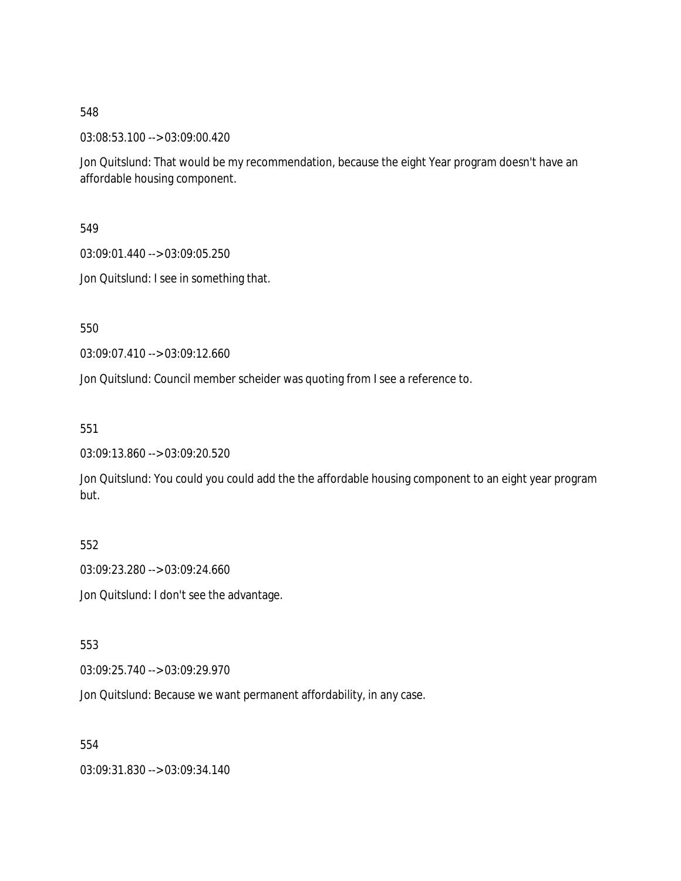03:08:53.100 --> 03:09:00.420

Jon Quitslund: That would be my recommendation, because the eight Year program doesn't have an affordable housing component.

549

03:09:01.440 --> 03:09:05.250

Jon Quitslund: I see in something that.

550

03:09:07.410 --> 03:09:12.660

Jon Quitslund: Council member scheider was quoting from I see a reference to.

551

03:09:13.860 --> 03:09:20.520

Jon Quitslund: You could you could add the the affordable housing component to an eight year program but.

552

03:09:23.280 --> 03:09:24.660

Jon Quitslund: I don't see the advantage.

553

03:09:25.740 --> 03:09:29.970

Jon Quitslund: Because we want permanent affordability, in any case.

554

03:09:31.830 --> 03:09:34.140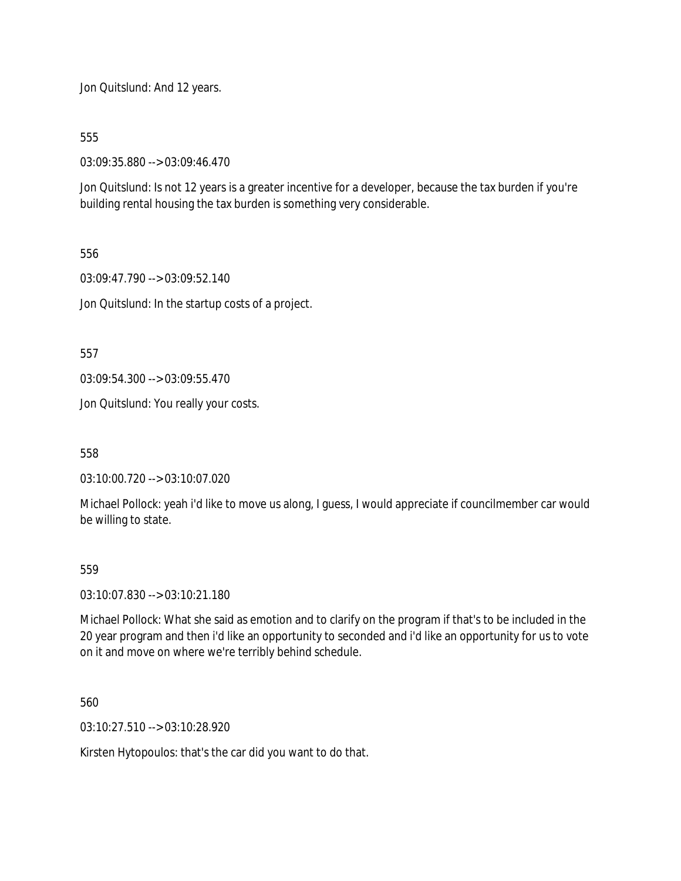Jon Quitslund: And 12 years.

555

03:09:35.880 --> 03:09:46.470

Jon Quitslund: Is not 12 years is a greater incentive for a developer, because the tax burden if you're building rental housing the tax burden is something very considerable.

556

03:09:47.790 --> 03:09:52.140

Jon Quitslund: In the startup costs of a project.

557

03:09:54.300 --> 03:09:55.470

Jon Quitslund: You really your costs.

558

03:10:00.720 --> 03:10:07.020

Michael Pollock: yeah i'd like to move us along, I guess, I would appreciate if councilmember car would be willing to state.

## 559

03:10:07.830 --> 03:10:21.180

Michael Pollock: What she said as emotion and to clarify on the program if that's to be included in the 20 year program and then i'd like an opportunity to seconded and i'd like an opportunity for us to vote on it and move on where we're terribly behind schedule.

560

03:10:27.510 --> 03:10:28.920

Kirsten Hytopoulos: that's the car did you want to do that.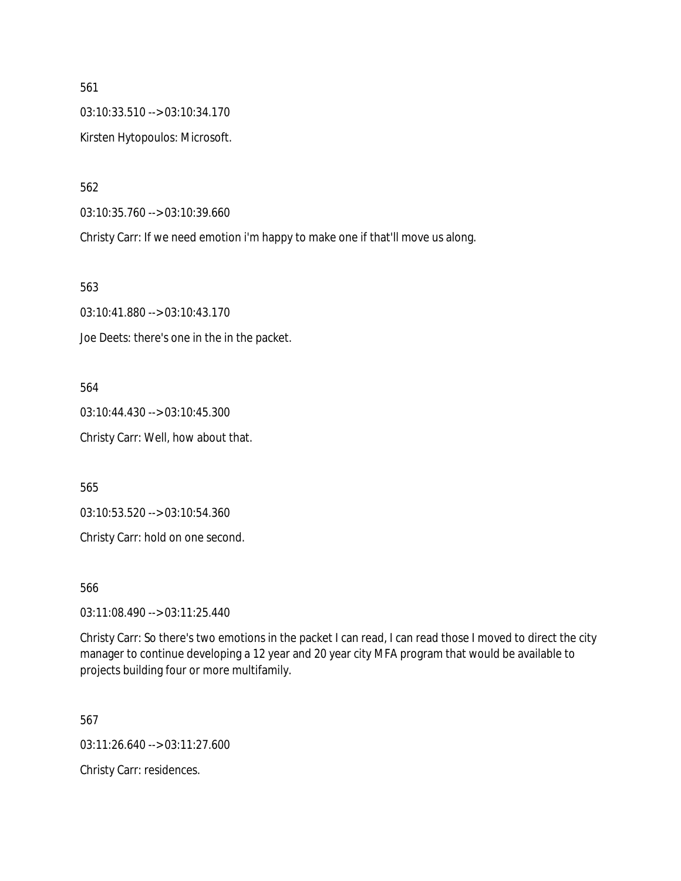561 03:10:33.510 --> 03:10:34.170 Kirsten Hytopoulos: Microsoft.

562

03:10:35.760 --> 03:10:39.660

Christy Carr: If we need emotion i'm happy to make one if that'll move us along.

563

03:10:41.880 --> 03:10:43.170 Joe Deets: there's one in the in the packet.

564 03:10:44.430 --> 03:10:45.300 Christy Carr: Well, how about that.

565

03:10:53.520 --> 03:10:54.360

Christy Carr: hold on one second.

566

03:11:08.490 --> 03:11:25.440

Christy Carr: So there's two emotions in the packet I can read, I can read those I moved to direct the city manager to continue developing a 12 year and 20 year city MFA program that would be available to projects building four or more multifamily.

567

03:11:26.640 --> 03:11:27.600

Christy Carr: residences.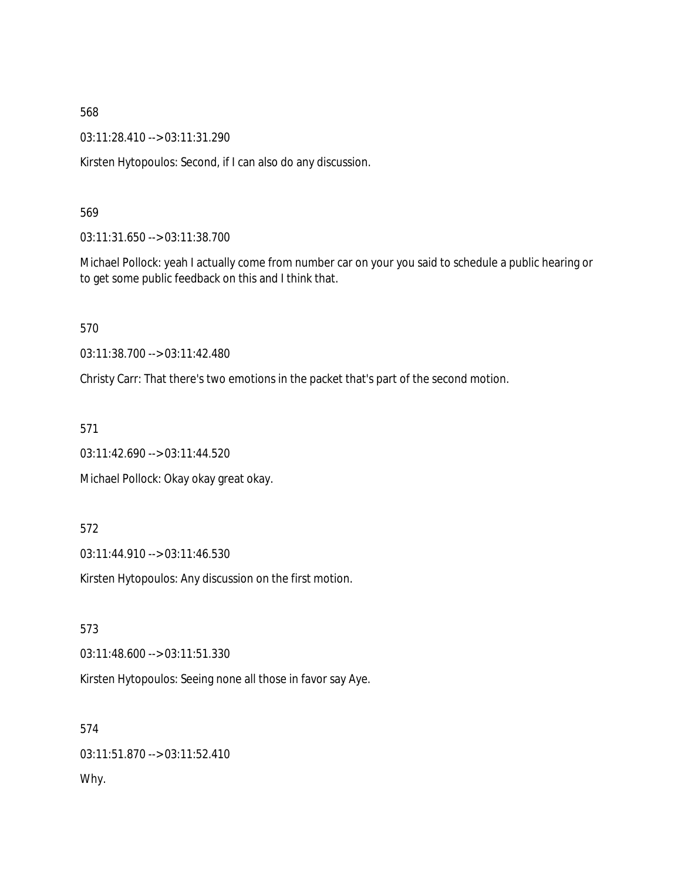03:11:28.410 --> 03:11:31.290

Kirsten Hytopoulos: Second, if I can also do any discussion.

#### 569

03:11:31.650 --> 03:11:38.700

Michael Pollock: yeah I actually come from number car on your you said to schedule a public hearing or to get some public feedback on this and I think that.

570

03:11:38.700 --> 03:11:42.480

Christy Carr: That there's two emotions in the packet that's part of the second motion.

571

03:11:42.690 --> 03:11:44.520

Michael Pollock: Okay okay great okay.

#### 572

03:11:44.910 --> 03:11:46.530

Kirsten Hytopoulos: Any discussion on the first motion.

573

03:11:48.600 --> 03:11:51.330

Kirsten Hytopoulos: Seeing none all those in favor say Aye.

574 03:11:51.870 --> 03:11:52.410 Why.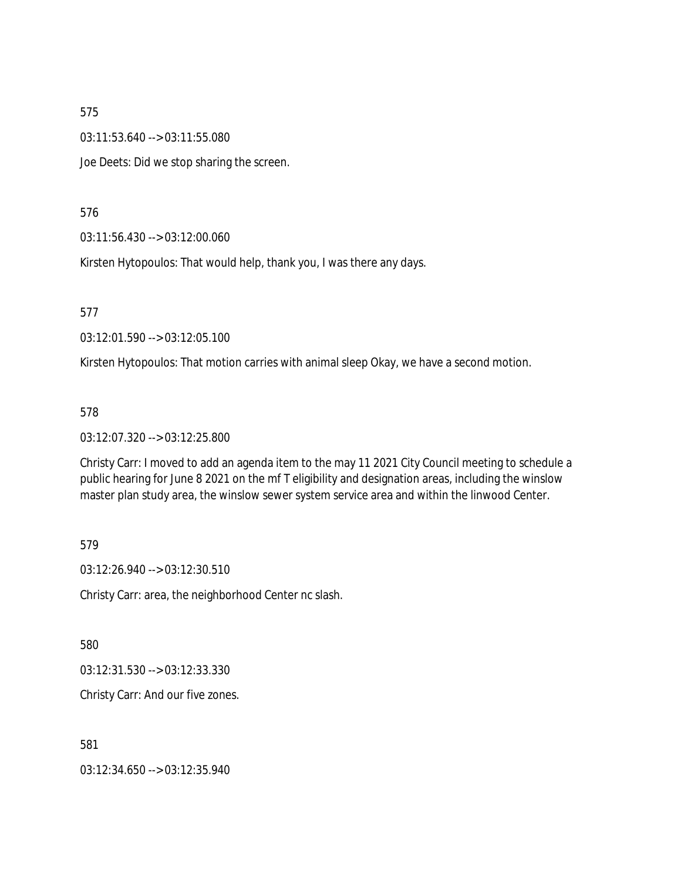03:11:53.640 --> 03:11:55.080

Joe Deets: Did we stop sharing the screen.

576

03:11:56.430 --> 03:12:00.060

Kirsten Hytopoulos: That would help, thank you, I was there any days.

577

03:12:01.590 --> 03:12:05.100

Kirsten Hytopoulos: That motion carries with animal sleep Okay, we have a second motion.

#### 578

03:12:07.320 --> 03:12:25.800

Christy Carr: I moved to add an agenda item to the may 11 2021 City Council meeting to schedule a public hearing for June 8 2021 on the mf T eligibility and designation areas, including the winslow master plan study area, the winslow sewer system service area and within the linwood Center.

579

03:12:26.940 --> 03:12:30.510

Christy Carr: area, the neighborhood Center nc slash.

580

03:12:31.530 --> 03:12:33.330

Christy Carr: And our five zones.

581

03:12:34.650 --> 03:12:35.940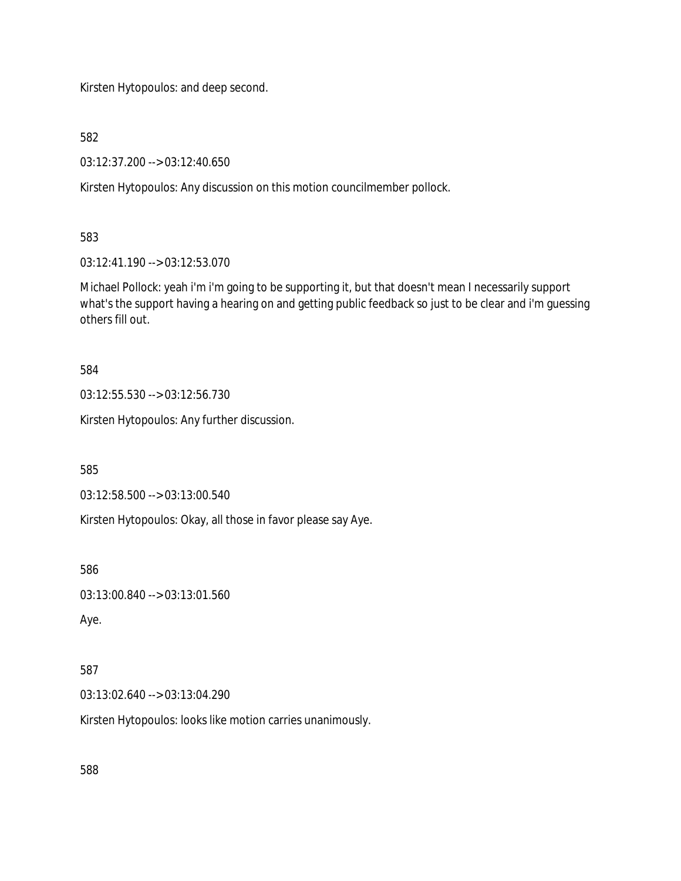Kirsten Hytopoulos: and deep second.

582

03:12:37.200 --> 03:12:40.650

Kirsten Hytopoulos: Any discussion on this motion councilmember pollock.

583

03:12:41.190 --> 03:12:53.070

Michael Pollock: yeah i'm i'm going to be supporting it, but that doesn't mean I necessarily support what's the support having a hearing on and getting public feedback so just to be clear and i'm guessing others fill out.

584

03:12:55.530 --> 03:12:56.730

Kirsten Hytopoulos: Any further discussion.

585

03:12:58.500 --> 03:13:00.540

Kirsten Hytopoulos: Okay, all those in favor please say Aye.

586

```
03:13:00.840 --> 03:13:01.560
```
Aye.

# 587

03:13:02.640 --> 03:13:04.290

Kirsten Hytopoulos: looks like motion carries unanimously.

588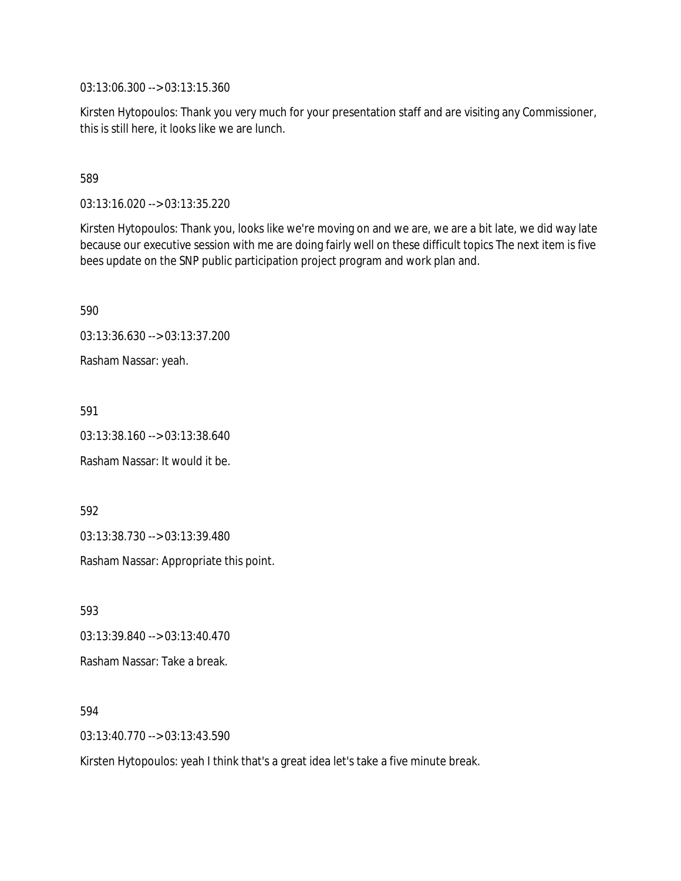03:13:06.300 --> 03:13:15.360

Kirsten Hytopoulos: Thank you very much for your presentation staff and are visiting any Commissioner, this is still here, it looks like we are lunch.

589

03:13:16.020 --> 03:13:35.220

Kirsten Hytopoulos: Thank you, looks like we're moving on and we are, we are a bit late, we did way late because our executive session with me are doing fairly well on these difficult topics The next item is five bees update on the SNP public participation project program and work plan and.

590

03:13:36.630 --> 03:13:37.200

Rasham Nassar: yeah.

591

03:13:38.160 --> 03:13:38.640

Rasham Nassar: It would it be.

592

03:13:38.730 --> 03:13:39.480

Rasham Nassar: Appropriate this point.

593

03:13:39.840 --> 03:13:40.470 Rasham Nassar: Take a break.

594

03:13:40.770 --> 03:13:43.590

Kirsten Hytopoulos: yeah I think that's a great idea let's take a five minute break.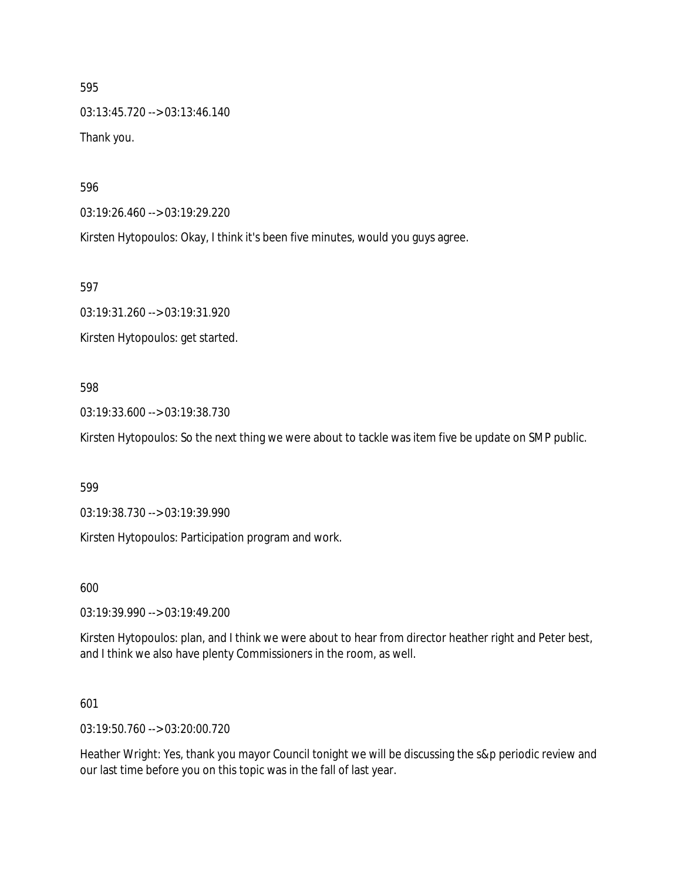595 03:13:45.720 --> 03:13:46.140 Thank you.

596

03:19:26.460 --> 03:19:29.220

Kirsten Hytopoulos: Okay, I think it's been five minutes, would you guys agree.

597

03:19:31.260 --> 03:19:31.920 Kirsten Hytopoulos: get started.

#### 598

03:19:33.600 --> 03:19:38.730

Kirsten Hytopoulos: So the next thing we were about to tackle was item five be update on SMP public.

#### 599

03:19:38.730 --> 03:19:39.990

Kirsten Hytopoulos: Participation program and work.

600

03:19:39.990 --> 03:19:49.200

Kirsten Hytopoulos: plan, and I think we were about to hear from director heather right and Peter best, and I think we also have plenty Commissioners in the room, as well.

#### 601

03:19:50.760 --> 03:20:00.720

Heather Wright: Yes, thank you mayor Council tonight we will be discussing the s&p periodic review and our last time before you on this topic was in the fall of last year.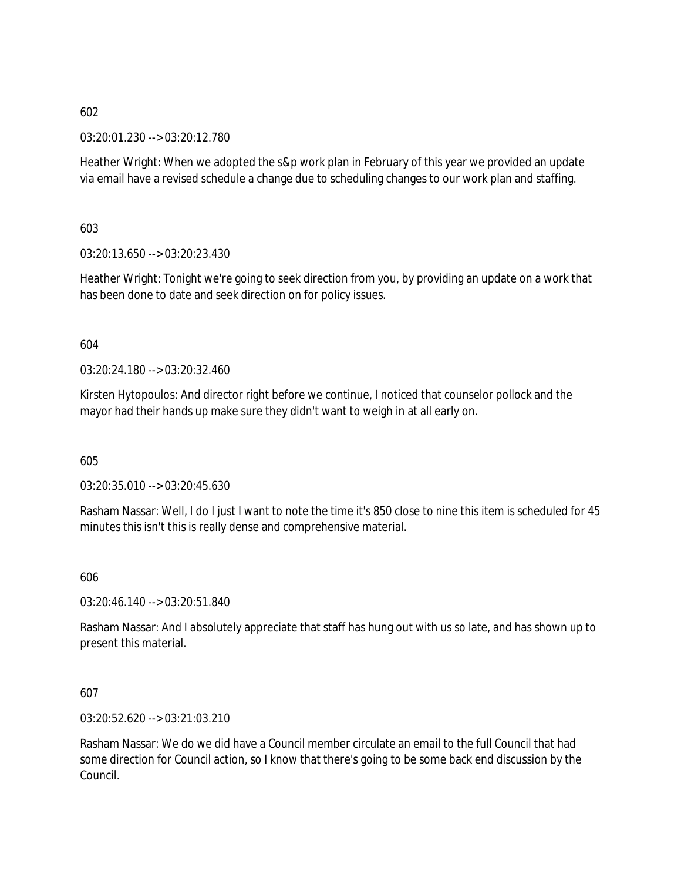03:20:01.230 --> 03:20:12.780

Heather Wright: When we adopted the s&p work plan in February of this year we provided an update via email have a revised schedule a change due to scheduling changes to our work plan and staffing.

603

03:20:13.650 --> 03:20:23.430

Heather Wright: Tonight we're going to seek direction from you, by providing an update on a work that has been done to date and seek direction on for policy issues.

## 604

03:20:24.180 --> 03:20:32.460

Kirsten Hytopoulos: And director right before we continue, I noticed that counselor pollock and the mayor had their hands up make sure they didn't want to weigh in at all early on.

605

03:20:35.010 --> 03:20:45.630

Rasham Nassar: Well, I do I just I want to note the time it's 850 close to nine this item is scheduled for 45 minutes this isn't this is really dense and comprehensive material.

## 606

03:20:46.140 --> 03:20:51.840

Rasham Nassar: And I absolutely appreciate that staff has hung out with us so late, and has shown up to present this material.

## 607

03:20:52.620 --> 03:21:03.210

Rasham Nassar: We do we did have a Council member circulate an email to the full Council that had some direction for Council action, so I know that there's going to be some back end discussion by the Council.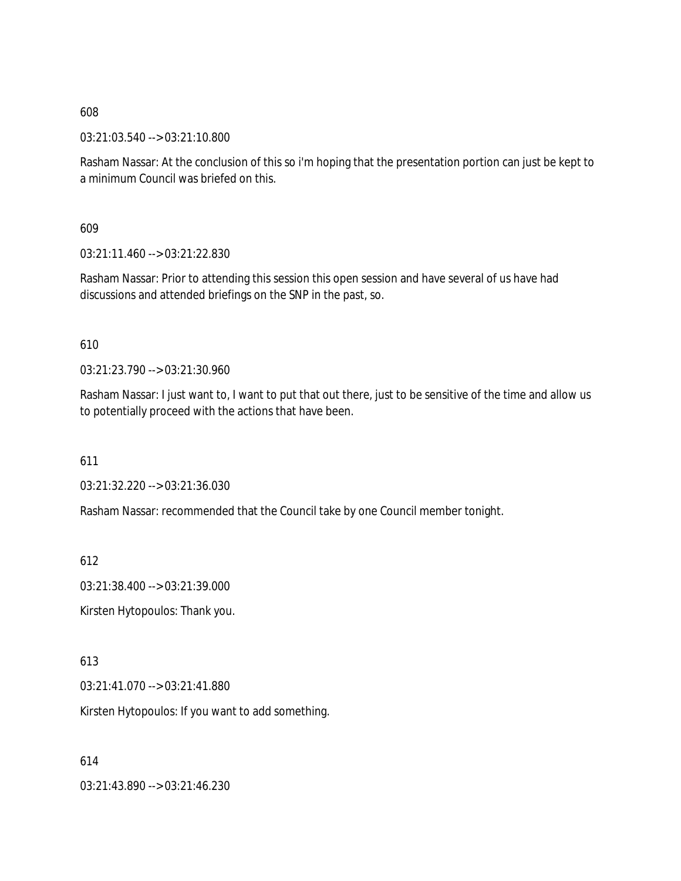03:21:03.540 --> 03:21:10.800

Rasham Nassar: At the conclusion of this so i'm hoping that the presentation portion can just be kept to a minimum Council was briefed on this.

609

03:21:11.460 --> 03:21:22.830

Rasham Nassar: Prior to attending this session this open session and have several of us have had discussions and attended briefings on the SNP in the past, so.

610

03:21:23.790 --> 03:21:30.960

Rasham Nassar: I just want to, I want to put that out there, just to be sensitive of the time and allow us to potentially proceed with the actions that have been.

611

03:21:32.220 --> 03:21:36.030

Rasham Nassar: recommended that the Council take by one Council member tonight.

612

03:21:38.400 --> 03:21:39.000

Kirsten Hytopoulos: Thank you.

613

03:21:41.070 --> 03:21:41.880

Kirsten Hytopoulos: If you want to add something.

614

03:21:43.890 --> 03:21:46.230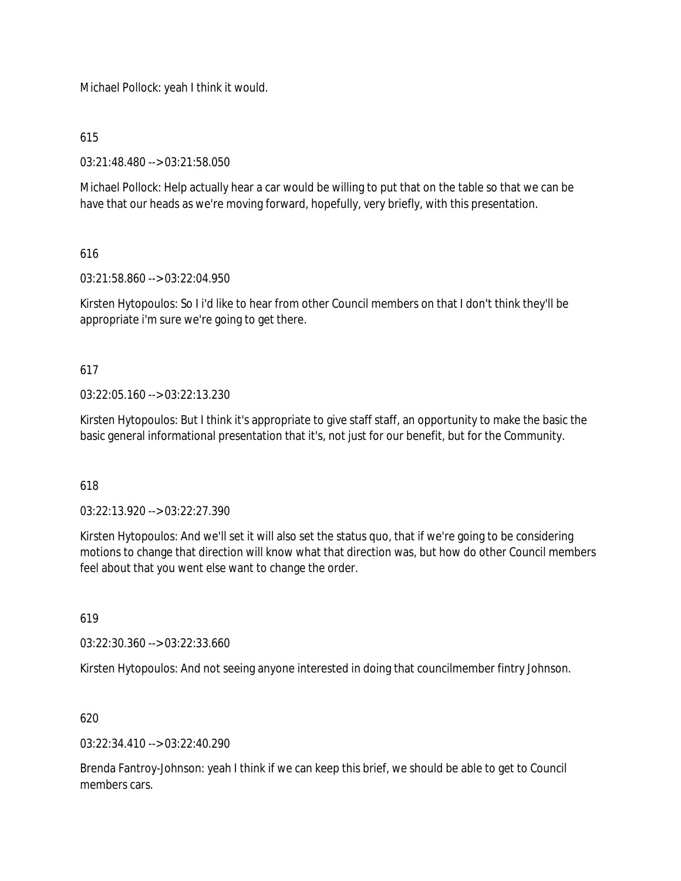Michael Pollock: yeah I think it would.

615

03:21:48.480 --> 03:21:58.050

Michael Pollock: Help actually hear a car would be willing to put that on the table so that we can be have that our heads as we're moving forward, hopefully, very briefly, with this presentation.

616

03:21:58.860 --> 03:22:04.950

Kirsten Hytopoulos: So I i'd like to hear from other Council members on that I don't think they'll be appropriate i'm sure we're going to get there.

617

03:22:05.160 --> 03:22:13.230

Kirsten Hytopoulos: But I think it's appropriate to give staff staff, an opportunity to make the basic the basic general informational presentation that it's, not just for our benefit, but for the Community.

618

03:22:13.920 --> 03:22:27.390

Kirsten Hytopoulos: And we'll set it will also set the status quo, that if we're going to be considering motions to change that direction will know what that direction was, but how do other Council members feel about that you went else want to change the order.

619

03:22:30.360 --> 03:22:33.660

Kirsten Hytopoulos: And not seeing anyone interested in doing that councilmember fintry Johnson.

620

03:22:34.410 --> 03:22:40.290

Brenda Fantroy-Johnson: yeah I think if we can keep this brief, we should be able to get to Council members cars.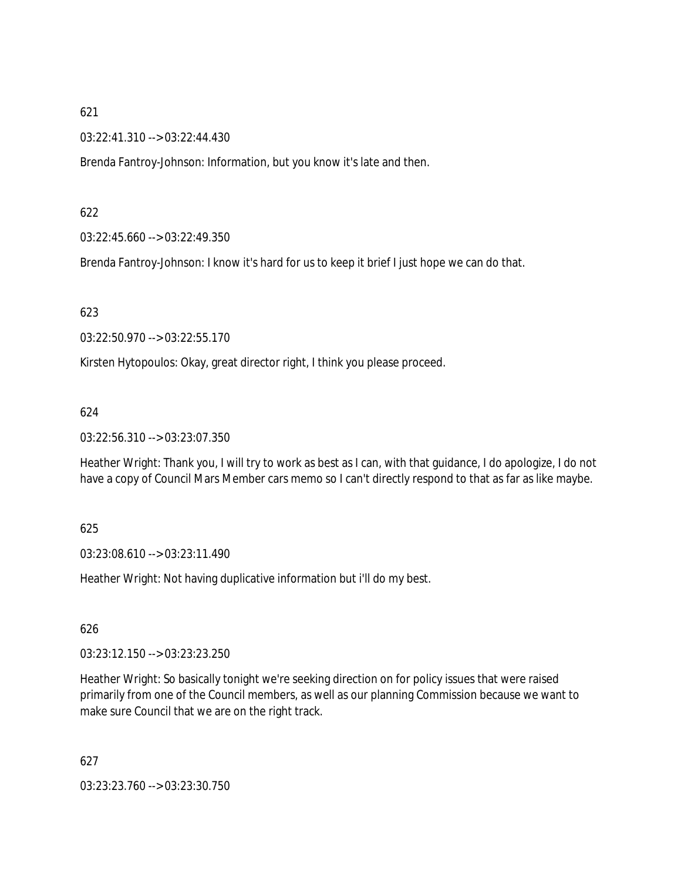03:22:41.310 --> 03:22:44.430

Brenda Fantroy-Johnson: Information, but you know it's late and then.

## 622

03:22:45.660 --> 03:22:49.350

Brenda Fantroy-Johnson: I know it's hard for us to keep it brief I just hope we can do that.

## 623

03:22:50.970 --> 03:22:55.170

Kirsten Hytopoulos: Okay, great director right, I think you please proceed.

# 624

03:22:56.310 --> 03:23:07.350

Heather Wright: Thank you, I will try to work as best as I can, with that guidance, I do apologize, I do not have a copy of Council Mars Member cars memo so I can't directly respond to that as far as like maybe.

## 625

03:23:08.610 --> 03:23:11.490

Heather Wright: Not having duplicative information but i'll do my best.

## 626

03:23:12.150 --> 03:23:23.250

Heather Wright: So basically tonight we're seeking direction on for policy issues that were raised primarily from one of the Council members, as well as our planning Commission because we want to make sure Council that we are on the right track.

627

03:23:23.760 --> 03:23:30.750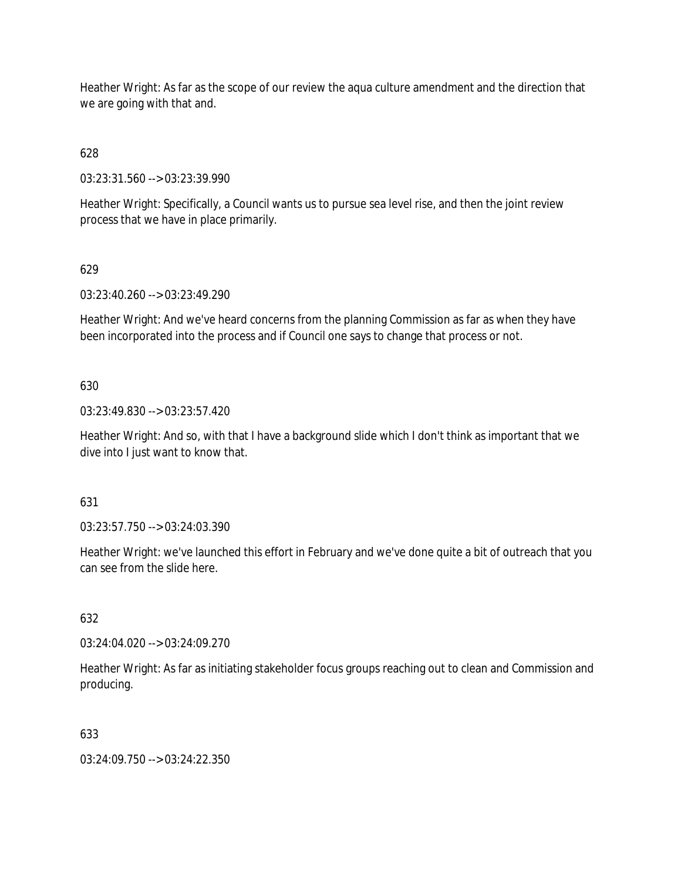Heather Wright: As far as the scope of our review the aqua culture amendment and the direction that we are going with that and.

628

03:23:31.560 --> 03:23:39.990

Heather Wright: Specifically, a Council wants us to pursue sea level rise, and then the joint review process that we have in place primarily.

# 629

03:23:40.260 --> 03:23:49.290

Heather Wright: And we've heard concerns from the planning Commission as far as when they have been incorporated into the process and if Council one says to change that process or not.

# 630

03:23:49.830 --> 03:23:57.420

Heather Wright: And so, with that I have a background slide which I don't think as important that we dive into I just want to know that.

## 631

03:23:57.750 --> 03:24:03.390

Heather Wright: we've launched this effort in February and we've done quite a bit of outreach that you can see from the slide here.

## 632

03:24:04.020 --> 03:24:09.270

Heather Wright: As far as initiating stakeholder focus groups reaching out to clean and Commission and producing.

## 633

03:24:09.750 --> 03:24:22.350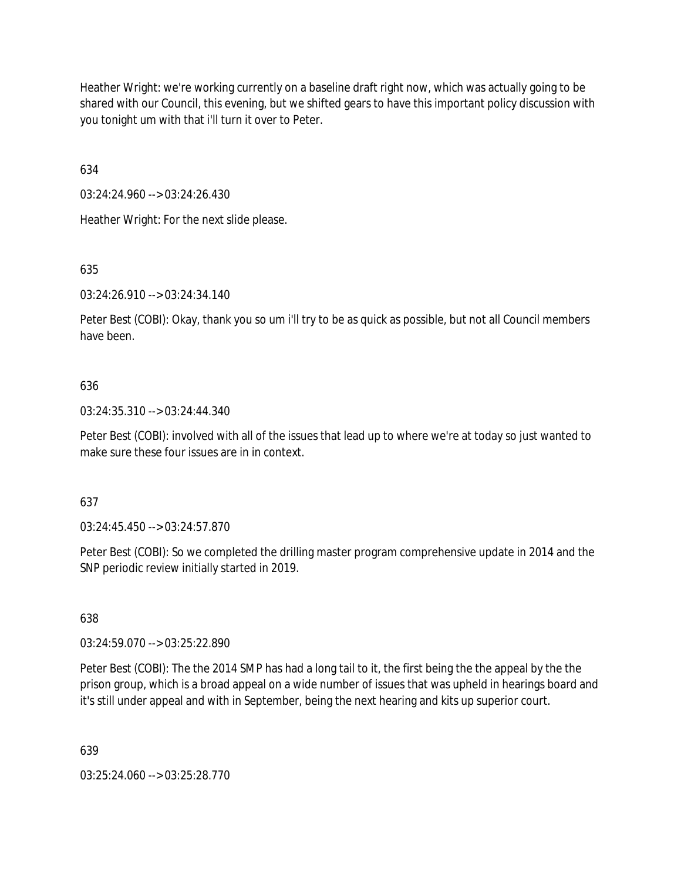Heather Wright: we're working currently on a baseline draft right now, which was actually going to be shared with our Council, this evening, but we shifted gears to have this important policy discussion with you tonight um with that i'll turn it over to Peter.

634

03:24:24.960 --> 03:24:26.430

Heather Wright: For the next slide please.

635

03:24:26.910 --> 03:24:34.140

Peter Best (COBI): Okay, thank you so um i'll try to be as quick as possible, but not all Council members have been.

## 636

03:24:35.310 --> 03:24:44.340

Peter Best (COBI): involved with all of the issues that lead up to where we're at today so just wanted to make sure these four issues are in in context.

## 637

03:24:45.450 --> 03:24:57.870

Peter Best (COBI): So we completed the drilling master program comprehensive update in 2014 and the SNP periodic review initially started in 2019.

638

03:24:59.070 --> 03:25:22.890

Peter Best (COBI): The the 2014 SMP has had a long tail to it, the first being the the appeal by the the prison group, which is a broad appeal on a wide number of issues that was upheld in hearings board and it's still under appeal and with in September, being the next hearing and kits up superior court.

639

03:25:24.060 --> 03:25:28.770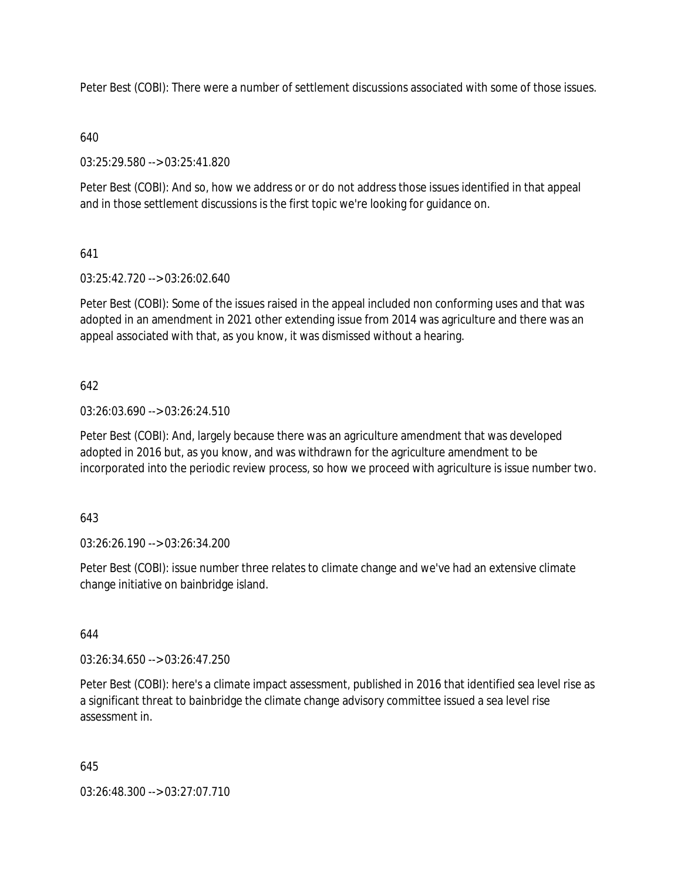Peter Best (COBI): There were a number of settlement discussions associated with some of those issues.

# 640

03:25:29.580 --> 03:25:41.820

Peter Best (COBI): And so, how we address or or do not address those issues identified in that appeal and in those settlement discussions is the first topic we're looking for guidance on.

# 641

03:25:42.720 --> 03:26:02.640

Peter Best (COBI): Some of the issues raised in the appeal included non conforming uses and that was adopted in an amendment in 2021 other extending issue from 2014 was agriculture and there was an appeal associated with that, as you know, it was dismissed without a hearing.

# 642

03:26:03.690 --> 03:26:24.510

Peter Best (COBI): And, largely because there was an agriculture amendment that was developed adopted in 2016 but, as you know, and was withdrawn for the agriculture amendment to be incorporated into the periodic review process, so how we proceed with agriculture is issue number two.

## 643

03:26:26.190 --> 03:26:34.200

Peter Best (COBI): issue number three relates to climate change and we've had an extensive climate change initiative on bainbridge island.

644

03:26:34.650 --> 03:26:47.250

Peter Best (COBI): here's a climate impact assessment, published in 2016 that identified sea level rise as a significant threat to bainbridge the climate change advisory committee issued a sea level rise assessment in.

## 645

03:26:48.300 --> 03:27:07.710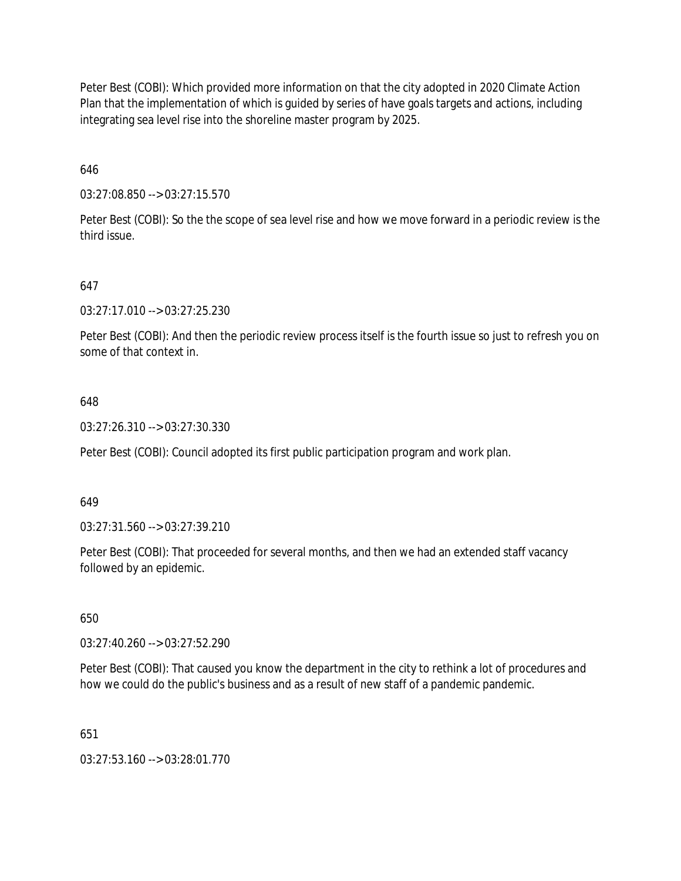Peter Best (COBI): Which provided more information on that the city adopted in 2020 Climate Action Plan that the implementation of which is guided by series of have goals targets and actions, including integrating sea level rise into the shoreline master program by 2025.

646

03:27:08.850 --> 03:27:15.570

Peter Best (COBI): So the the scope of sea level rise and how we move forward in a periodic review is the third issue.

647

03:27:17.010 --> 03:27:25.230

Peter Best (COBI): And then the periodic review process itself is the fourth issue so just to refresh you on some of that context in.

## 648

03:27:26.310 --> 03:27:30.330

Peter Best (COBI): Council adopted its first public participation program and work plan.

#### 649

03:27:31.560 --> 03:27:39.210

Peter Best (COBI): That proceeded for several months, and then we had an extended staff vacancy followed by an epidemic.

650

03:27:40.260 --> 03:27:52.290

Peter Best (COBI): That caused you know the department in the city to rethink a lot of procedures and how we could do the public's business and as a result of new staff of a pandemic pandemic.

651

03:27:53.160 --> 03:28:01.770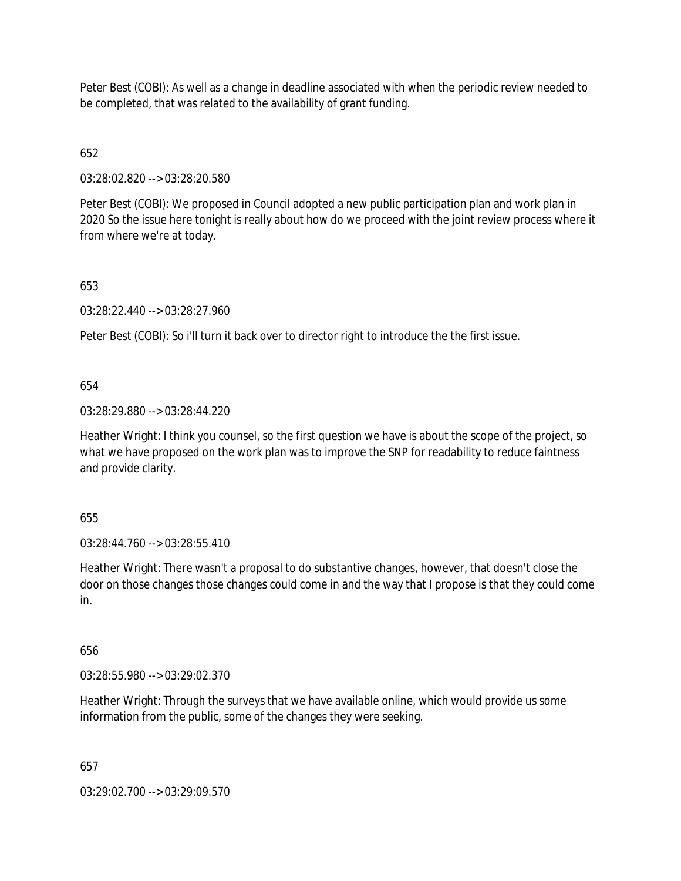Peter Best (COBI): As well as a change in deadline associated with when the periodic review needed to be completed, that was related to the availability of grant funding.

# 652

03:28:02.820 --> 03:28:20.580

Peter Best (COBI): We proposed in Council adopted a new public participation plan and work plan in 2020 So the issue here tonight is really about how do we proceed with the joint review process where it from where we're at today.

# 653

03:28:22.440 --> 03:28:27.960

Peter Best (COBI): So i'll turn it back over to director right to introduce the the first issue.

# 654

03:28:29.880 --> 03:28:44.220

Heather Wright: I think you counsel, so the first question we have is about the scope of the project, so what we have proposed on the work plan was to improve the SNP for readability to reduce faintness and provide clarity.

# 655

03:28:44.760 --> 03:28:55.410

Heather Wright: There wasn't a proposal to do substantive changes, however, that doesn't close the door on those changes those changes could come in and the way that I propose is that they could come in.

# 656

03:28:55.980 --> 03:29:02.370

Heather Wright: Through the surveys that we have available online, which would provide us some information from the public, some of the changes they were seeking.

# 657

03:29:02.700 --> 03:29:09.570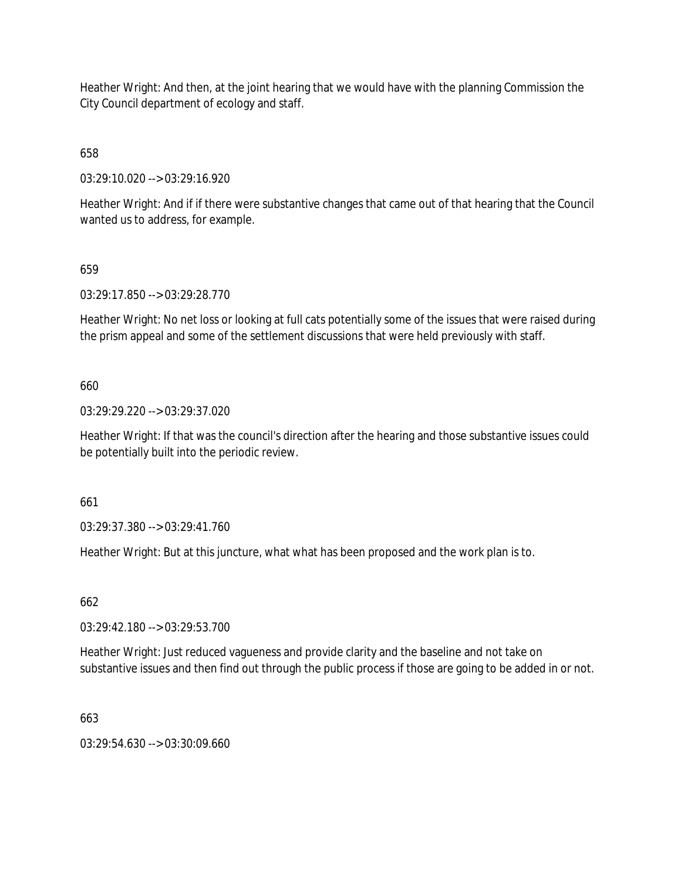Heather Wright: And then, at the joint hearing that we would have with the planning Commission the City Council department of ecology and staff.

658

03:29:10.020 --> 03:29:16.920

Heather Wright: And if if there were substantive changes that came out of that hearing that the Council wanted us to address, for example.

# 659

03:29:17.850 --> 03:29:28.770

Heather Wright: No net loss or looking at full cats potentially some of the issues that were raised during the prism appeal and some of the settlement discussions that were held previously with staff.

# 660

03:29:29.220 --> 03:29:37.020

Heather Wright: If that was the council's direction after the hearing and those substantive issues could be potentially built into the periodic review.

661

03:29:37.380 --> 03:29:41.760

Heather Wright: But at this juncture, what what has been proposed and the work plan is to.

662

03:29:42.180 --> 03:29:53.700

Heather Wright: Just reduced vagueness and provide clarity and the baseline and not take on substantive issues and then find out through the public process if those are going to be added in or not.

663

03:29:54.630 --> 03:30:09.660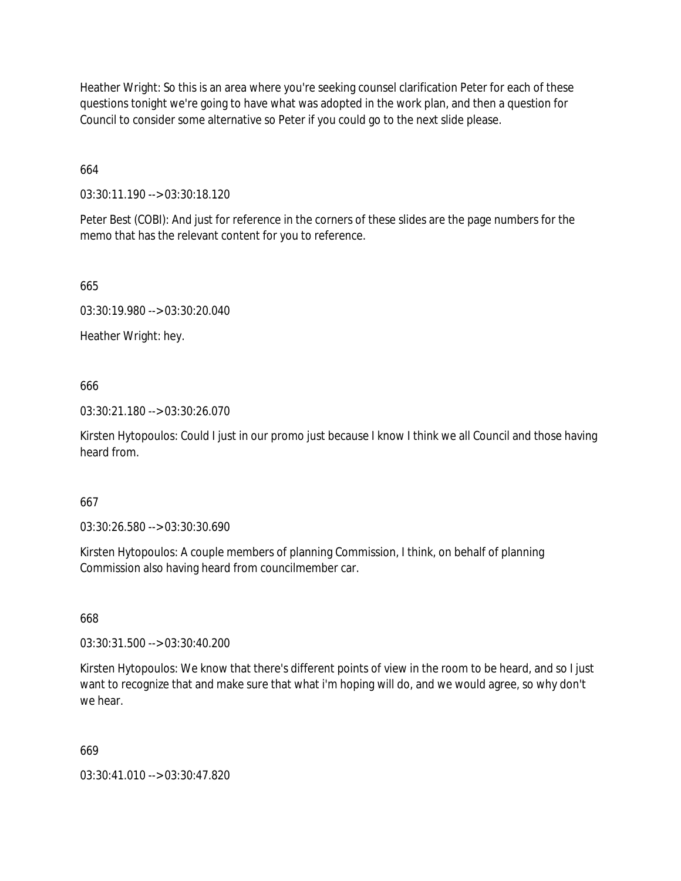Heather Wright: So this is an area where you're seeking counsel clarification Peter for each of these questions tonight we're going to have what was adopted in the work plan, and then a question for Council to consider some alternative so Peter if you could go to the next slide please.

664

03:30:11.190 --> 03:30:18.120

Peter Best (COBI): And just for reference in the corners of these slides are the page numbers for the memo that has the relevant content for you to reference.

665

03:30:19.980 --> 03:30:20.040

Heather Wright: hey.

666

03:30:21.180 --> 03:30:26.070

Kirsten Hytopoulos: Could I just in our promo just because I know I think we all Council and those having heard from.

## 667

03:30:26.580 --> 03:30:30.690

Kirsten Hytopoulos: A couple members of planning Commission, I think, on behalf of planning Commission also having heard from councilmember car.

668

03:30:31.500 --> 03:30:40.200

Kirsten Hytopoulos: We know that there's different points of view in the room to be heard, and so I just want to recognize that and make sure that what i'm hoping will do, and we would agree, so why don't we hear.

669

03:30:41.010 --> 03:30:47.820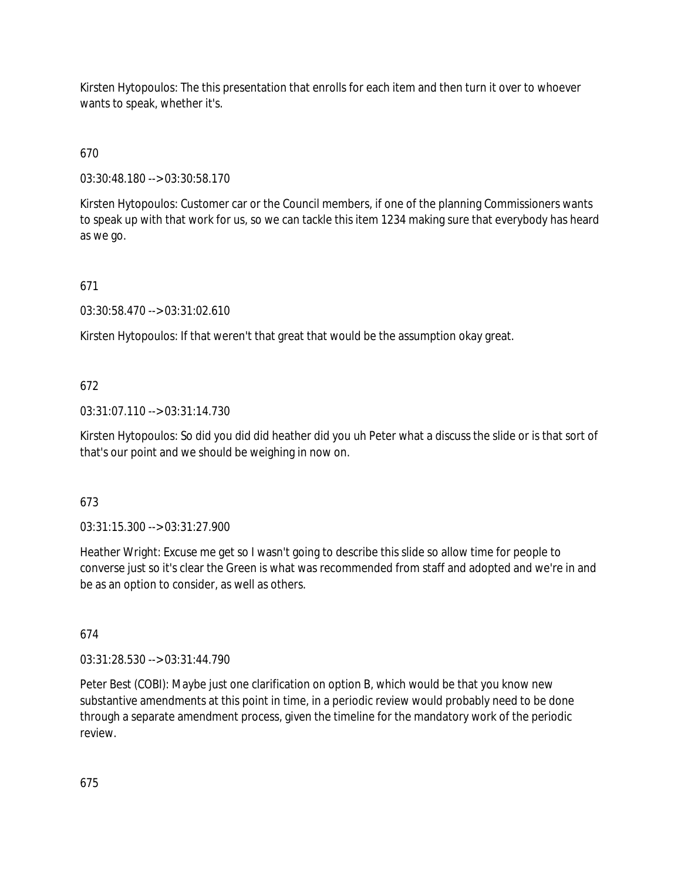Kirsten Hytopoulos: The this presentation that enrolls for each item and then turn it over to whoever wants to speak, whether it's.

670

03:30:48.180 --> 03:30:58.170

Kirsten Hytopoulos: Customer car or the Council members, if one of the planning Commissioners wants to speak up with that work for us, so we can tackle this item 1234 making sure that everybody has heard as we go.

671

03:30:58.470 --> 03:31:02.610

Kirsten Hytopoulos: If that weren't that great that would be the assumption okay great.

# 672

03:31:07.110 --> 03:31:14.730

Kirsten Hytopoulos: So did you did did heather did you uh Peter what a discuss the slide or is that sort of that's our point and we should be weighing in now on.

# 673

03:31:15.300 --> 03:31:27.900

Heather Wright: Excuse me get so I wasn't going to describe this slide so allow time for people to converse just so it's clear the Green is what was recommended from staff and adopted and we're in and be as an option to consider, as well as others.

674

03:31:28.530 --> 03:31:44.790

Peter Best (COBI): Maybe just one clarification on option B, which would be that you know new substantive amendments at this point in time, in a periodic review would probably need to be done through a separate amendment process, given the timeline for the mandatory work of the periodic review.

675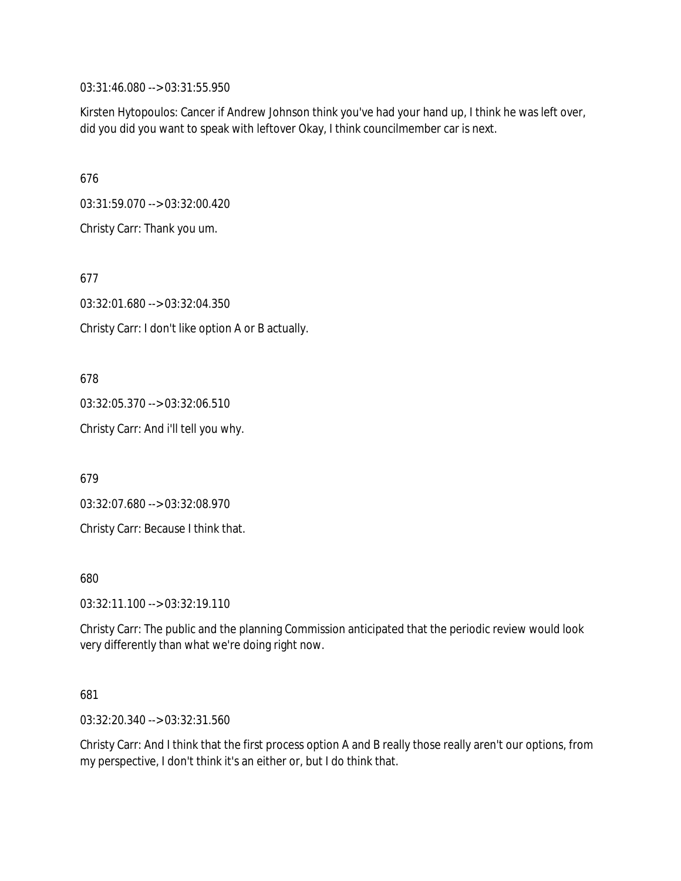03:31:46.080 --> 03:31:55.950

Kirsten Hytopoulos: Cancer if Andrew Johnson think you've had your hand up, I think he was left over, did you did you want to speak with leftover Okay, I think councilmember car is next.

676

03:31:59.070 --> 03:32:00.420

Christy Carr: Thank you um.

677

03:32:01.680 --> 03:32:04.350

Christy Carr: I don't like option A or B actually.

678

03:32:05.370 --> 03:32:06.510

Christy Carr: And i'll tell you why.

679

03:32:07.680 --> 03:32:08.970

Christy Carr: Because I think that.

680

03:32:11.100 --> 03:32:19.110

Christy Carr: The public and the planning Commission anticipated that the periodic review would look very differently than what we're doing right now.

681

03:32:20.340 --> 03:32:31.560

Christy Carr: And I think that the first process option A and B really those really aren't our options, from my perspective, I don't think it's an either or, but I do think that.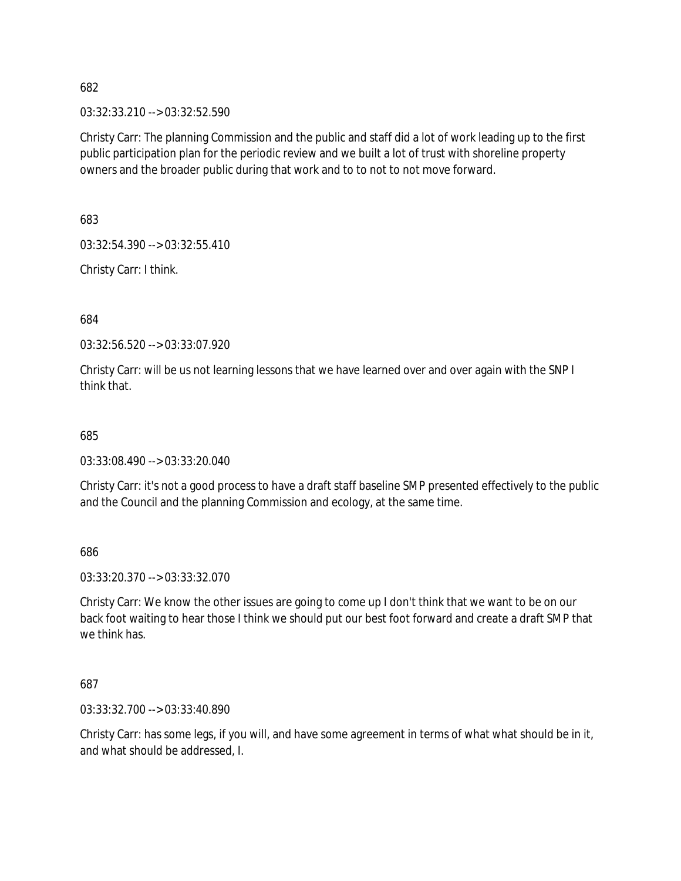03:32:33.210 --> 03:32:52.590

Christy Carr: The planning Commission and the public and staff did a lot of work leading up to the first public participation plan for the periodic review and we built a lot of trust with shoreline property owners and the broader public during that work and to to not to not move forward.

683

03:32:54.390 --> 03:32:55.410

Christy Carr: I think.

684

03:32:56.520 --> 03:33:07.920

Christy Carr: will be us not learning lessons that we have learned over and over again with the SNP I think that.

685

03:33:08.490 --> 03:33:20.040

Christy Carr: it's not a good process to have a draft staff baseline SMP presented effectively to the public and the Council and the planning Commission and ecology, at the same time.

686

03:33:20.370 --> 03:33:32.070

Christy Carr: We know the other issues are going to come up I don't think that we want to be on our back foot waiting to hear those I think we should put our best foot forward and create a draft SMP that we think has.

687

03:33:32.700 --> 03:33:40.890

Christy Carr: has some legs, if you will, and have some agreement in terms of what what should be in it, and what should be addressed, I.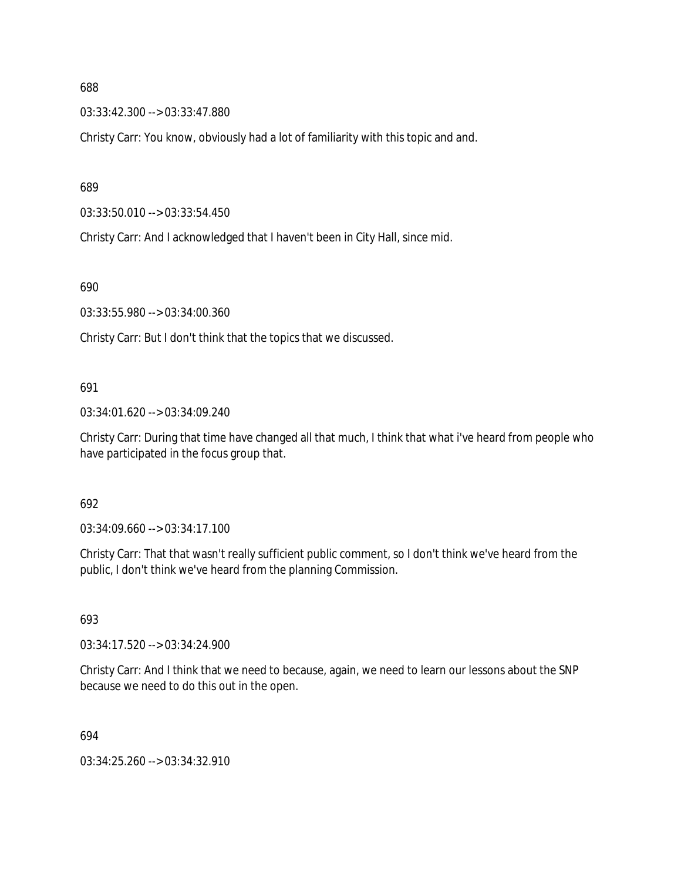03:33:42.300 --> 03:33:47.880

Christy Carr: You know, obviously had a lot of familiarity with this topic and and.

689

03:33:50.010 --> 03:33:54.450

Christy Carr: And I acknowledged that I haven't been in City Hall, since mid.

690

03:33:55.980 --> 03:34:00.360

Christy Carr: But I don't think that the topics that we discussed.

#### 691

03:34:01.620 --> 03:34:09.240

Christy Carr: During that time have changed all that much, I think that what i've heard from people who have participated in the focus group that.

#### 692

03:34:09.660 --> 03:34:17.100

Christy Carr: That that wasn't really sufficient public comment, so I don't think we've heard from the public, I don't think we've heard from the planning Commission.

#### 693

03:34:17.520 --> 03:34:24.900

Christy Carr: And I think that we need to because, again, we need to learn our lessons about the SNP because we need to do this out in the open.

694

03:34:25.260 --> 03:34:32.910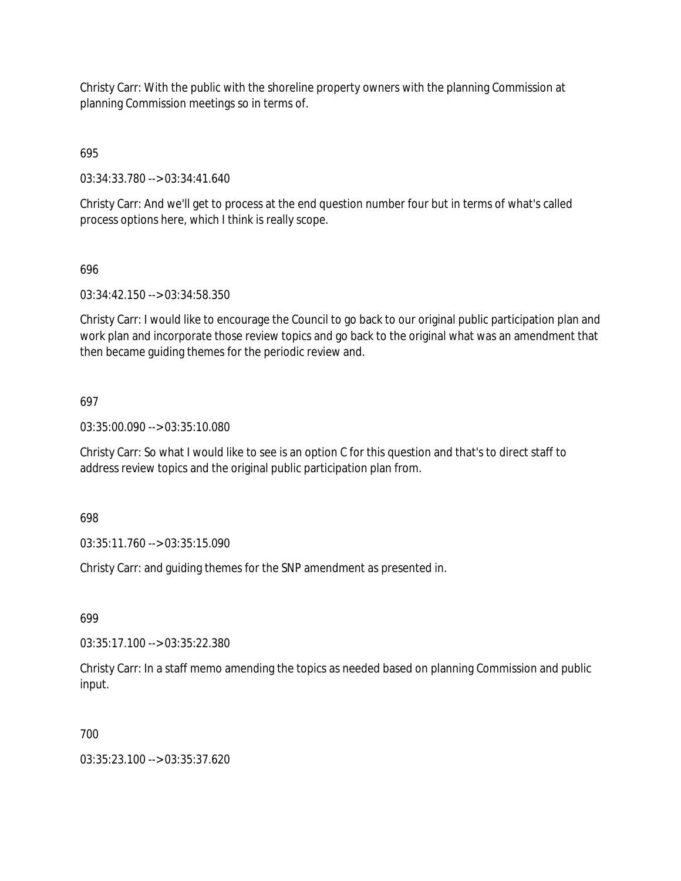Christy Carr: With the public with the shoreline property owners with the planning Commission at planning Commission meetings so in terms of.

695

03:34:33.780 --> 03:34:41.640

Christy Carr: And we'll get to process at the end question number four but in terms of what's called process options here, which I think is really scope.

696

03:34:42.150 --> 03:34:58.350

Christy Carr: I would like to encourage the Council to go back to our original public participation plan and work plan and incorporate those review topics and go back to the original what was an amendment that then became guiding themes for the periodic review and.

697

03:35:00.090 --> 03:35:10.080

Christy Carr: So what I would like to see is an option C for this question and that's to direct staff to address review topics and the original public participation plan from.

698

03:35:11.760 --> 03:35:15.090

Christy Carr: and guiding themes for the SNP amendment as presented in.

699

03:35:17.100 --> 03:35:22.380

Christy Carr: In a staff memo amending the topics as needed based on planning Commission and public input.

700

03:35:23.100 --> 03:35:37.620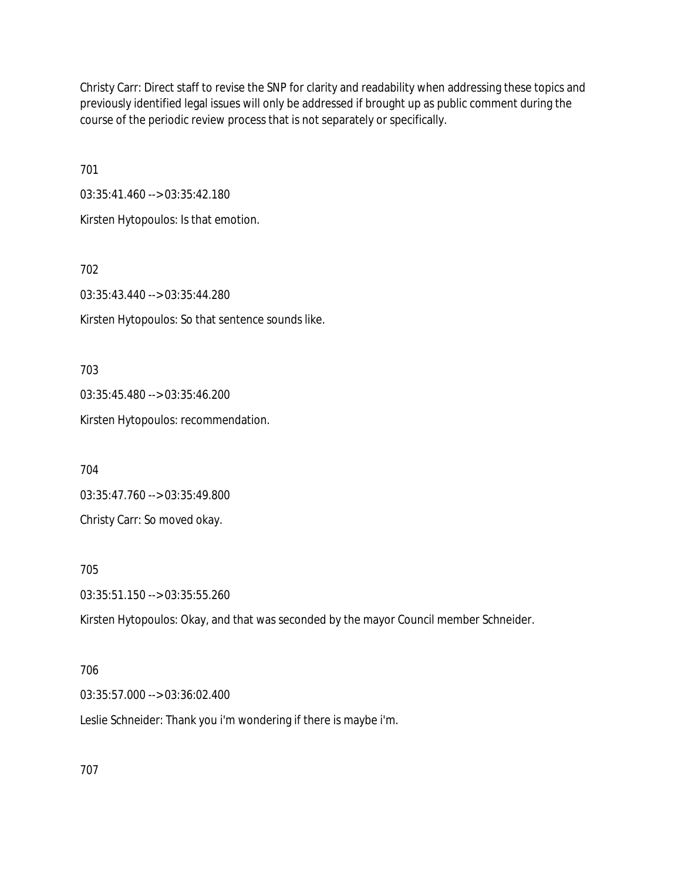Christy Carr: Direct staff to revise the SNP for clarity and readability when addressing these topics and previously identified legal issues will only be addressed if brought up as public comment during the course of the periodic review process that is not separately or specifically.

701

03:35:41.460 --> 03:35:42.180

Kirsten Hytopoulos: Is that emotion.

702

03:35:43.440 --> 03:35:44.280

Kirsten Hytopoulos: So that sentence sounds like.

703

03:35:45.480 --> 03:35:46.200 Kirsten Hytopoulos: recommendation.

704

03:35:47.760 --> 03:35:49.800 Christy Carr: So moved okay.

705

03:35:51.150 --> 03:35:55.260

Kirsten Hytopoulos: Okay, and that was seconded by the mayor Council member Schneider.

# 706

03:35:57.000 --> 03:36:02.400

Leslie Schneider: Thank you i'm wondering if there is maybe i'm.

707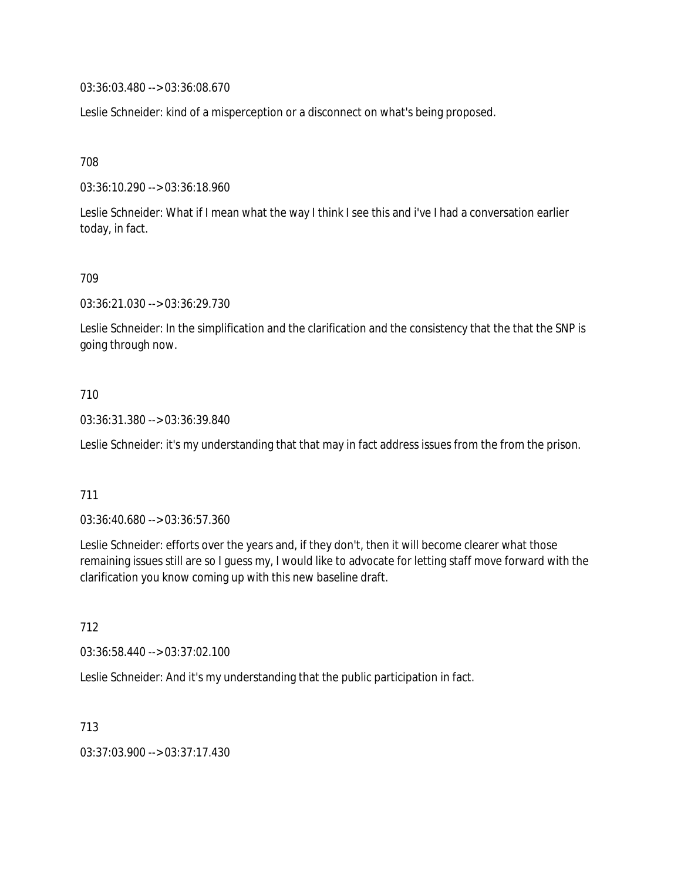03:36:03.480 --> 03:36:08.670

Leslie Schneider: kind of a misperception or a disconnect on what's being proposed.

708

03:36:10.290 --> 03:36:18.960

Leslie Schneider: What if I mean what the way I think I see this and i've I had a conversation earlier today, in fact.

709

03:36:21.030 --> 03:36:29.730

Leslie Schneider: In the simplification and the clarification and the consistency that the that the SNP is going through now.

# 710

03:36:31.380 --> 03:36:39.840

Leslie Schneider: it's my understanding that that may in fact address issues from the from the prison.

### 711

03:36:40.680 --> 03:36:57.360

Leslie Schneider: efforts over the years and, if they don't, then it will become clearer what those remaining issues still are so I guess my, I would like to advocate for letting staff move forward with the clarification you know coming up with this new baseline draft.

712

03:36:58.440 --> 03:37:02.100

Leslie Schneider: And it's my understanding that the public participation in fact.

713

03:37:03.900 --> 03:37:17.430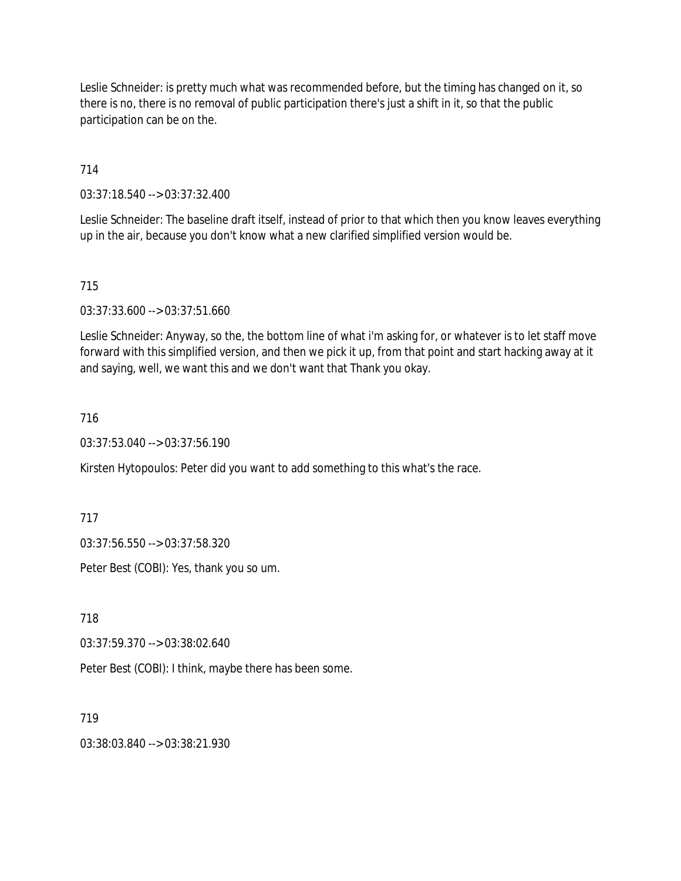Leslie Schneider: is pretty much what was recommended before, but the timing has changed on it, so there is no, there is no removal of public participation there's just a shift in it, so that the public participation can be on the.

714

03:37:18.540 --> 03:37:32.400

Leslie Schneider: The baseline draft itself, instead of prior to that which then you know leaves everything up in the air, because you don't know what a new clarified simplified version would be.

715

03:37:33.600 --> 03:37:51.660

Leslie Schneider: Anyway, so the, the bottom line of what i'm asking for, or whatever is to let staff move forward with this simplified version, and then we pick it up, from that point and start hacking away at it and saying, well, we want this and we don't want that Thank you okay.

716

03:37:53.040 --> 03:37:56.190

Kirsten Hytopoulos: Peter did you want to add something to this what's the race.

717

03:37:56.550 --> 03:37:58.320

Peter Best (COBI): Yes, thank you so um.

718

03:37:59.370 --> 03:38:02.640

Peter Best (COBI): I think, maybe there has been some.

719

03:38:03.840 --> 03:38:21.930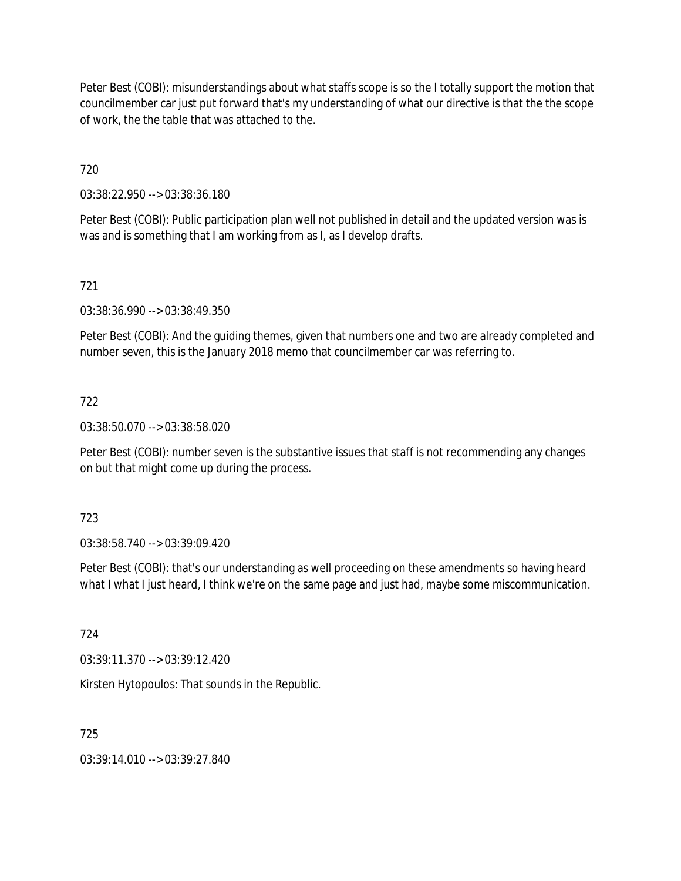Peter Best (COBI): misunderstandings about what staffs scope is so the I totally support the motion that councilmember car just put forward that's my understanding of what our directive is that the the scope of work, the the table that was attached to the.

720

03:38:22.950 --> 03:38:36.180

Peter Best (COBI): Public participation plan well not published in detail and the updated version was is was and is something that I am working from as I, as I develop drafts.

# 721

03:38:36.990 --> 03:38:49.350

Peter Best (COBI): And the guiding themes, given that numbers one and two are already completed and number seven, this is the January 2018 memo that councilmember car was referring to.

# 722

03:38:50.070 --> 03:38:58.020

Peter Best (COBI): number seven is the substantive issues that staff is not recommending any changes on but that might come up during the process.

### 723

03:38:58.740 --> 03:39:09.420

Peter Best (COBI): that's our understanding as well proceeding on these amendments so having heard what I what I just heard, I think we're on the same page and just had, maybe some miscommunication.

724

03:39:11.370 --> 03:39:12.420

Kirsten Hytopoulos: That sounds in the Republic.

### 725

03:39:14.010 --> 03:39:27.840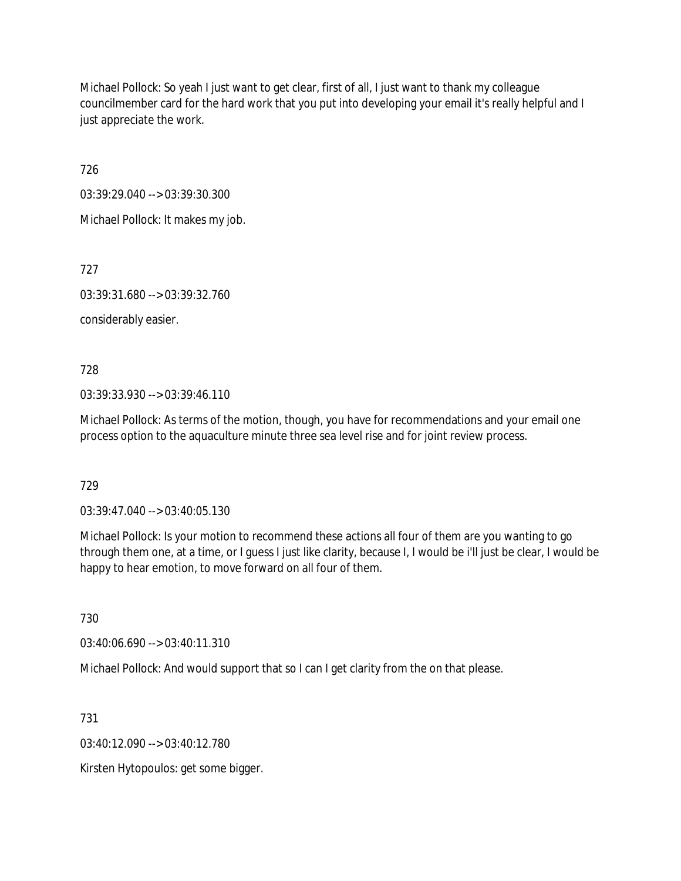Michael Pollock: So yeah I just want to get clear, first of all, I just want to thank my colleague councilmember card for the hard work that you put into developing your email it's really helpful and I just appreciate the work.

726

03:39:29.040 --> 03:39:30.300

Michael Pollock: It makes my job.

727

03:39:31.680 --> 03:39:32.760

considerably easier.

728

03:39:33.930 --> 03:39:46.110

Michael Pollock: As terms of the motion, though, you have for recommendations and your email one process option to the aquaculture minute three sea level rise and for joint review process.

729

03:39:47.040 --> 03:40:05.130

Michael Pollock: Is your motion to recommend these actions all four of them are you wanting to go through them one, at a time, or I guess I just like clarity, because I, I would be i'll just be clear, I would be happy to hear emotion, to move forward on all four of them.

730

03:40:06.690 --> 03:40:11.310

Michael Pollock: And would support that so I can I get clarity from the on that please.

731

03:40:12.090 --> 03:40:12.780

Kirsten Hytopoulos: get some bigger.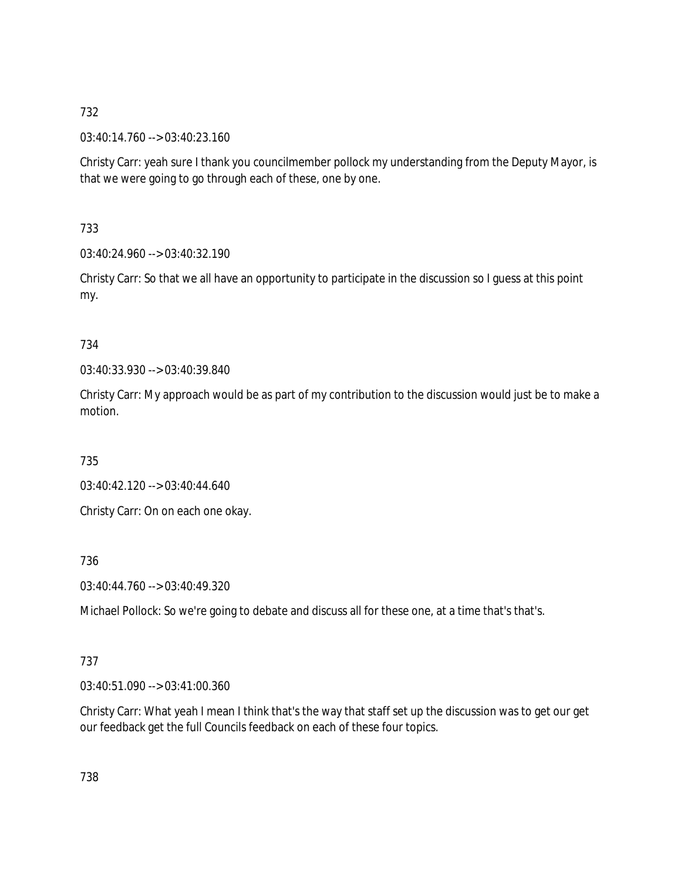03:40:14.760 --> 03:40:23.160

Christy Carr: yeah sure I thank you councilmember pollock my understanding from the Deputy Mayor, is that we were going to go through each of these, one by one.

733

03:40:24.960 --> 03:40:32.190

Christy Carr: So that we all have an opportunity to participate in the discussion so I guess at this point my.

# 734

03:40:33.930 --> 03:40:39.840

Christy Carr: My approach would be as part of my contribution to the discussion would just be to make a motion.

735

03:40:42.120 --> 03:40:44.640

Christy Carr: On on each one okay.

736

03:40:44.760 --> 03:40:49.320

Michael Pollock: So we're going to debate and discuss all for these one, at a time that's that's.

# 737

03:40:51.090 --> 03:41:00.360

Christy Carr: What yeah I mean I think that's the way that staff set up the discussion was to get our get our feedback get the full Councils feedback on each of these four topics.

738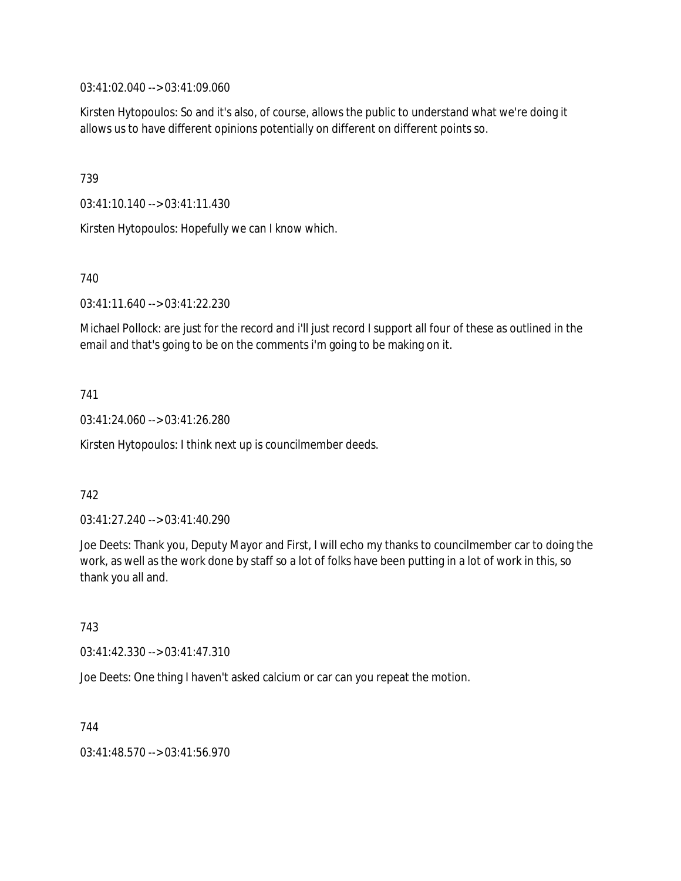03:41:02.040 --> 03:41:09.060

Kirsten Hytopoulos: So and it's also, of course, allows the public to understand what we're doing it allows us to have different opinions potentially on different on different points so.

739

03:41:10.140 --> 03:41:11.430

Kirsten Hytopoulos: Hopefully we can I know which.

740

03:41:11.640 --> 03:41:22.230

Michael Pollock: are just for the record and i'll just record I support all four of these as outlined in the email and that's going to be on the comments i'm going to be making on it.

741

03:41:24.060 --> 03:41:26.280

Kirsten Hytopoulos: I think next up is councilmember deeds.

### 742

03:41:27.240 --> 03:41:40.290

Joe Deets: Thank you, Deputy Mayor and First, I will echo my thanks to councilmember car to doing the work, as well as the work done by staff so a lot of folks have been putting in a lot of work in this, so thank you all and.

743

03:41:42.330 --> 03:41:47.310

Joe Deets: One thing I haven't asked calcium or car can you repeat the motion.

744

03:41:48.570 --> 03:41:56.970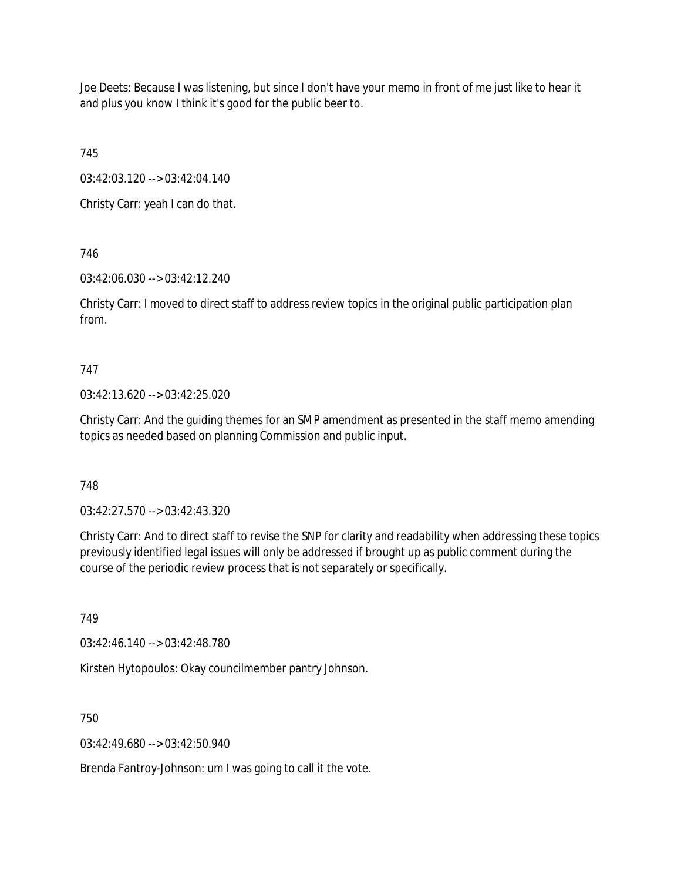Joe Deets: Because I was listening, but since I don't have your memo in front of me just like to hear it and plus you know I think it's good for the public beer to.

745

03:42:03.120 --> 03:42:04.140

Christy Carr: yeah I can do that.

746

03:42:06.030 --> 03:42:12.240

Christy Carr: I moved to direct staff to address review topics in the original public participation plan from.

# 747

03:42:13.620 --> 03:42:25.020

Christy Carr: And the guiding themes for an SMP amendment as presented in the staff memo amending topics as needed based on planning Commission and public input.

# 748

03:42:27.570 --> 03:42:43.320

Christy Carr: And to direct staff to revise the SNP for clarity and readability when addressing these topics previously identified legal issues will only be addressed if brought up as public comment during the course of the periodic review process that is not separately or specifically.

749

03:42:46.140 --> 03:42:48.780

Kirsten Hytopoulos: Okay councilmember pantry Johnson.

750

03:42:49.680 --> 03:42:50.940

Brenda Fantroy-Johnson: um I was going to call it the vote.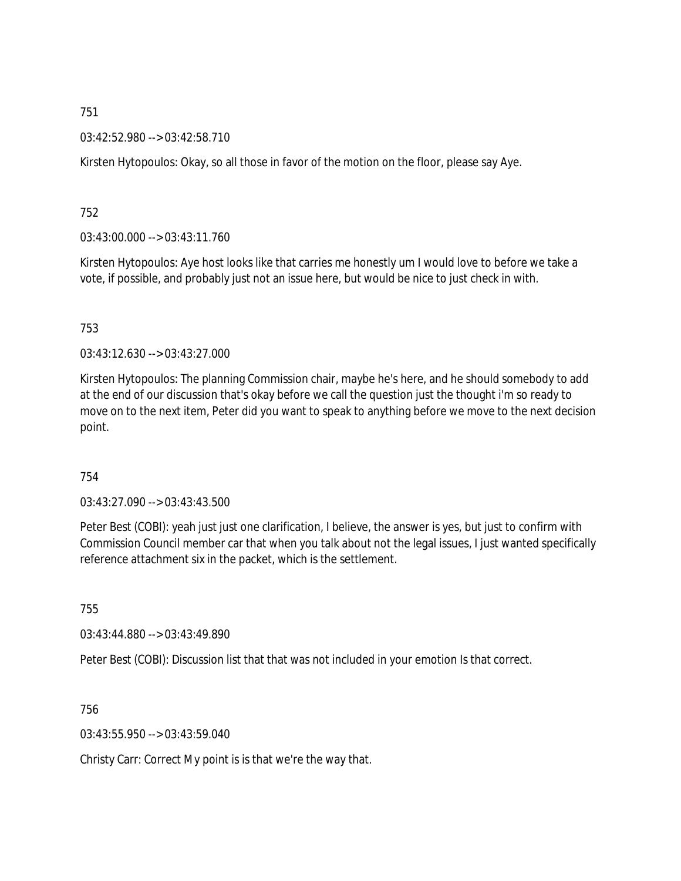03:42:52.980 --> 03:42:58.710

Kirsten Hytopoulos: Okay, so all those in favor of the motion on the floor, please say Aye.

752

03:43:00.000 --> 03:43:11.760

Kirsten Hytopoulos: Aye host looks like that carries me honestly um I would love to before we take a vote, if possible, and probably just not an issue here, but would be nice to just check in with.

753

03:43:12.630 --> 03:43:27.000

Kirsten Hytopoulos: The planning Commission chair, maybe he's here, and he should somebody to add at the end of our discussion that's okay before we call the question just the thought i'm so ready to move on to the next item, Peter did you want to speak to anything before we move to the next decision point.

754

03:43:27.090 --> 03:43:43.500

Peter Best (COBI): yeah just just one clarification, I believe, the answer is yes, but just to confirm with Commission Council member car that when you talk about not the legal issues, I just wanted specifically reference attachment six in the packet, which is the settlement.

755

03:43:44.880 --> 03:43:49.890

Peter Best (COBI): Discussion list that that was not included in your emotion Is that correct.

756

03:43:55.950 --> 03:43:59.040

Christy Carr: Correct My point is is that we're the way that.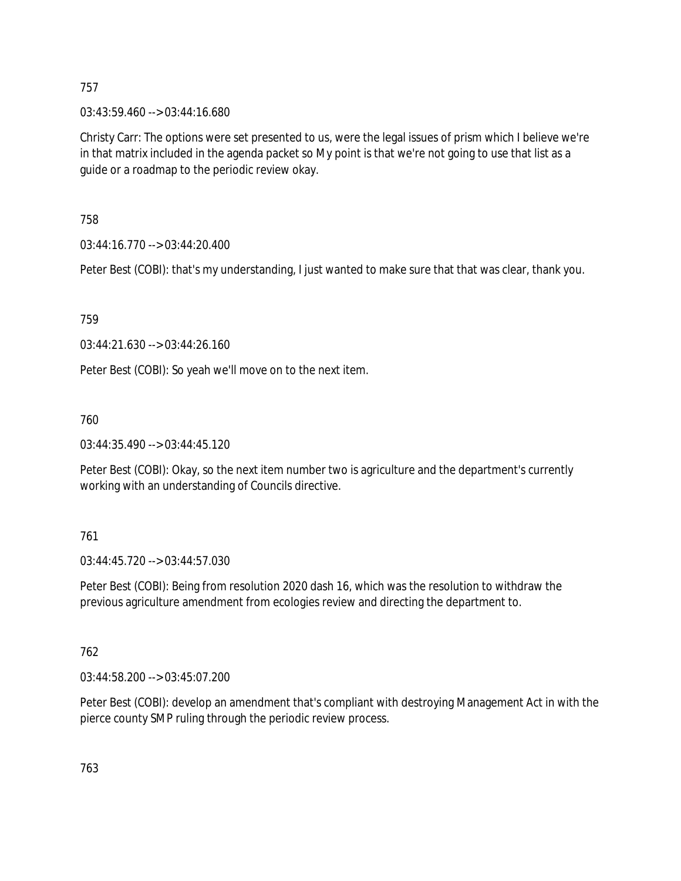03:43:59.460 --> 03:44:16.680

Christy Carr: The options were set presented to us, were the legal issues of prism which I believe we're in that matrix included in the agenda packet so My point is that we're not going to use that list as a guide or a roadmap to the periodic review okay.

758

03:44:16.770 --> 03:44:20.400

Peter Best (COBI): that's my understanding, I just wanted to make sure that that was clear, thank you.

759

03:44:21.630 --> 03:44:26.160

Peter Best (COBI): So yeah we'll move on to the next item.

760

03:44:35.490 --> 03:44:45.120

Peter Best (COBI): Okay, so the next item number two is agriculture and the department's currently working with an understanding of Councils directive.

761

03:44:45.720 --> 03:44:57.030

Peter Best (COBI): Being from resolution 2020 dash 16, which was the resolution to withdraw the previous agriculture amendment from ecologies review and directing the department to.

762

03:44:58.200 --> 03:45:07.200

Peter Best (COBI): develop an amendment that's compliant with destroying Management Act in with the pierce county SMP ruling through the periodic review process.

763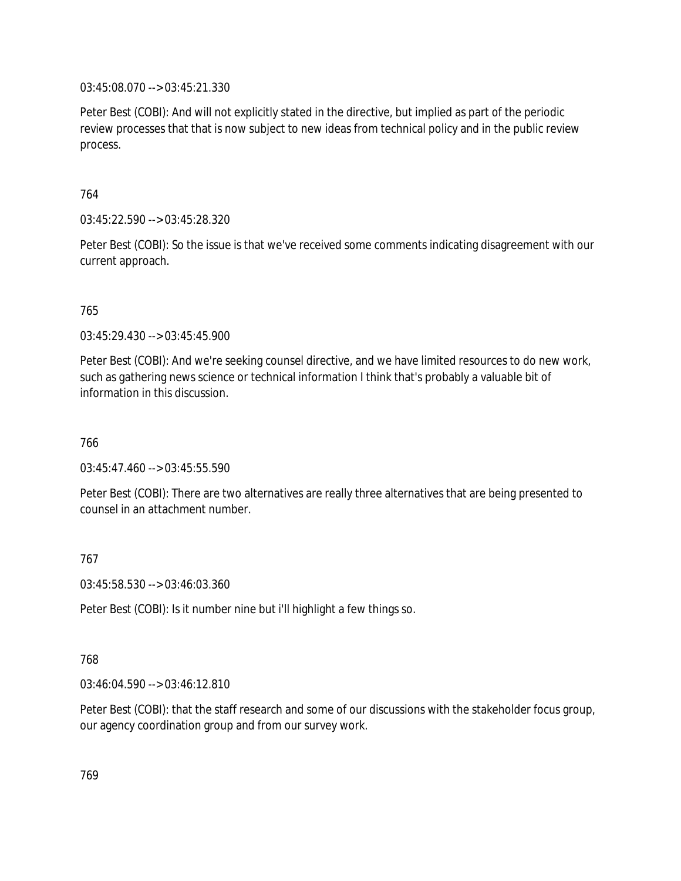03:45:08.070 --> 03:45:21.330

Peter Best (COBI): And will not explicitly stated in the directive, but implied as part of the periodic review processes that that is now subject to new ideas from technical policy and in the public review process.

764

03:45:22.590 --> 03:45:28.320

Peter Best (COBI): So the issue is that we've received some comments indicating disagreement with our current approach.

765

03:45:29.430 --> 03:45:45.900

Peter Best (COBI): And we're seeking counsel directive, and we have limited resources to do new work, such as gathering news science or technical information I think that's probably a valuable bit of information in this discussion.

766

03:45:47.460 --> 03:45:55.590

Peter Best (COBI): There are two alternatives are really three alternatives that are being presented to counsel in an attachment number.

767

03:45:58.530 --> 03:46:03.360

Peter Best (COBI): Is it number nine but i'll highlight a few things so.

768

03:46:04.590 --> 03:46:12.810

Peter Best (COBI): that the staff research and some of our discussions with the stakeholder focus group, our agency coordination group and from our survey work.

769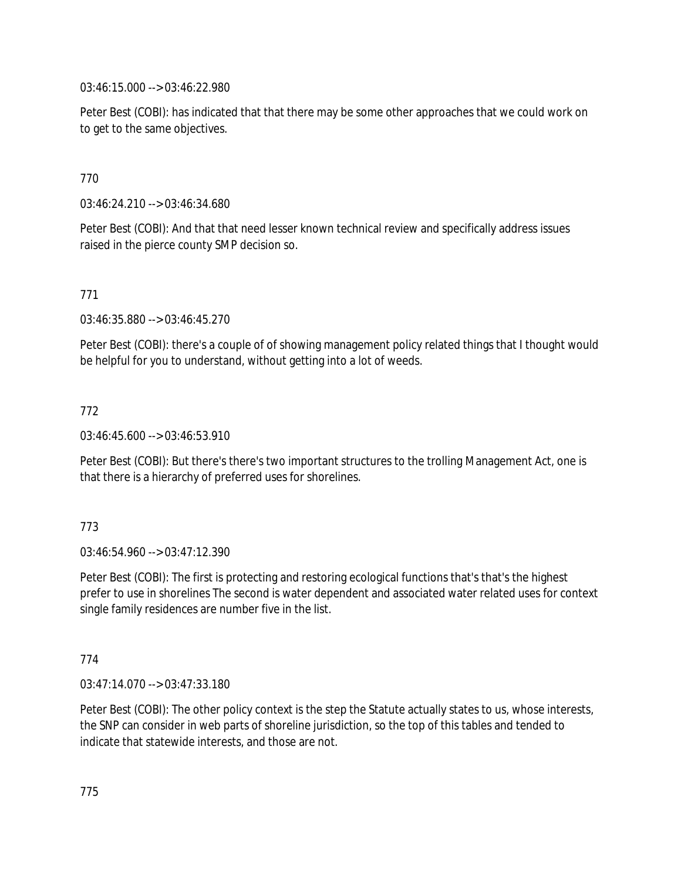03:46:15.000 --> 03:46:22.980

Peter Best (COBI): has indicated that that there may be some other approaches that we could work on to get to the same objectives.

# 770

03:46:24.210 --> 03:46:34.680

Peter Best (COBI): And that that need lesser known technical review and specifically address issues raised in the pierce county SMP decision so.

# 771

03:46:35.880 --> 03:46:45.270

Peter Best (COBI): there's a couple of of showing management policy related things that I thought would be helpful for you to understand, without getting into a lot of weeds.

# 772

03:46:45.600 --> 03:46:53.910

Peter Best (COBI): But there's there's two important structures to the trolling Management Act, one is that there is a hierarchy of preferred uses for shorelines.

### 773

03:46:54.960 --> 03:47:12.390

Peter Best (COBI): The first is protecting and restoring ecological functions that's that's the highest prefer to use in shorelines The second is water dependent and associated water related uses for context single family residences are number five in the list.

### 774

03:47:14.070 --> 03:47:33.180

Peter Best (COBI): The other policy context is the step the Statute actually states to us, whose interests, the SNP can consider in web parts of shoreline jurisdiction, so the top of this tables and tended to indicate that statewide interests, and those are not.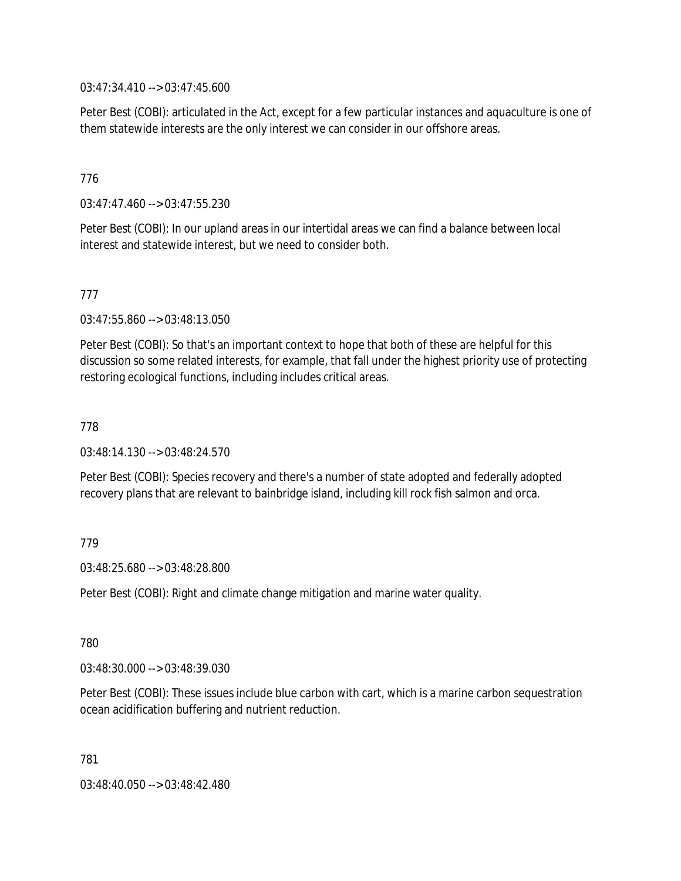03:47:34.410 --> 03:47:45.600

Peter Best (COBI): articulated in the Act, except for a few particular instances and aquaculture is one of them statewide interests are the only interest we can consider in our offshore areas.

# 776

03:47:47.460 --> 03:47:55.230

Peter Best (COBI): In our upland areas in our intertidal areas we can find a balance between local interest and statewide interest, but we need to consider both.

### 777

03:47:55.860 --> 03:48:13.050

Peter Best (COBI): So that's an important context to hope that both of these are helpful for this discussion so some related interests, for example, that fall under the highest priority use of protecting restoring ecological functions, including includes critical areas.

### 778

03:48:14.130 --> 03:48:24.570

Peter Best (COBI): Species recovery and there's a number of state adopted and federally adopted recovery plans that are relevant to bainbridge island, including kill rock fish salmon and orca.

### 779

03:48:25.680 --> 03:48:28.800

Peter Best (COBI): Right and climate change mitigation and marine water quality.

780

03:48:30.000 --> 03:48:39.030

Peter Best (COBI): These issues include blue carbon with cart, which is a marine carbon sequestration ocean acidification buffering and nutrient reduction.

781

03:48:40.050 --> 03:48:42.480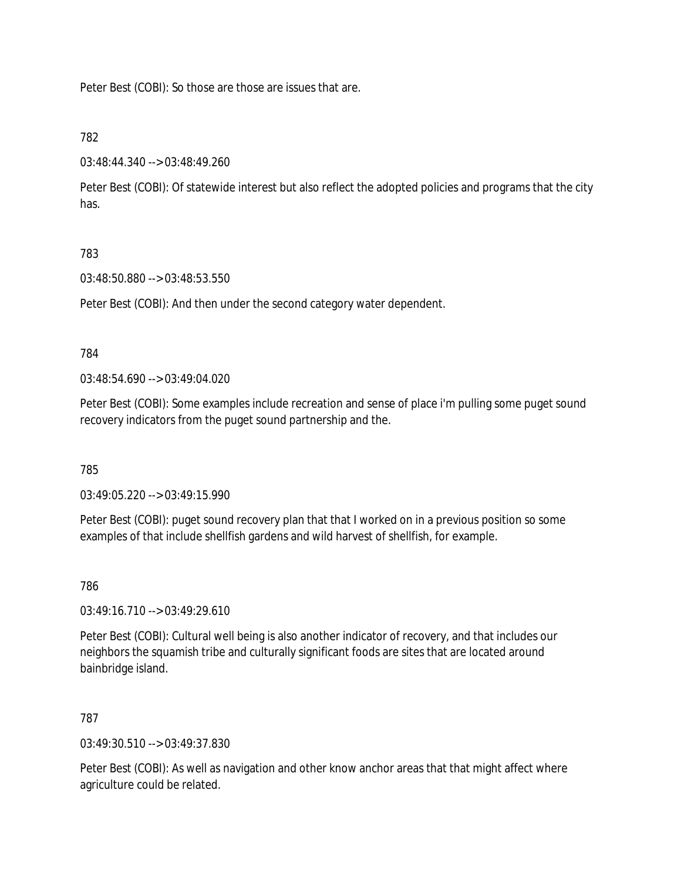Peter Best (COBI): So those are those are issues that are.

# 782

03:48:44.340 --> 03:48:49.260

Peter Best (COBI): Of statewide interest but also reflect the adopted policies and programs that the city has.

# 783

03:48:50.880 --> 03:48:53.550

Peter Best (COBI): And then under the second category water dependent.

### 784

03:48:54.690 --> 03:49:04.020

Peter Best (COBI): Some examples include recreation and sense of place i'm pulling some puget sound recovery indicators from the puget sound partnership and the.

785

03:49:05.220 --> 03:49:15.990

Peter Best (COBI): puget sound recovery plan that that I worked on in a previous position so some examples of that include shellfish gardens and wild harvest of shellfish, for example.

786

03:49:16.710 --> 03:49:29.610

Peter Best (COBI): Cultural well being is also another indicator of recovery, and that includes our neighbors the squamish tribe and culturally significant foods are sites that are located around bainbridge island.

### 787

03:49:30.510 --> 03:49:37.830

Peter Best (COBI): As well as navigation and other know anchor areas that that might affect where agriculture could be related.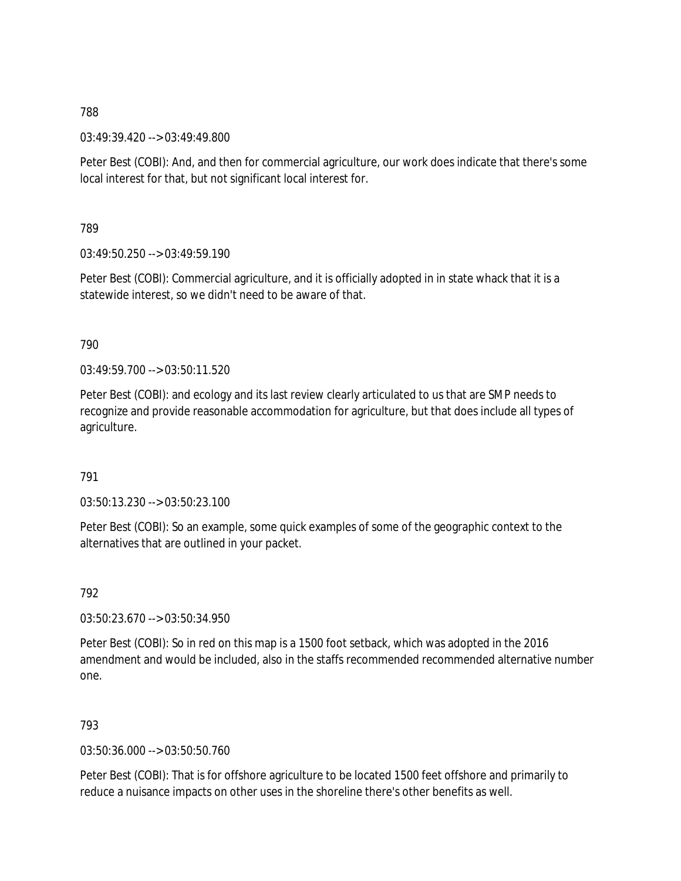03:49:39.420 --> 03:49:49.800

Peter Best (COBI): And, and then for commercial agriculture, our work does indicate that there's some local interest for that, but not significant local interest for.

789

 $03:49:50.250 \rightarrow 03:49:59.190$ 

Peter Best (COBI): Commercial agriculture, and it is officially adopted in in state whack that it is a statewide interest, so we didn't need to be aware of that.

790

03:49:59.700 --> 03:50:11.520

Peter Best (COBI): and ecology and its last review clearly articulated to us that are SMP needs to recognize and provide reasonable accommodation for agriculture, but that does include all types of agriculture.

791

03:50:13.230 --> 03:50:23.100

Peter Best (COBI): So an example, some quick examples of some of the geographic context to the alternatives that are outlined in your packet.

792

03:50:23.670 --> 03:50:34.950

Peter Best (COBI): So in red on this map is a 1500 foot setback, which was adopted in the 2016 amendment and would be included, also in the staffs recommended recommended alternative number one.

793

03:50:36.000 --> 03:50:50.760

Peter Best (COBI): That is for offshore agriculture to be located 1500 feet offshore and primarily to reduce a nuisance impacts on other uses in the shoreline there's other benefits as well.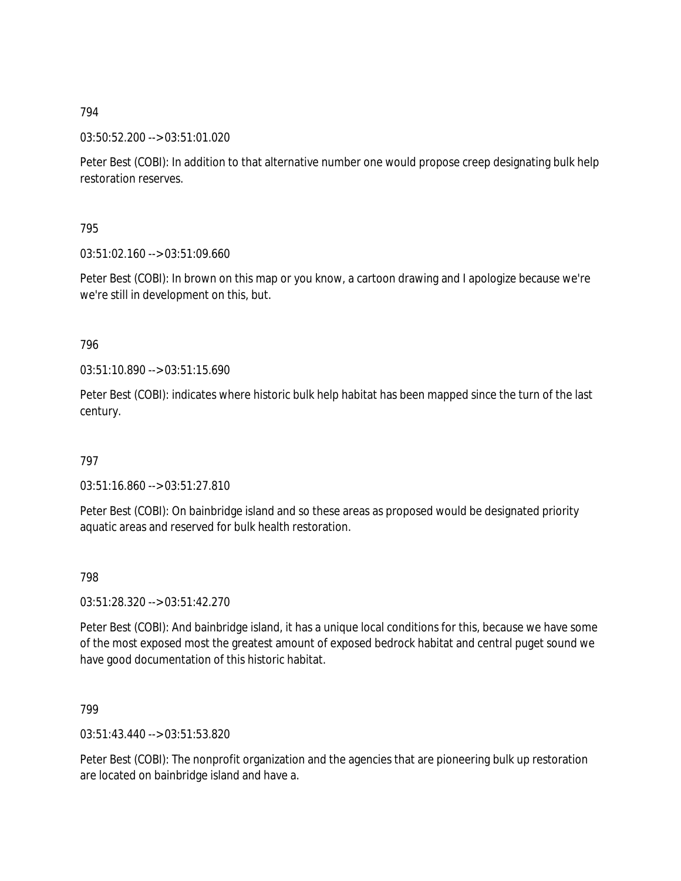03:50:52.200 --> 03:51:01.020

Peter Best (COBI): In addition to that alternative number one would propose creep designating bulk help restoration reserves.

795

03:51:02.160 --> 03:51:09.660

Peter Best (COBI): In brown on this map or you know, a cartoon drawing and I apologize because we're we're still in development on this, but.

796

03:51:10.890 --> 03:51:15.690

Peter Best (COBI): indicates where historic bulk help habitat has been mapped since the turn of the last century.

797

03:51:16.860 --> 03:51:27.810

Peter Best (COBI): On bainbridge island and so these areas as proposed would be designated priority aquatic areas and reserved for bulk health restoration.

798

03:51:28.320 --> 03:51:42.270

Peter Best (COBI): And bainbridge island, it has a unique local conditions for this, because we have some of the most exposed most the greatest amount of exposed bedrock habitat and central puget sound we have good documentation of this historic habitat.

799

03:51:43.440 --> 03:51:53.820

Peter Best (COBI): The nonprofit organization and the agencies that are pioneering bulk up restoration are located on bainbridge island and have a.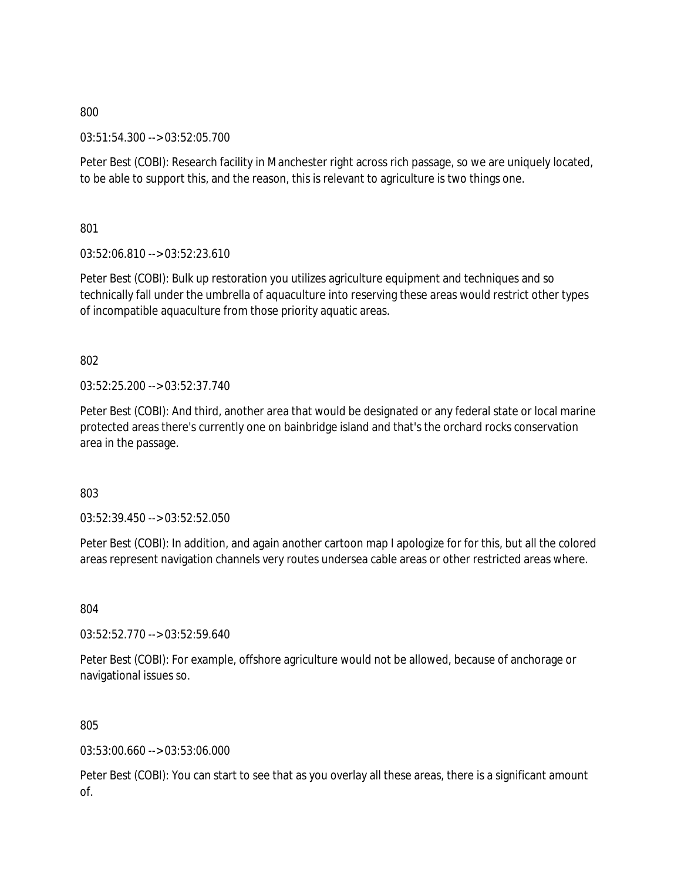03:51:54.300 --> 03:52:05.700

Peter Best (COBI): Research facility in Manchester right across rich passage, so we are uniquely located, to be able to support this, and the reason, this is relevant to agriculture is two things one.

801

03:52:06.810 --> 03:52:23.610

Peter Best (COBI): Bulk up restoration you utilizes agriculture equipment and techniques and so technically fall under the umbrella of aquaculture into reserving these areas would restrict other types of incompatible aquaculture from those priority aquatic areas.

802

03:52:25.200 --> 03:52:37.740

Peter Best (COBI): And third, another area that would be designated or any federal state or local marine protected areas there's currently one on bainbridge island and that's the orchard rocks conservation area in the passage.

803

03:52:39.450 --> 03:52:52.050

Peter Best (COBI): In addition, and again another cartoon map I apologize for for this, but all the colored areas represent navigation channels very routes undersea cable areas or other restricted areas where.

804

03:52:52.770 --> 03:52:59.640

Peter Best (COBI): For example, offshore agriculture would not be allowed, because of anchorage or navigational issues so.

805

03:53:00.660 --> 03:53:06.000

Peter Best (COBI): You can start to see that as you overlay all these areas, there is a significant amount of.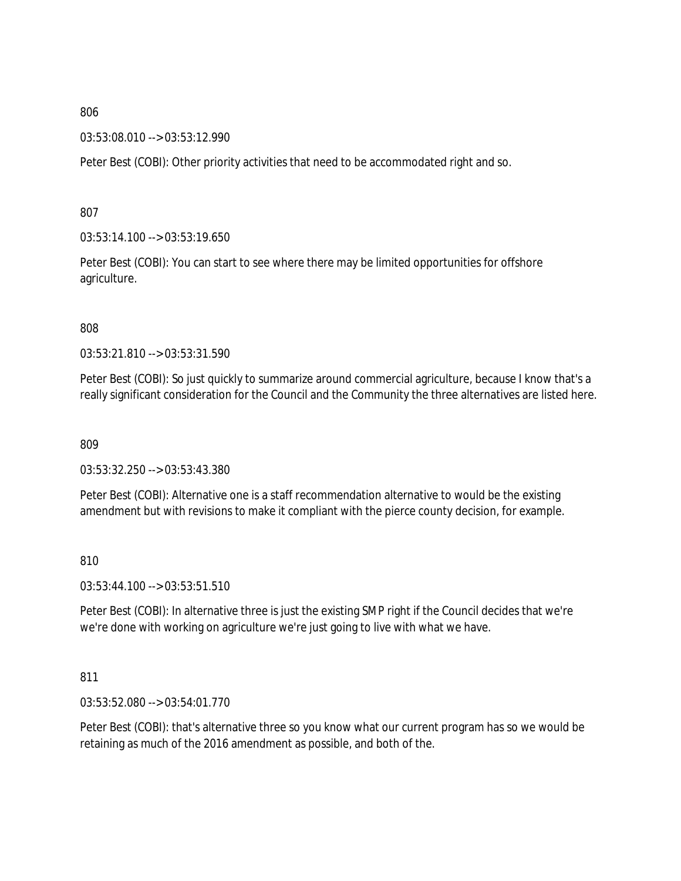03:53:08.010 --> 03:53:12.990

Peter Best (COBI): Other priority activities that need to be accommodated right and so.

807

03:53:14.100 --> 03:53:19.650

Peter Best (COBI): You can start to see where there may be limited opportunities for offshore agriculture.

808

03:53:21.810 --> 03:53:31.590

Peter Best (COBI): So just quickly to summarize around commercial agriculture, because I know that's a really significant consideration for the Council and the Community the three alternatives are listed here.

809

03:53:32.250 --> 03:53:43.380

Peter Best (COBI): Alternative one is a staff recommendation alternative to would be the existing amendment but with revisions to make it compliant with the pierce county decision, for example.

810

03:53:44.100 --> 03:53:51.510

Peter Best (COBI): In alternative three is just the existing SMP right if the Council decides that we're we're done with working on agriculture we're just going to live with what we have.

811

03:53:52.080 --> 03:54:01.770

Peter Best (COBI): that's alternative three so you know what our current program has so we would be retaining as much of the 2016 amendment as possible, and both of the.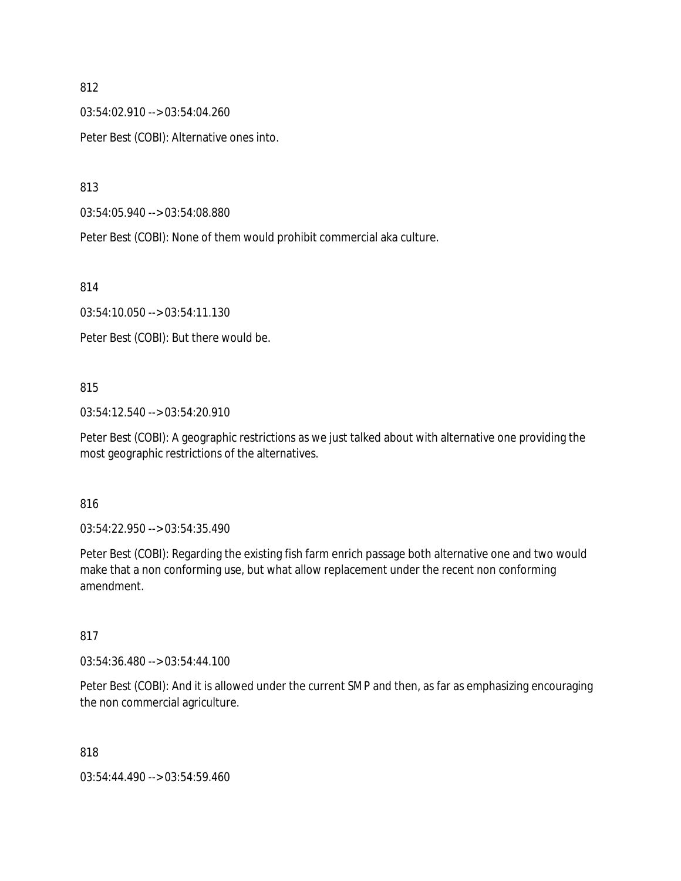03:54:02.910 --> 03:54:04.260

Peter Best (COBI): Alternative ones into.

813

03:54:05.940 --> 03:54:08.880

Peter Best (COBI): None of them would prohibit commercial aka culture.

814

03:54:10.050 --> 03:54:11.130

Peter Best (COBI): But there would be.

### 815

03:54:12.540 --> 03:54:20.910

Peter Best (COBI): A geographic restrictions as we just talked about with alternative one providing the most geographic restrictions of the alternatives.

### 816

03:54:22.950 --> 03:54:35.490

Peter Best (COBI): Regarding the existing fish farm enrich passage both alternative one and two would make that a non conforming use, but what allow replacement under the recent non conforming amendment.

# 817

03:54:36.480 --> 03:54:44.100

Peter Best (COBI): And it is allowed under the current SMP and then, as far as emphasizing encouraging the non commercial agriculture.

818

03:54:44.490 --> 03:54:59.460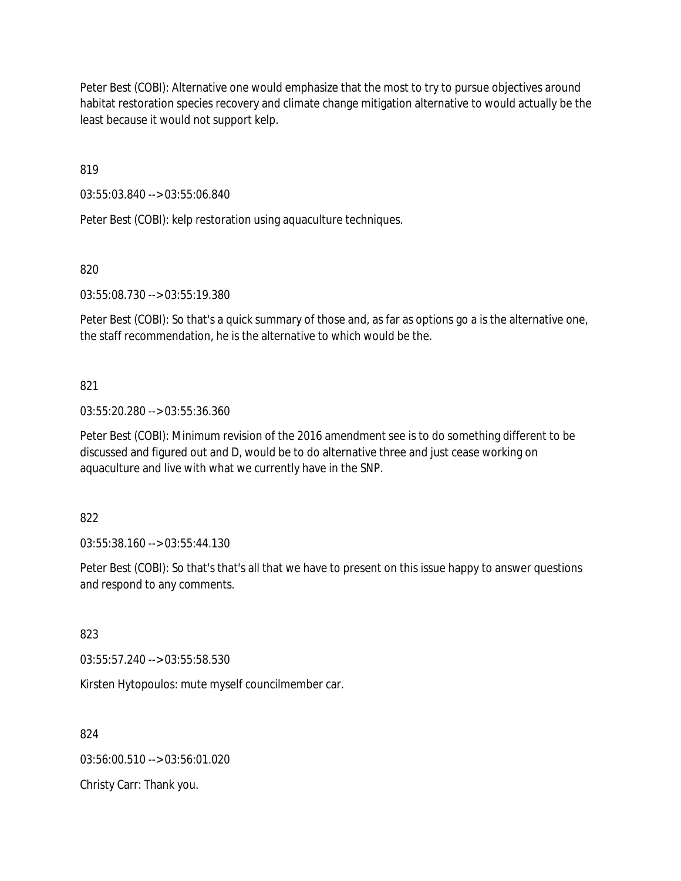Peter Best (COBI): Alternative one would emphasize that the most to try to pursue objectives around habitat restoration species recovery and climate change mitigation alternative to would actually be the least because it would not support kelp.

819

03:55:03.840 --> 03:55:06.840

Peter Best (COBI): kelp restoration using aquaculture techniques.

820

03:55:08.730 --> 03:55:19.380

Peter Best (COBI): So that's a quick summary of those and, as far as options go a is the alternative one, the staff recommendation, he is the alternative to which would be the.

821

03:55:20.280 --> 03:55:36.360

Peter Best (COBI): Minimum revision of the 2016 amendment see is to do something different to be discussed and figured out and D, would be to do alternative three and just cease working on aquaculture and live with what we currently have in the SNP.

822

03:55:38.160 --> 03:55:44.130

Peter Best (COBI): So that's that's all that we have to present on this issue happy to answer questions and respond to any comments.

823

03:55:57.240 --> 03:55:58.530

Kirsten Hytopoulos: mute myself councilmember car.

824

03:56:00.510 --> 03:56:01.020

Christy Carr: Thank you.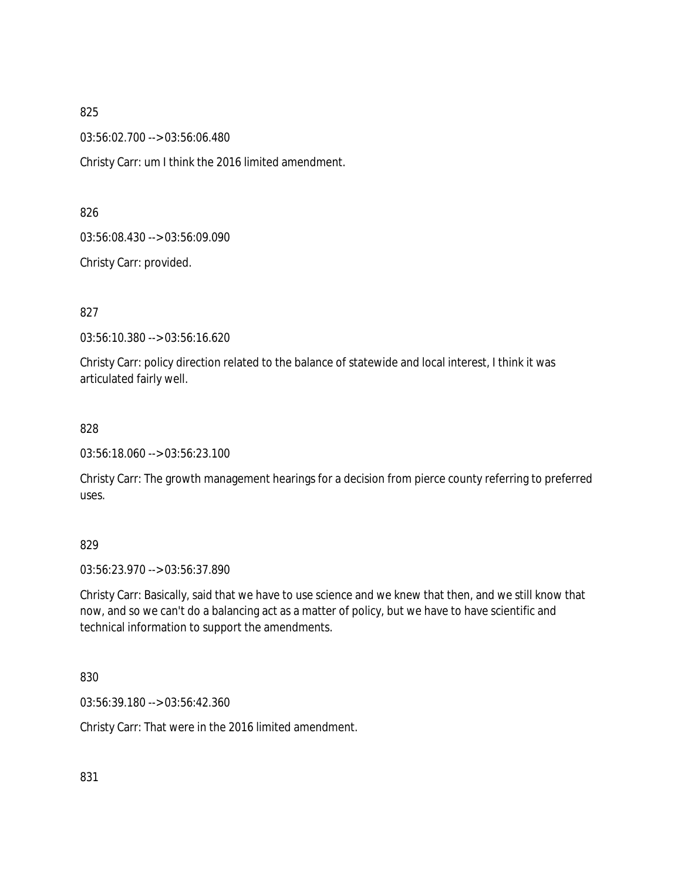03:56:02.700 --> 03:56:06.480

Christy Carr: um I think the 2016 limited amendment.

826

03:56:08.430 --> 03:56:09.090

Christy Carr: provided.

827

03:56:10.380 --> 03:56:16.620

Christy Carr: policy direction related to the balance of statewide and local interest, I think it was articulated fairly well.

828

03:56:18.060 --> 03:56:23.100

Christy Carr: The growth management hearings for a decision from pierce county referring to preferred uses.

### 829

03:56:23.970 --> 03:56:37.890

Christy Carr: Basically, said that we have to use science and we knew that then, and we still know that now, and so we can't do a balancing act as a matter of policy, but we have to have scientific and technical information to support the amendments.

830

03:56:39.180 --> 03:56:42.360

Christy Carr: That were in the 2016 limited amendment.

831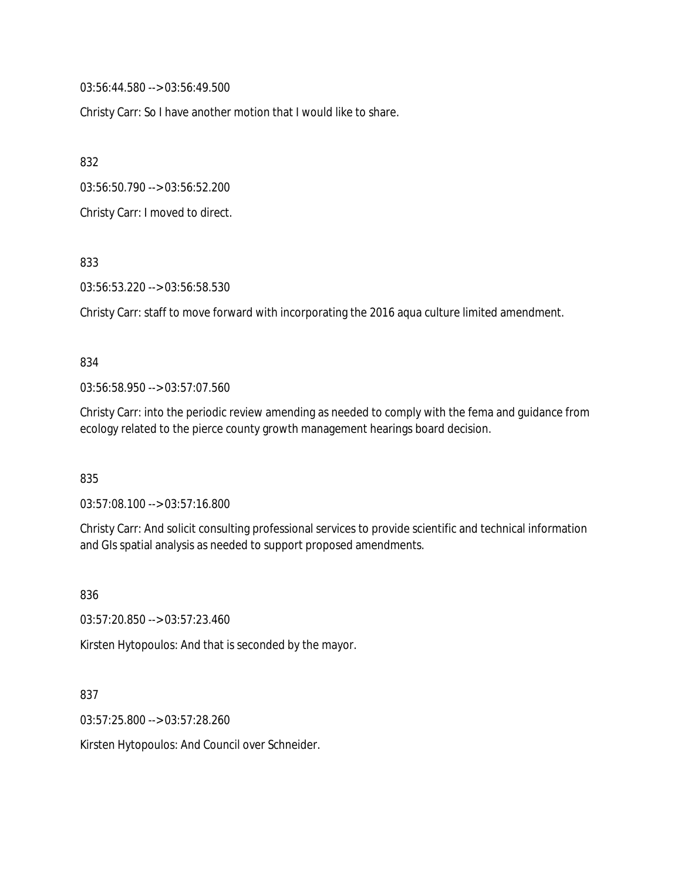03:56:44.580 --> 03:56:49.500

Christy Carr: So I have another motion that I would like to share.

832

03:56:50.790 --> 03:56:52.200

Christy Carr: I moved to direct.

833

03:56:53.220 --> 03:56:58.530

Christy Carr: staff to move forward with incorporating the 2016 aqua culture limited amendment.

#### 834

03:56:58.950 --> 03:57:07.560

Christy Carr: into the periodic review amending as needed to comply with the fema and guidance from ecology related to the pierce county growth management hearings board decision.

835

03:57:08.100 --> 03:57:16.800

Christy Carr: And solicit consulting professional services to provide scientific and technical information and GIs spatial analysis as needed to support proposed amendments.

836

03:57:20.850 --> 03:57:23.460

Kirsten Hytopoulos: And that is seconded by the mayor.

837

03:57:25.800 --> 03:57:28.260

Kirsten Hytopoulos: And Council over Schneider.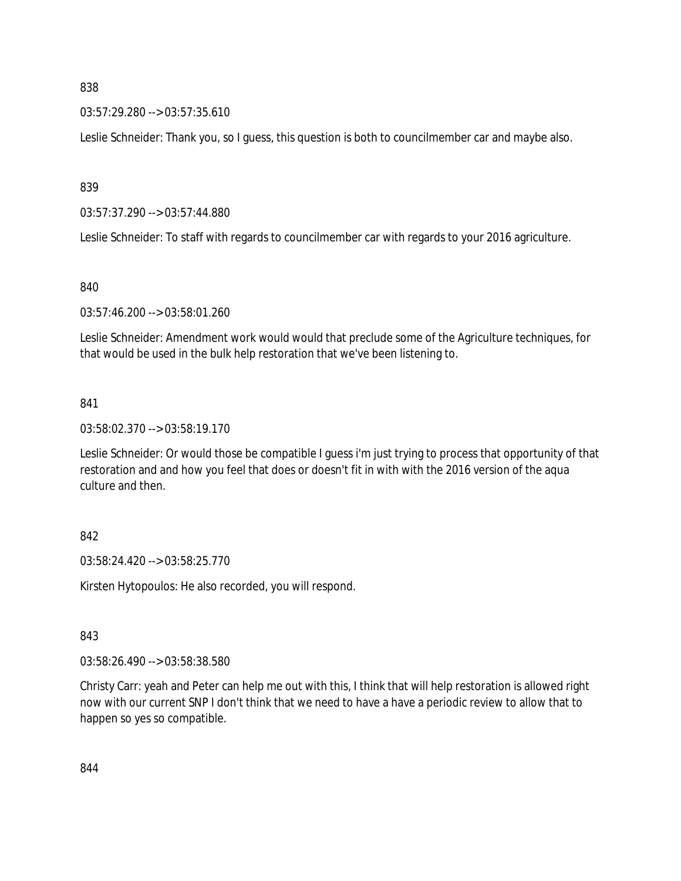03:57:29.280 --> 03:57:35.610

Leslie Schneider: Thank you, so I guess, this question is both to councilmember car and maybe also.

839

03:57:37.290 --> 03:57:44.880

Leslie Schneider: To staff with regards to councilmember car with regards to your 2016 agriculture.

840

03:57:46.200 --> 03:58:01.260

Leslie Schneider: Amendment work would would that preclude some of the Agriculture techniques, for that would be used in the bulk help restoration that we've been listening to.

### 841

03:58:02.370 --> 03:58:19.170

Leslie Schneider: Or would those be compatible I guess i'm just trying to process that opportunity of that restoration and and how you feel that does or doesn't fit in with with the 2016 version of the aqua culture and then.

### 842

03:58:24.420 --> 03:58:25.770

Kirsten Hytopoulos: He also recorded, you will respond.

# 843

03:58:26.490 --> 03:58:38.580

Christy Carr: yeah and Peter can help me out with this, I think that will help restoration is allowed right now with our current SNP I don't think that we need to have a have a periodic review to allow that to happen so yes so compatible.

844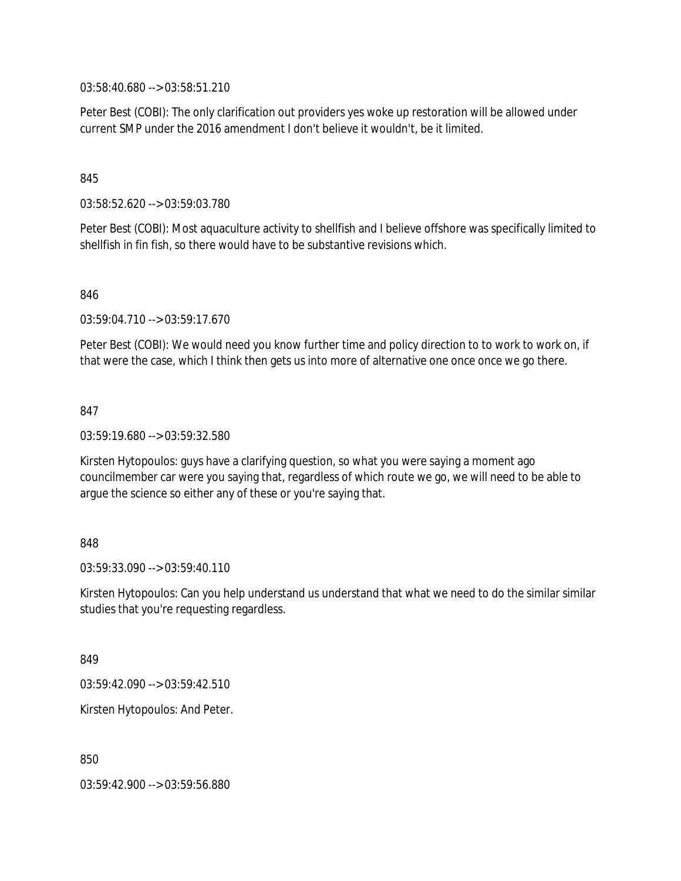03:58:40.680 --> 03:58:51.210

Peter Best (COBI): The only clarification out providers yes woke up restoration will be allowed under current SMP under the 2016 amendment I don't believe it wouldn't, be it limited.

### 845

03:58:52.620 --> 03:59:03.780

Peter Best (COBI): Most aquaculture activity to shellfish and I believe offshore was specifically limited to shellfish in fin fish, so there would have to be substantive revisions which.

#### 846

03:59:04.710 --> 03:59:17.670

Peter Best (COBI): We would need you know further time and policy direction to to work to work on, if that were the case, which I think then gets us into more of alternative one once once we go there.

#### 847

03:59:19.680 --> 03:59:32.580

Kirsten Hytopoulos: guys have a clarifying question, so what you were saying a moment ago councilmember car were you saying that, regardless of which route we go, we will need to be able to argue the science so either any of these or you're saying that.

### 848

 $03:59:33.090 \rightarrow 03:59:40.110$ 

Kirsten Hytopoulos: Can you help understand us understand that what we need to do the similar similar studies that you're requesting regardless.

849

03:59:42.090 --> 03:59:42.510

Kirsten Hytopoulos: And Peter.

850

03:59:42.900 --> 03:59:56.880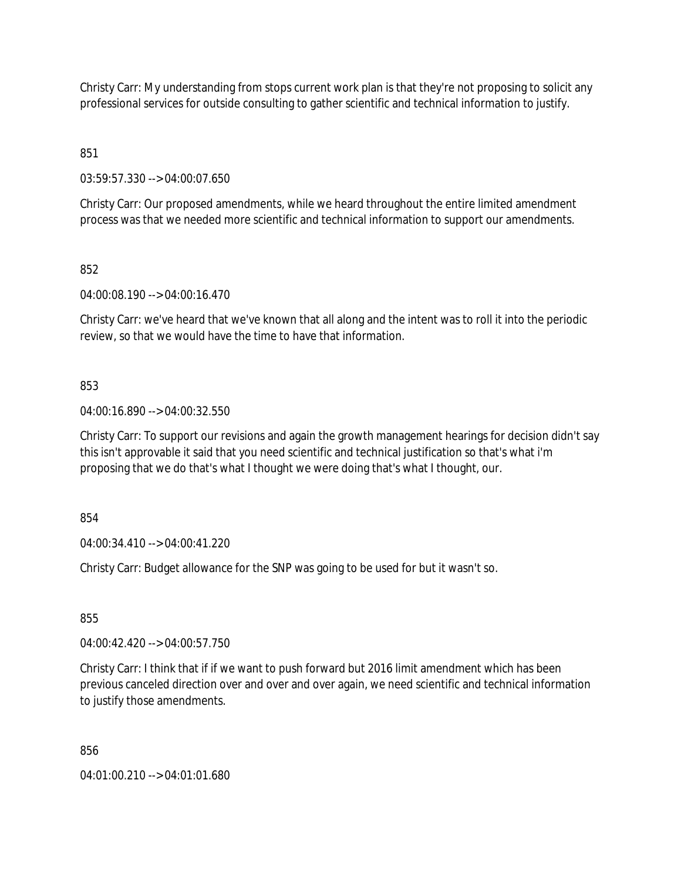Christy Carr: My understanding from stops current work plan is that they're not proposing to solicit any professional services for outside consulting to gather scientific and technical information to justify.

851

03:59:57.330 --> 04:00:07.650

Christy Carr: Our proposed amendments, while we heard throughout the entire limited amendment process was that we needed more scientific and technical information to support our amendments.

852

04:00:08.190 --> 04:00:16.470

Christy Carr: we've heard that we've known that all along and the intent was to roll it into the periodic review, so that we would have the time to have that information.

# 853

04:00:16.890 --> 04:00:32.550

Christy Carr: To support our revisions and again the growth management hearings for decision didn't say this isn't approvable it said that you need scientific and technical justification so that's what i'm proposing that we do that's what I thought we were doing that's what I thought, our.

854

04:00:34.410 --> 04:00:41.220

Christy Carr: Budget allowance for the SNP was going to be used for but it wasn't so.

855

04:00:42.420 --> 04:00:57.750

Christy Carr: I think that if if we want to push forward but 2016 limit amendment which has been previous canceled direction over and over and over again, we need scientific and technical information to justify those amendments.

856

04:01:00.210 --> 04:01:01.680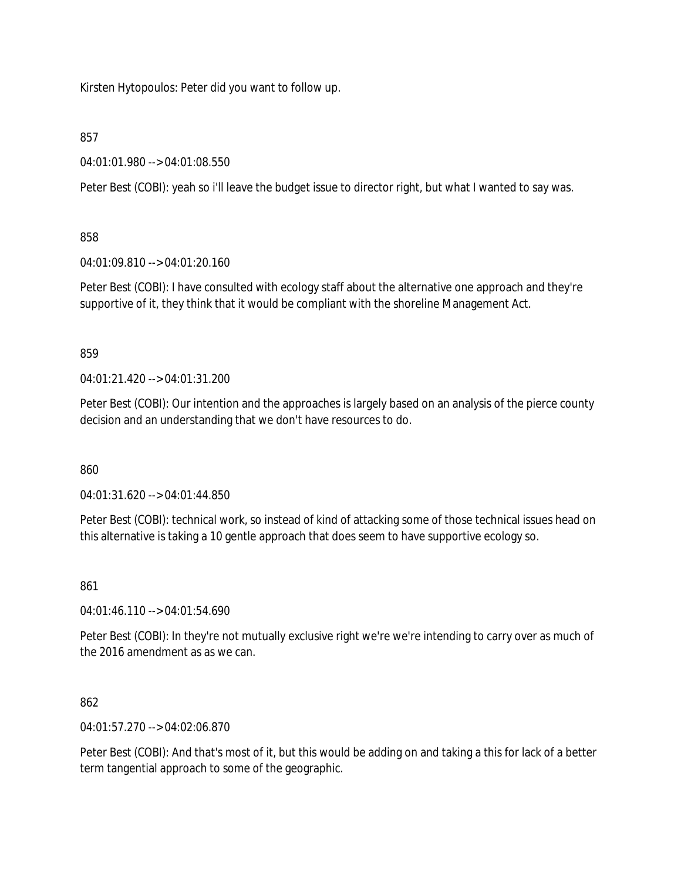Kirsten Hytopoulos: Peter did you want to follow up.

# 857

04:01:01.980 --> 04:01:08.550

Peter Best (COBI): yeah so i'll leave the budget issue to director right, but what I wanted to say was.

# 858

04:01:09.810 --> 04:01:20.160

Peter Best (COBI): I have consulted with ecology staff about the alternative one approach and they're supportive of it, they think that it would be compliant with the shoreline Management Act.

### 859

04:01:21.420 --> 04:01:31.200

Peter Best (COBI): Our intention and the approaches is largely based on an analysis of the pierce county decision and an understanding that we don't have resources to do.

### 860

04:01:31.620 --> 04:01:44.850

Peter Best (COBI): technical work, so instead of kind of attacking some of those technical issues head on this alternative is taking a 10 gentle approach that does seem to have supportive ecology so.

# 861

04:01:46.110 --> 04:01:54.690

Peter Best (COBI): In they're not mutually exclusive right we're we're intending to carry over as much of the 2016 amendment as as we can.

# 862

04:01:57.270 --> 04:02:06.870

Peter Best (COBI): And that's most of it, but this would be adding on and taking a this for lack of a better term tangential approach to some of the geographic.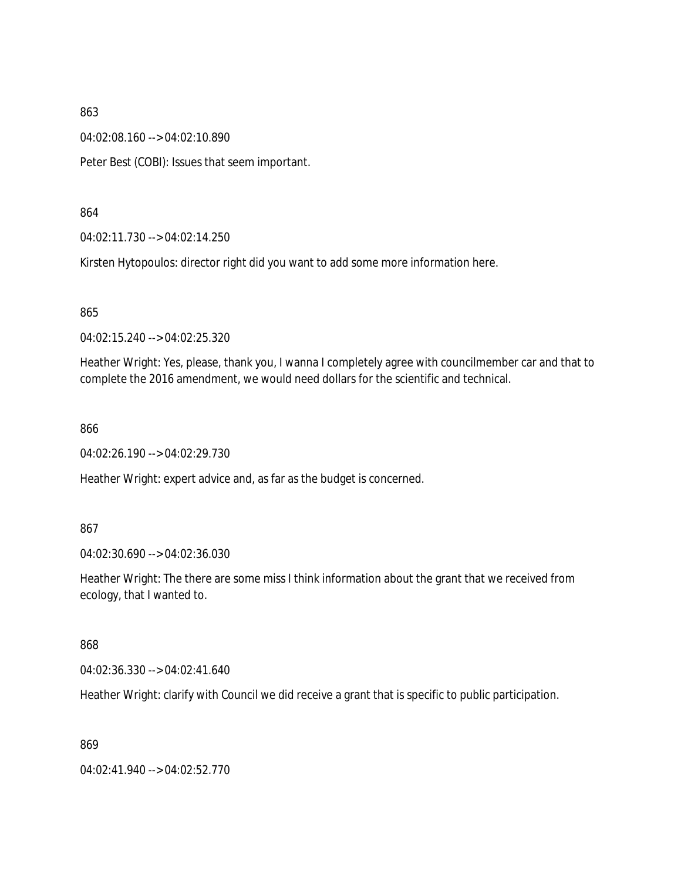04:02:08.160 --> 04:02:10.890

Peter Best (COBI): Issues that seem important.

864

04:02:11.730 --> 04:02:14.250

Kirsten Hytopoulos: director right did you want to add some more information here.

865

04:02:15.240 --> 04:02:25.320

Heather Wright: Yes, please, thank you, I wanna I completely agree with councilmember car and that to complete the 2016 amendment, we would need dollars for the scientific and technical.

866

04:02:26.190 --> 04:02:29.730

Heather Wright: expert advice and, as far as the budget is concerned.

867

04:02:30.690 --> 04:02:36.030

Heather Wright: The there are some miss I think information about the grant that we received from ecology, that I wanted to.

868

04:02:36.330 --> 04:02:41.640

Heather Wright: clarify with Council we did receive a grant that is specific to public participation.

869

04:02:41.940 --> 04:02:52.770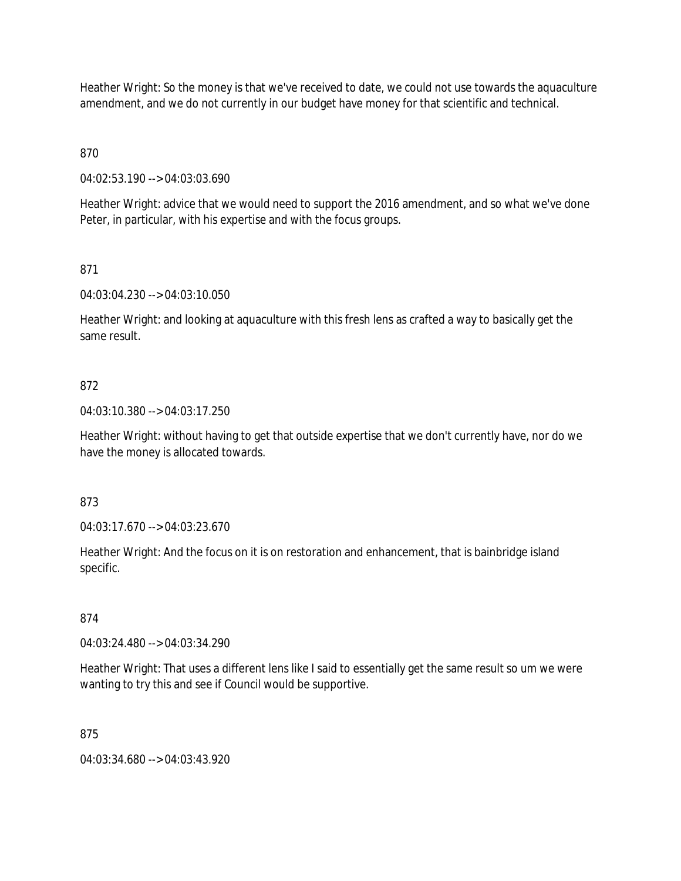Heather Wright: So the money is that we've received to date, we could not use towards the aquaculture amendment, and we do not currently in our budget have money for that scientific and technical.

870

04:02:53.190 --> 04:03:03.690

Heather Wright: advice that we would need to support the 2016 amendment, and so what we've done Peter, in particular, with his expertise and with the focus groups.

# 871

04:03:04.230 --> 04:03:10.050

Heather Wright: and looking at aquaculture with this fresh lens as crafted a way to basically get the same result.

# 872

04:03:10.380 --> 04:03:17.250

Heather Wright: without having to get that outside expertise that we don't currently have, nor do we have the money is allocated towards.

### 873

04:03:17.670 --> 04:03:23.670

Heather Wright: And the focus on it is on restoration and enhancement, that is bainbridge island specific.

### 874

04:03:24.480 --> 04:03:34.290

Heather Wright: That uses a different lens like I said to essentially get the same result so um we were wanting to try this and see if Council would be supportive.

### 875

04:03:34.680 --> 04:03:43.920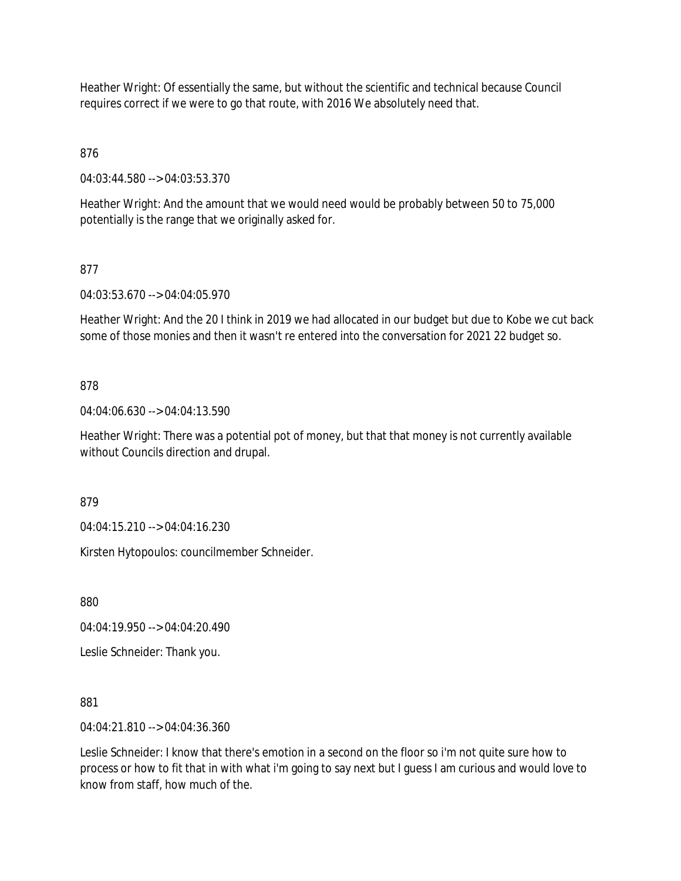Heather Wright: Of essentially the same, but without the scientific and technical because Council requires correct if we were to go that route, with 2016 We absolutely need that.

876

04:03:44.580 --> 04:03:53.370

Heather Wright: And the amount that we would need would be probably between 50 to 75,000 potentially is the range that we originally asked for.

# 877

04:03:53.670 --> 04:04:05.970

Heather Wright: And the 20 I think in 2019 we had allocated in our budget but due to Kobe we cut back some of those monies and then it wasn't re entered into the conversation for 2021 22 budget so.

# 878

04:04:06.630 --> 04:04:13.590

Heather Wright: There was a potential pot of money, but that that money is not currently available without Councils direction and drupal.

879

04:04:15.210 --> 04:04:16.230

Kirsten Hytopoulos: councilmember Schneider.

880

04:04:19.950 --> 04:04:20.490

Leslie Schneider: Thank you.

881

04:04:21.810 --> 04:04:36.360

Leslie Schneider: I know that there's emotion in a second on the floor so i'm not quite sure how to process or how to fit that in with what i'm going to say next but I guess I am curious and would love to know from staff, how much of the.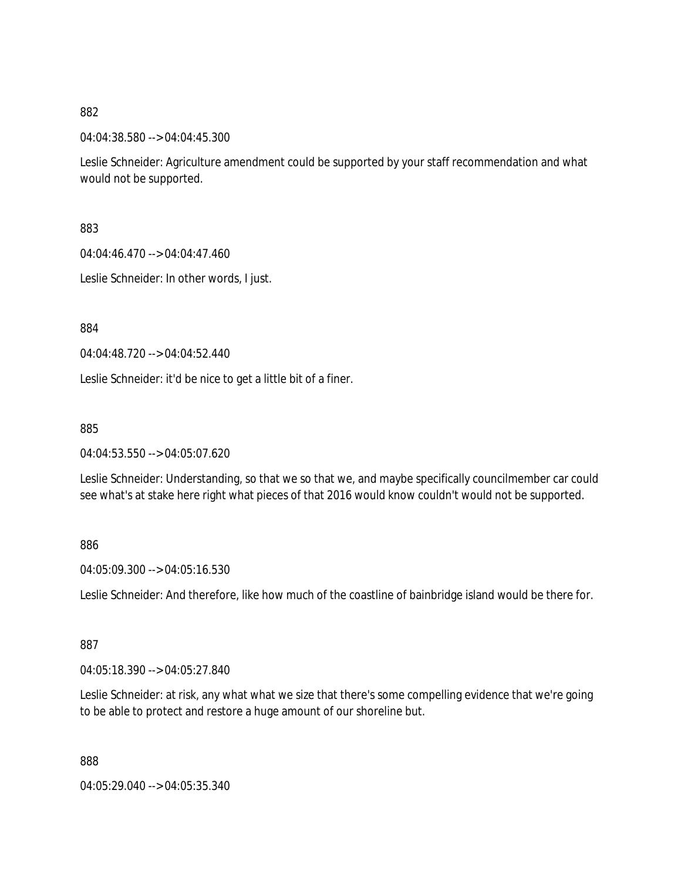04:04:38.580 --> 04:04:45.300

Leslie Schneider: Agriculture amendment could be supported by your staff recommendation and what would not be supported.

883

04:04:46.470 --> 04:04:47.460

Leslie Schneider: In other words, I just.

884

04:04:48.720 --> 04:04:52.440

Leslie Schneider: it'd be nice to get a little bit of a finer.

885

04:04:53.550 --> 04:05:07.620

Leslie Schneider: Understanding, so that we so that we, and maybe specifically councilmember car could see what's at stake here right what pieces of that 2016 would know couldn't would not be supported.

### 886

04:05:09.300 --> 04:05:16.530

Leslie Schneider: And therefore, like how much of the coastline of bainbridge island would be there for.

887

04:05:18.390 --> 04:05:27.840

Leslie Schneider: at risk, any what what we size that there's some compelling evidence that we're going to be able to protect and restore a huge amount of our shoreline but.

888

04:05:29.040 --> 04:05:35.340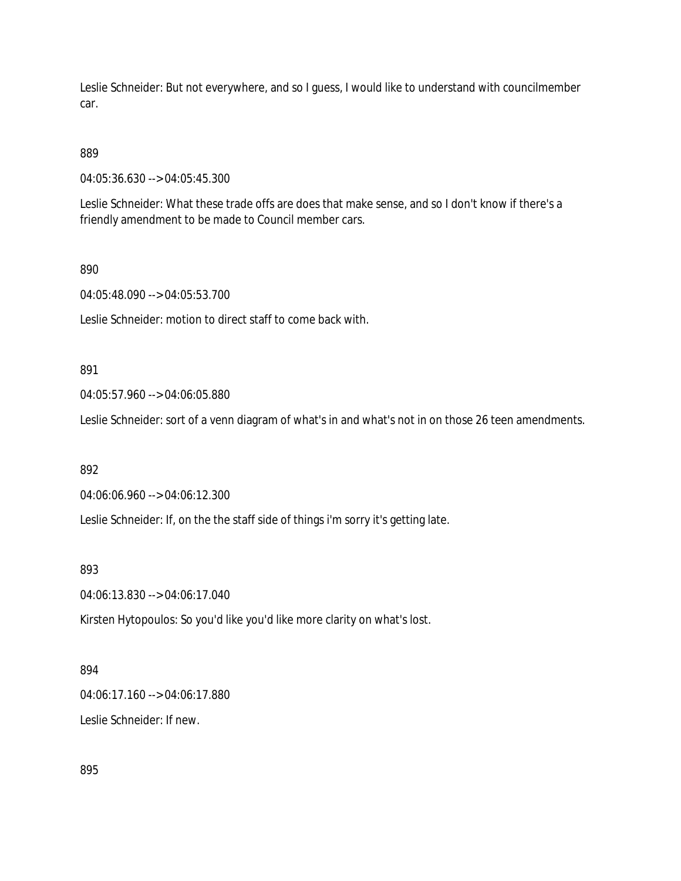Leslie Schneider: But not everywhere, and so I guess, I would like to understand with councilmember car.

# 889

04:05:36.630 --> 04:05:45.300

Leslie Schneider: What these trade offs are does that make sense, and so I don't know if there's a friendly amendment to be made to Council member cars.

#### 890

04:05:48.090 --> 04:05:53.700

Leslie Schneider: motion to direct staff to come back with.

### 891

04:05:57.960 --> 04:06:05.880

Leslie Schneider: sort of a venn diagram of what's in and what's not in on those 26 teen amendments.

#### 892

04:06:06.960 --> 04:06:12.300

Leslie Schneider: If, on the the staff side of things i'm sorry it's getting late.

### 893

04:06:13.830 --> 04:06:17.040

Kirsten Hytopoulos: So you'd like you'd like more clarity on what's lost.

### 894

04:06:17.160 --> 04:06:17.880

Leslie Schneider: If new.

895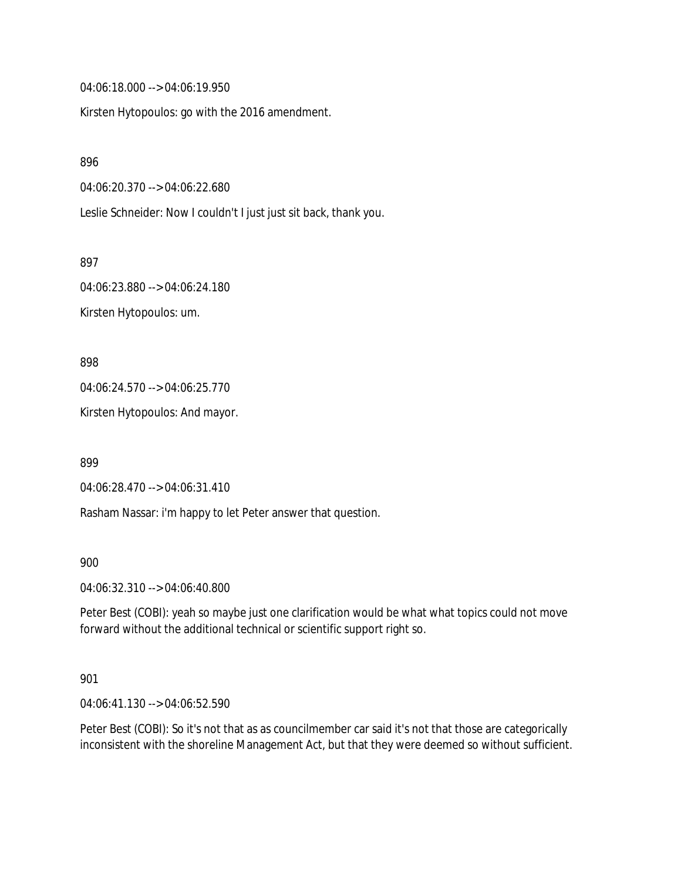04:06:18.000 --> 04:06:19.950

Kirsten Hytopoulos: go with the 2016 amendment.

896

04:06:20.370 --> 04:06:22.680

Leslie Schneider: Now I couldn't I just just sit back, thank you.

897

04:06:23.880 --> 04:06:24.180 Kirsten Hytopoulos: um.

898

04:06:24.570 --> 04:06:25.770

Kirsten Hytopoulos: And mayor.

899

04:06:28.470 --> 04:06:31.410

Rasham Nassar: i'm happy to let Peter answer that question.

900

04:06:32.310 --> 04:06:40.800

Peter Best (COBI): yeah so maybe just one clarification would be what what topics could not move forward without the additional technical or scientific support right so.

901

04:06:41.130 --> 04:06:52.590

Peter Best (COBI): So it's not that as as councilmember car said it's not that those are categorically inconsistent with the shoreline Management Act, but that they were deemed so without sufficient.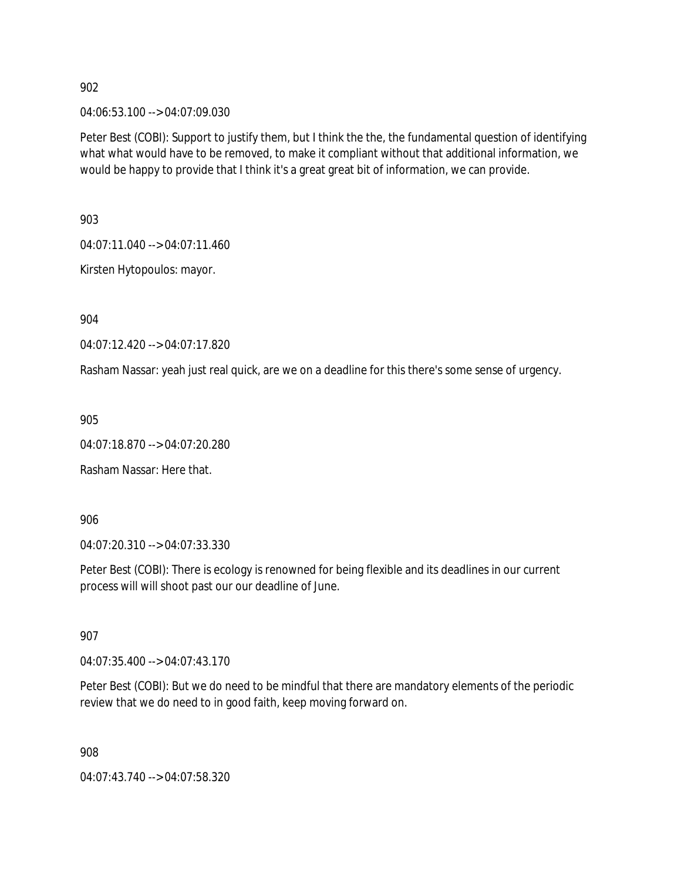04:06:53.100 --> 04:07:09.030

Peter Best (COBI): Support to justify them, but I think the the, the fundamental question of identifying what what would have to be removed, to make it compliant without that additional information, we would be happy to provide that I think it's a great great bit of information, we can provide.

903

04:07:11.040 --> 04:07:11.460

Kirsten Hytopoulos: mayor.

904

04:07:12.420 --> 04:07:17.820

Rasham Nassar: yeah just real quick, are we on a deadline for this there's some sense of urgency.

905

04:07:18.870 --> 04:07:20.280

Rasham Nassar: Here that.

906

04:07:20.310 --> 04:07:33.330

Peter Best (COBI): There is ecology is renowned for being flexible and its deadlines in our current process will will shoot past our our deadline of June.

907

04:07:35.400 --> 04:07:43.170

Peter Best (COBI): But we do need to be mindful that there are mandatory elements of the periodic review that we do need to in good faith, keep moving forward on.

908

04:07:43.740 --> 04:07:58.320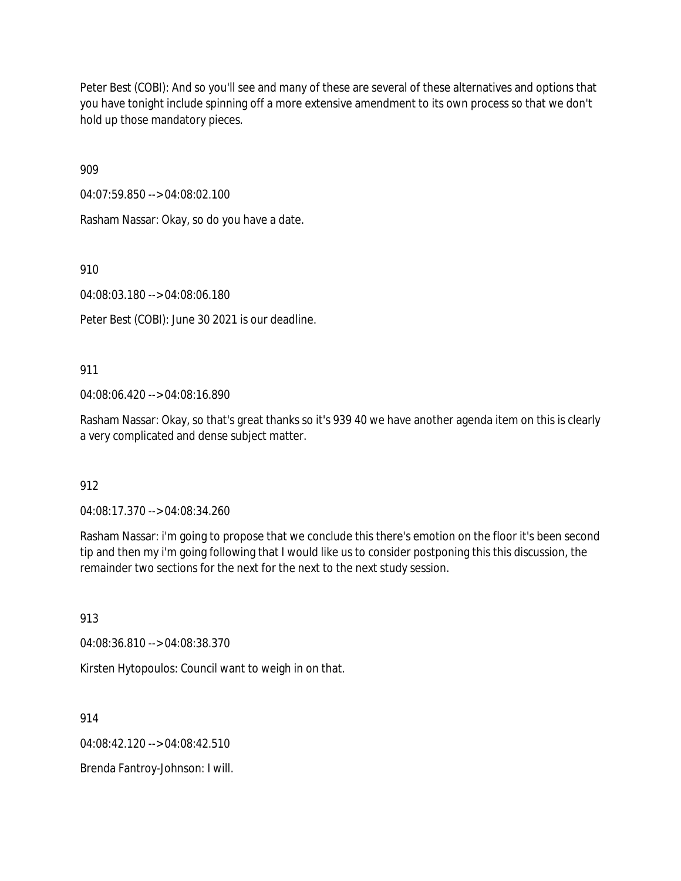Peter Best (COBI): And so you'll see and many of these are several of these alternatives and options that you have tonight include spinning off a more extensive amendment to its own process so that we don't hold up those mandatory pieces.

909

04:07:59.850 --> 04:08:02.100

Rasham Nassar: Okay, so do you have a date.

910

04:08:03.180 --> 04:08:06.180

Peter Best (COBI): June 30 2021 is our deadline.

911

04:08:06.420 --> 04:08:16.890

Rasham Nassar: Okay, so that's great thanks so it's 939 40 we have another agenda item on this is clearly a very complicated and dense subject matter.

912

04:08:17.370 --> 04:08:34.260

Rasham Nassar: i'm going to propose that we conclude this there's emotion on the floor it's been second tip and then my i'm going following that I would like us to consider postponing this this discussion, the remainder two sections for the next for the next to the next study session.

913

04:08:36.810 --> 04:08:38.370

Kirsten Hytopoulos: Council want to weigh in on that.

914

 $04.08.42.120 - 04.08.42.510$ 

Brenda Fantroy-Johnson: I will.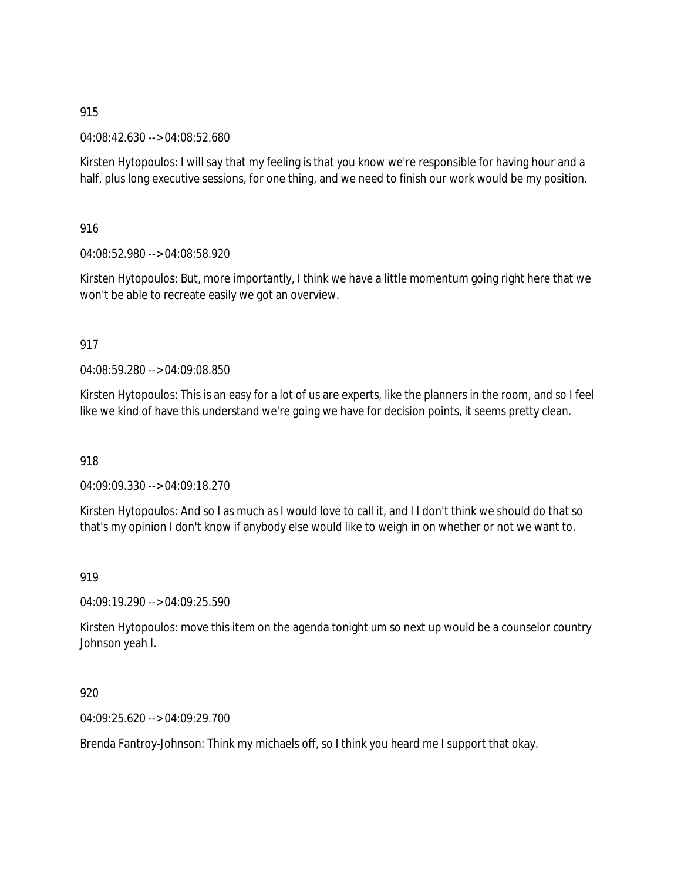04:08:42.630 --> 04:08:52.680

Kirsten Hytopoulos: I will say that my feeling is that you know we're responsible for having hour and a half, plus long executive sessions, for one thing, and we need to finish our work would be my position.

916

04:08:52.980 --> 04:08:58.920

Kirsten Hytopoulos: But, more importantly, I think we have a little momentum going right here that we won't be able to recreate easily we got an overview.

### 917

04:08:59.280 --> 04:09:08.850

Kirsten Hytopoulos: This is an easy for a lot of us are experts, like the planners in the room, and so I feel like we kind of have this understand we're going we have for decision points, it seems pretty clean.

918

04:09:09.330 --> 04:09:18.270

Kirsten Hytopoulos: And so I as much as I would love to call it, and I I don't think we should do that so that's my opinion I don't know if anybody else would like to weigh in on whether or not we want to.

919

04:09:19.290 --> 04:09:25.590

Kirsten Hytopoulos: move this item on the agenda tonight um so next up would be a counselor country Johnson yeah I.

920

04:09:25.620 --> 04:09:29.700

Brenda Fantroy-Johnson: Think my michaels off, so I think you heard me I support that okay.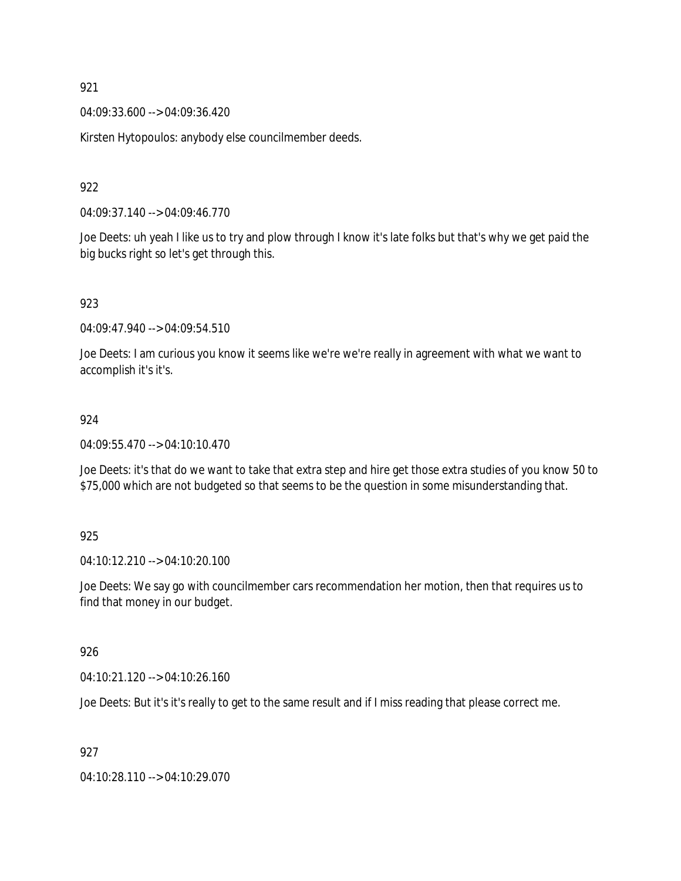04:09:33.600 --> 04:09:36.420

Kirsten Hytopoulos: anybody else councilmember deeds.

922

04:09:37.140 --> 04:09:46.770

Joe Deets: uh yeah I like us to try and plow through I know it's late folks but that's why we get paid the big bucks right so let's get through this.

923

04:09:47.940 --> 04:09:54.510

Joe Deets: I am curious you know it seems like we're we're really in agreement with what we want to accomplish it's it's.

#### 924

04:09:55.470 --> 04:10:10.470

Joe Deets: it's that do we want to take that extra step and hire get those extra studies of you know 50 to \$75,000 which are not budgeted so that seems to be the question in some misunderstanding that.

925

04:10:12.210 --> 04:10:20.100

Joe Deets: We say go with councilmember cars recommendation her motion, then that requires us to find that money in our budget.

926

04:10:21.120 --> 04:10:26.160

Joe Deets: But it's it's really to get to the same result and if I miss reading that please correct me.

927

04:10:28.110 --> 04:10:29.070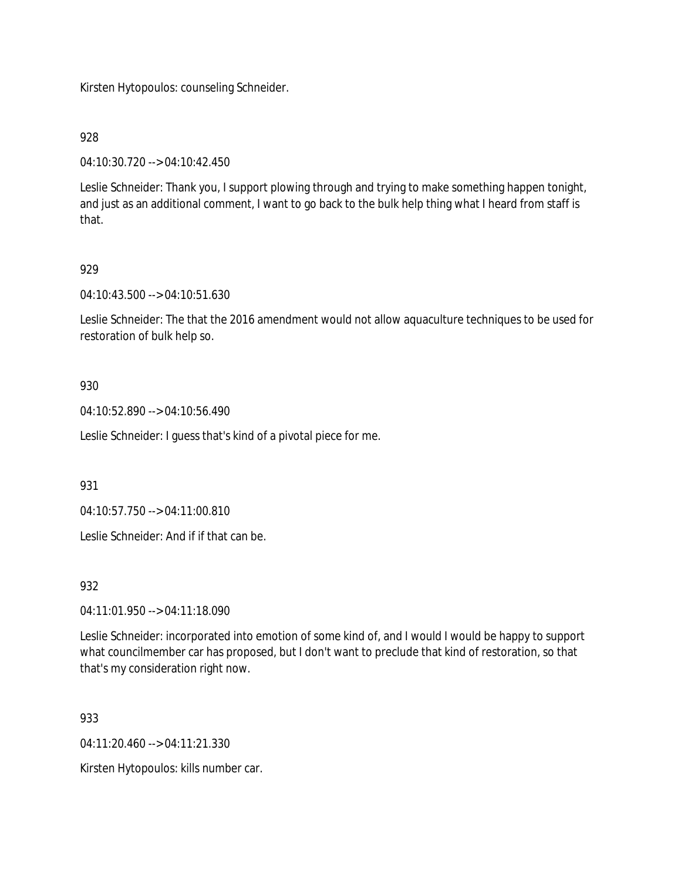Kirsten Hytopoulos: counseling Schneider.

928

04:10:30.720 --> 04:10:42.450

Leslie Schneider: Thank you, I support plowing through and trying to make something happen tonight, and just as an additional comment, I want to go back to the bulk help thing what I heard from staff is that.

### 929

04:10:43.500 --> 04:10:51.630

Leslie Schneider: The that the 2016 amendment would not allow aquaculture techniques to be used for restoration of bulk help so.

#### 930

04:10:52.890 --> 04:10:56.490

Leslie Schneider: I guess that's kind of a pivotal piece for me.

931

04:10:57.750 --> 04:11:00.810

Leslie Schneider: And if if that can be.

932

04:11:01.950 --> 04:11:18.090

Leslie Schneider: incorporated into emotion of some kind of, and I would I would be happy to support what councilmember car has proposed, but I don't want to preclude that kind of restoration, so that that's my consideration right now.

933

 $04.11.20.460 -> 04.11.21.330$ 

Kirsten Hytopoulos: kills number car.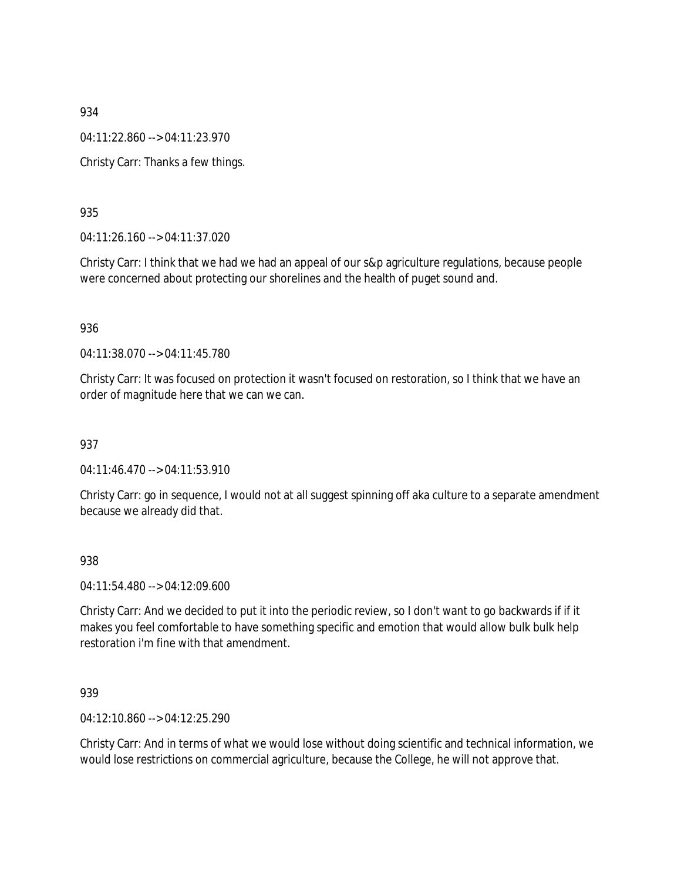04:11:22.860 --> 04:11:23.970

Christy Carr: Thanks a few things.

### 935

04:11:26.160 --> 04:11:37.020

Christy Carr: I think that we had we had an appeal of our s&p agriculture regulations, because people were concerned about protecting our shorelines and the health of puget sound and.

#### 936

04:11:38.070 --> 04:11:45.780

Christy Carr: It was focused on protection it wasn't focused on restoration, so I think that we have an order of magnitude here that we can we can.

#### 937

04:11:46.470 --> 04:11:53.910

Christy Carr: go in sequence, I would not at all suggest spinning off aka culture to a separate amendment because we already did that.

#### 938

04:11:54.480 --> 04:12:09.600

Christy Carr: And we decided to put it into the periodic review, so I don't want to go backwards if if it makes you feel comfortable to have something specific and emotion that would allow bulk bulk help restoration i'm fine with that amendment.

#### 939

04:12:10.860 --> 04:12:25.290

Christy Carr: And in terms of what we would lose without doing scientific and technical information, we would lose restrictions on commercial agriculture, because the College, he will not approve that.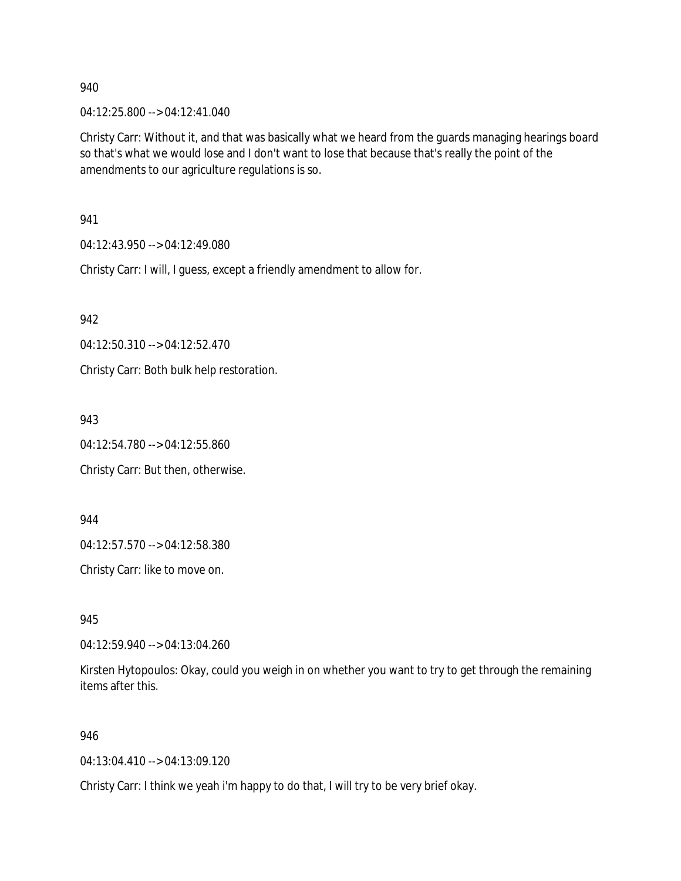04:12:25.800 --> 04:12:41.040

Christy Carr: Without it, and that was basically what we heard from the guards managing hearings board so that's what we would lose and I don't want to lose that because that's really the point of the amendments to our agriculture regulations is so.

941

04:12:43.950 --> 04:12:49.080

Christy Carr: I will, I guess, except a friendly amendment to allow for.

942

04:12:50.310 --> 04:12:52.470

Christy Carr: Both bulk help restoration.

943

04:12:54.780 --> 04:12:55.860

Christy Carr: But then, otherwise.

944

04:12:57.570 --> 04:12:58.380

Christy Carr: like to move on.

945

04:12:59.940 --> 04:13:04.260

Kirsten Hytopoulos: Okay, could you weigh in on whether you want to try to get through the remaining items after this.

946

04:13:04.410 --> 04:13:09.120

Christy Carr: I think we yeah i'm happy to do that, I will try to be very brief okay.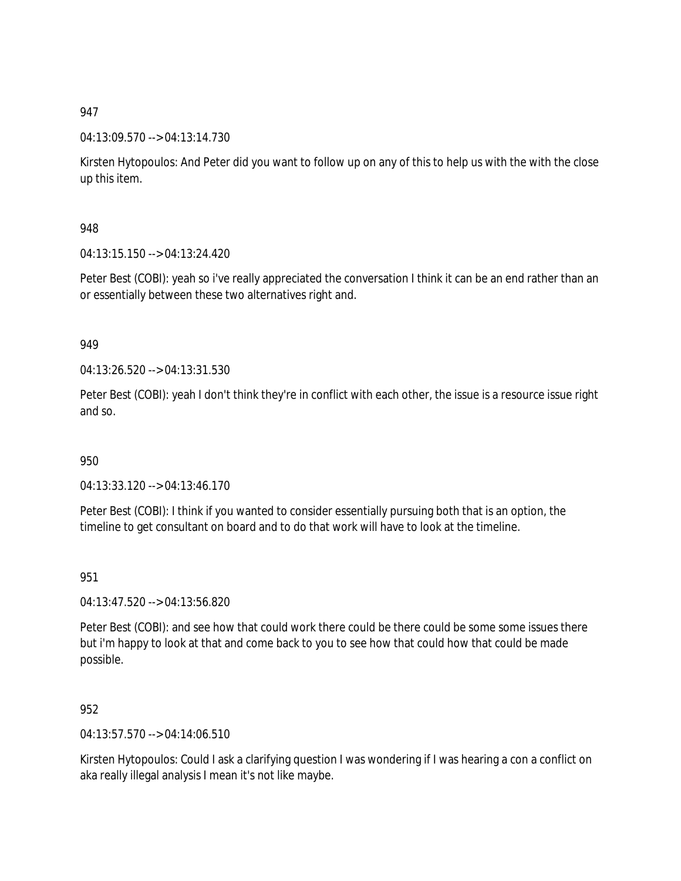### 04:13:09.570 --> 04:13:14.730

Kirsten Hytopoulos: And Peter did you want to follow up on any of this to help us with the with the close up this item.

### 948

04:13:15.150 --> 04:13:24.420

Peter Best (COBI): yeah so i've really appreciated the conversation I think it can be an end rather than an or essentially between these two alternatives right and.

### 949

04:13:26.520 --> 04:13:31.530

Peter Best (COBI): yeah I don't think they're in conflict with each other, the issue is a resource issue right and so.

## 950

04:13:33.120 --> 04:13:46.170

Peter Best (COBI): I think if you wanted to consider essentially pursuing both that is an option, the timeline to get consultant on board and to do that work will have to look at the timeline.

#### 951

04:13:47.520 --> 04:13:56.820

Peter Best (COBI): and see how that could work there could be there could be some some issues there but i'm happy to look at that and come back to you to see how that could how that could be made possible.

#### 952

04:13:57.570 --> 04:14:06.510

Kirsten Hytopoulos: Could I ask a clarifying question I was wondering if I was hearing a con a conflict on aka really illegal analysis I mean it's not like maybe.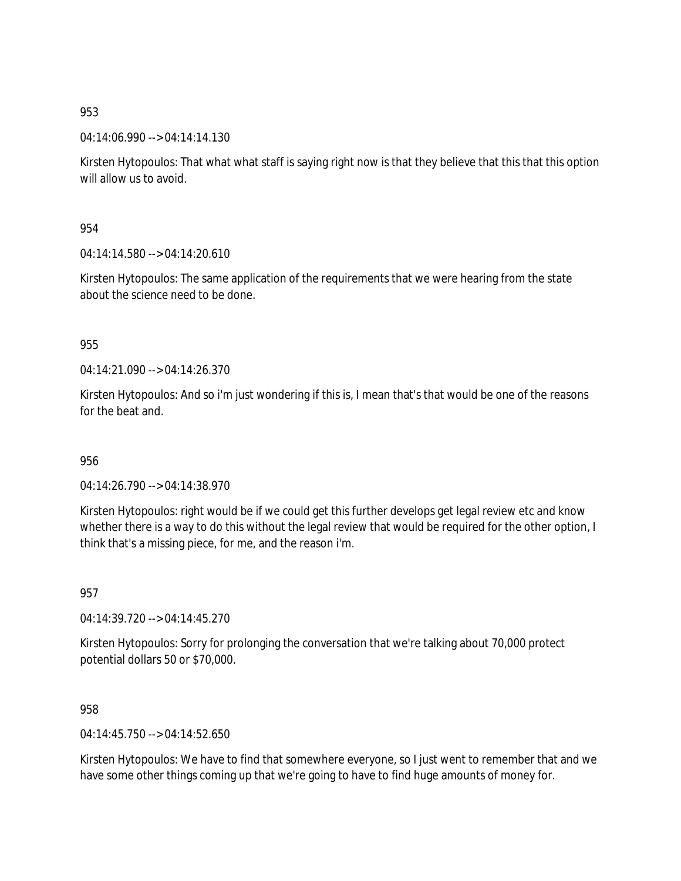04:14:06.990 --> 04:14:14.130

Kirsten Hytopoulos: That what what staff is saying right now is that they believe that this that this option will allow us to avoid.

954

04:14:14.580 --> 04:14:20.610

Kirsten Hytopoulos: The same application of the requirements that we were hearing from the state about the science need to be done.

#### 955

04:14:21.090 --> 04:14:26.370

Kirsten Hytopoulos: And so i'm just wondering if this is, I mean that's that would be one of the reasons for the beat and.

#### 956

04:14:26.790 --> 04:14:38.970

Kirsten Hytopoulos: right would be if we could get this further develops get legal review etc and know whether there is a way to do this without the legal review that would be required for the other option, I think that's a missing piece, for me, and the reason i'm.

957

04:14:39.720 --> 04:14:45.270

Kirsten Hytopoulos: Sorry for prolonging the conversation that we're talking about 70,000 protect potential dollars 50 or \$70,000.

958

04:14:45.750 --> 04:14:52.650

Kirsten Hytopoulos: We have to find that somewhere everyone, so I just went to remember that and we have some other things coming up that we're going to have to find huge amounts of money for.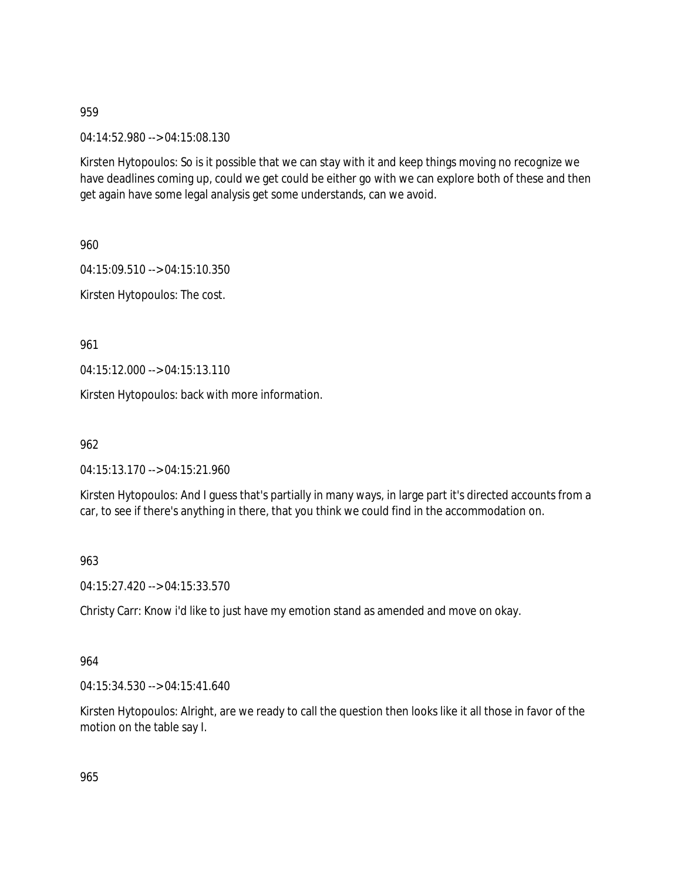04:14:52.980 --> 04:15:08.130

Kirsten Hytopoulos: So is it possible that we can stay with it and keep things moving no recognize we have deadlines coming up, could we get could be either go with we can explore both of these and then get again have some legal analysis get some understands, can we avoid.

960

04:15:09.510 --> 04:15:10.350

Kirsten Hytopoulos: The cost.

961

04:15:12.000 --> 04:15:13.110

Kirsten Hytopoulos: back with more information.

962

04:15:13.170 --> 04:15:21.960

Kirsten Hytopoulos: And I guess that's partially in many ways, in large part it's directed accounts from a car, to see if there's anything in there, that you think we could find in the accommodation on.

963

04:15:27.420 --> 04:15:33.570

Christy Carr: Know i'd like to just have my emotion stand as amended and move on okay.

964

04:15:34.530 --> 04:15:41.640

Kirsten Hytopoulos: Alright, are we ready to call the question then looks like it all those in favor of the motion on the table say I.

965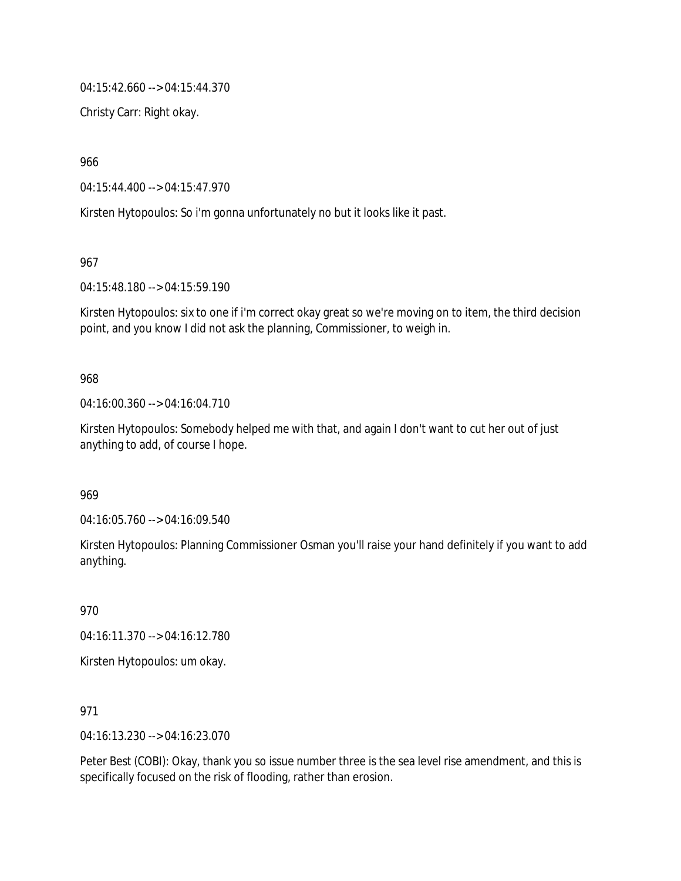04:15:42.660 --> 04:15:44.370

Christy Carr: Right okay.

966

04:15:44.400 --> 04:15:47.970

Kirsten Hytopoulos: So i'm gonna unfortunately no but it looks like it past.

967

04:15:48.180 --> 04:15:59.190

Kirsten Hytopoulos: six to one if i'm correct okay great so we're moving on to item, the third decision point, and you know I did not ask the planning, Commissioner, to weigh in.

#### 968

04:16:00.360 --> 04:16:04.710

Kirsten Hytopoulos: Somebody helped me with that, and again I don't want to cut her out of just anything to add, of course I hope.

969

04:16:05.760 --> 04:16:09.540

Kirsten Hytopoulos: Planning Commissioner Osman you'll raise your hand definitely if you want to add anything.

970

04:16:11.370 --> 04:16:12.780

Kirsten Hytopoulos: um okay.

971

04:16:13.230 --> 04:16:23.070

Peter Best (COBI): Okay, thank you so issue number three is the sea level rise amendment, and this is specifically focused on the risk of flooding, rather than erosion.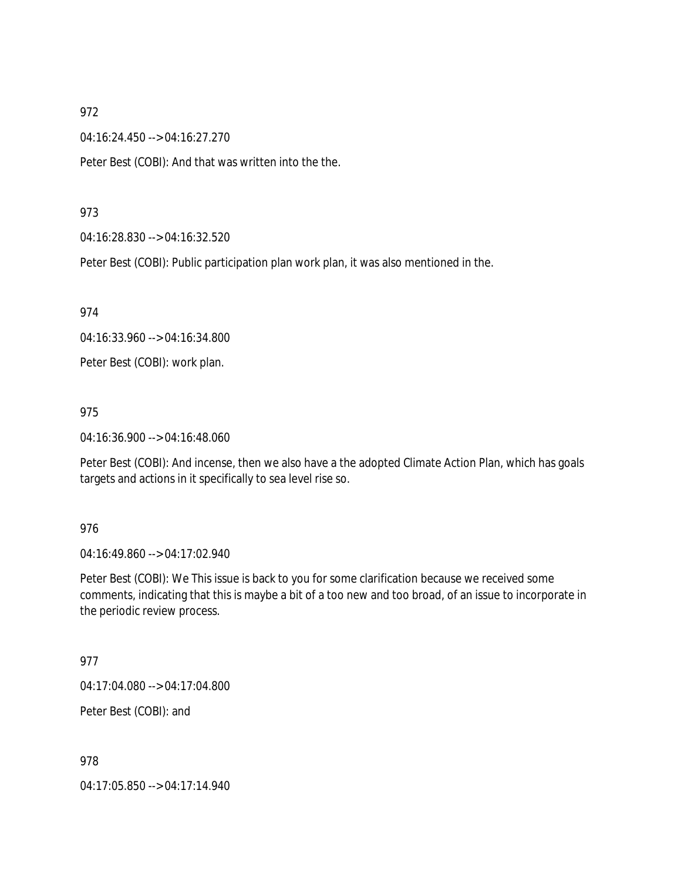04:16:24.450 --> 04:16:27.270

Peter Best (COBI): And that was written into the the.

#### 973

04:16:28.830 --> 04:16:32.520

Peter Best (COBI): Public participation plan work plan, it was also mentioned in the.

974

04:16:33.960 --> 04:16:34.800

Peter Best (COBI): work plan.

#### 975

04:16:36.900 --> 04:16:48.060

Peter Best (COBI): And incense, then we also have a the adopted Climate Action Plan, which has goals targets and actions in it specifically to sea level rise so.

#### 976

04:16:49.860 --> 04:17:02.940

Peter Best (COBI): We This issue is back to you for some clarification because we received some comments, indicating that this is maybe a bit of a too new and too broad, of an issue to incorporate in the periodic review process.

#### 977

04:17:04.080 --> 04:17:04.800

Peter Best (COBI): and

978

04:17:05.850 --> 04:17:14.940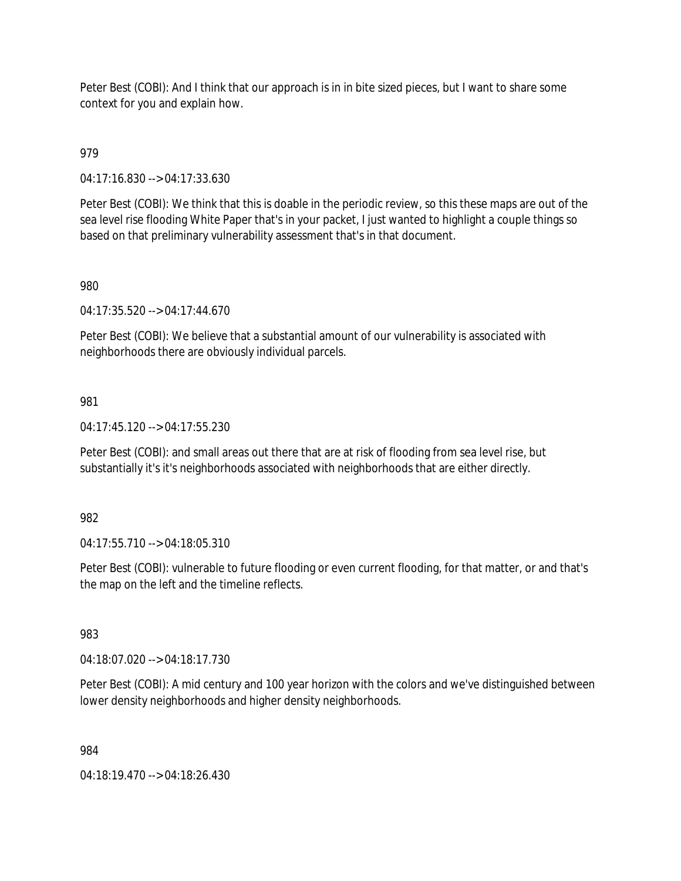Peter Best (COBI): And I think that our approach is in in bite sized pieces, but I want to share some context for you and explain how.

# 979

04:17:16.830 --> 04:17:33.630

Peter Best (COBI): We think that this is doable in the periodic review, so this these maps are out of the sea level rise flooding White Paper that's in your packet, I just wanted to highlight a couple things so based on that preliminary vulnerability assessment that's in that document.

### 980

04:17:35.520 --> 04:17:44.670

Peter Best (COBI): We believe that a substantial amount of our vulnerability is associated with neighborhoods there are obviously individual parcels.

### 981

04:17:45.120 --> 04:17:55.230

Peter Best (COBI): and small areas out there that are at risk of flooding from sea level rise, but substantially it's it's neighborhoods associated with neighborhoods that are either directly.

#### 982

04:17:55.710 --> 04:18:05.310

Peter Best (COBI): vulnerable to future flooding or even current flooding, for that matter, or and that's the map on the left and the timeline reflects.

# 983

04:18:07.020 --> 04:18:17.730

Peter Best (COBI): A mid century and 100 year horizon with the colors and we've distinguished between lower density neighborhoods and higher density neighborhoods.

#### 984

04:18:19.470 --> 04:18:26.430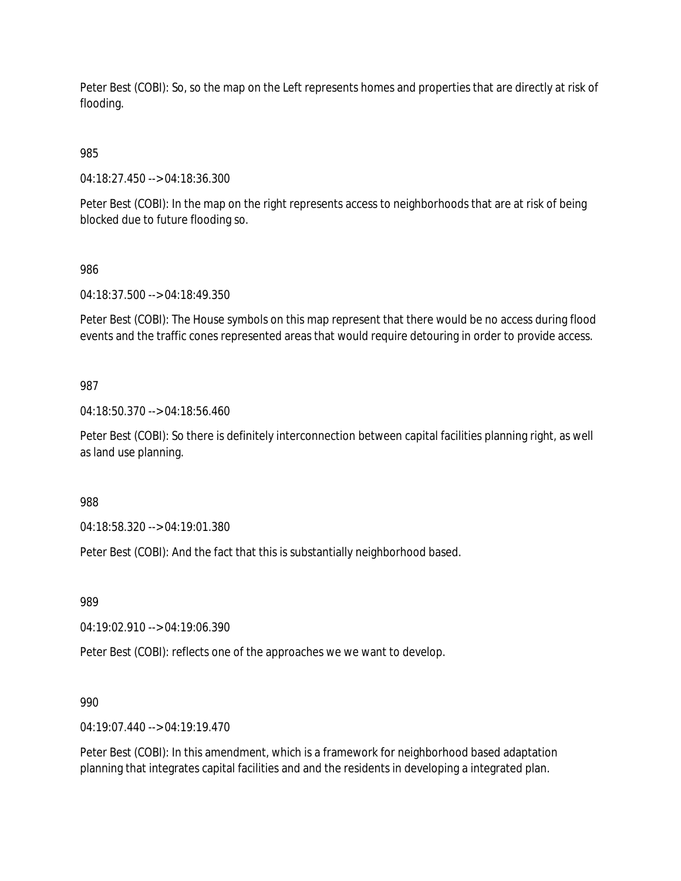Peter Best (COBI): So, so the map on the Left represents homes and properties that are directly at risk of flooding.

985

04:18:27.450 --> 04:18:36.300

Peter Best (COBI): In the map on the right represents access to neighborhoods that are at risk of being blocked due to future flooding so.

986

04:18:37.500 --> 04:18:49.350

Peter Best (COBI): The House symbols on this map represent that there would be no access during flood events and the traffic cones represented areas that would require detouring in order to provide access.

987

04:18:50.370 --> 04:18:56.460

Peter Best (COBI): So there is definitely interconnection between capital facilities planning right, as well as land use planning.

988

04:18:58.320 --> 04:19:01.380

Peter Best (COBI): And the fact that this is substantially neighborhood based.

989

04:19:02.910 --> 04:19:06.390

Peter Best (COBI): reflects one of the approaches we we want to develop.

990

04:19:07.440 --> 04:19:19.470

Peter Best (COBI): In this amendment, which is a framework for neighborhood based adaptation planning that integrates capital facilities and and the residents in developing a integrated plan.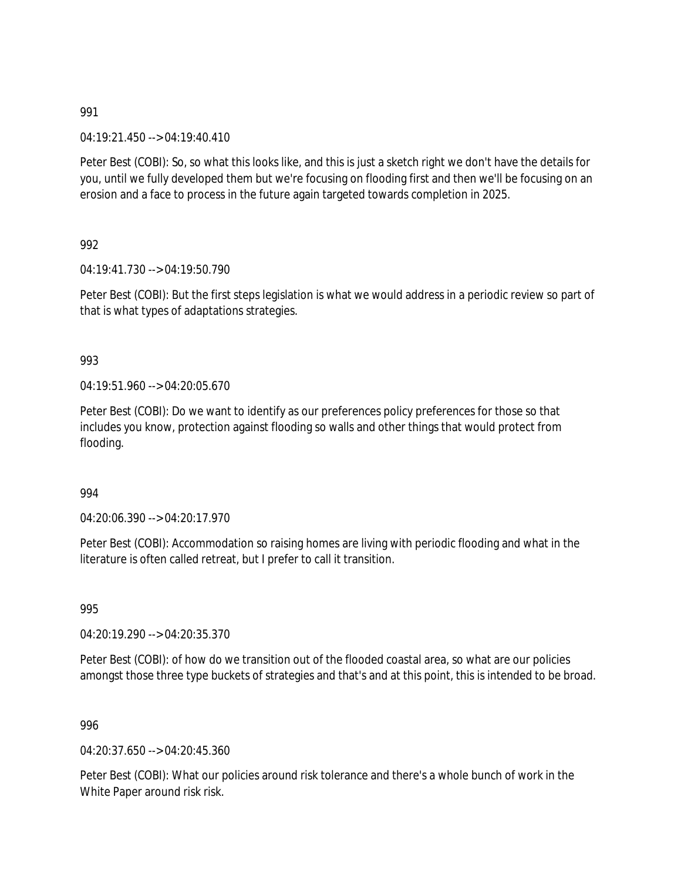04:19:21.450 --> 04:19:40.410

Peter Best (COBI): So, so what this looks like, and this is just a sketch right we don't have the details for you, until we fully developed them but we're focusing on flooding first and then we'll be focusing on an erosion and a face to process in the future again targeted towards completion in 2025.

992

04:19:41.730 --> 04:19:50.790

Peter Best (COBI): But the first steps legislation is what we would address in a periodic review so part of that is what types of adaptations strategies.

### 993

04:19:51.960 --> 04:20:05.670

Peter Best (COBI): Do we want to identify as our preferences policy preferences for those so that includes you know, protection against flooding so walls and other things that would protect from flooding.

#### 994

 $04.20.06.390 -> 04.20.17.970$ 

Peter Best (COBI): Accommodation so raising homes are living with periodic flooding and what in the literature is often called retreat, but I prefer to call it transition.

995

04:20:19.290 --> 04:20:35.370

Peter Best (COBI): of how do we transition out of the flooded coastal area, so what are our policies amongst those three type buckets of strategies and that's and at this point, this is intended to be broad.

996

04:20:37.650 --> 04:20:45.360

Peter Best (COBI): What our policies around risk tolerance and there's a whole bunch of work in the White Paper around risk risk.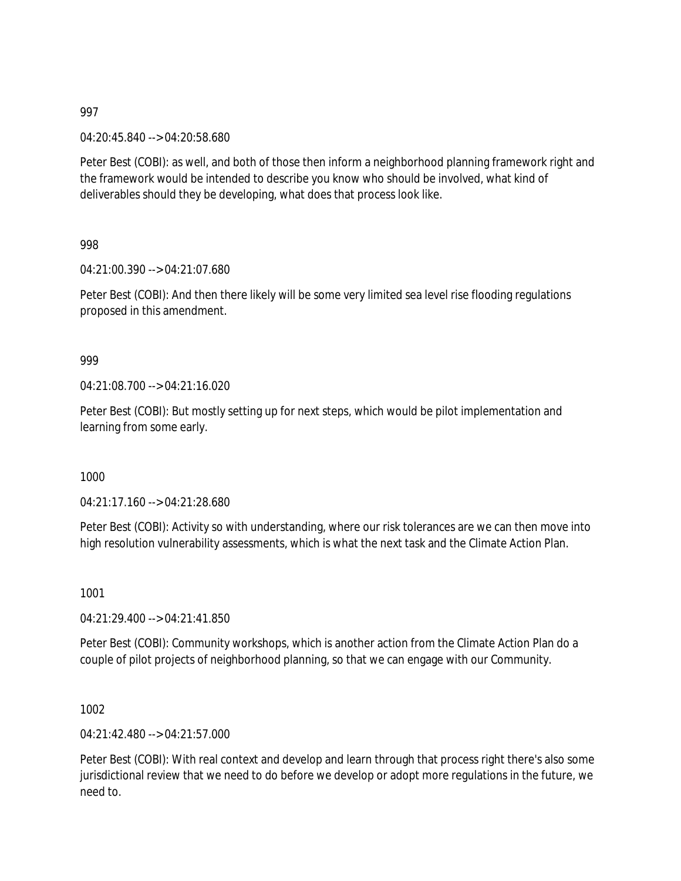04:20:45.840 --> 04:20:58.680

Peter Best (COBI): as well, and both of those then inform a neighborhood planning framework right and the framework would be intended to describe you know who should be involved, what kind of deliverables should they be developing, what does that process look like.

998

04:21:00.390 --> 04:21:07.680

Peter Best (COBI): And then there likely will be some very limited sea level rise flooding regulations proposed in this amendment.

#### 999

04:21:08.700 --> 04:21:16.020

Peter Best (COBI): But mostly setting up for next steps, which would be pilot implementation and learning from some early.

1000

04:21:17.160 --> 04:21:28.680

Peter Best (COBI): Activity so with understanding, where our risk tolerances are we can then move into high resolution vulnerability assessments, which is what the next task and the Climate Action Plan.

1001

04:21:29.400 --> 04:21:41.850

Peter Best (COBI): Community workshops, which is another action from the Climate Action Plan do a couple of pilot projects of neighborhood planning, so that we can engage with our Community.

1002

04:21:42.480 --> 04:21:57.000

Peter Best (COBI): With real context and develop and learn through that process right there's also some jurisdictional review that we need to do before we develop or adopt more regulations in the future, we need to.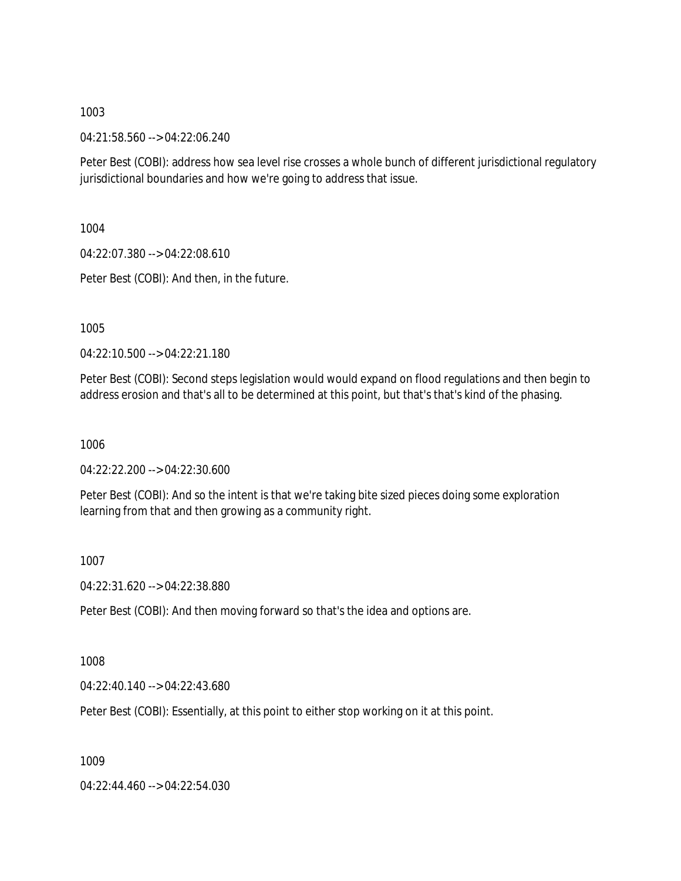04:21:58.560 --> 04:22:06.240

Peter Best (COBI): address how sea level rise crosses a whole bunch of different jurisdictional regulatory jurisdictional boundaries and how we're going to address that issue.

1004

04:22:07.380 --> 04:22:08.610

Peter Best (COBI): And then, in the future.

1005

04:22:10.500 --> 04:22:21.180

Peter Best (COBI): Second steps legislation would would expand on flood regulations and then begin to address erosion and that's all to be determined at this point, but that's that's kind of the phasing.

1006

04:22:22.200 --> 04:22:30.600

Peter Best (COBI): And so the intent is that we're taking bite sized pieces doing some exploration learning from that and then growing as a community right.

1007

04:22:31.620 --> 04:22:38.880

Peter Best (COBI): And then moving forward so that's the idea and options are.

1008

04:22:40.140 --> 04:22:43.680

Peter Best (COBI): Essentially, at this point to either stop working on it at this point.

1009

04:22:44.460 --> 04:22:54.030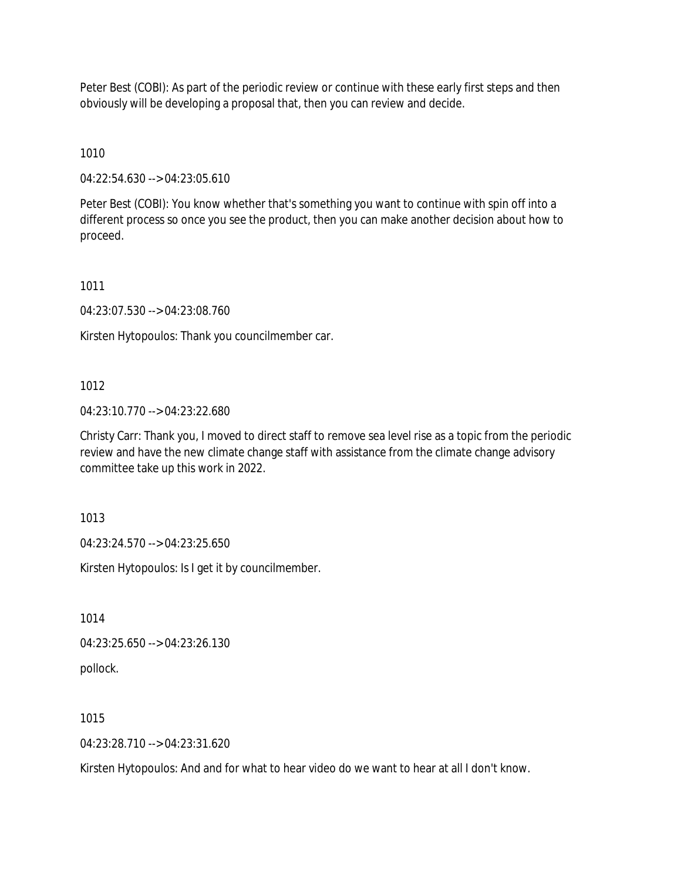Peter Best (COBI): As part of the periodic review or continue with these early first steps and then obviously will be developing a proposal that, then you can review and decide.

1010

04:22:54.630 --> 04:23:05.610

Peter Best (COBI): You know whether that's something you want to continue with spin off into a different process so once you see the product, then you can make another decision about how to proceed.

1011

04:23:07.530 --> 04:23:08.760

Kirsten Hytopoulos: Thank you councilmember car.

#### 1012

04:23:10.770 --> 04:23:22.680

Christy Carr: Thank you, I moved to direct staff to remove sea level rise as a topic from the periodic review and have the new climate change staff with assistance from the climate change advisory committee take up this work in 2022.

1013

04:23:24.570 --> 04:23:25.650

Kirsten Hytopoulos: Is I get it by councilmember.

1014

04:23:25.650 --> 04:23:26.130

pollock.

1015

04:23:28.710 --> 04:23:31.620

Kirsten Hytopoulos: And and for what to hear video do we want to hear at all I don't know.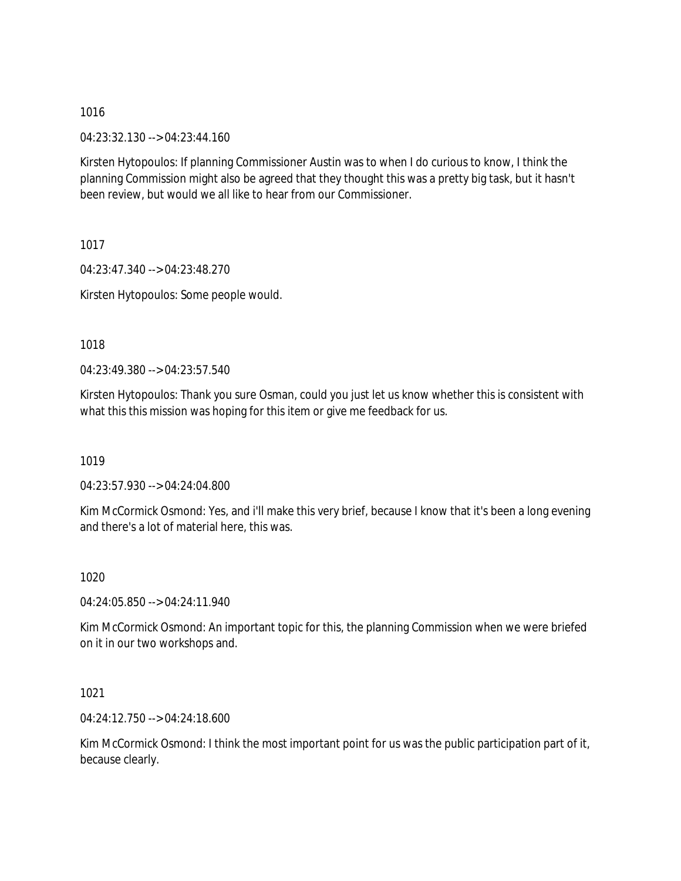04:23:32.130 --> 04:23:44.160

Kirsten Hytopoulos: If planning Commissioner Austin was to when I do curious to know, I think the planning Commission might also be agreed that they thought this was a pretty big task, but it hasn't been review, but would we all like to hear from our Commissioner.

1017

04:23:47.340 --> 04:23:48.270 Kirsten Hytopoulos: Some people would.

1018

04:23:49.380 --> 04:23:57.540

Kirsten Hytopoulos: Thank you sure Osman, could you just let us know whether this is consistent with what this this mission was hoping for this item or give me feedback for us.

1019

04:23:57.930 --> 04:24:04.800

Kim McCormick Osmond: Yes, and i'll make this very brief, because I know that it's been a long evening and there's a lot of material here, this was.

1020

04:24:05.850 --> 04:24:11.940

Kim McCormick Osmond: An important topic for this, the planning Commission when we were briefed on it in our two workshops and.

1021

04:24:12.750 --> 04:24:18.600

Kim McCormick Osmond: I think the most important point for us was the public participation part of it, because clearly.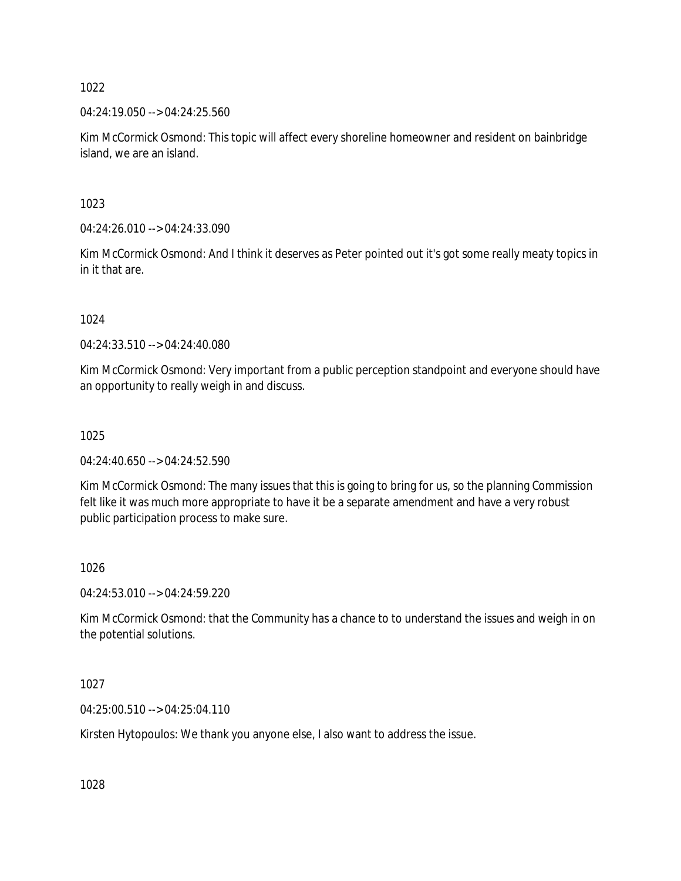04:24:19.050 --> 04:24:25.560

Kim McCormick Osmond: This topic will affect every shoreline homeowner and resident on bainbridge island, we are an island.

1023

04:24:26.010 --> 04:24:33.090

Kim McCormick Osmond: And I think it deserves as Peter pointed out it's got some really meaty topics in in it that are.

1024

04:24:33.510 --> 04:24:40.080

Kim McCormick Osmond: Very important from a public perception standpoint and everyone should have an opportunity to really weigh in and discuss.

1025

04:24:40.650 --> 04:24:52.590

Kim McCormick Osmond: The many issues that this is going to bring for us, so the planning Commission felt like it was much more appropriate to have it be a separate amendment and have a very robust public participation process to make sure.

1026

04:24:53.010 --> 04:24:59.220

Kim McCormick Osmond: that the Community has a chance to to understand the issues and weigh in on the potential solutions.

1027

04:25:00.510 --> 04:25:04.110

Kirsten Hytopoulos: We thank you anyone else, I also want to address the issue.

1028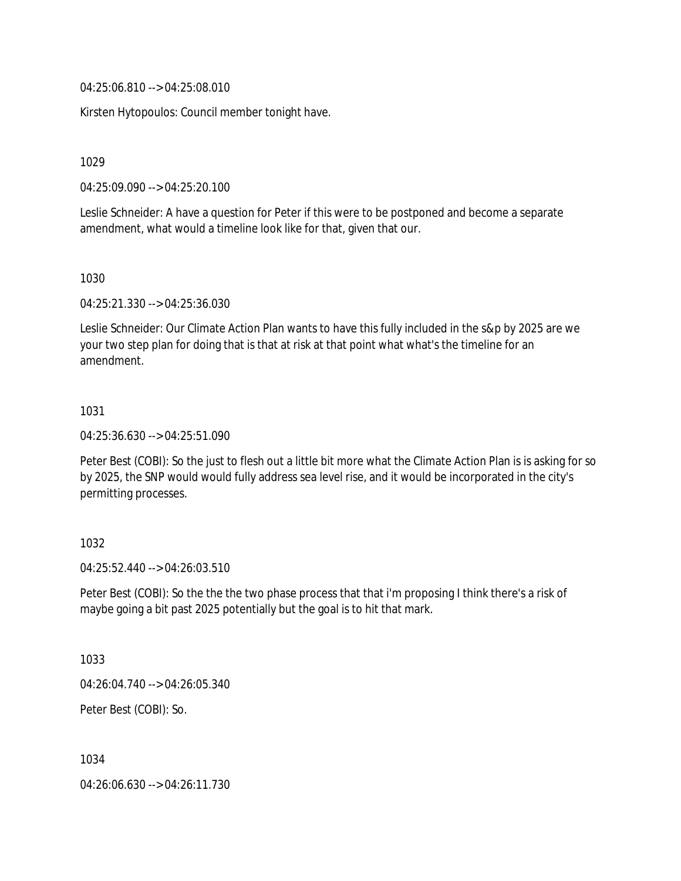04:25:06.810 --> 04:25:08.010

Kirsten Hytopoulos: Council member tonight have.

1029

04:25:09.090 --> 04:25:20.100

Leslie Schneider: A have a question for Peter if this were to be postponed and become a separate amendment, what would a timeline look like for that, given that our.

1030

04:25:21.330 --> 04:25:36.030

Leslie Schneider: Our Climate Action Plan wants to have this fully included in the s&p by 2025 are we your two step plan for doing that is that at risk at that point what what's the timeline for an amendment.

1031

04:25:36.630 --> 04:25:51.090

Peter Best (COBI): So the just to flesh out a little bit more what the Climate Action Plan is is asking for so by 2025, the SNP would would fully address sea level rise, and it would be incorporated in the city's permitting processes.

1032

04:25:52.440 --> 04:26:03.510

Peter Best (COBI): So the the the two phase process that that i'm proposing I think there's a risk of maybe going a bit past 2025 potentially but the goal is to hit that mark.

1033

04:26:04.740 --> 04:26:05.340

Peter Best (COBI): So.

1034

04:26:06.630 --> 04:26:11.730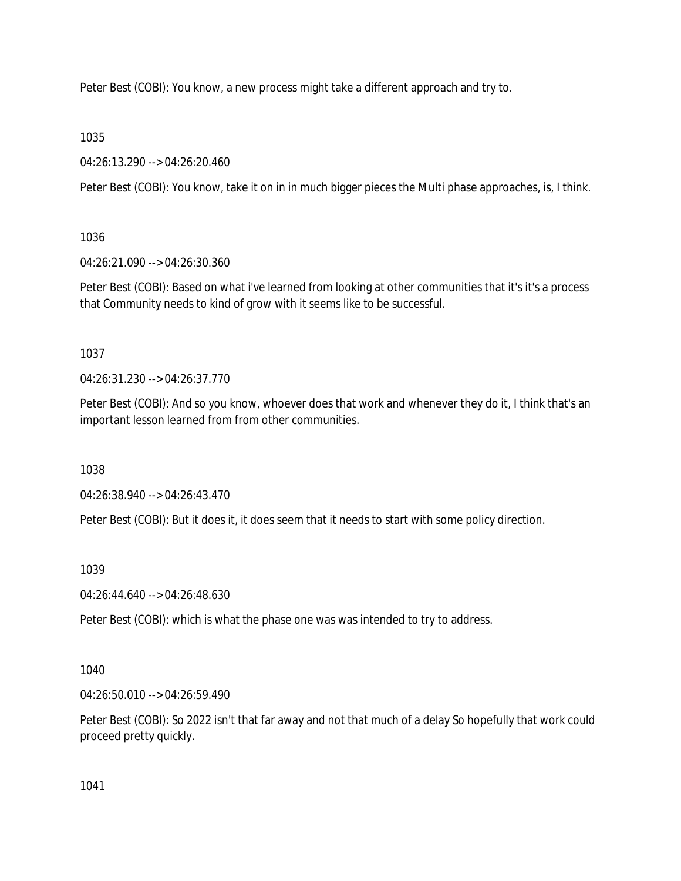Peter Best (COBI): You know, a new process might take a different approach and try to.

1035

04:26:13.290 --> 04:26:20.460

Peter Best (COBI): You know, take it on in in much bigger pieces the Multi phase approaches, is, I think.

1036

04:26:21.090 --> 04:26:30.360

Peter Best (COBI): Based on what i've learned from looking at other communities that it's it's a process that Community needs to kind of grow with it seems like to be successful.

1037

04:26:31.230 --> 04:26:37.770

Peter Best (COBI): And so you know, whoever does that work and whenever they do it, I think that's an important lesson learned from from other communities.

1038

04:26:38.940 --> 04:26:43.470

Peter Best (COBI): But it does it, it does seem that it needs to start with some policy direction.

1039

04:26:44.640 --> 04:26:48.630

Peter Best (COBI): which is what the phase one was was intended to try to address.

1040

04:26:50.010 --> 04:26:59.490

Peter Best (COBI): So 2022 isn't that far away and not that much of a delay So hopefully that work could proceed pretty quickly.

1041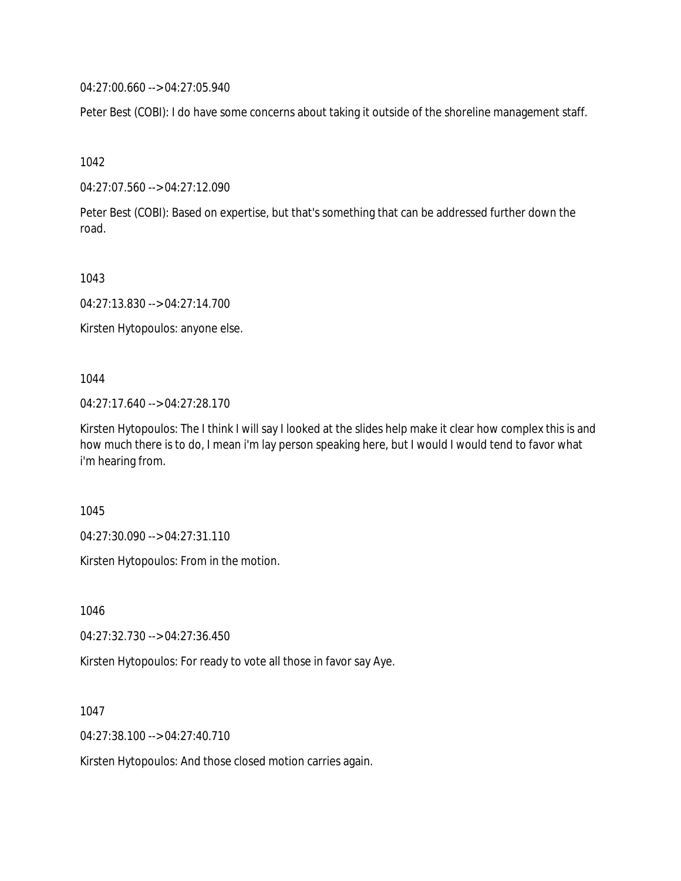04:27:00.660 --> 04:27:05.940

Peter Best (COBI): I do have some concerns about taking it outside of the shoreline management staff.

1042

04:27:07.560 --> 04:27:12.090

Peter Best (COBI): Based on expertise, but that's something that can be addressed further down the road.

1043

04:27:13.830 --> 04:27:14.700

Kirsten Hytopoulos: anyone else.

1044

04:27:17.640 --> 04:27:28.170

Kirsten Hytopoulos: The I think I will say I looked at the slides help make it clear how complex this is and how much there is to do, I mean i'm lay person speaking here, but I would I would tend to favor what i'm hearing from.

1045

04:27:30.090 --> 04:27:31.110

Kirsten Hytopoulos: From in the motion.

1046

04:27:32.730 --> 04:27:36.450

Kirsten Hytopoulos: For ready to vote all those in favor say Aye.

1047

04:27:38.100 --> 04:27:40.710

Kirsten Hytopoulos: And those closed motion carries again.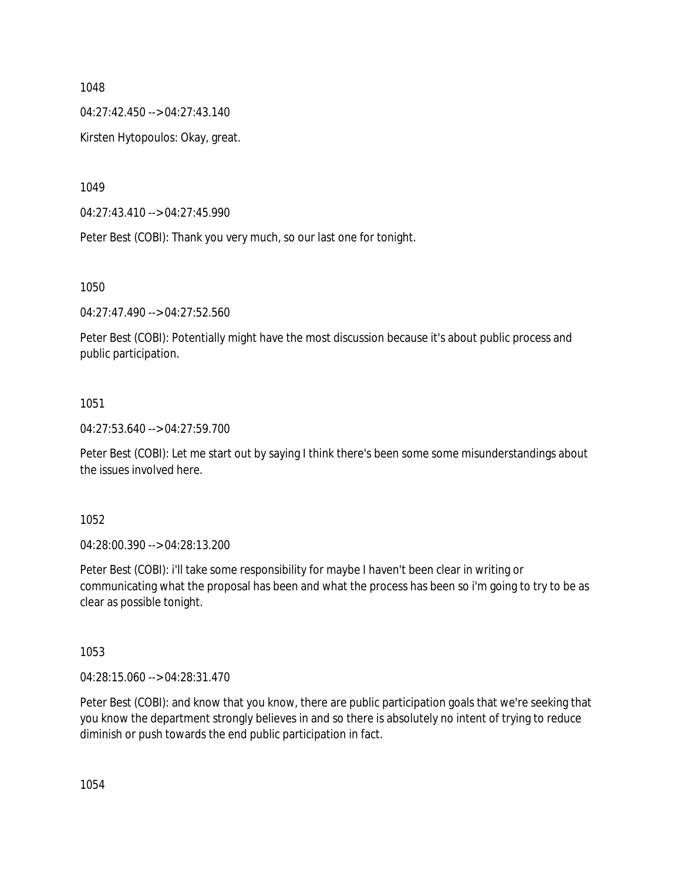04:27:42.450 --> 04:27:43.140

Kirsten Hytopoulos: Okay, great.

1049

04:27:43.410 --> 04:27:45.990

Peter Best (COBI): Thank you very much, so our last one for tonight.

1050

04:27:47.490 --> 04:27:52.560

Peter Best (COBI): Potentially might have the most discussion because it's about public process and public participation.

#### 1051

04:27:53.640 --> 04:27:59.700

Peter Best (COBI): Let me start out by saying I think there's been some some misunderstandings about the issues involved here.

1052

04:28:00.390 --> 04:28:13.200

Peter Best (COBI): i'll take some responsibility for maybe I haven't been clear in writing or communicating what the proposal has been and what the process has been so i'm going to try to be as clear as possible tonight.

1053

04:28:15.060 --> 04:28:31.470

Peter Best (COBI): and know that you know, there are public participation goals that we're seeking that you know the department strongly believes in and so there is absolutely no intent of trying to reduce diminish or push towards the end public participation in fact.

1054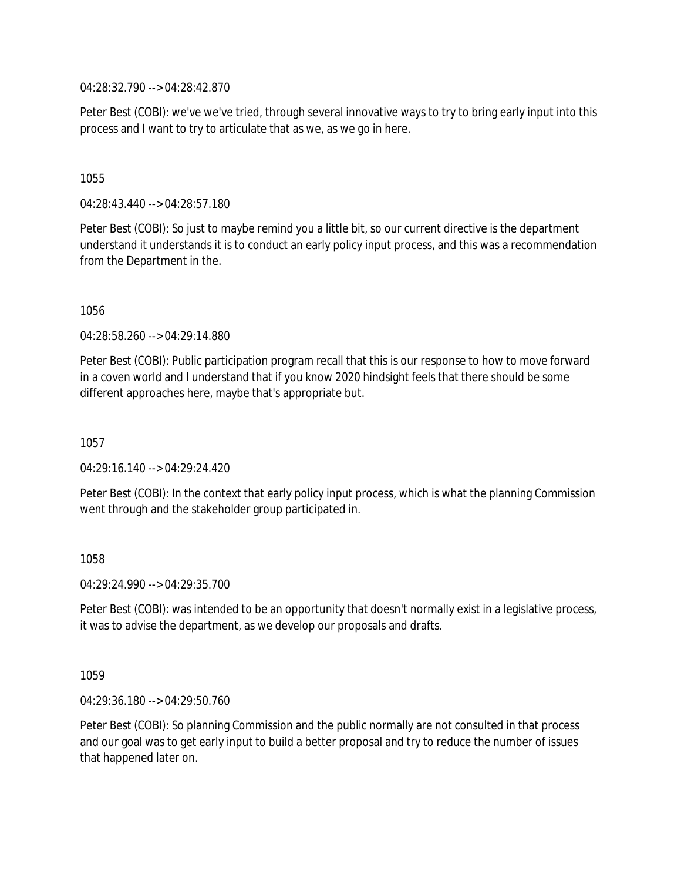04:28:32.790 --> 04:28:42.870

Peter Best (COBI): we've we've tried, through several innovative ways to try to bring early input into this process and I want to try to articulate that as we, as we go in here.

#### 1055

04:28:43.440 --> 04:28:57.180

Peter Best (COBI): So just to maybe remind you a little bit, so our current directive is the department understand it understands it is to conduct an early policy input process, and this was a recommendation from the Department in the.

#### 1056

04:28:58.260 --> 04:29:14.880

Peter Best (COBI): Public participation program recall that this is our response to how to move forward in a coven world and I understand that if you know 2020 hindsight feels that there should be some different approaches here, maybe that's appropriate but.

1057

 $04.29.16.140 -> 04.29.24.420$ 

Peter Best (COBI): In the context that early policy input process, which is what the planning Commission went through and the stakeholder group participated in.

1058

04:29:24.990 --> 04:29:35.700

Peter Best (COBI): was intended to be an opportunity that doesn't normally exist in a legislative process, it was to advise the department, as we develop our proposals and drafts.

1059

04:29:36.180 --> 04:29:50.760

Peter Best (COBI): So planning Commission and the public normally are not consulted in that process and our goal was to get early input to build a better proposal and try to reduce the number of issues that happened later on.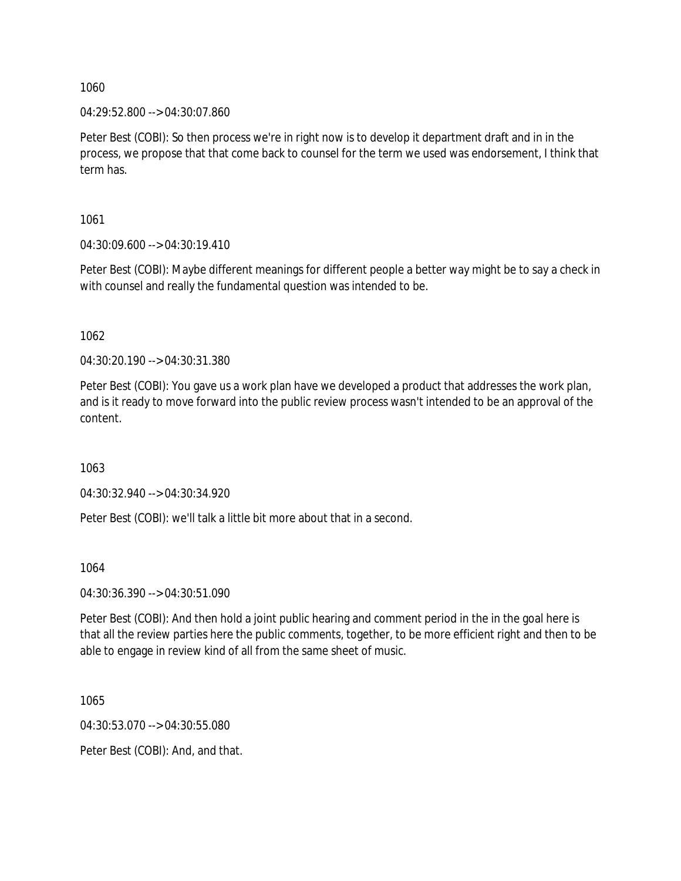04:29:52.800 --> 04:30:07.860

Peter Best (COBI): So then process we're in right now is to develop it department draft and in in the process, we propose that that come back to counsel for the term we used was endorsement, I think that term has.

1061

04:30:09.600 --> 04:30:19.410

Peter Best (COBI): Maybe different meanings for different people a better way might be to say a check in with counsel and really the fundamental question was intended to be.

1062

04:30:20.190 --> 04:30:31.380

Peter Best (COBI): You gave us a work plan have we developed a product that addresses the work plan, and is it ready to move forward into the public review process wasn't intended to be an approval of the content.

1063

04:30:32.940 --> 04:30:34.920

Peter Best (COBI): we'll talk a little bit more about that in a second.

1064

04:30:36.390 --> 04:30:51.090

Peter Best (COBI): And then hold a joint public hearing and comment period in the in the goal here is that all the review parties here the public comments, together, to be more efficient right and then to be able to engage in review kind of all from the same sheet of music.

1065

04:30:53.070 --> 04:30:55.080

Peter Best (COBI): And, and that.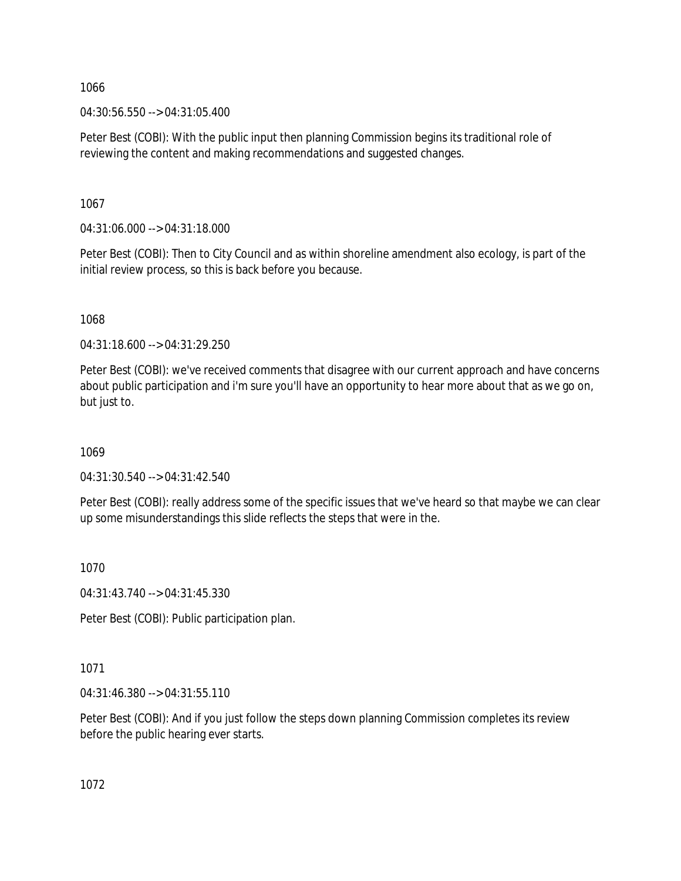04:30:56.550 --> 04:31:05.400

Peter Best (COBI): With the public input then planning Commission begins its traditional role of reviewing the content and making recommendations and suggested changes.

1067

04:31:06.000 --> 04:31:18.000

Peter Best (COBI): Then to City Council and as within shoreline amendment also ecology, is part of the initial review process, so this is back before you because.

1068

04:31:18.600 --> 04:31:29.250

Peter Best (COBI): we've received comments that disagree with our current approach and have concerns about public participation and i'm sure you'll have an opportunity to hear more about that as we go on, but just to.

1069

04:31:30.540 --> 04:31:42.540

Peter Best (COBI): really address some of the specific issues that we've heard so that maybe we can clear up some misunderstandings this slide reflects the steps that were in the.

1070

04:31:43.740 --> 04:31:45.330

Peter Best (COBI): Public participation plan.

1071

04:31:46.380 --> 04:31:55.110

Peter Best (COBI): And if you just follow the steps down planning Commission completes its review before the public hearing ever starts.

1072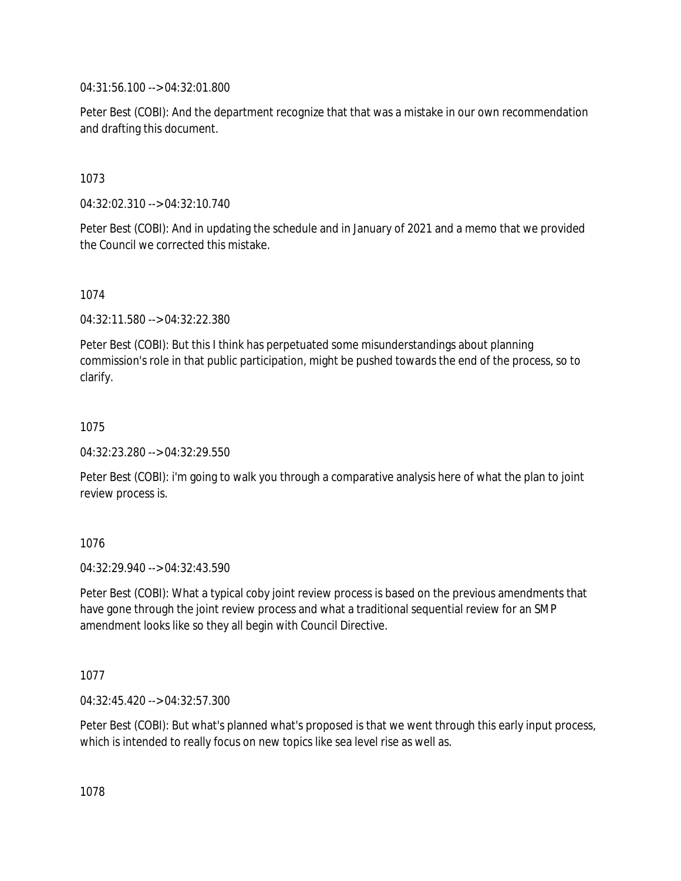04:31:56.100 --> 04:32:01.800

Peter Best (COBI): And the department recognize that that was a mistake in our own recommendation and drafting this document.

1073

04:32:02.310 --> 04:32:10.740

Peter Best (COBI): And in updating the schedule and in January of 2021 and a memo that we provided the Council we corrected this mistake.

1074

04:32:11.580 --> 04:32:22.380

Peter Best (COBI): But this I think has perpetuated some misunderstandings about planning commission's role in that public participation, might be pushed towards the end of the process, so to clarify.

1075

04:32:23.280 --> 04:32:29.550

Peter Best (COBI): i'm going to walk you through a comparative analysis here of what the plan to joint review process is.

1076

04:32:29.940 --> 04:32:43.590

Peter Best (COBI): What a typical coby joint review process is based on the previous amendments that have gone through the joint review process and what a traditional sequential review for an SMP amendment looks like so they all begin with Council Directive.

1077

04:32:45.420 --> 04:32:57.300

Peter Best (COBI): But what's planned what's proposed is that we went through this early input process, which is intended to really focus on new topics like sea level rise as well as.

1078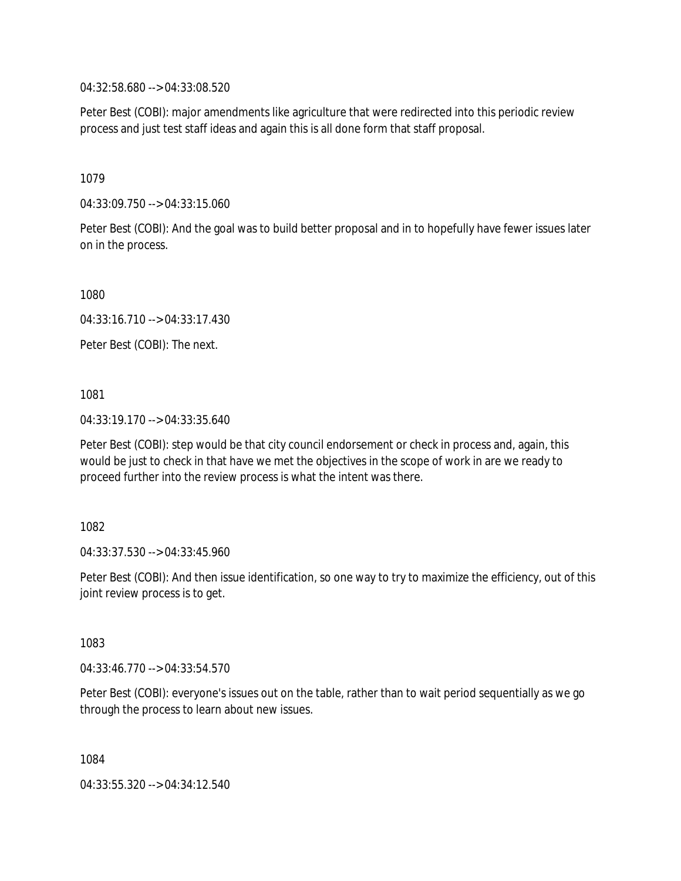04:32:58.680 --> 04:33:08.520

Peter Best (COBI): major amendments like agriculture that were redirected into this periodic review process and just test staff ideas and again this is all done form that staff proposal.

1079

04:33:09.750 --> 04:33:15.060

Peter Best (COBI): And the goal was to build better proposal and in to hopefully have fewer issues later on in the process.

1080

04:33:16.710 --> 04:33:17.430

Peter Best (COBI): The next.

1081

04:33:19.170 --> 04:33:35.640

Peter Best (COBI): step would be that city council endorsement or check in process and, again, this would be just to check in that have we met the objectives in the scope of work in are we ready to proceed further into the review process is what the intent was there.

1082

04:33:37.530 --> 04:33:45.960

Peter Best (COBI): And then issue identification, so one way to try to maximize the efficiency, out of this joint review process is to get.

1083

04:33:46.770 --> 04:33:54.570

Peter Best (COBI): everyone's issues out on the table, rather than to wait period sequentially as we go through the process to learn about new issues.

1084

04:33:55.320 --> 04:34:12.540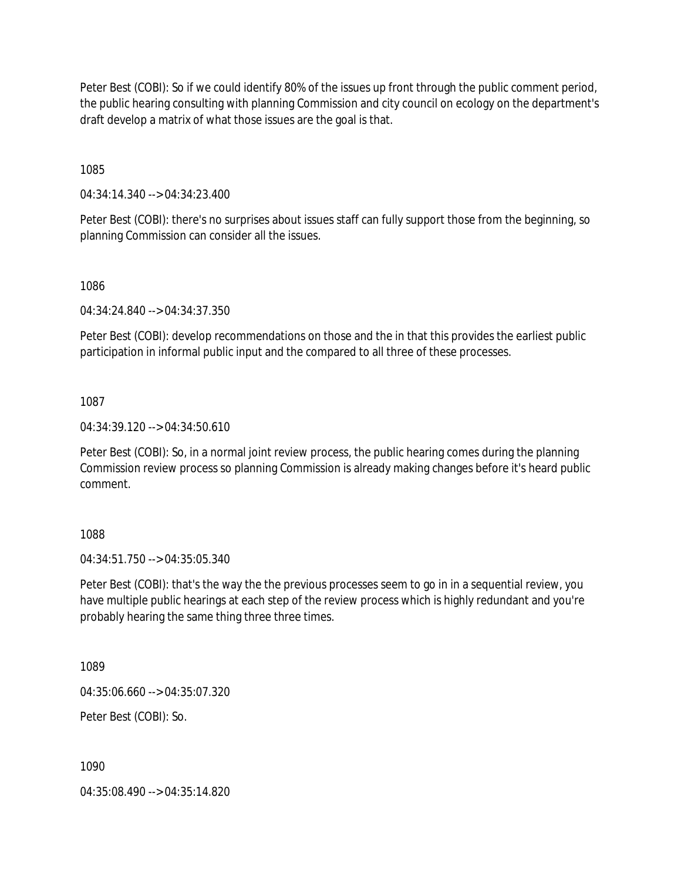Peter Best (COBI): So if we could identify 80% of the issues up front through the public comment period, the public hearing consulting with planning Commission and city council on ecology on the department's draft develop a matrix of what those issues are the goal is that.

1085

04:34:14.340 --> 04:34:23.400

Peter Best (COBI): there's no surprises about issues staff can fully support those from the beginning, so planning Commission can consider all the issues.

1086

04:34:24.840 --> 04:34:37.350

Peter Best (COBI): develop recommendations on those and the in that this provides the earliest public participation in informal public input and the compared to all three of these processes.

1087

04:34:39.120 --> 04:34:50.610

Peter Best (COBI): So, in a normal joint review process, the public hearing comes during the planning Commission review process so planning Commission is already making changes before it's heard public comment.

1088

04:34:51.750 --> 04:35:05.340

Peter Best (COBI): that's the way the the previous processes seem to go in in a sequential review, you have multiple public hearings at each step of the review process which is highly redundant and you're probably hearing the same thing three three times.

1089

04:35:06.660 --> 04:35:07.320

Peter Best (COBI): So.

1090

04:35:08.490 --> 04:35:14.820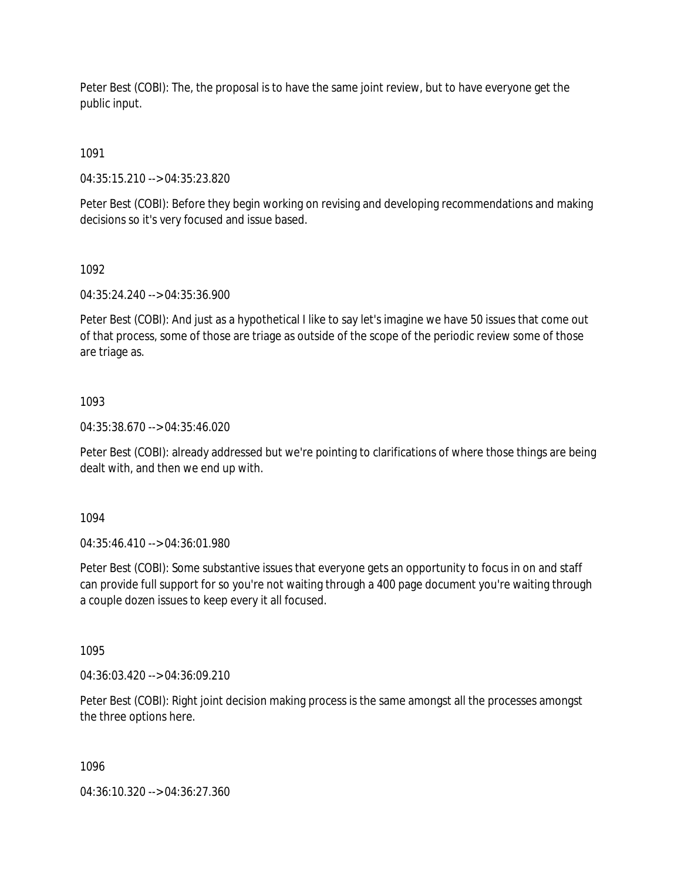Peter Best (COBI): The, the proposal is to have the same joint review, but to have everyone get the public input.

1091

04:35:15.210 --> 04:35:23.820

Peter Best (COBI): Before they begin working on revising and developing recommendations and making decisions so it's very focused and issue based.

1092

04:35:24.240 --> 04:35:36.900

Peter Best (COBI): And just as a hypothetical I like to say let's imagine we have 50 issues that come out of that process, some of those are triage as outside of the scope of the periodic review some of those are triage as.

### 1093

04:35:38.670 --> 04:35:46.020

Peter Best (COBI): already addressed but we're pointing to clarifications of where those things are being dealt with, and then we end up with.

1094

04:35:46.410 --> 04:36:01.980

Peter Best (COBI): Some substantive issues that everyone gets an opportunity to focus in on and staff can provide full support for so you're not waiting through a 400 page document you're waiting through a couple dozen issues to keep every it all focused.

1095

04:36:03.420 --> 04:36:09.210

Peter Best (COBI): Right joint decision making process is the same amongst all the processes amongst the three options here.

1096

04:36:10.320 --> 04:36:27.360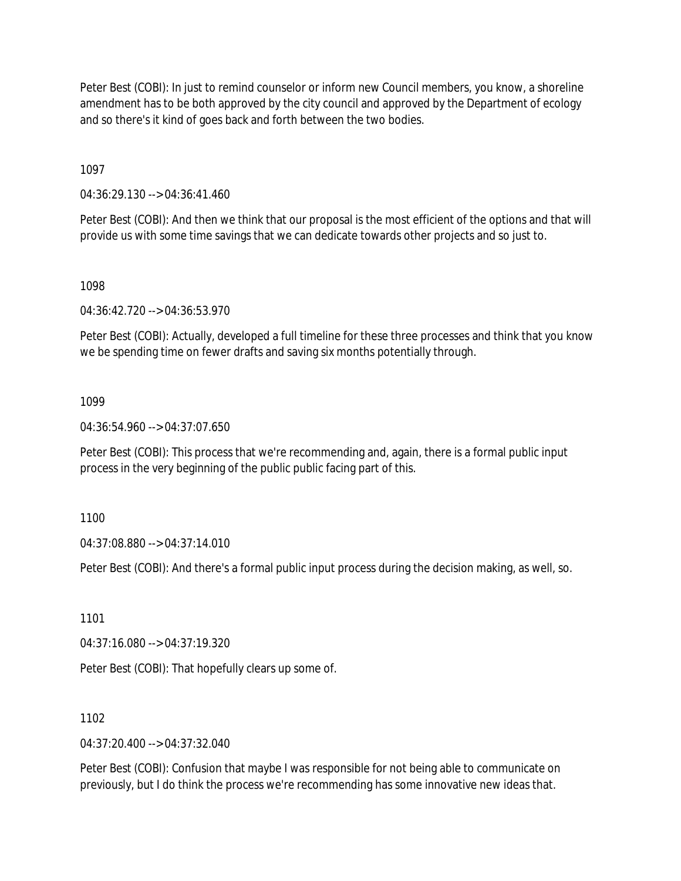Peter Best (COBI): In just to remind counselor or inform new Council members, you know, a shoreline amendment has to be both approved by the city council and approved by the Department of ecology and so there's it kind of goes back and forth between the two bodies.

1097

04:36:29.130 --> 04:36:41.460

Peter Best (COBI): And then we think that our proposal is the most efficient of the options and that will provide us with some time savings that we can dedicate towards other projects and so just to.

1098

04:36:42.720 --> 04:36:53.970

Peter Best (COBI): Actually, developed a full timeline for these three processes and think that you know we be spending time on fewer drafts and saving six months potentially through.

#### 1099

04:36:54.960 --> 04:37:07.650

Peter Best (COBI): This process that we're recommending and, again, there is a formal public input process in the very beginning of the public public facing part of this.

1100

04:37:08.880 --> 04:37:14.010

Peter Best (COBI): And there's a formal public input process during the decision making, as well, so.

1101

04:37:16.080 --> 04:37:19.320

Peter Best (COBI): That hopefully clears up some of.

1102

04:37:20.400 --> 04:37:32.040

Peter Best (COBI): Confusion that maybe I was responsible for not being able to communicate on previously, but I do think the process we're recommending has some innovative new ideas that.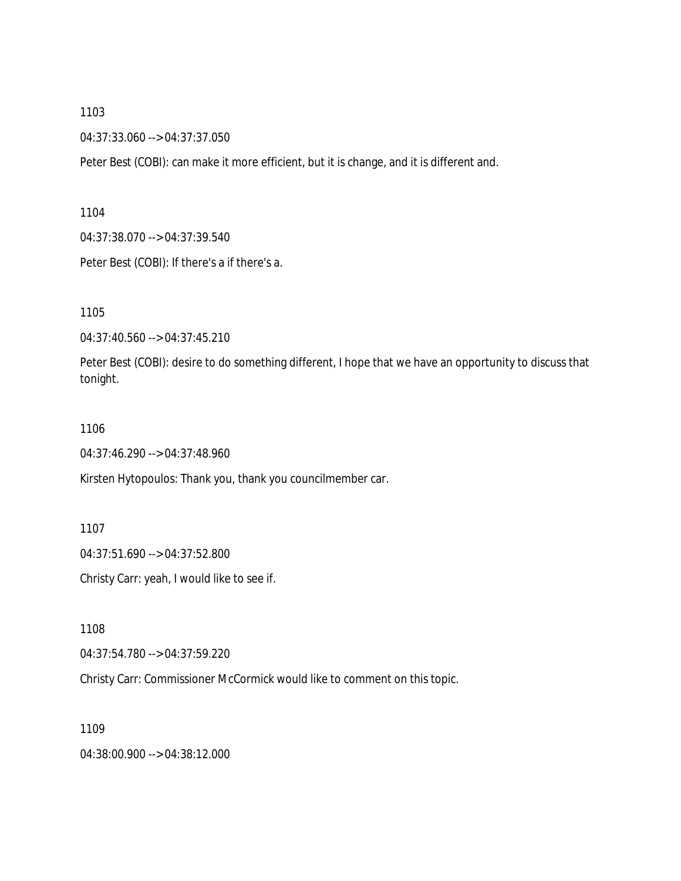04:37:33.060 --> 04:37:37.050

Peter Best (COBI): can make it more efficient, but it is change, and it is different and.

1104

04:37:38.070 --> 04:37:39.540

Peter Best (COBI): If there's a if there's a.

1105

04:37:40.560 --> 04:37:45.210

Peter Best (COBI): desire to do something different, I hope that we have an opportunity to discuss that tonight.

#### 1106

04:37:46.290 --> 04:37:48.960

Kirsten Hytopoulos: Thank you, thank you councilmember car.

1107

04:37:51.690 --> 04:37:52.800

Christy Carr: yeah, I would like to see if.

1108

04:37:54.780 --> 04:37:59.220

Christy Carr: Commissioner McCormick would like to comment on this topic.

1109

04:38:00.900 --> 04:38:12.000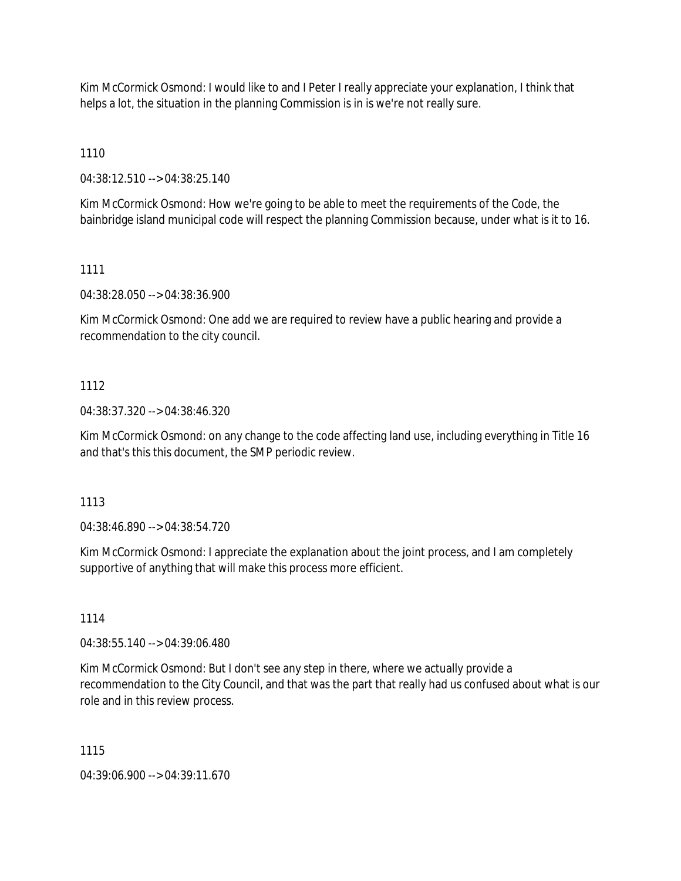Kim McCormick Osmond: I would like to and I Peter I really appreciate your explanation, I think that helps a lot, the situation in the planning Commission is in is we're not really sure.

1110

04:38:12.510 --> 04:38:25.140

Kim McCormick Osmond: How we're going to be able to meet the requirements of the Code, the bainbridge island municipal code will respect the planning Commission because, under what is it to 16.

### 1111

04:38:28.050 --> 04:38:36.900

Kim McCormick Osmond: One add we are required to review have a public hearing and provide a recommendation to the city council.

## 1112

04:38:37.320 --> 04:38:46.320

Kim McCormick Osmond: on any change to the code affecting land use, including everything in Title 16 and that's this this document, the SMP periodic review.

#### 1113

04:38:46.890 --> 04:38:54.720

Kim McCormick Osmond: I appreciate the explanation about the joint process, and I am completely supportive of anything that will make this process more efficient.

#### 1114

04:38:55.140 --> 04:39:06.480

Kim McCormick Osmond: But I don't see any step in there, where we actually provide a recommendation to the City Council, and that was the part that really had us confused about what is our role and in this review process.

#### 1115

04:39:06.900 --> 04:39:11.670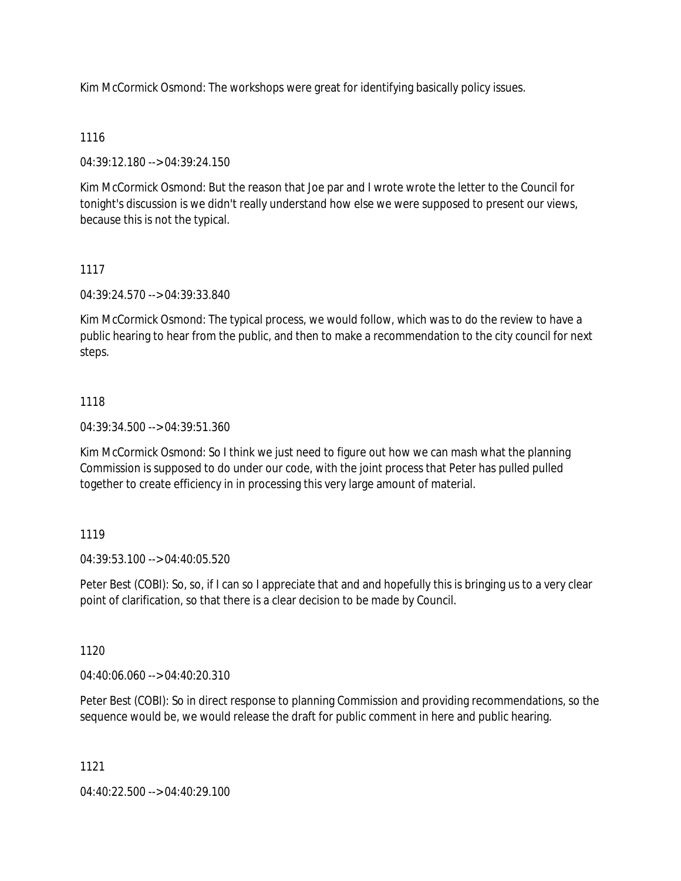Kim McCormick Osmond: The workshops were great for identifying basically policy issues.

# 1116

04:39:12.180 --> 04:39:24.150

Kim McCormick Osmond: But the reason that Joe par and I wrote wrote the letter to the Council for tonight's discussion is we didn't really understand how else we were supposed to present our views, because this is not the typical.

# 1117

04:39:24.570 --> 04:39:33.840

Kim McCormick Osmond: The typical process, we would follow, which was to do the review to have a public hearing to hear from the public, and then to make a recommendation to the city council for next steps.

# 1118

04:39:34.500 --> 04:39:51.360

Kim McCormick Osmond: So I think we just need to figure out how we can mash what the planning Commission is supposed to do under our code, with the joint process that Peter has pulled pulled together to create efficiency in in processing this very large amount of material.

## 1119

04:39:53.100 --> 04:40:05.520

Peter Best (COBI): So, so, if I can so I appreciate that and and hopefully this is bringing us to a very clear point of clarification, so that there is a clear decision to be made by Council.

## 1120

04:40:06.060 --> 04:40:20.310

Peter Best (COBI): So in direct response to planning Commission and providing recommendations, so the sequence would be, we would release the draft for public comment in here and public hearing.

1121

04:40:22.500 --> 04:40:29.100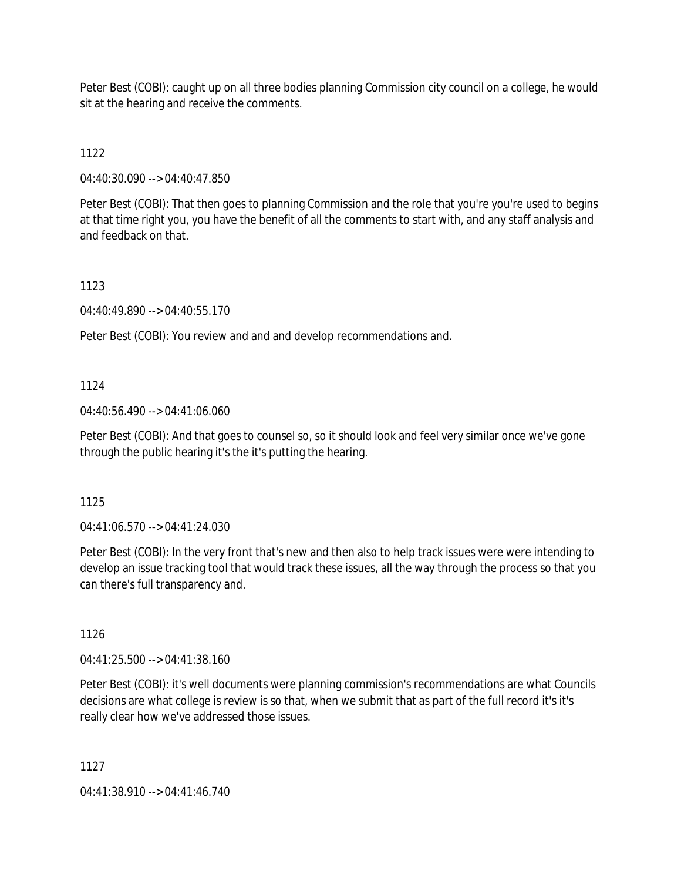Peter Best (COBI): caught up on all three bodies planning Commission city council on a college, he would sit at the hearing and receive the comments.

1122

04:40:30.090 --> 04:40:47.850

Peter Best (COBI): That then goes to planning Commission and the role that you're you're used to begins at that time right you, you have the benefit of all the comments to start with, and any staff analysis and and feedback on that.

1123

04:40:49.890 --> 04:40:55.170

Peter Best (COBI): You review and and and develop recommendations and.

### 1124

04:40:56.490 --> 04:41:06.060

Peter Best (COBI): And that goes to counsel so, so it should look and feel very similar once we've gone through the public hearing it's the it's putting the hearing.

1125

04:41:06.570 --> 04:41:24.030

Peter Best (COBI): In the very front that's new and then also to help track issues were were intending to develop an issue tracking tool that would track these issues, all the way through the process so that you can there's full transparency and.

1126

04:41:25.500 --> 04:41:38.160

Peter Best (COBI): it's well documents were planning commission's recommendations are what Councils decisions are what college is review is so that, when we submit that as part of the full record it's it's really clear how we've addressed those issues.

1127

04:41:38.910 --> 04:41:46.740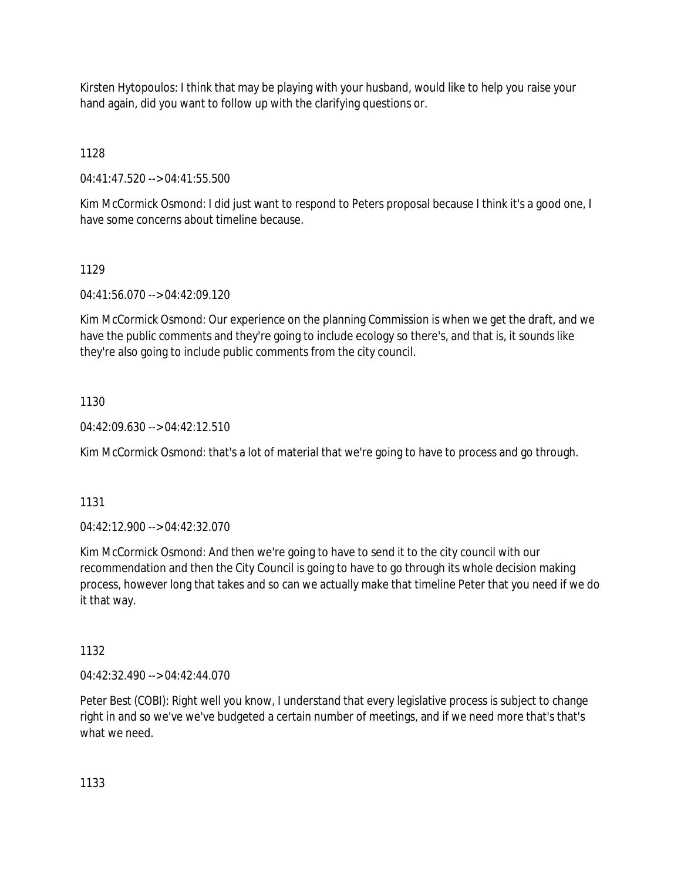Kirsten Hytopoulos: I think that may be playing with your husband, would like to help you raise your hand again, did you want to follow up with the clarifying questions or.

1128

04:41:47.520 --> 04:41:55.500

Kim McCormick Osmond: I did just want to respond to Peters proposal because I think it's a good one, I have some concerns about timeline because.

## 1129

04:41:56.070 --> 04:42:09.120

Kim McCormick Osmond: Our experience on the planning Commission is when we get the draft, and we have the public comments and they're going to include ecology so there's, and that is, it sounds like they're also going to include public comments from the city council.

# 1130

 $04:42:09.630 \rightarrow 04:42:12.510$ 

Kim McCormick Osmond: that's a lot of material that we're going to have to process and go through.

## 1131

04:42:12.900 --> 04:42:32.070

Kim McCormick Osmond: And then we're going to have to send it to the city council with our recommendation and then the City Council is going to have to go through its whole decision making process, however long that takes and so can we actually make that timeline Peter that you need if we do it that way.

## 1132

04:42:32.490 --> 04:42:44.070

Peter Best (COBI): Right well you know, I understand that every legislative process is subject to change right in and so we've we've budgeted a certain number of meetings, and if we need more that's that's what we need.

1133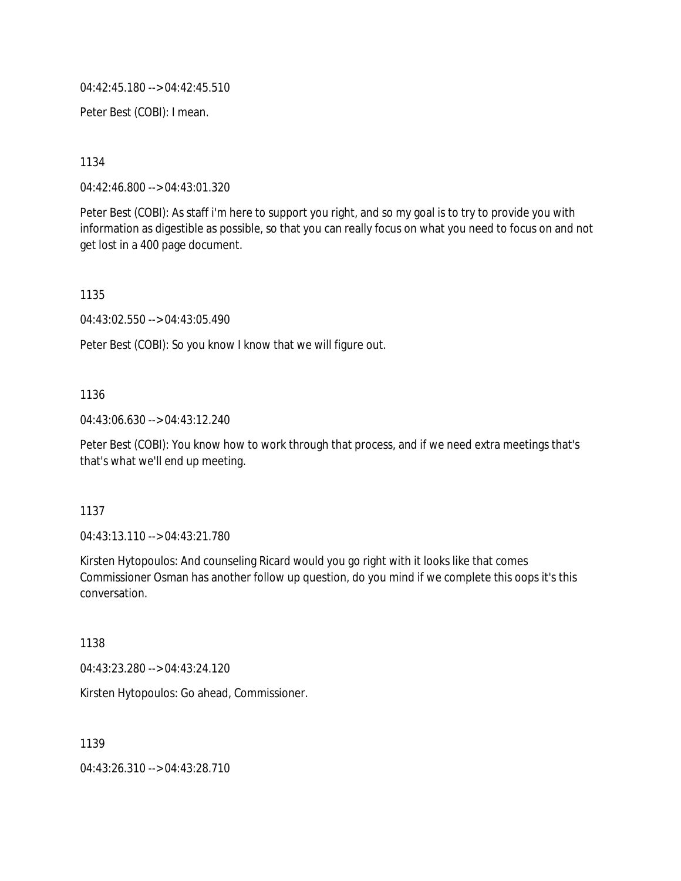04:42:45.180 --> 04:42:45.510

Peter Best (COBI): I mean.

1134

04:42:46.800 --> 04:43:01.320

Peter Best (COBI): As staff i'm here to support you right, and so my goal is to try to provide you with information as digestible as possible, so that you can really focus on what you need to focus on and not get lost in a 400 page document.

1135

04:43:02.550 --> 04:43:05.490

Peter Best (COBI): So you know I know that we will figure out.

#### 1136

04:43:06.630 --> 04:43:12.240

Peter Best (COBI): You know how to work through that process, and if we need extra meetings that's that's what we'll end up meeting.

#### 1137

04:43:13.110 --> 04:43:21.780

Kirsten Hytopoulos: And counseling Ricard would you go right with it looks like that comes Commissioner Osman has another follow up question, do you mind if we complete this oops it's this conversation.

#### 1138

04:43:23.280 --> 04:43:24.120

Kirsten Hytopoulos: Go ahead, Commissioner.

1139

04:43:26.310 --> 04:43:28.710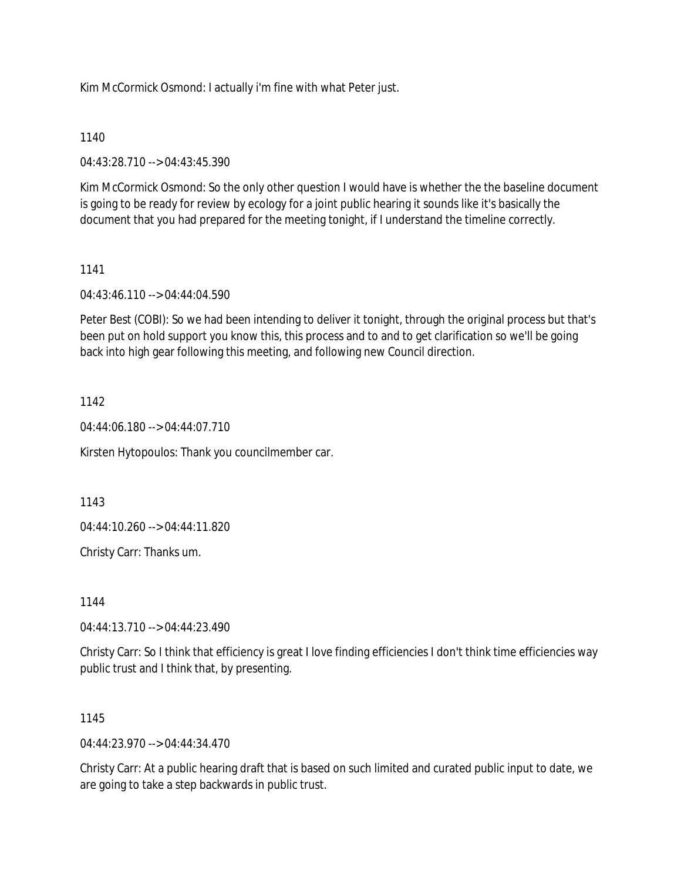Kim McCormick Osmond: I actually i'm fine with what Peter just.

#### 1140

04:43:28.710 --> 04:43:45.390

Kim McCormick Osmond: So the only other question I would have is whether the the baseline document is going to be ready for review by ecology for a joint public hearing it sounds like it's basically the document that you had prepared for the meeting tonight, if I understand the timeline correctly.

#### 1141

04:43:46.110 --> 04:44:04.590

Peter Best (COBI): So we had been intending to deliver it tonight, through the original process but that's been put on hold support you know this, this process and to and to get clarification so we'll be going back into high gear following this meeting, and following new Council direction.

#### 1142

04:44:06.180 --> 04:44:07.710

Kirsten Hytopoulos: Thank you councilmember car.

1143

04:44:10.260 --> 04:44:11.820

Christy Carr: Thanks um.

1144

04:44:13.710 --> 04:44:23.490

Christy Carr: So I think that efficiency is great I love finding efficiencies I don't think time efficiencies way public trust and I think that, by presenting.

#### 1145

 $04.44.23.970 -> 04.44.34.470$ 

Christy Carr: At a public hearing draft that is based on such limited and curated public input to date, we are going to take a step backwards in public trust.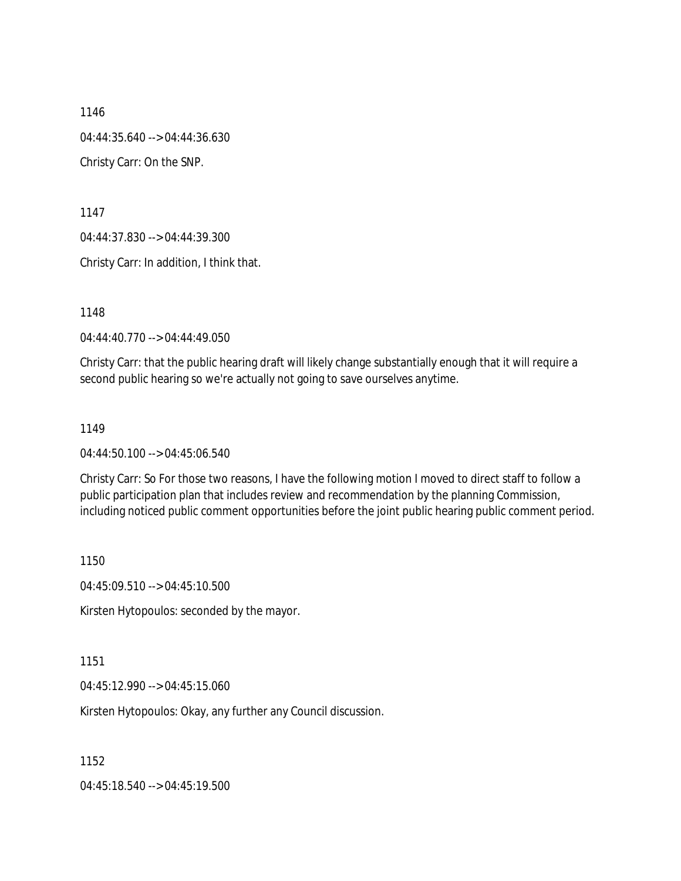1146 04:44:35.640 --> 04:44:36.630 Christy Carr: On the SNP.

1147

04:44:37.830 --> 04:44:39.300

Christy Carr: In addition, I think that.

1148

04:44:40.770 --> 04:44:49.050

Christy Carr: that the public hearing draft will likely change substantially enough that it will require a second public hearing so we're actually not going to save ourselves anytime.

#### 1149

04:44:50.100 --> 04:45:06.540

Christy Carr: So For those two reasons, I have the following motion I moved to direct staff to follow a public participation plan that includes review and recommendation by the planning Commission, including noticed public comment opportunities before the joint public hearing public comment period.

1150

04:45:09.510 --> 04:45:10.500

Kirsten Hytopoulos: seconded by the mayor.

1151

04:45:12.990 --> 04:45:15.060

Kirsten Hytopoulos: Okay, any further any Council discussion.

1152

04:45:18.540 --> 04:45:19.500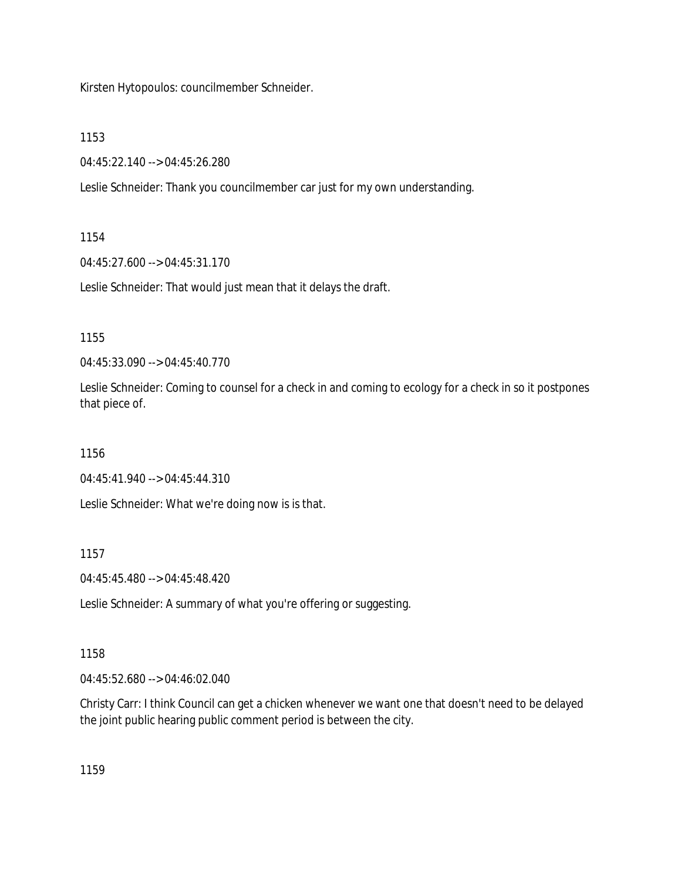Kirsten Hytopoulos: councilmember Schneider.

1153

04:45:22.140 --> 04:45:26.280

Leslie Schneider: Thank you councilmember car just for my own understanding.

### 1154

04:45:27.600 --> 04:45:31.170

Leslie Schneider: That would just mean that it delays the draft.

1155

04:45:33.090 --> 04:45:40.770

Leslie Schneider: Coming to counsel for a check in and coming to ecology for a check in so it postpones that piece of.

1156

04:45:41.940 --> 04:45:44.310

Leslie Schneider: What we're doing now is is that.

1157

04:45:45.480 --> 04:45:48.420

Leslie Schneider: A summary of what you're offering or suggesting.

# 1158

04:45:52.680 --> 04:46:02.040

Christy Carr: I think Council can get a chicken whenever we want one that doesn't need to be delayed the joint public hearing public comment period is between the city.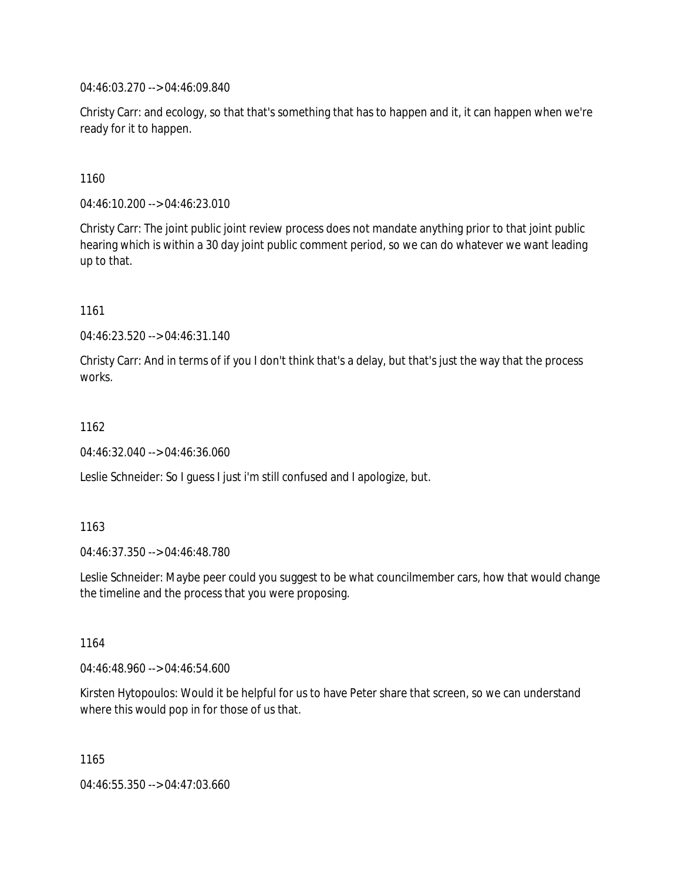04:46:03.270 --> 04:46:09.840

Christy Carr: and ecology, so that that's something that has to happen and it, it can happen when we're ready for it to happen.

1160

04:46:10.200 --> 04:46:23.010

Christy Carr: The joint public joint review process does not mandate anything prior to that joint public hearing which is within a 30 day joint public comment period, so we can do whatever we want leading up to that.

1161

04:46:23.520 --> 04:46:31.140

Christy Carr: And in terms of if you I don't think that's a delay, but that's just the way that the process works.

1162

04:46:32.040 --> 04:46:36.060

Leslie Schneider: So I guess I just i'm still confused and I apologize, but.

1163

04:46:37.350 --> 04:46:48.780

Leslie Schneider: Maybe peer could you suggest to be what councilmember cars, how that would change the timeline and the process that you were proposing.

1164

04:46:48.960 --> 04:46:54.600

Kirsten Hytopoulos: Would it be helpful for us to have Peter share that screen, so we can understand where this would pop in for those of us that.

1165 04:46:55.350 --> 04:47:03.660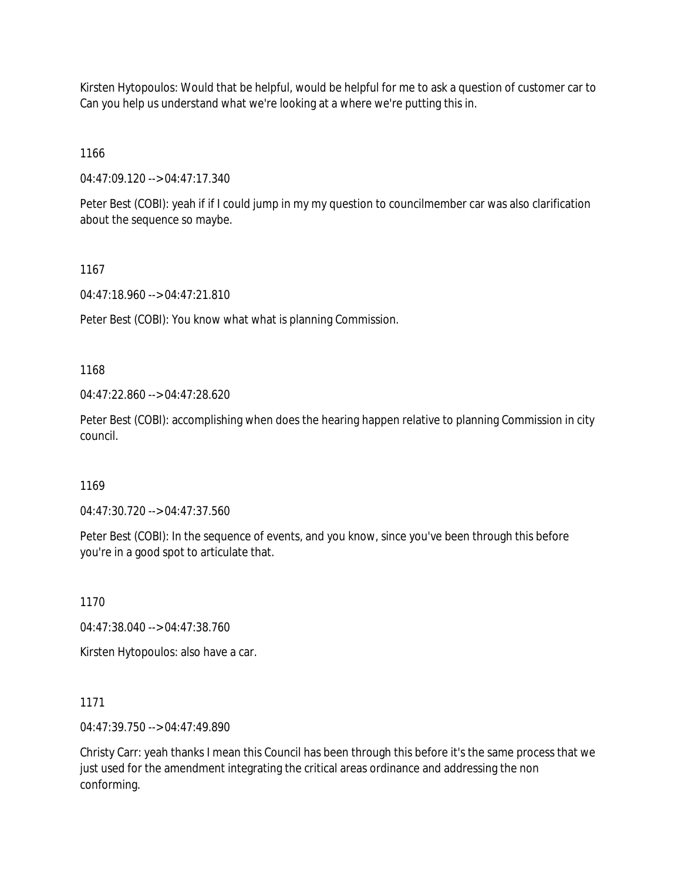Kirsten Hytopoulos: Would that be helpful, would be helpful for me to ask a question of customer car to Can you help us understand what we're looking at a where we're putting this in.

1166

04:47:09.120 --> 04:47:17.340

Peter Best (COBI): yeah if if I could jump in my my question to councilmember car was also clarification about the sequence so maybe.

1167

04:47:18.960 --> 04:47:21.810

Peter Best (COBI): You know what what is planning Commission.

1168

04:47:22.860 --> 04:47:28.620

Peter Best (COBI): accomplishing when does the hearing happen relative to planning Commission in city council.

1169

04:47:30.720 --> 04:47:37.560

Peter Best (COBI): In the sequence of events, and you know, since you've been through this before you're in a good spot to articulate that.

1170

04:47:38.040 --> 04:47:38.760

Kirsten Hytopoulos: also have a car.

1171

04:47:39.750 --> 04:47:49.890

Christy Carr: yeah thanks I mean this Council has been through this before it's the same process that we just used for the amendment integrating the critical areas ordinance and addressing the non conforming.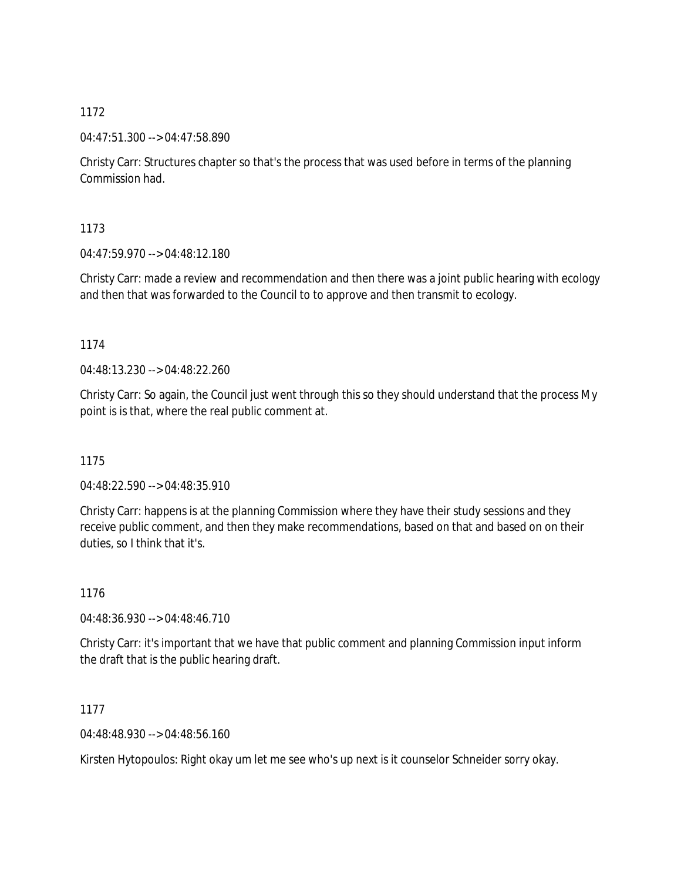04:47:51.300 --> 04:47:58.890

Christy Carr: Structures chapter so that's the process that was used before in terms of the planning Commission had.

1173

04:47:59.970 --> 04:48:12.180

Christy Carr: made a review and recommendation and then there was a joint public hearing with ecology and then that was forwarded to the Council to to approve and then transmit to ecology.

1174

04:48:13.230 --> 04:48:22.260

Christy Carr: So again, the Council just went through this so they should understand that the process My point is is that, where the real public comment at.

1175

04:48:22.590 --> 04:48:35.910

Christy Carr: happens is at the planning Commission where they have their study sessions and they receive public comment, and then they make recommendations, based on that and based on on their duties, so I think that it's.

1176

04:48:36.930 --> 04:48:46.710

Christy Carr: it's important that we have that public comment and planning Commission input inform the draft that is the public hearing draft.

1177

04:48:48.930 --> 04:48:56.160

Kirsten Hytopoulos: Right okay um let me see who's up next is it counselor Schneider sorry okay.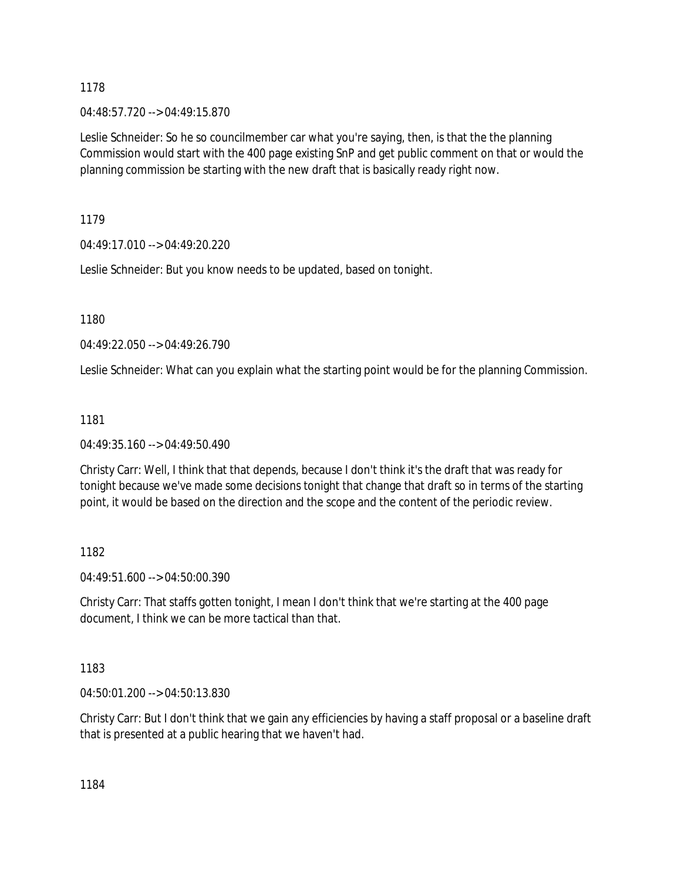04:48:57.720 --> 04:49:15.870

Leslie Schneider: So he so councilmember car what you're saying, then, is that the the planning Commission would start with the 400 page existing SnP and get public comment on that or would the planning commission be starting with the new draft that is basically ready right now.

1179

04:49:17.010 --> 04:49:20.220

Leslie Schneider: But you know needs to be updated, based on tonight.

1180

04:49:22.050 --> 04:49:26.790

Leslie Schneider: What can you explain what the starting point would be for the planning Commission.

1181

04:49:35.160 --> 04:49:50.490

Christy Carr: Well, I think that that depends, because I don't think it's the draft that was ready for tonight because we've made some decisions tonight that change that draft so in terms of the starting point, it would be based on the direction and the scope and the content of the periodic review.

1182

04:49:51.600 --> 04:50:00.390

Christy Carr: That staffs gotten tonight, I mean I don't think that we're starting at the 400 page document, I think we can be more tactical than that.

1183

04:50:01.200 --> 04:50:13.830

Christy Carr: But I don't think that we gain any efficiencies by having a staff proposal or a baseline draft that is presented at a public hearing that we haven't had.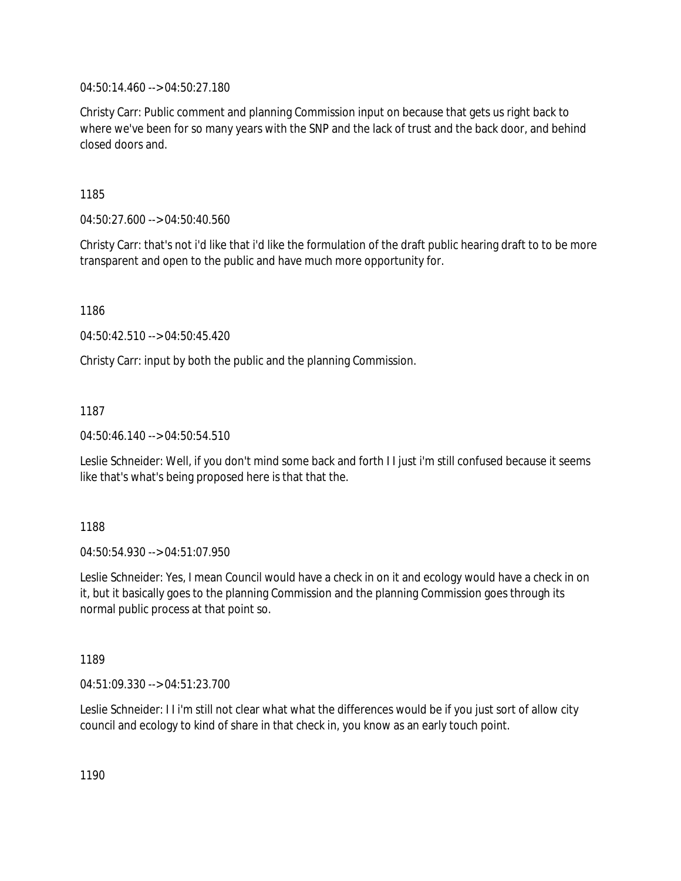04:50:14.460 --> 04:50:27.180

Christy Carr: Public comment and planning Commission input on because that gets us right back to where we've been for so many years with the SNP and the lack of trust and the back door, and behind closed doors and.

1185

04:50:27.600 --> 04:50:40.560

Christy Carr: that's not i'd like that i'd like the formulation of the draft public hearing draft to to be more transparent and open to the public and have much more opportunity for.

1186

04:50:42.510 --> 04:50:45.420

Christy Carr: input by both the public and the planning Commission.

1187

04:50:46.140 --> 04:50:54.510

Leslie Schneider: Well, if you don't mind some back and forth I I just i'm still confused because it seems like that's what's being proposed here is that that the.

1188

04:50:54.930 --> 04:51:07.950

Leslie Schneider: Yes, I mean Council would have a check in on it and ecology would have a check in on it, but it basically goes to the planning Commission and the planning Commission goes through its normal public process at that point so.

1189

04:51:09.330 --> 04:51:23.700

Leslie Schneider: I I i'm still not clear what what the differences would be if you just sort of allow city council and ecology to kind of share in that check in, you know as an early touch point.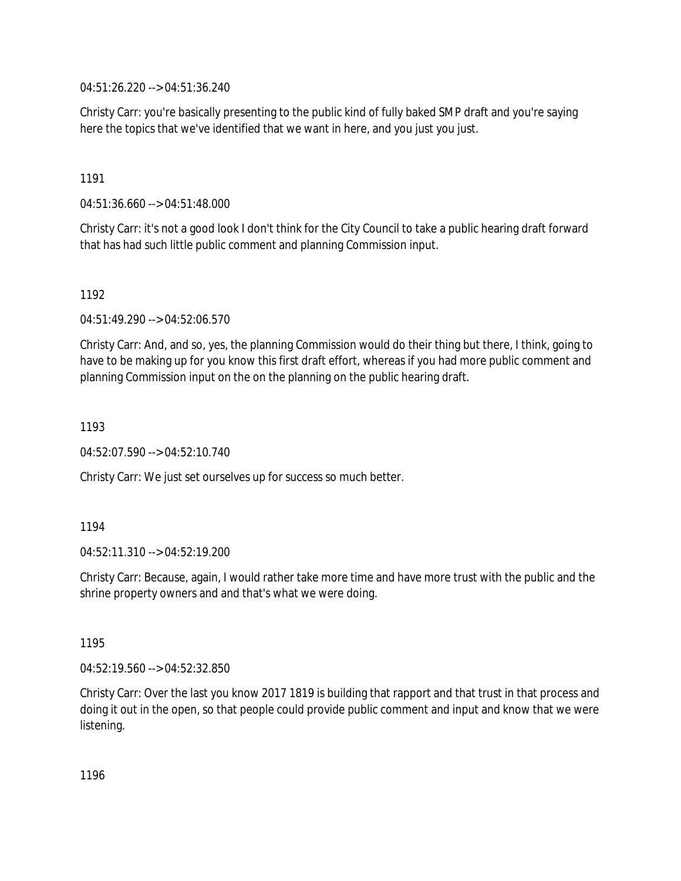04:51:26.220 --> 04:51:36.240

Christy Carr: you're basically presenting to the public kind of fully baked SMP draft and you're saying here the topics that we've identified that we want in here, and you just you just.

1191

04:51:36.660 --> 04:51:48.000

Christy Carr: it's not a good look I don't think for the City Council to take a public hearing draft forward that has had such little public comment and planning Commission input.

1192

04:51:49.290 --> 04:52:06.570

Christy Carr: And, and so, yes, the planning Commission would do their thing but there, I think, going to have to be making up for you know this first draft effort, whereas if you had more public comment and planning Commission input on the on the planning on the public hearing draft.

1193

04:52:07.590 --> 04:52:10.740

Christy Carr: We just set ourselves up for success so much better.

1194

04:52:11.310 --> 04:52:19.200

Christy Carr: Because, again, I would rather take more time and have more trust with the public and the shrine property owners and and that's what we were doing.

1195

04:52:19.560 --> 04:52:32.850

Christy Carr: Over the last you know 2017 1819 is building that rapport and that trust in that process and doing it out in the open, so that people could provide public comment and input and know that we were listening.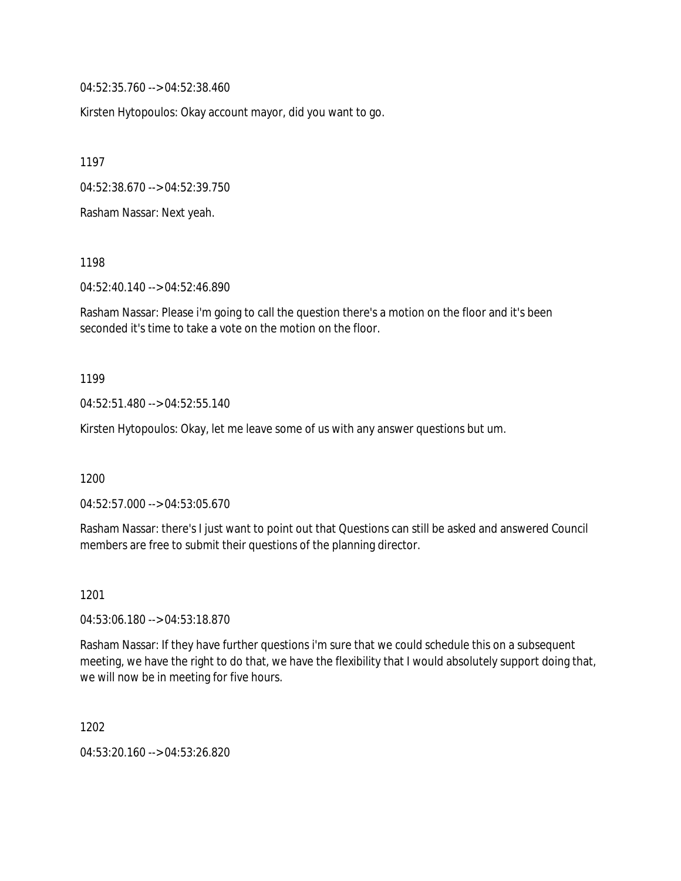04:52:35.760 --> 04:52:38.460

Kirsten Hytopoulos: Okay account mayor, did you want to go.

1197

04:52:38.670 --> 04:52:39.750

Rasham Nassar: Next yeah.

1198

04:52:40.140 --> 04:52:46.890

Rasham Nassar: Please i'm going to call the question there's a motion on the floor and it's been seconded it's time to take a vote on the motion on the floor.

1199

04:52:51.480 --> 04:52:55.140

Kirsten Hytopoulos: Okay, let me leave some of us with any answer questions but um.

1200

04:52:57.000 --> 04:53:05.670

Rasham Nassar: there's I just want to point out that Questions can still be asked and answered Council members are free to submit their questions of the planning director.

1201

04:53:06.180 --> 04:53:18.870

Rasham Nassar: If they have further questions i'm sure that we could schedule this on a subsequent meeting, we have the right to do that, we have the flexibility that I would absolutely support doing that, we will now be in meeting for five hours.

1202

04:53:20.160 --> 04:53:26.820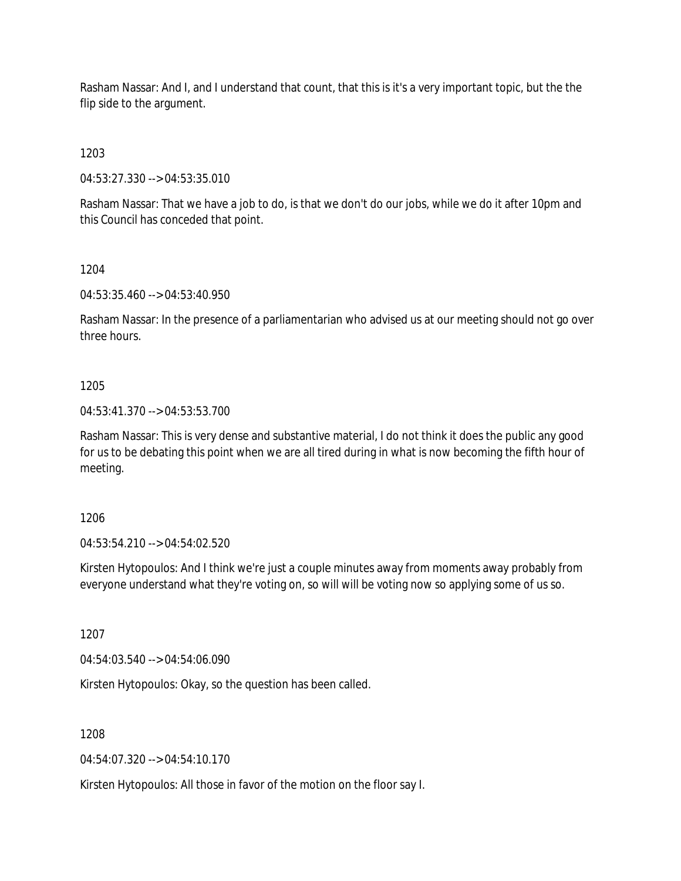Rasham Nassar: And I, and I understand that count, that this is it's a very important topic, but the the flip side to the argument.

1203

04:53:27.330 --> 04:53:35.010

Rasham Nassar: That we have a job to do, is that we don't do our jobs, while we do it after 10pm and this Council has conceded that point.

1204

04:53:35.460 --> 04:53:40.950

Rasham Nassar: In the presence of a parliamentarian who advised us at our meeting should not go over three hours.

1205

04:53:41.370 --> 04:53:53.700

Rasham Nassar: This is very dense and substantive material, I do not think it does the public any good for us to be debating this point when we are all tired during in what is now becoming the fifth hour of meeting.

1206

04:53:54.210 --> 04:54:02.520

Kirsten Hytopoulos: And I think we're just a couple minutes away from moments away probably from everyone understand what they're voting on, so will will be voting now so applying some of us so.

1207

04:54:03.540 --> 04:54:06.090

Kirsten Hytopoulos: Okay, so the question has been called.

1208

04:54:07.320 --> 04:54:10.170

Kirsten Hytopoulos: All those in favor of the motion on the floor say I.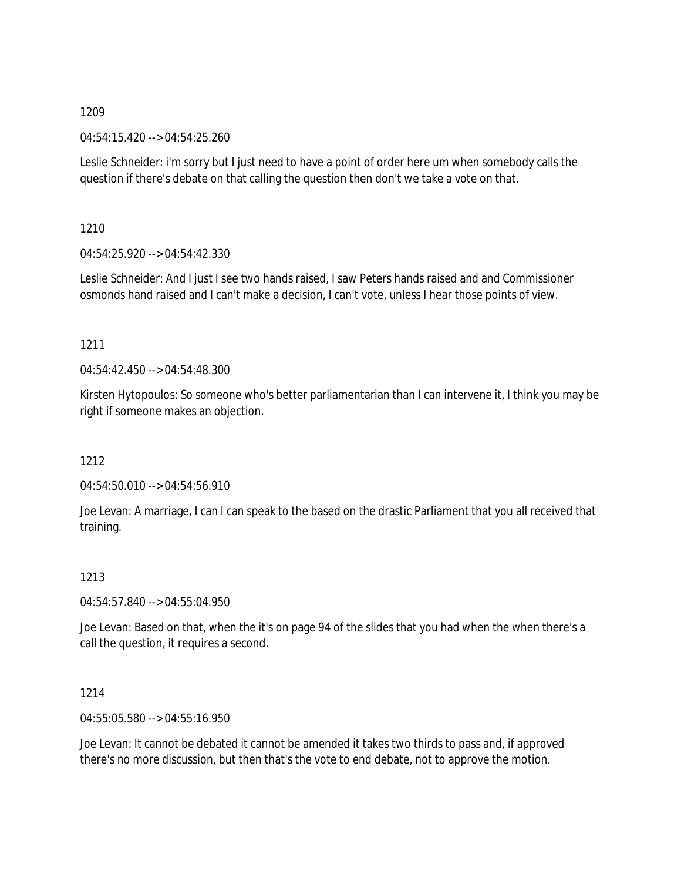04:54:15.420 --> 04:54:25.260

Leslie Schneider: i'm sorry but I just need to have a point of order here um when somebody calls the question if there's debate on that calling the question then don't we take a vote on that.

1210

04:54:25.920 --> 04:54:42.330

Leslie Schneider: And I just I see two hands raised, I saw Peters hands raised and and Commissioner osmonds hand raised and I can't make a decision, I can't vote, unless I hear those points of view.

### 1211

 $04:54:42.450 \rightarrow 04:54:48.300$ 

Kirsten Hytopoulos: So someone who's better parliamentarian than I can intervene it, I think you may be right if someone makes an objection.

# 1212

04:54:50.010 --> 04:54:56.910

Joe Levan: A marriage, I can I can speak to the based on the drastic Parliament that you all received that training.

# 1213

04:54:57.840 --> 04:55:04.950

Joe Levan: Based on that, when the it's on page 94 of the slides that you had when the when there's a call the question, it requires a second.

# 1214

04:55:05.580 --> 04:55:16.950

Joe Levan: It cannot be debated it cannot be amended it takes two thirds to pass and, if approved there's no more discussion, but then that's the vote to end debate, not to approve the motion.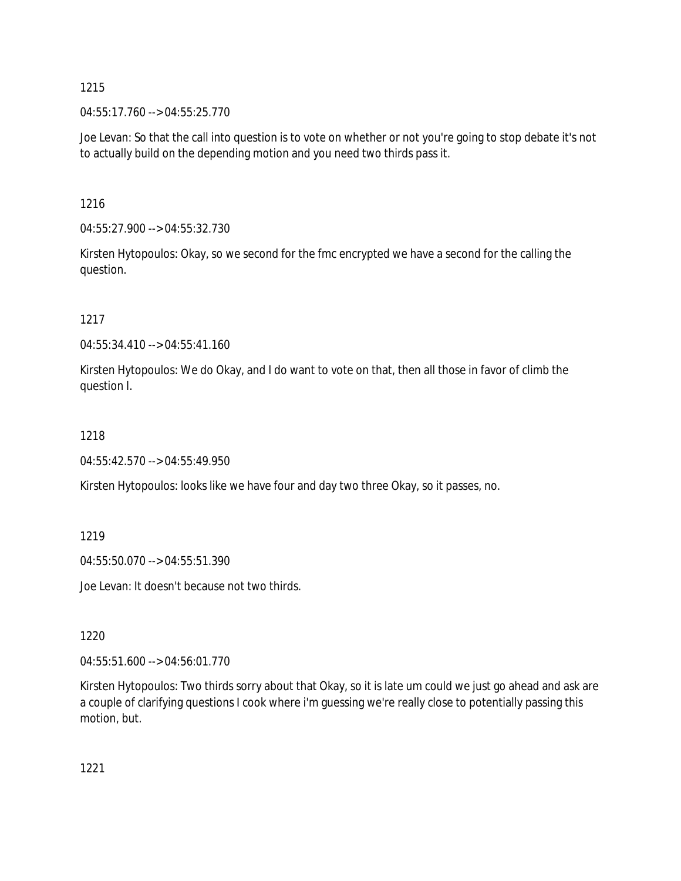04:55:17.760 --> 04:55:25.770

Joe Levan: So that the call into question is to vote on whether or not you're going to stop debate it's not to actually build on the depending motion and you need two thirds pass it.

1216

04:55:27.900 --> 04:55:32.730

Kirsten Hytopoulos: Okay, so we second for the fmc encrypted we have a second for the calling the question.

1217

04:55:34.410 --> 04:55:41.160

Kirsten Hytopoulos: We do Okay, and I do want to vote on that, then all those in favor of climb the question I.

1218

04:55:42.570 --> 04:55:49.950

Kirsten Hytopoulos: looks like we have four and day two three Okay, so it passes, no.

1219

04:55:50.070 --> 04:55:51.390

Joe Levan: It doesn't because not two thirds.

1220

04:55:51.600 --> 04:56:01.770

Kirsten Hytopoulos: Two thirds sorry about that Okay, so it is late um could we just go ahead and ask are a couple of clarifying questions I cook where i'm guessing we're really close to potentially passing this motion, but.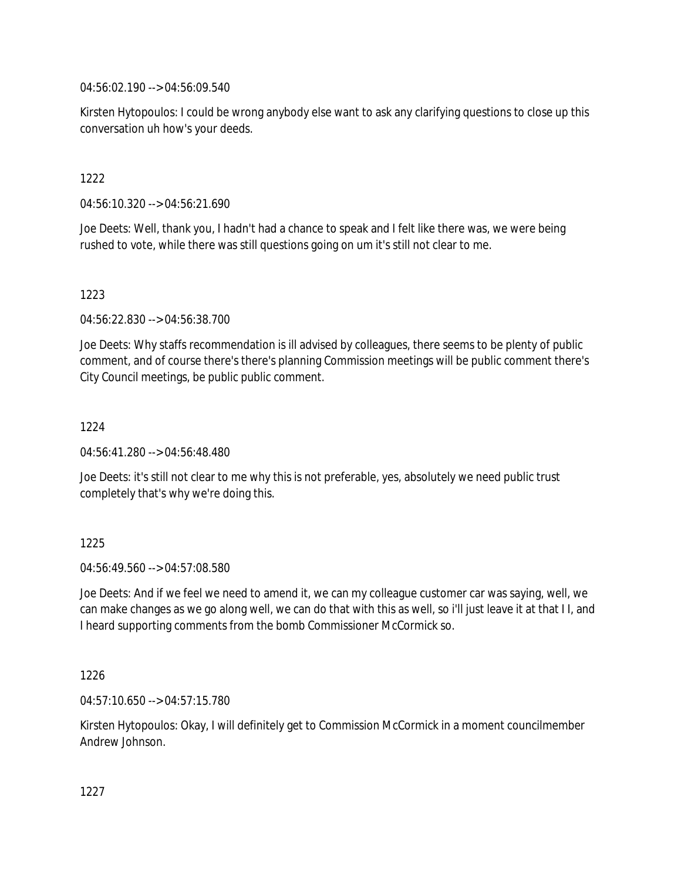04:56:02.190 --> 04:56:09.540

Kirsten Hytopoulos: I could be wrong anybody else want to ask any clarifying questions to close up this conversation uh how's your deeds.

### 1222

04:56:10.320 --> 04:56:21.690

Joe Deets: Well, thank you, I hadn't had a chance to speak and I felt like there was, we were being rushed to vote, while there was still questions going on um it's still not clear to me.

### 1223

04:56:22.830 --> 04:56:38.700

Joe Deets: Why staffs recommendation is ill advised by colleagues, there seems to be plenty of public comment, and of course there's there's planning Commission meetings will be public comment there's City Council meetings, be public public comment.

### 1224

04:56:41.280 --> 04:56:48.480

Joe Deets: it's still not clear to me why this is not preferable, yes, absolutely we need public trust completely that's why we're doing this.

### 1225

04:56:49.560 --> 04:57:08.580

Joe Deets: And if we feel we need to amend it, we can my colleague customer car was saying, well, we can make changes as we go along well, we can do that with this as well, so i'll just leave it at that I I, and I heard supporting comments from the bomb Commissioner McCormick so.

### 1226

04:57:10.650 --> 04:57:15.780

Kirsten Hytopoulos: Okay, I will definitely get to Commission McCormick in a moment councilmember Andrew Johnson.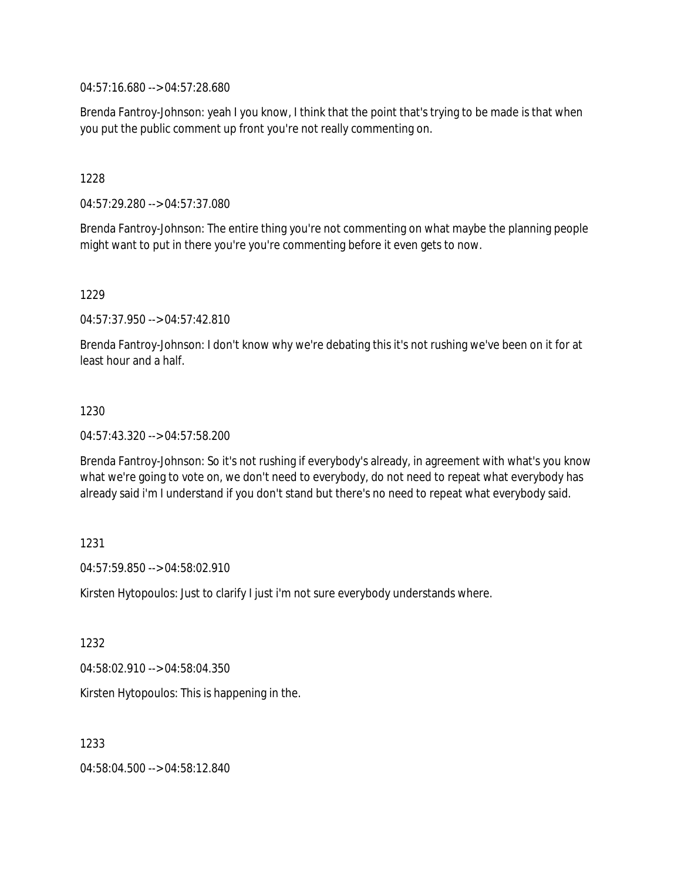04:57:16.680 --> 04:57:28.680

Brenda Fantroy-Johnson: yeah I you know, I think that the point that's trying to be made is that when you put the public comment up front you're not really commenting on.

1228

04:57:29.280 --> 04:57:37.080

Brenda Fantroy-Johnson: The entire thing you're not commenting on what maybe the planning people might want to put in there you're you're commenting before it even gets to now.

1229

04:57:37.950 --> 04:57:42.810

Brenda Fantroy-Johnson: I don't know why we're debating this it's not rushing we've been on it for at least hour and a half.

### 1230

04:57:43.320 --> 04:57:58.200

Brenda Fantroy-Johnson: So it's not rushing if everybody's already, in agreement with what's you know what we're going to vote on, we don't need to everybody, do not need to repeat what everybody has already said i'm I understand if you don't stand but there's no need to repeat what everybody said.

### 1231

04:57:59.850 --> 04:58:02.910

Kirsten Hytopoulos: Just to clarify I just i'm not sure everybody understands where.

1232

04:58:02.910 --> 04:58:04.350

Kirsten Hytopoulos: This is happening in the.

1233

04:58:04.500 --> 04:58:12.840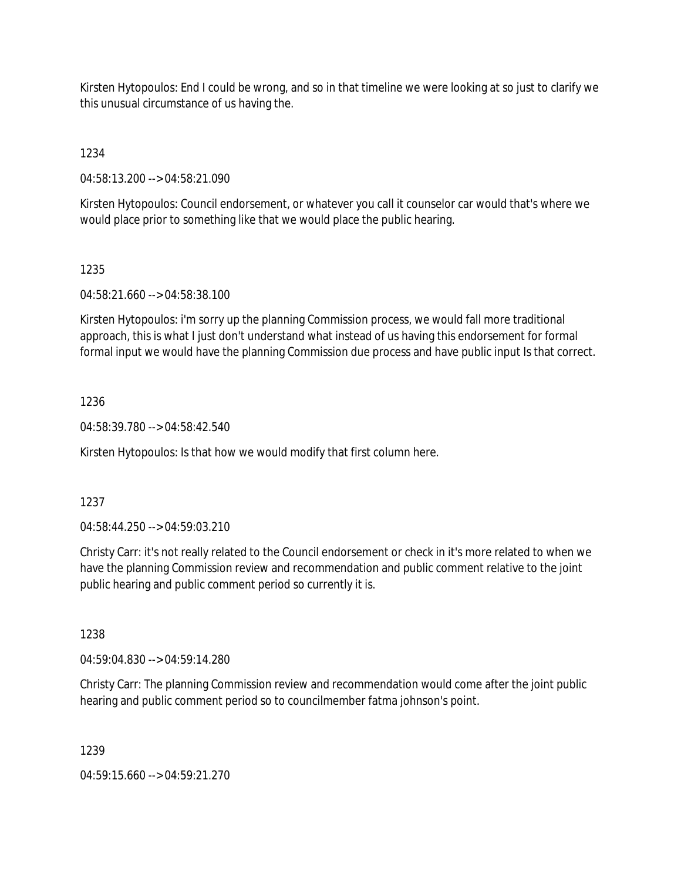Kirsten Hytopoulos: End I could be wrong, and so in that timeline we were looking at so just to clarify we this unusual circumstance of us having the.

1234

04:58:13.200 --> 04:58:21.090

Kirsten Hytopoulos: Council endorsement, or whatever you call it counselor car would that's where we would place prior to something like that we would place the public hearing.

# 1235

04:58:21.660 --> 04:58:38.100

Kirsten Hytopoulos: i'm sorry up the planning Commission process, we would fall more traditional approach, this is what I just don't understand what instead of us having this endorsement for formal formal input we would have the planning Commission due process and have public input Is that correct.

# 1236

04:58:39.780 --> 04:58:42.540

Kirsten Hytopoulos: Is that how we would modify that first column here.

# 1237

04:58:44.250 --> 04:59:03.210

Christy Carr: it's not really related to the Council endorsement or check in it's more related to when we have the planning Commission review and recommendation and public comment relative to the joint public hearing and public comment period so currently it is.

# 1238

04:59:04.830 --> 04:59:14.280

Christy Carr: The planning Commission review and recommendation would come after the joint public hearing and public comment period so to councilmember fatma johnson's point.

# 1239

04:59:15.660 --> 04:59:21.270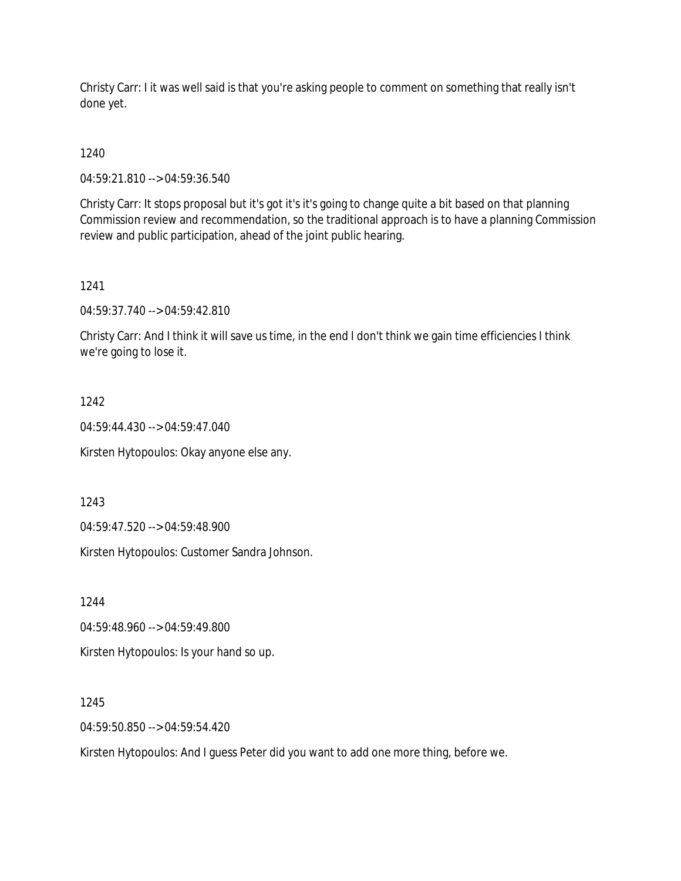Christy Carr: I it was well said is that you're asking people to comment on something that really isn't done yet.

1240

04:59:21.810 --> 04:59:36.540

Christy Carr: It stops proposal but it's got it's it's going to change quite a bit based on that planning Commission review and recommendation, so the traditional approach is to have a planning Commission review and public participation, ahead of the joint public hearing.

1241

04:59:37.740 --> 04:59:42.810

Christy Carr: And I think it will save us time, in the end I don't think we gain time efficiencies I think we're going to lose it.

1242

04:59:44.430 --> 04:59:47.040

Kirsten Hytopoulos: Okay anyone else any.

1243

04:59:47.520 --> 04:59:48.900

Kirsten Hytopoulos: Customer Sandra Johnson.

1244

04:59:48.960 --> 04:59:49.800

Kirsten Hytopoulos: Is your hand so up.

1245

04:59:50.850 --> 04:59:54.420

Kirsten Hytopoulos: And I guess Peter did you want to add one more thing, before we.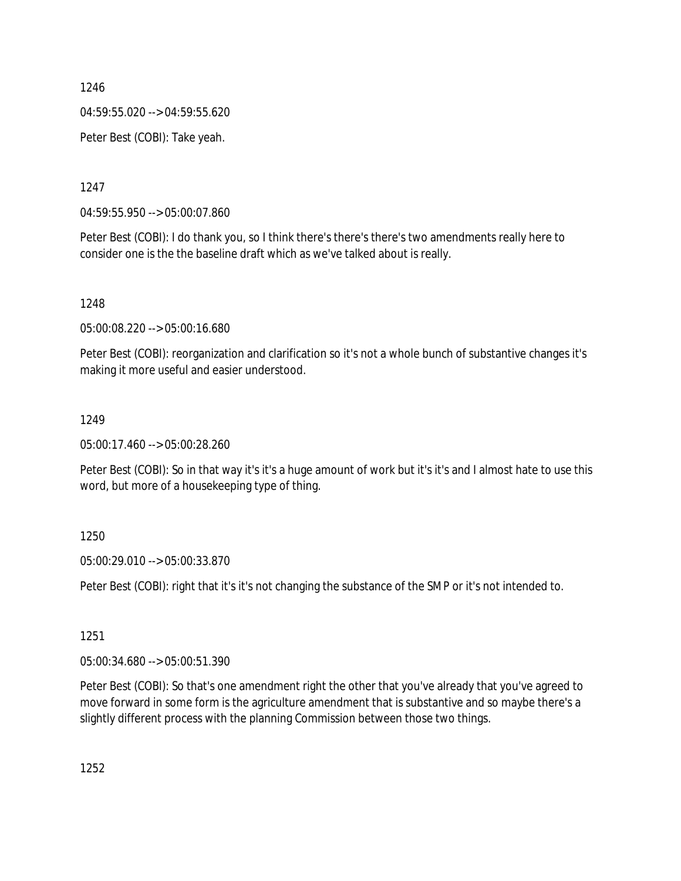04:59:55.020 --> 04:59:55.620

Peter Best (COBI): Take yeah.

1247

04:59:55.950 --> 05:00:07.860

Peter Best (COBI): I do thank you, so I think there's there's there's two amendments really here to consider one is the the baseline draft which as we've talked about is really.

1248

05:00:08.220 --> 05:00:16.680

Peter Best (COBI): reorganization and clarification so it's not a whole bunch of substantive changes it's making it more useful and easier understood.

### 1249

05:00:17.460 --> 05:00:28.260

Peter Best (COBI): So in that way it's it's a huge amount of work but it's it's and I almost hate to use this word, but more of a housekeeping type of thing.

1250

05:00:29.010 --> 05:00:33.870

Peter Best (COBI): right that it's it's not changing the substance of the SMP or it's not intended to.

1251

05:00:34.680 --> 05:00:51.390

Peter Best (COBI): So that's one amendment right the other that you've already that you've agreed to move forward in some form is the agriculture amendment that is substantive and so maybe there's a slightly different process with the planning Commission between those two things.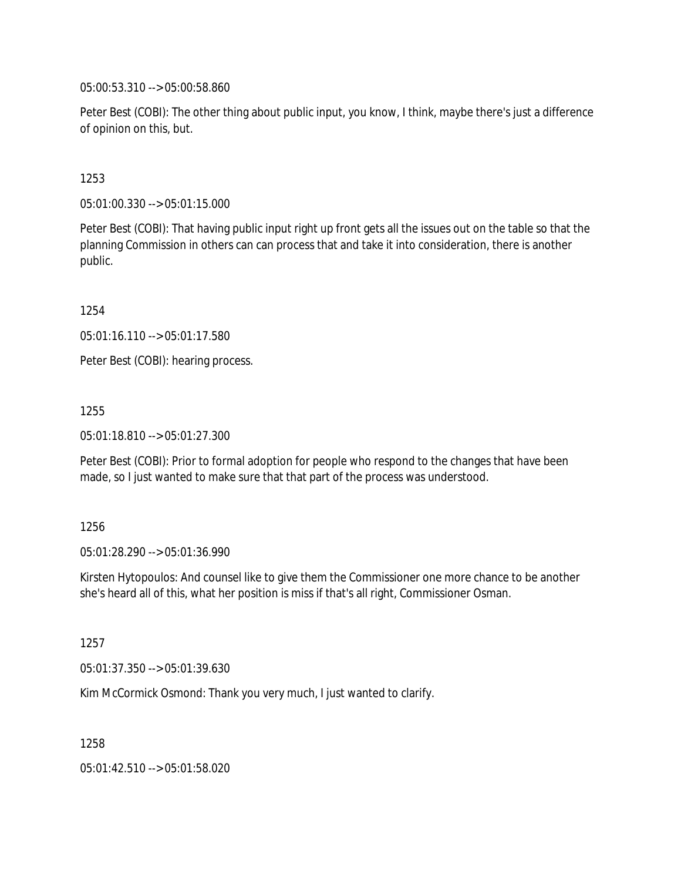05:00:53.310 --> 05:00:58.860

Peter Best (COBI): The other thing about public input, you know, I think, maybe there's just a difference of opinion on this, but.

### 1253

05:01:00.330 --> 05:01:15.000

Peter Best (COBI): That having public input right up front gets all the issues out on the table so that the planning Commission in others can can process that and take it into consideration, there is another public.

1254

05:01:16.110 --> 05:01:17.580

Peter Best (COBI): hearing process.

1255

05:01:18.810 --> 05:01:27.300

Peter Best (COBI): Prior to formal adoption for people who respond to the changes that have been made, so I just wanted to make sure that that part of the process was understood.

### 1256

05:01:28.290 --> 05:01:36.990

Kirsten Hytopoulos: And counsel like to give them the Commissioner one more chance to be another she's heard all of this, what her position is miss if that's all right, Commissioner Osman.

1257

05:01:37.350 --> 05:01:39.630

Kim McCormick Osmond: Thank you very much, I just wanted to clarify.

1258

05:01:42.510 --> 05:01:58.020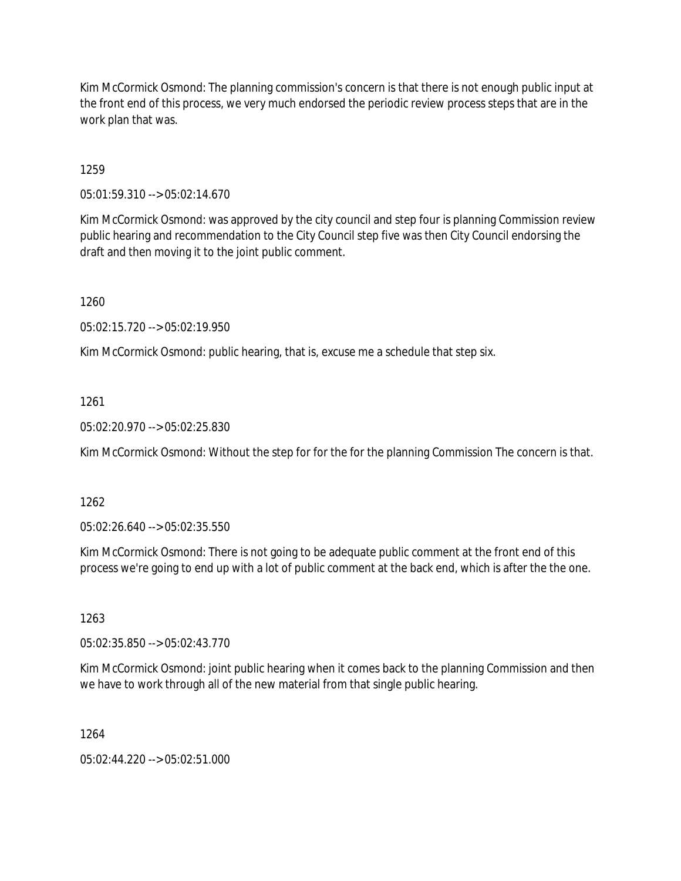Kim McCormick Osmond: The planning commission's concern is that there is not enough public input at the front end of this process, we very much endorsed the periodic review process steps that are in the work plan that was.

1259

05:01:59.310 --> 05:02:14.670

Kim McCormick Osmond: was approved by the city council and step four is planning Commission review public hearing and recommendation to the City Council step five was then City Council endorsing the draft and then moving it to the joint public comment.

1260

05:02:15.720 --> 05:02:19.950

Kim McCormick Osmond: public hearing, that is, excuse me a schedule that step six.

### 1261

05:02:20.970 --> 05:02:25.830

Kim McCormick Osmond: Without the step for for the for the planning Commission The concern is that.

1262

05:02:26.640 --> 05:02:35.550

Kim McCormick Osmond: There is not going to be adequate public comment at the front end of this process we're going to end up with a lot of public comment at the back end, which is after the the one.

1263

05:02:35.850 --> 05:02:43.770

Kim McCormick Osmond: joint public hearing when it comes back to the planning Commission and then we have to work through all of the new material from that single public hearing.

1264

05:02:44.220 --> 05:02:51.000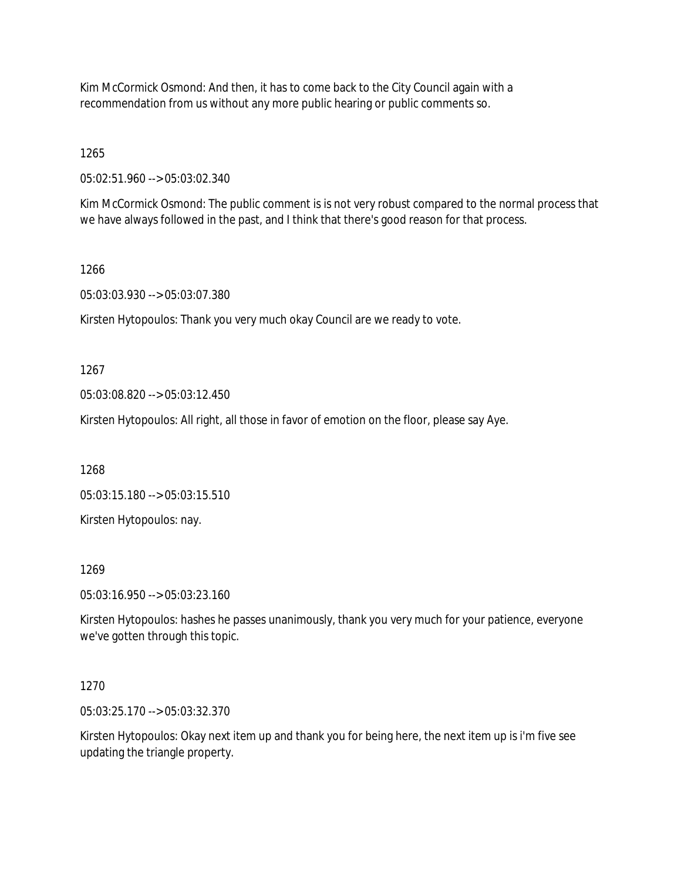Kim McCormick Osmond: And then, it has to come back to the City Council again with a recommendation from us without any more public hearing or public comments so.

1265

05:02:51.960 --> 05:03:02.340

Kim McCormick Osmond: The public comment is is not very robust compared to the normal process that we have always followed in the past, and I think that there's good reason for that process.

1266

05:03:03.930 --> 05:03:07.380

Kirsten Hytopoulos: Thank you very much okay Council are we ready to vote.

1267

05:03:08.820 --> 05:03:12.450

Kirsten Hytopoulos: All right, all those in favor of emotion on the floor, please say Aye.

1268

05:03:15.180 --> 05:03:15.510

Kirsten Hytopoulos: nay.

1269

05:03:16.950 --> 05:03:23.160

Kirsten Hytopoulos: hashes he passes unanimously, thank you very much for your patience, everyone we've gotten through this topic.

### 1270

05:03:25.170 --> 05:03:32.370

Kirsten Hytopoulos: Okay next item up and thank you for being here, the next item up is i'm five see updating the triangle property.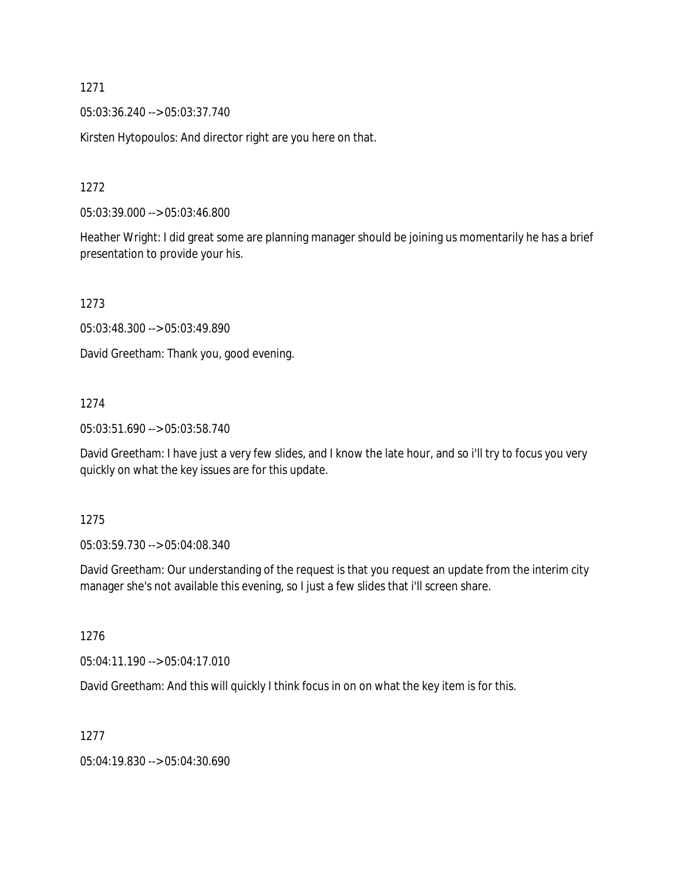05:03:36.240 --> 05:03:37.740

Kirsten Hytopoulos: And director right are you here on that.

1272

05:03:39.000 --> 05:03:46.800

Heather Wright: I did great some are planning manager should be joining us momentarily he has a brief presentation to provide your his.

1273

05:03:48.300 --> 05:03:49.890

David Greetham: Thank you, good evening.

### 1274

05:03:51.690 --> 05:03:58.740

David Greetham: I have just a very few slides, and I know the late hour, and so i'll try to focus you very quickly on what the key issues are for this update.

1275

05:03:59.730 --> 05:04:08.340

David Greetham: Our understanding of the request is that you request an update from the interim city manager she's not available this evening, so I just a few slides that i'll screen share.

1276

05:04:11.190 --> 05:04:17.010

David Greetham: And this will quickly I think focus in on on what the key item is for this.

1277

05:04:19.830 --> 05:04:30.690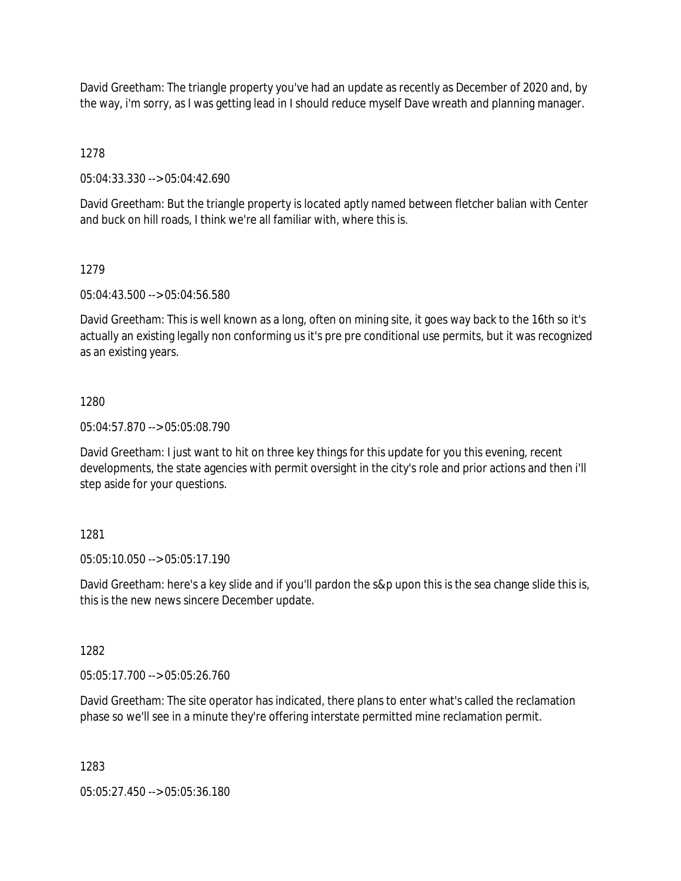David Greetham: The triangle property you've had an update as recently as December of 2020 and, by the way, i'm sorry, as I was getting lead in I should reduce myself Dave wreath and planning manager.

1278

05:04:33.330 --> 05:04:42.690

David Greetham: But the triangle property is located aptly named between fletcher balian with Center and buck on hill roads, I think we're all familiar with, where this is.

### 1279

05:04:43.500 --> 05:04:56.580

David Greetham: This is well known as a long, often on mining site, it goes way back to the 16th so it's actually an existing legally non conforming us it's pre pre conditional use permits, but it was recognized as an existing years.

### 1280

05:04:57.870 --> 05:05:08.790

David Greetham: I just want to hit on three key things for this update for you this evening, recent developments, the state agencies with permit oversight in the city's role and prior actions and then i'll step aside for your questions.

# 1281

05:05:10.050 --> 05:05:17.190

David Greetham: here's a key slide and if you'll pardon the s&p upon this is the sea change slide this is, this is the new news sincere December update.

### 1282

05:05:17.700 --> 05:05:26.760

David Greetham: The site operator has indicated, there plans to enter what's called the reclamation phase so we'll see in a minute they're offering interstate permitted mine reclamation permit.

### 1283

05:05:27.450 --> 05:05:36.180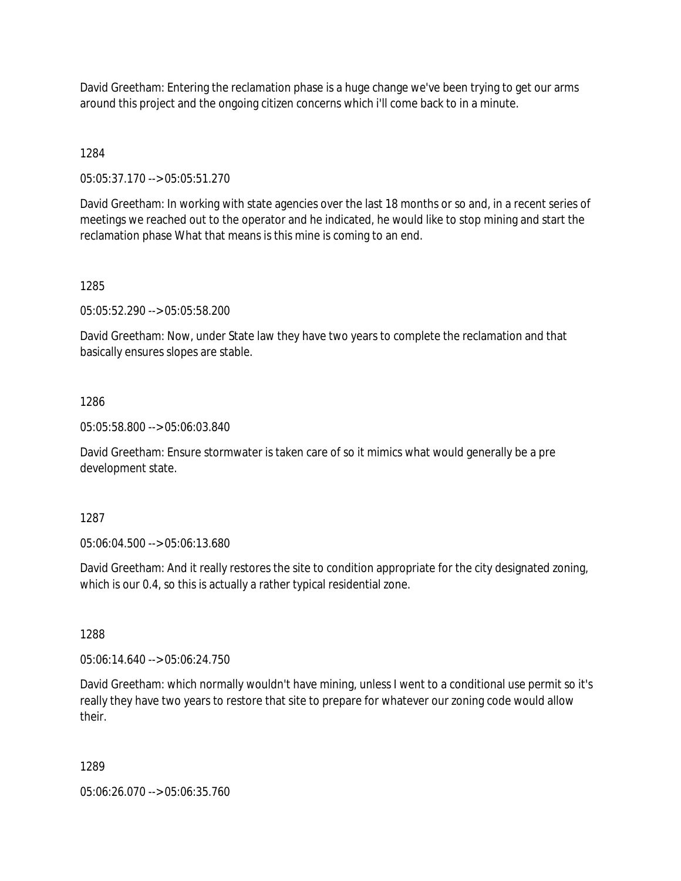David Greetham: Entering the reclamation phase is a huge change we've been trying to get our arms around this project and the ongoing citizen concerns which i'll come back to in a minute.

1284

05:05:37.170 --> 05:05:51.270

David Greetham: In working with state agencies over the last 18 months or so and, in a recent series of meetings we reached out to the operator and he indicated, he would like to stop mining and start the reclamation phase What that means is this mine is coming to an end.

### 1285

05:05:52.290 --> 05:05:58.200

David Greetham: Now, under State law they have two years to complete the reclamation and that basically ensures slopes are stable.

### 1286

05:05:58.800 --> 05:06:03.840

David Greetham: Ensure stormwater is taken care of so it mimics what would generally be a pre development state.

### 1287

05:06:04.500 --> 05:06:13.680

David Greetham: And it really restores the site to condition appropriate for the city designated zoning, which is our 0.4, so this is actually a rather typical residential zone.

1288

05:06:14.640 --> 05:06:24.750

David Greetham: which normally wouldn't have mining, unless I went to a conditional use permit so it's really they have two years to restore that site to prepare for whatever our zoning code would allow their.

### 1289

05:06:26.070 --> 05:06:35.760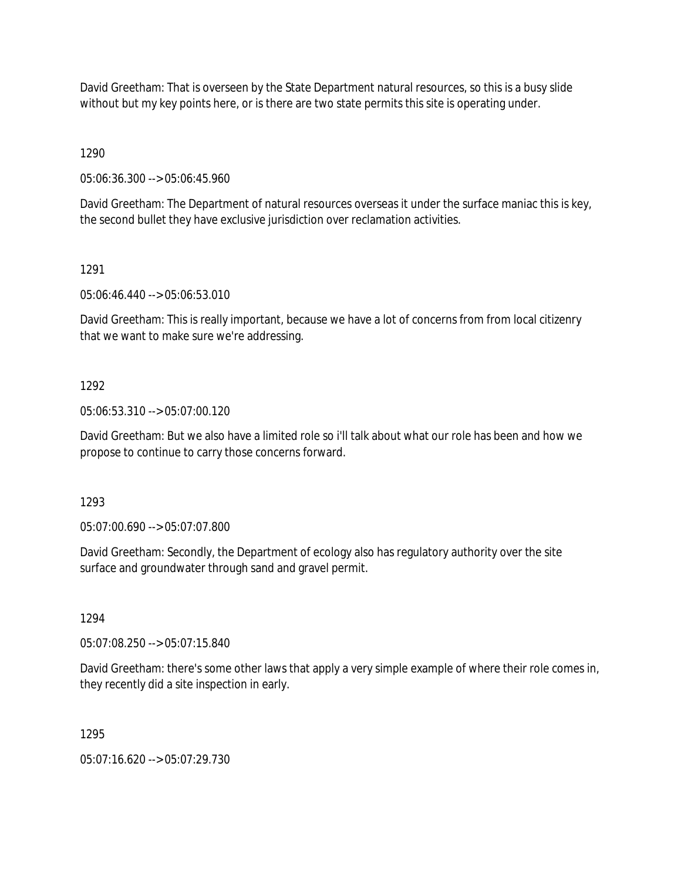David Greetham: That is overseen by the State Department natural resources, so this is a busy slide without but my key points here, or is there are two state permits this site is operating under.

1290

05:06:36.300 --> 05:06:45.960

David Greetham: The Department of natural resources overseas it under the surface maniac this is key, the second bullet they have exclusive jurisdiction over reclamation activities.

### 1291

05:06:46.440 --> 05:06:53.010

David Greetham: This is really important, because we have a lot of concerns from from local citizenry that we want to make sure we're addressing.

### 1292

05:06:53.310 --> 05:07:00.120

David Greetham: But we also have a limited role so i'll talk about what our role has been and how we propose to continue to carry those concerns forward.

1293

05:07:00.690 --> 05:07:07.800

David Greetham: Secondly, the Department of ecology also has regulatory authority over the site surface and groundwater through sand and gravel permit.

# 1294

05:07:08.250 --> 05:07:15.840

David Greetham: there's some other laws that apply a very simple example of where their role comes in, they recently did a site inspection in early.

# 1295

05:07:16.620 --> 05:07:29.730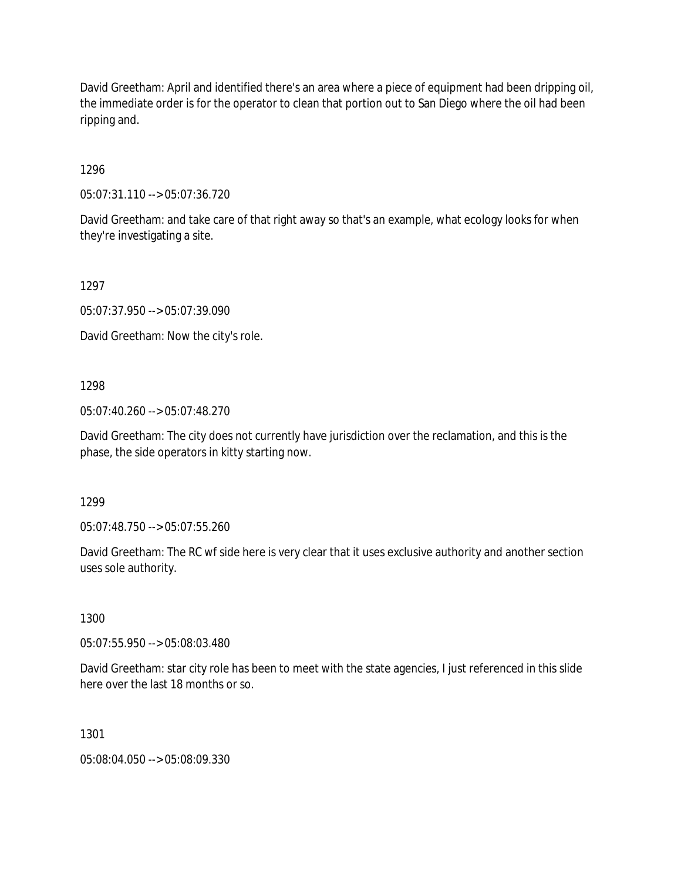David Greetham: April and identified there's an area where a piece of equipment had been dripping oil, the immediate order is for the operator to clean that portion out to San Diego where the oil had been ripping and.

1296

05:07:31.110 --> 05:07:36.720

David Greetham: and take care of that right away so that's an example, what ecology looks for when they're investigating a site.

1297

05:07:37.950 --> 05:07:39.090

David Greetham: Now the city's role.

### 1298

05:07:40.260 --> 05:07:48.270

David Greetham: The city does not currently have jurisdiction over the reclamation, and this is the phase, the side operators in kitty starting now.

1299

05:07:48.750 --> 05:07:55.260

David Greetham: The RC wf side here is very clear that it uses exclusive authority and another section uses sole authority.

1300

05:07:55.950 --> 05:08:03.480

David Greetham: star city role has been to meet with the state agencies, I just referenced in this slide here over the last 18 months or so.

1301

05:08:04.050 --> 05:08:09.330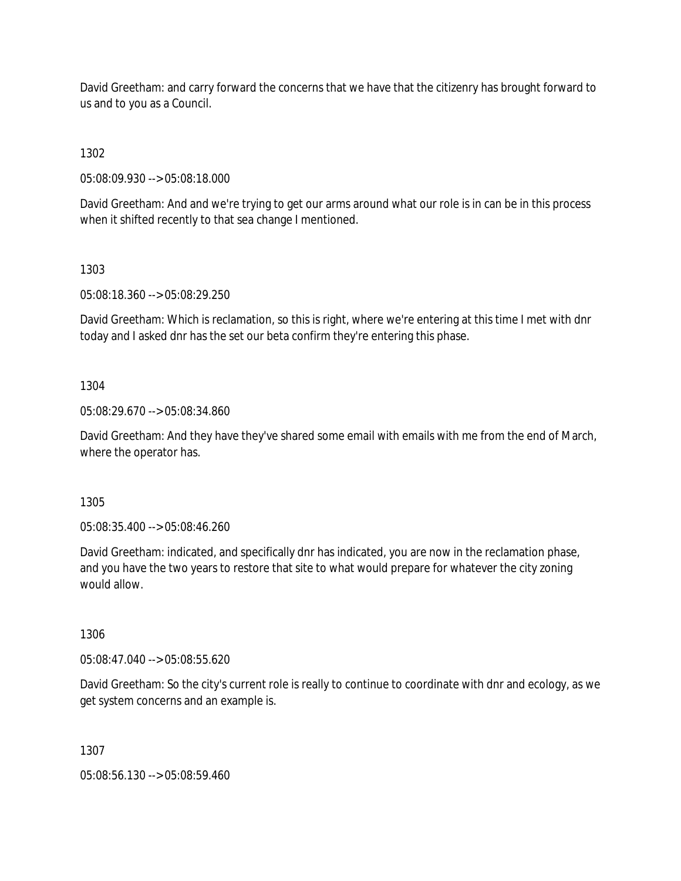David Greetham: and carry forward the concerns that we have that the citizenry has brought forward to us and to you as a Council.

1302

05:08:09.930 --> 05:08:18.000

David Greetham: And and we're trying to get our arms around what our role is in can be in this process when it shifted recently to that sea change I mentioned.

1303

05:08:18.360 --> 05:08:29.250

David Greetham: Which is reclamation, so this is right, where we're entering at this time I met with dnr today and I asked dnr has the set our beta confirm they're entering this phase.

1304

05:08:29.670 --> 05:08:34.860

David Greetham: And they have they've shared some email with emails with me from the end of March, where the operator has.

1305

05:08:35.400 --> 05:08:46.260

David Greetham: indicated, and specifically dnr has indicated, you are now in the reclamation phase, and you have the two years to restore that site to what would prepare for whatever the city zoning would allow.

1306

05:08:47.040 --> 05:08:55.620

David Greetham: So the city's current role is really to continue to coordinate with dnr and ecology, as we get system concerns and an example is.

1307

05:08:56.130 --> 05:08:59.460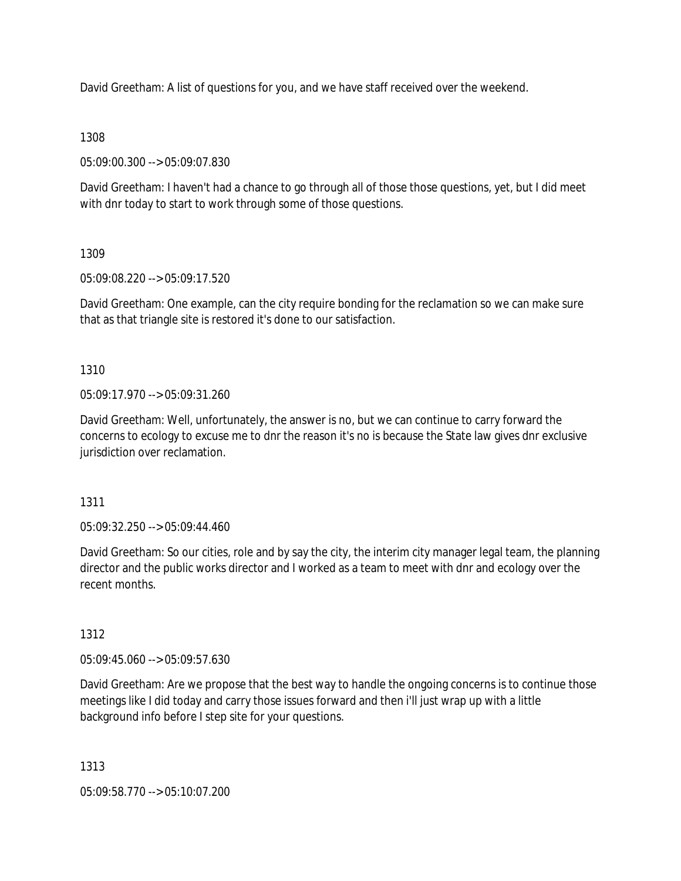David Greetham: A list of questions for you, and we have staff received over the weekend.

### 1308

05:09:00.300 --> 05:09:07.830

David Greetham: I haven't had a chance to go through all of those those questions, yet, but I did meet with dnr today to start to work through some of those questions.

### 1309

05:09:08.220 --> 05:09:17.520

David Greetham: One example, can the city require bonding for the reclamation so we can make sure that as that triangle site is restored it's done to our satisfaction.

# 1310

05:09:17.970 --> 05:09:31.260

David Greetham: Well, unfortunately, the answer is no, but we can continue to carry forward the concerns to ecology to excuse me to dnr the reason it's no is because the State law gives dnr exclusive jurisdiction over reclamation.

### 1311

05:09:32.250 --> 05:09:44.460

David Greetham: So our cities, role and by say the city, the interim city manager legal team, the planning director and the public works director and I worked as a team to meet with dnr and ecology over the recent months.

# 1312

05:09:45.060 --> 05:09:57.630

David Greetham: Are we propose that the best way to handle the ongoing concerns is to continue those meetings like I did today and carry those issues forward and then i'll just wrap up with a little background info before I step site for your questions.

1313

05:09:58.770 --> 05:10:07.200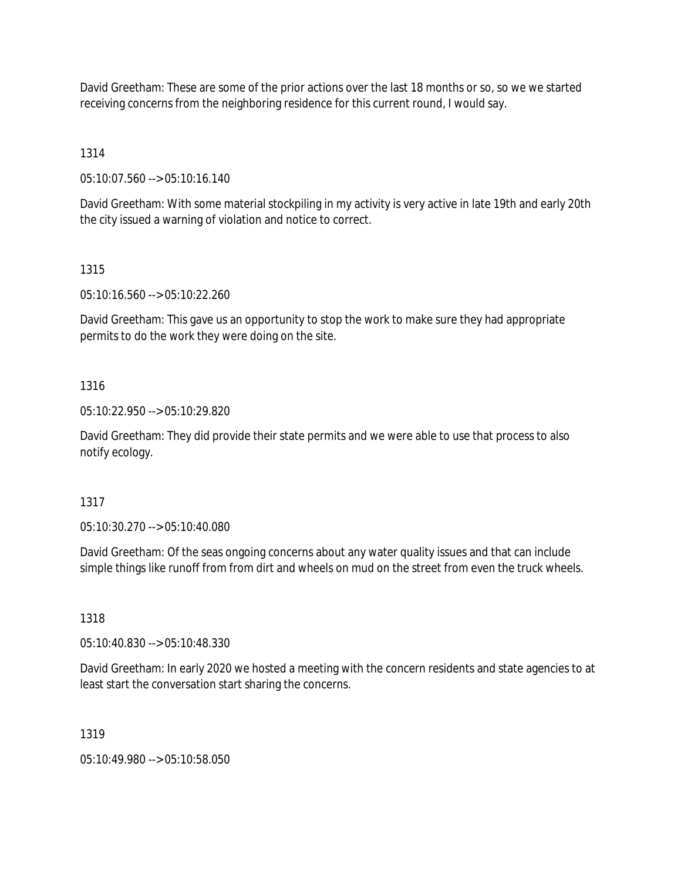David Greetham: These are some of the prior actions over the last 18 months or so, so we we started receiving concerns from the neighboring residence for this current round, I would say.

1314

05:10:07.560 --> 05:10:16.140

David Greetham: With some material stockpiling in my activity is very active in late 19th and early 20th the city issued a warning of violation and notice to correct.

1315

05:10:16.560 --> 05:10:22.260

David Greetham: This gave us an opportunity to stop the work to make sure they had appropriate permits to do the work they were doing on the site.

1316

05:10:22.950 --> 05:10:29.820

David Greetham: They did provide their state permits and we were able to use that process to also notify ecology.

1317

05:10:30.270 --> 05:10:40.080

David Greetham: Of the seas ongoing concerns about any water quality issues and that can include simple things like runoff from from dirt and wheels on mud on the street from even the truck wheels.

1318

05:10:40.830 --> 05:10:48.330

David Greetham: In early 2020 we hosted a meeting with the concern residents and state agencies to at least start the conversation start sharing the concerns.

1319

05:10:49.980 --> 05:10:58.050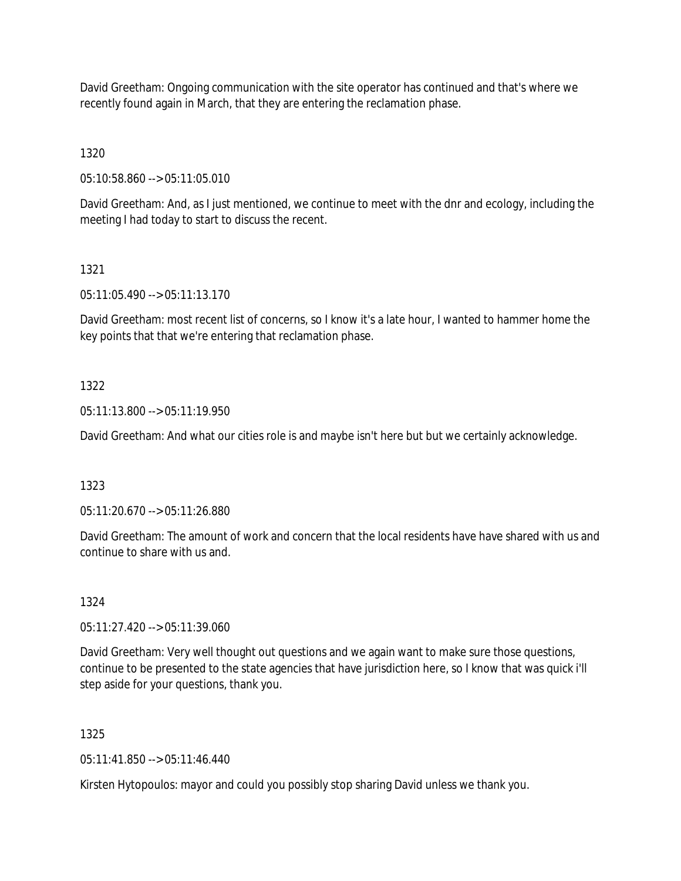David Greetham: Ongoing communication with the site operator has continued and that's where we recently found again in March, that they are entering the reclamation phase.

1320

05:10:58.860 --> 05:11:05.010

David Greetham: And, as I just mentioned, we continue to meet with the dnr and ecology, including the meeting I had today to start to discuss the recent.

### 1321

05:11:05.490 --> 05:11:13.170

David Greetham: most recent list of concerns, so I know it's a late hour, I wanted to hammer home the key points that that we're entering that reclamation phase.

### 1322

05:11:13.800 --> 05:11:19.950

David Greetham: And what our cities role is and maybe isn't here but but we certainly acknowledge.

### 1323

05:11:20.670 --> 05:11:26.880

David Greetham: The amount of work and concern that the local residents have have shared with us and continue to share with us and.

# 1324

05:11:27.420 --> 05:11:39.060

David Greetham: Very well thought out questions and we again want to make sure those questions, continue to be presented to the state agencies that have jurisdiction here, so I know that was quick i'll step aside for your questions, thank you.

# 1325

05:11:41.850 --> 05:11:46.440

Kirsten Hytopoulos: mayor and could you possibly stop sharing David unless we thank you.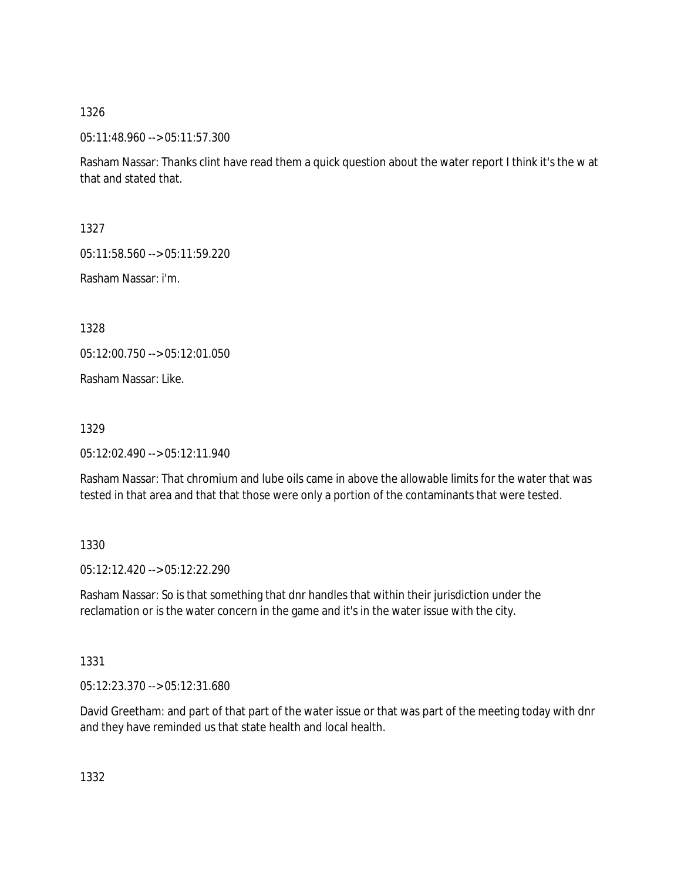05:11:48.960 --> 05:11:57.300

Rasham Nassar: Thanks clint have read them a quick question about the water report I think it's the w at that and stated that.

1327

05:11:58.560 --> 05:11:59.220

Rasham Nassar: i'm.

1328

05:12:00.750 --> 05:12:01.050

Rasham Nassar: Like.

1329

05:12:02.490 --> 05:12:11.940

Rasham Nassar: That chromium and lube oils came in above the allowable limits for the water that was tested in that area and that that those were only a portion of the contaminants that were tested.

# 1330

05:12:12.420 --> 05:12:22.290

Rasham Nassar: So is that something that dnr handles that within their jurisdiction under the reclamation or is the water concern in the game and it's in the water issue with the city.

1331

05:12:23.370 --> 05:12:31.680

David Greetham: and part of that part of the water issue or that was part of the meeting today with dnr and they have reminded us that state health and local health.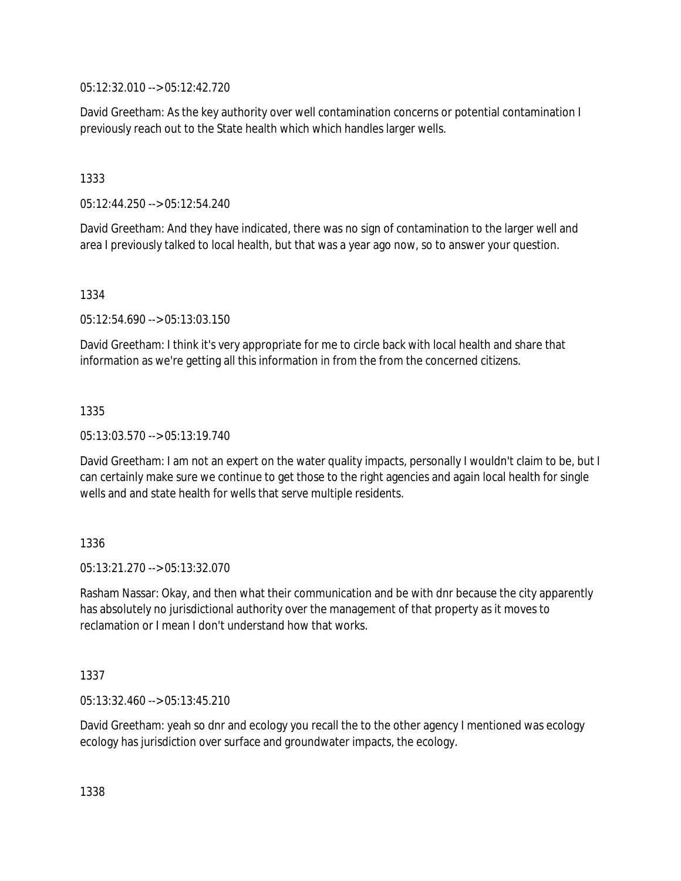05:12:32.010 --> 05:12:42.720

David Greetham: As the key authority over well contamination concerns or potential contamination I previously reach out to the State health which which handles larger wells.

1333

05:12:44.250 --> 05:12:54.240

David Greetham: And they have indicated, there was no sign of contamination to the larger well and area I previously talked to local health, but that was a year ago now, so to answer your question.

1334

05:12:54.690 --> 05:13:03.150

David Greetham: I think it's very appropriate for me to circle back with local health and share that information as we're getting all this information in from the from the concerned citizens.

1335

05:13:03.570 --> 05:13:19.740

David Greetham: I am not an expert on the water quality impacts, personally I wouldn't claim to be, but I can certainly make sure we continue to get those to the right agencies and again local health for single wells and and state health for wells that serve multiple residents.

1336

05:13:21.270 --> 05:13:32.070

Rasham Nassar: Okay, and then what their communication and be with dnr because the city apparently has absolutely no jurisdictional authority over the management of that property as it moves to reclamation or I mean I don't understand how that works.

1337

05:13:32.460 --> 05:13:45.210

David Greetham: yeah so dnr and ecology you recall the to the other agency I mentioned was ecology ecology has jurisdiction over surface and groundwater impacts, the ecology.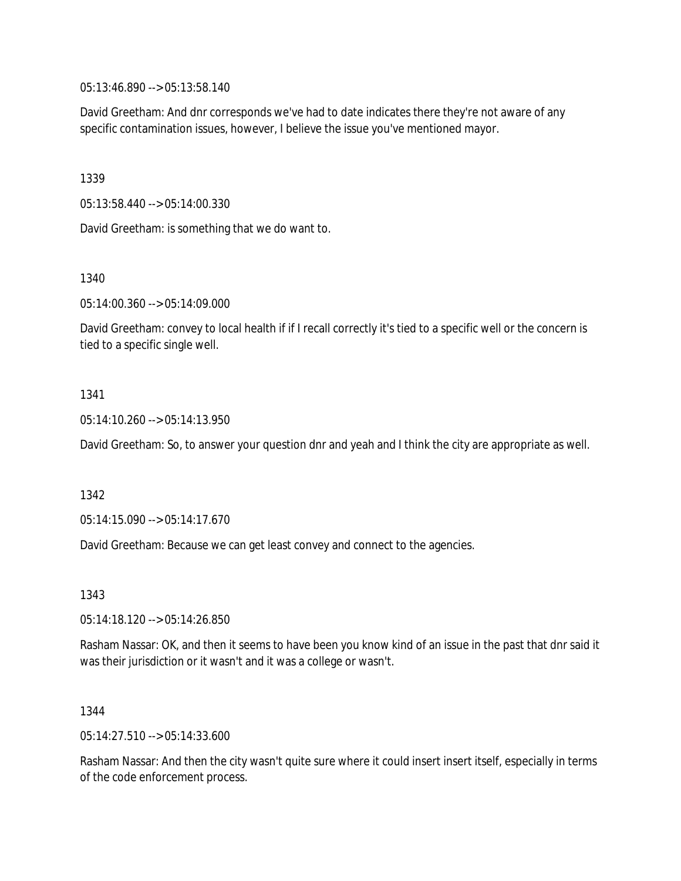05:13:46.890 --> 05:13:58.140

David Greetham: And dnr corresponds we've had to date indicates there they're not aware of any specific contamination issues, however, I believe the issue you've mentioned mayor.

1339

05:13:58.440 --> 05:14:00.330

David Greetham: is something that we do want to.

1340

05:14:00.360 --> 05:14:09.000

David Greetham: convey to local health if if I recall correctly it's tied to a specific well or the concern is tied to a specific single well.

### 1341

05:14:10.260 --> 05:14:13.950

David Greetham: So, to answer your question dnr and yeah and I think the city are appropriate as well.

1342

05:14:15.090 --> 05:14:17.670

David Greetham: Because we can get least convey and connect to the agencies.

1343

05:14:18.120 --> 05:14:26.850

Rasham Nassar: OK, and then it seems to have been you know kind of an issue in the past that dnr said it was their jurisdiction or it wasn't and it was a college or wasn't.

### 1344

05:14:27.510 --> 05:14:33.600

Rasham Nassar: And then the city wasn't quite sure where it could insert insert itself, especially in terms of the code enforcement process.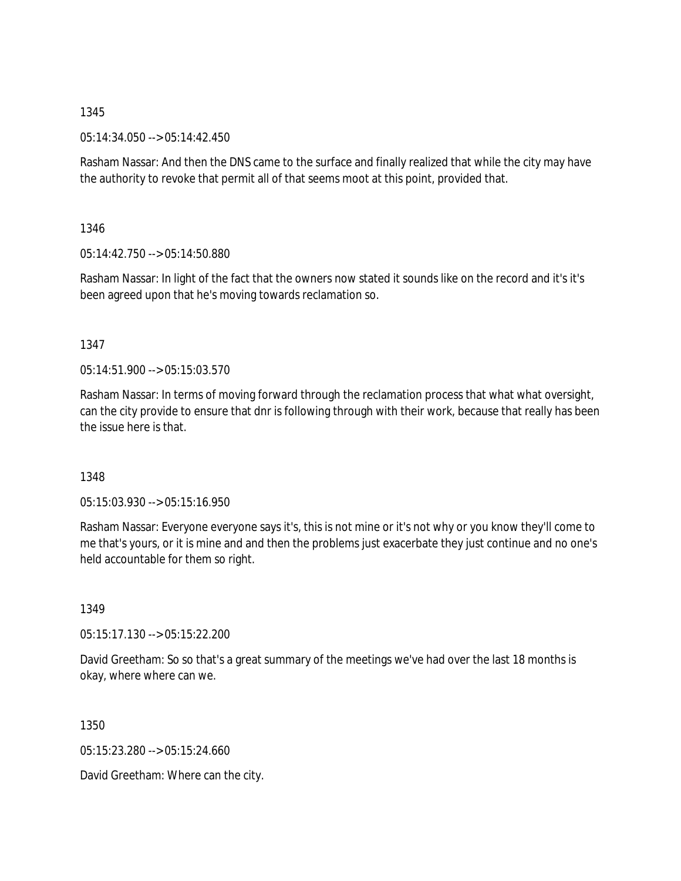05:14:34.050 --> 05:14:42.450

Rasham Nassar: And then the DNS came to the surface and finally realized that while the city may have the authority to revoke that permit all of that seems moot at this point, provided that.

1346

05:14:42.750 --> 05:14:50.880

Rasham Nassar: In light of the fact that the owners now stated it sounds like on the record and it's it's been agreed upon that he's moving towards reclamation so.

1347

 $05:14:51.900 \rightarrow 05:15:03.570$ 

Rasham Nassar: In terms of moving forward through the reclamation process that what what oversight, can the city provide to ensure that dnr is following through with their work, because that really has been the issue here is that.

# 1348

05:15:03.930 --> 05:15:16.950

Rasham Nassar: Everyone everyone says it's, this is not mine or it's not why or you know they'll come to me that's yours, or it is mine and and then the problems just exacerbate they just continue and no one's held accountable for them so right.

1349

05:15:17.130 --> 05:15:22.200

David Greetham: So so that's a great summary of the meetings we've had over the last 18 months is okay, where where can we.

1350

05:15:23.280 --> 05:15:24.660

David Greetham: Where can the city.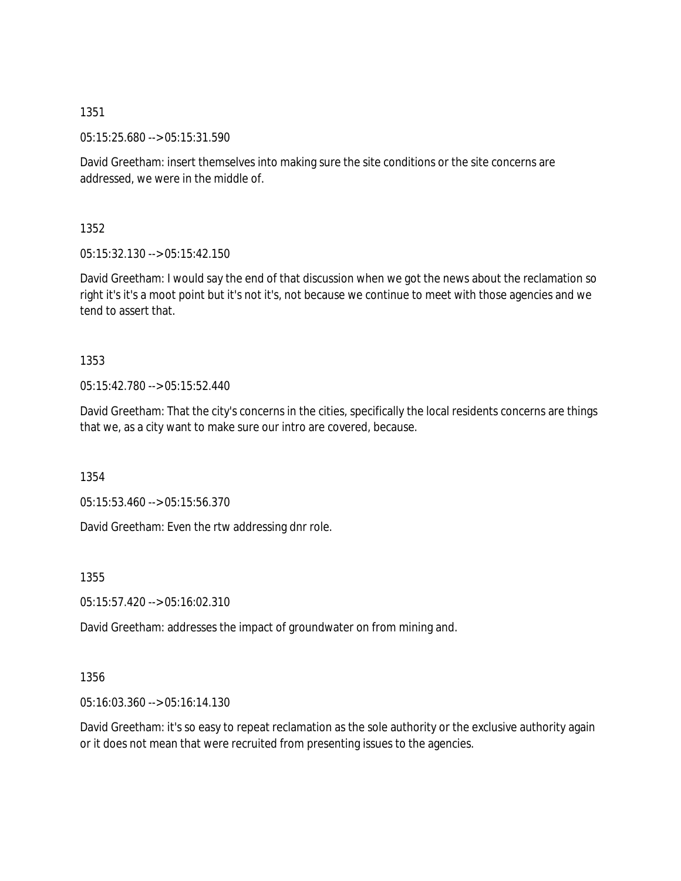05:15:25.680 --> 05:15:31.590

David Greetham: insert themselves into making sure the site conditions or the site concerns are addressed, we were in the middle of.

1352

05:15:32.130 --> 05:15:42.150

David Greetham: I would say the end of that discussion when we got the news about the reclamation so right it's it's a moot point but it's not it's, not because we continue to meet with those agencies and we tend to assert that.

### 1353

05:15:42.780 --> 05:15:52.440

David Greetham: That the city's concerns in the cities, specifically the local residents concerns are things that we, as a city want to make sure our intro are covered, because.

1354

05:15:53.460 --> 05:15:56.370

David Greetham: Even the rtw addressing dnr role.

1355

05:15:57.420 --> 05:16:02.310

David Greetham: addresses the impact of groundwater on from mining and.

### 1356

05:16:03.360 --> 05:16:14.130

David Greetham: it's so easy to repeat reclamation as the sole authority or the exclusive authority again or it does not mean that were recruited from presenting issues to the agencies.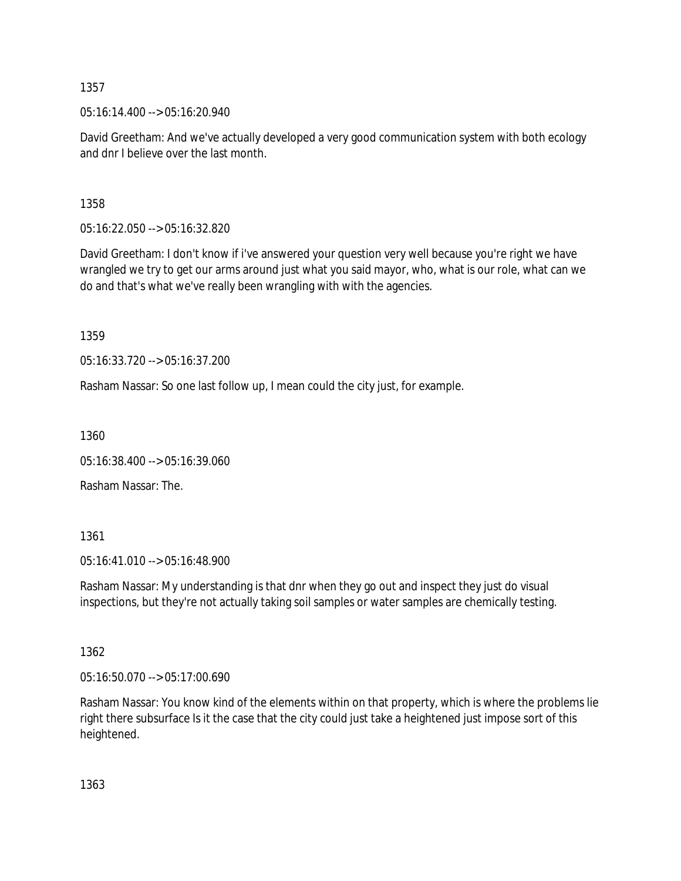05:16:14.400 --> 05:16:20.940

David Greetham: And we've actually developed a very good communication system with both ecology and dnr I believe over the last month.

1358

05:16:22.050 --> 05:16:32.820

David Greetham: I don't know if i've answered your question very well because you're right we have wrangled we try to get our arms around just what you said mayor, who, what is our role, what can we do and that's what we've really been wrangling with with the agencies.

1359

05:16:33.720 --> 05:16:37.200

Rasham Nassar: So one last follow up, I mean could the city just, for example.

1360

05:16:38.400 --> 05:16:39.060

Rasham Nassar: The.

1361

05:16:41.010 --> 05:16:48.900

Rasham Nassar: My understanding is that dnr when they go out and inspect they just do visual inspections, but they're not actually taking soil samples or water samples are chemically testing.

1362

05:16:50.070 --> 05:17:00.690

Rasham Nassar: You know kind of the elements within on that property, which is where the problems lie right there subsurface Is it the case that the city could just take a heightened just impose sort of this heightened.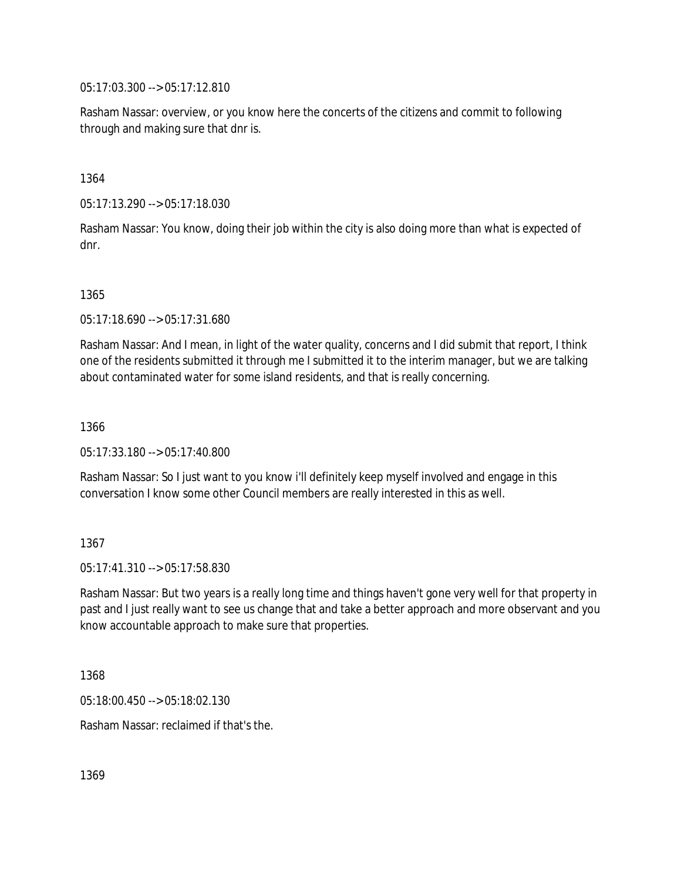05:17:03.300 --> 05:17:12.810

Rasham Nassar: overview, or you know here the concerts of the citizens and commit to following through and making sure that dnr is.

1364

05:17:13.290 --> 05:17:18.030

Rasham Nassar: You know, doing their job within the city is also doing more than what is expected of dnr.

1365

05:17:18.690 --> 05:17:31.680

Rasham Nassar: And I mean, in light of the water quality, concerns and I did submit that report, I think one of the residents submitted it through me I submitted it to the interim manager, but we are talking about contaminated water for some island residents, and that is really concerning.

1366

05:17:33.180 --> 05:17:40.800

Rasham Nassar: So I just want to you know i'll definitely keep myself involved and engage in this conversation I know some other Council members are really interested in this as well.

1367

05:17:41.310 --> 05:17:58.830

Rasham Nassar: But two years is a really long time and things haven't gone very well for that property in past and I just really want to see us change that and take a better approach and more observant and you know accountable approach to make sure that properties.

1368

05:18:00.450 --> 05:18:02.130

Rasham Nassar: reclaimed if that's the.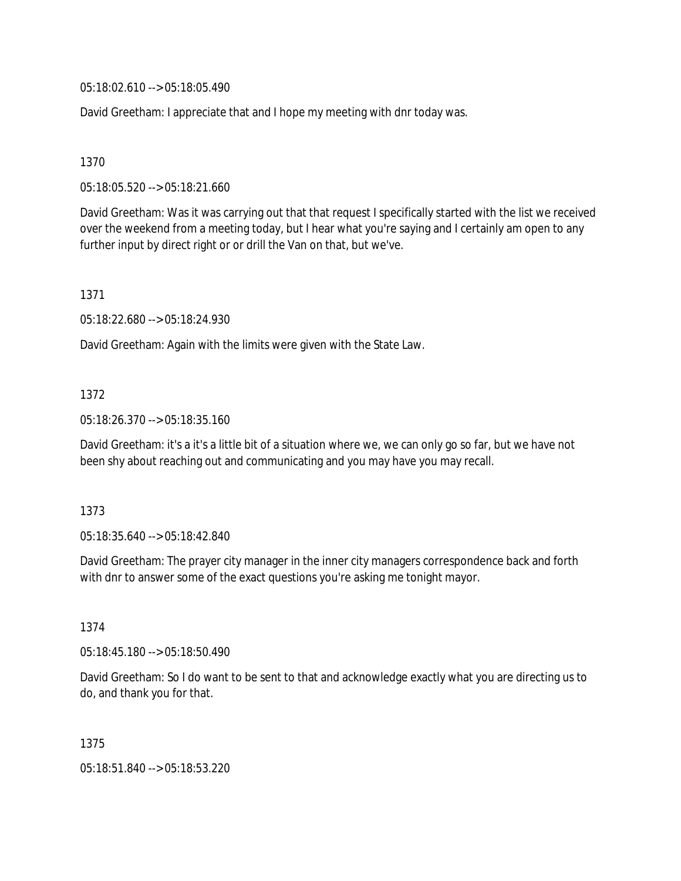05:18:02.610 --> 05:18:05.490

David Greetham: I appreciate that and I hope my meeting with dnr today was.

1370

05:18:05.520 --> 05:18:21.660

David Greetham: Was it was carrying out that that request I specifically started with the list we received over the weekend from a meeting today, but I hear what you're saying and I certainly am open to any further input by direct right or or drill the Van on that, but we've.

1371

05:18:22.680 --> 05:18:24.930

David Greetham: Again with the limits were given with the State Law.

## 1372

05:18:26.370 --> 05:18:35.160

David Greetham: it's a it's a little bit of a situation where we, we can only go so far, but we have not been shy about reaching out and communicating and you may have you may recall.

## 1373

05:18:35.640 --> 05:18:42.840

David Greetham: The prayer city manager in the inner city managers correspondence back and forth with dnr to answer some of the exact questions you're asking me tonight mayor.

## 1374

05:18:45.180 --> 05:18:50.490

David Greetham: So I do want to be sent to that and acknowledge exactly what you are directing us to do, and thank you for that.

1375

05:18:51.840 --> 05:18:53.220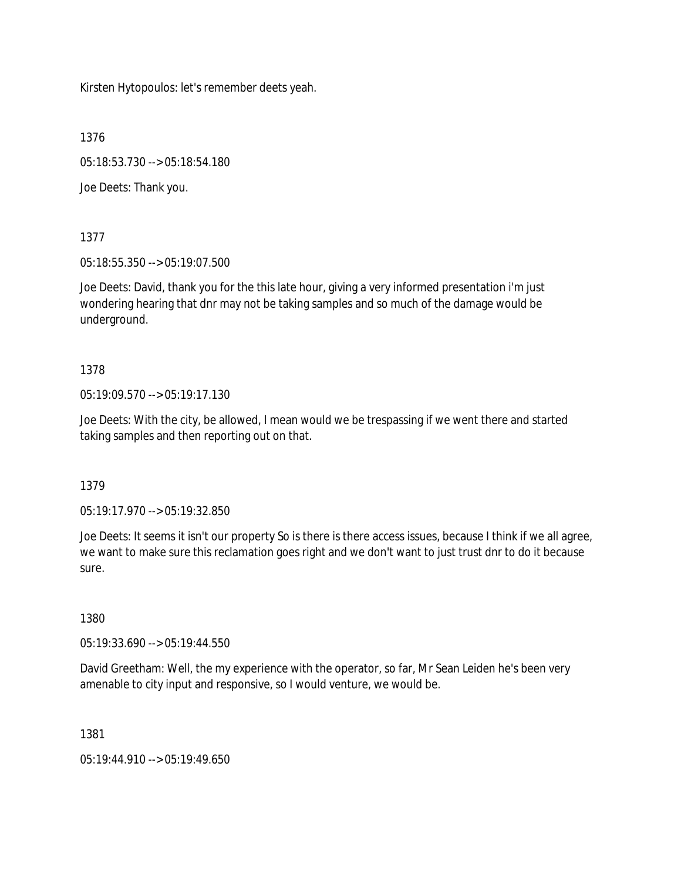Kirsten Hytopoulos: let's remember deets yeah.

1376

05:18:53.730 --> 05:18:54.180

Joe Deets: Thank you.

1377

05:18:55.350 --> 05:19:07.500

Joe Deets: David, thank you for the this late hour, giving a very informed presentation i'm just wondering hearing that dnr may not be taking samples and so much of the damage would be underground.

1378

05:19:09.570 --> 05:19:17.130

Joe Deets: With the city, be allowed, I mean would we be trespassing if we went there and started taking samples and then reporting out on that.

1379

05:19:17.970 --> 05:19:32.850

Joe Deets: It seems it isn't our property So is there is there access issues, because I think if we all agree, we want to make sure this reclamation goes right and we don't want to just trust dnr to do it because sure.

1380

05:19:33.690 --> 05:19:44.550

David Greetham: Well, the my experience with the operator, so far, Mr Sean Leiden he's been very amenable to city input and responsive, so I would venture, we would be.

1381

05:19:44.910 --> 05:19:49.650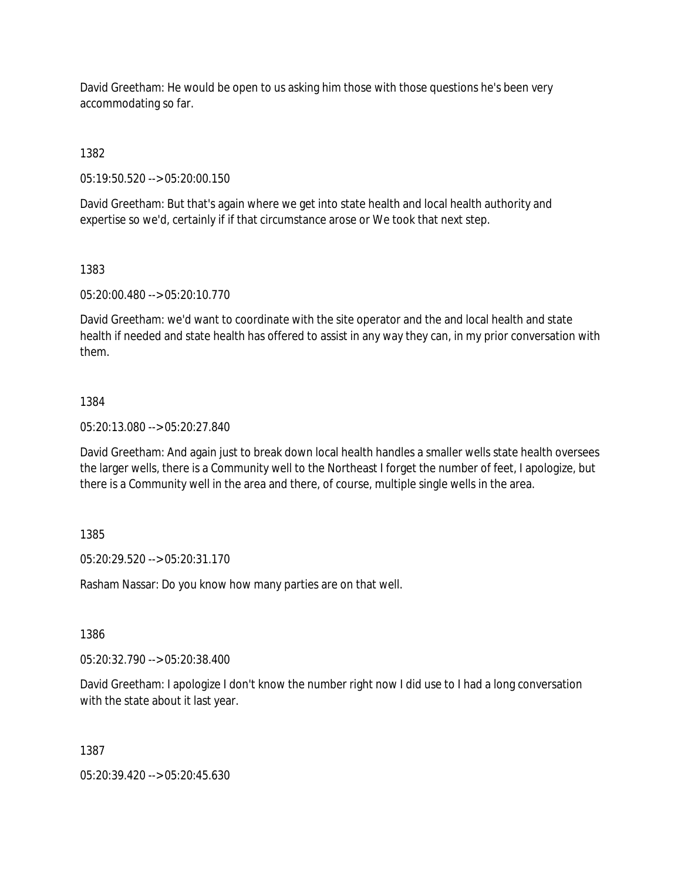David Greetham: He would be open to us asking him those with those questions he's been very accommodating so far.

1382

05:19:50.520 --> 05:20:00.150

David Greetham: But that's again where we get into state health and local health authority and expertise so we'd, certainly if if that circumstance arose or We took that next step.

## 1383

05:20:00.480 --> 05:20:10.770

David Greetham: we'd want to coordinate with the site operator and the and local health and state health if needed and state health has offered to assist in any way they can, in my prior conversation with them.

## 1384

05:20:13.080 --> 05:20:27.840

David Greetham: And again just to break down local health handles a smaller wells state health oversees the larger wells, there is a Community well to the Northeast I forget the number of feet, I apologize, but there is a Community well in the area and there, of course, multiple single wells in the area.

## 1385

05:20:29.520 --> 05:20:31.170

Rasham Nassar: Do you know how many parties are on that well.

1386

05:20:32.790 --> 05:20:38.400

David Greetham: I apologize I don't know the number right now I did use to I had a long conversation with the state about it last year.

1387

05:20:39.420 --> 05:20:45.630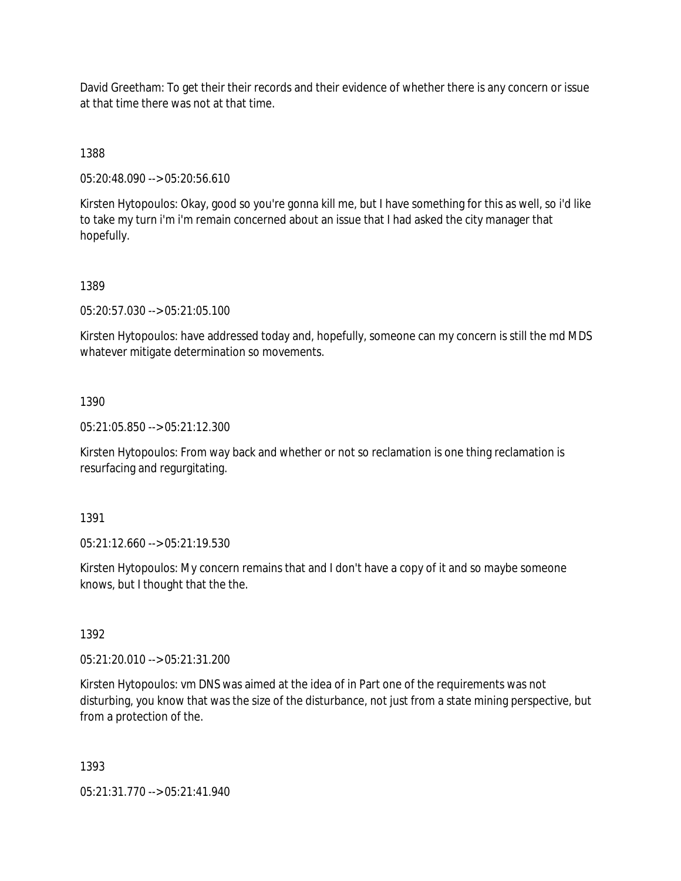David Greetham: To get their their records and their evidence of whether there is any concern or issue at that time there was not at that time.

1388

05:20:48.090 --> 05:20:56.610

Kirsten Hytopoulos: Okay, good so you're gonna kill me, but I have something for this as well, so i'd like to take my turn i'm i'm remain concerned about an issue that I had asked the city manager that hopefully.

## 1389

05:20:57.030 --> 05:21:05.100

Kirsten Hytopoulos: have addressed today and, hopefully, someone can my concern is still the md MDS whatever mitigate determination so movements.

## 1390

05:21:05.850 --> 05:21:12.300

Kirsten Hytopoulos: From way back and whether or not so reclamation is one thing reclamation is resurfacing and regurgitating.

1391

05:21:12.660 --> 05:21:19.530

Kirsten Hytopoulos: My concern remains that and I don't have a copy of it and so maybe someone knows, but I thought that the the.

1392

05:21:20.010 --> 05:21:31.200

Kirsten Hytopoulos: vm DNS was aimed at the idea of in Part one of the requirements was not disturbing, you know that was the size of the disturbance, not just from a state mining perspective, but from a protection of the.

1393

05:21:31.770 --> 05:21:41.940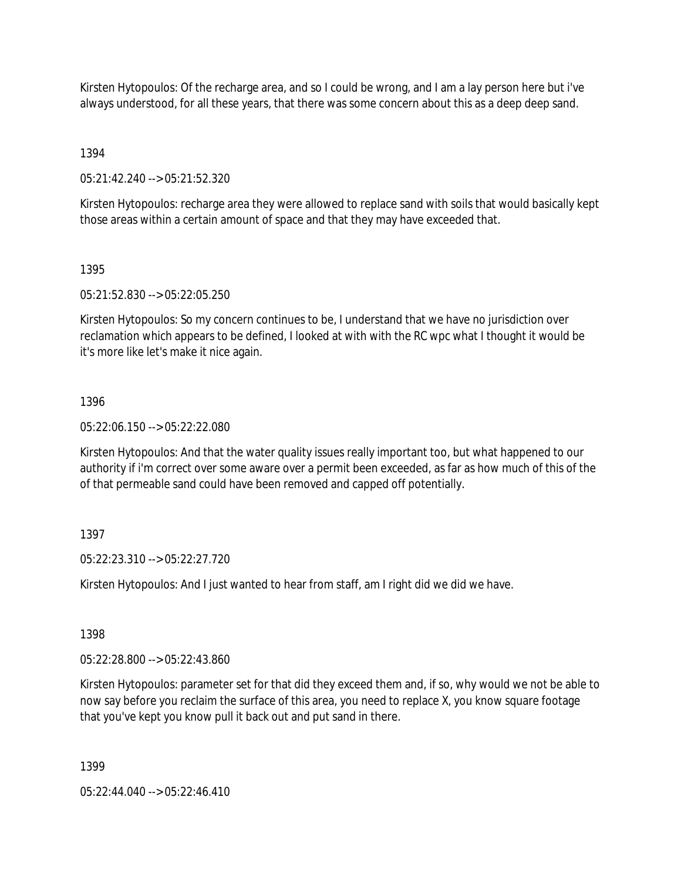Kirsten Hytopoulos: Of the recharge area, and so I could be wrong, and I am a lay person here but i've always understood, for all these years, that there was some concern about this as a deep deep sand.

1394

05:21:42.240 --> 05:21:52.320

Kirsten Hytopoulos: recharge area they were allowed to replace sand with soils that would basically kept those areas within a certain amount of space and that they may have exceeded that.

1395

05:21:52.830 --> 05:22:05.250

Kirsten Hytopoulos: So my concern continues to be, I understand that we have no jurisdiction over reclamation which appears to be defined, I looked at with with the RC wpc what I thought it would be it's more like let's make it nice again.

## 1396

05:22:06.150 --> 05:22:22.080

Kirsten Hytopoulos: And that the water quality issues really important too, but what happened to our authority if i'm correct over some aware over a permit been exceeded, as far as how much of this of the of that permeable sand could have been removed and capped off potentially.

# 1397

05:22:23.310 --> 05:22:27.720

Kirsten Hytopoulos: And I just wanted to hear from staff, am I right did we did we have.

1398

05:22:28.800 --> 05:22:43.860

Kirsten Hytopoulos: parameter set for that did they exceed them and, if so, why would we not be able to now say before you reclaim the surface of this area, you need to replace X, you know square footage that you've kept you know pull it back out and put sand in there.

1399

 $05:22:44.040 \rightarrow 05:22:46.410$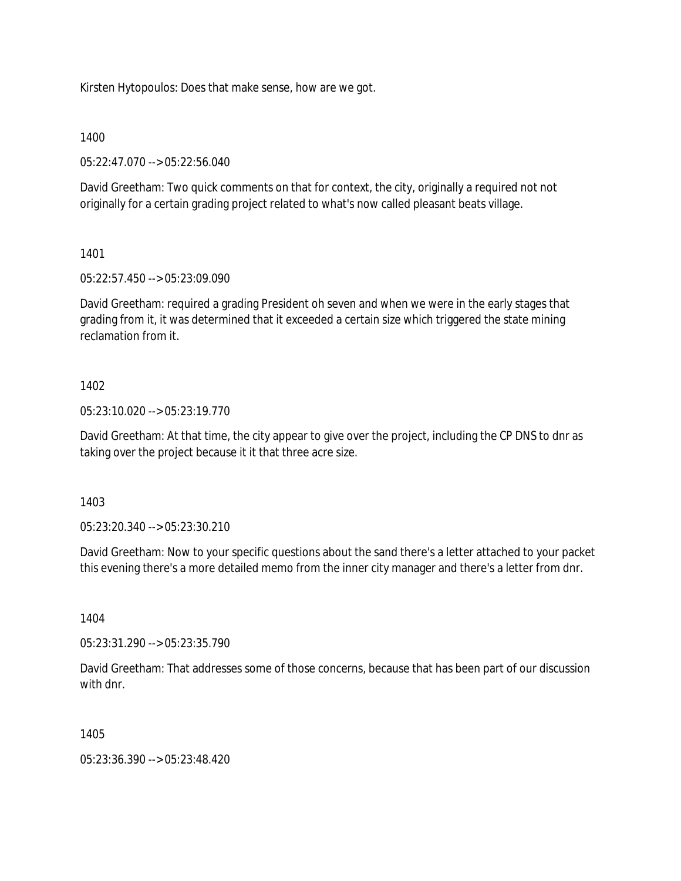Kirsten Hytopoulos: Does that make sense, how are we got.

1400

05:22:47.070 --> 05:22:56.040

David Greetham: Two quick comments on that for context, the city, originally a required not not originally for a certain grading project related to what's now called pleasant beats village.

1401

05:22:57.450 --> 05:23:09.090

David Greetham: required a grading President oh seven and when we were in the early stages that grading from it, it was determined that it exceeded a certain size which triggered the state mining reclamation from it.

## 1402

05:23:10.020 --> 05:23:19.770

David Greetham: At that time, the city appear to give over the project, including the CP DNS to dnr as taking over the project because it it that three acre size.

1403

05:23:20.340 --> 05:23:30.210

David Greetham: Now to your specific questions about the sand there's a letter attached to your packet this evening there's a more detailed memo from the inner city manager and there's a letter from dnr.

1404

05:23:31.290 --> 05:23:35.790

David Greetham: That addresses some of those concerns, because that has been part of our discussion with dnr.

1405

05:23:36.390 --> 05:23:48.420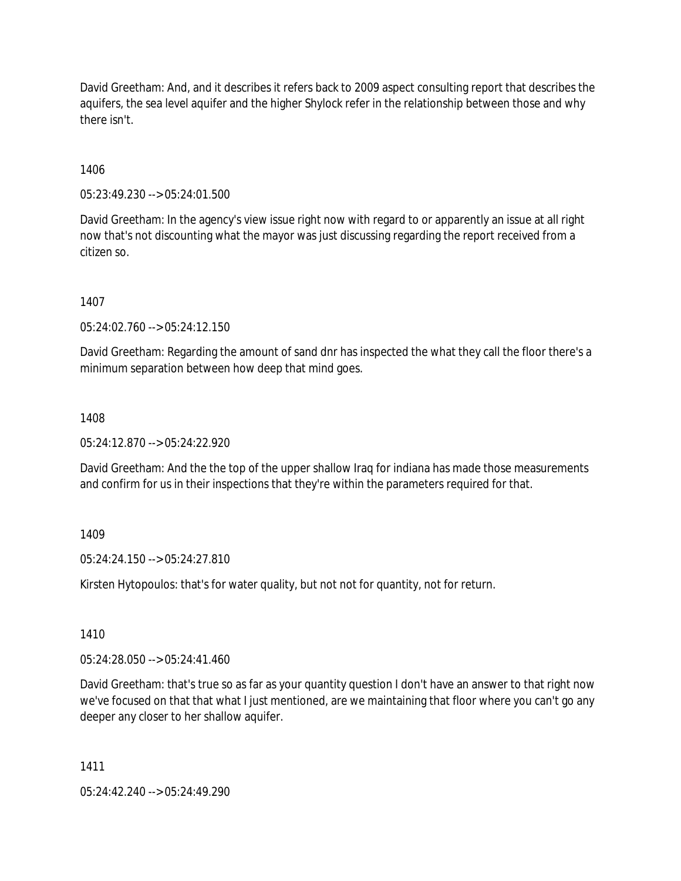David Greetham: And, and it describes it refers back to 2009 aspect consulting report that describes the aquifers, the sea level aquifer and the higher Shylock refer in the relationship between those and why there isn't.

1406

05:23:49.230 --> 05:24:01.500

David Greetham: In the agency's view issue right now with regard to or apparently an issue at all right now that's not discounting what the mayor was just discussing regarding the report received from a citizen so.

1407

05:24:02.760 --> 05:24:12.150

David Greetham: Regarding the amount of sand dnr has inspected the what they call the floor there's a minimum separation between how deep that mind goes.

1408

 $05:24:12.870 \rightarrow 05:24:22.920$ 

David Greetham: And the the top of the upper shallow Iraq for indiana has made those measurements and confirm for us in their inspections that they're within the parameters required for that.

1409

05:24:24.150 --> 05:24:27.810

Kirsten Hytopoulos: that's for water quality, but not not for quantity, not for return.

1410

05:24:28.050 --> 05:24:41.460

David Greetham: that's true so as far as your quantity question I don't have an answer to that right now we've focused on that that what I just mentioned, are we maintaining that floor where you can't go any deeper any closer to her shallow aquifer.

1411

05:24:42.240 --> 05:24:49.290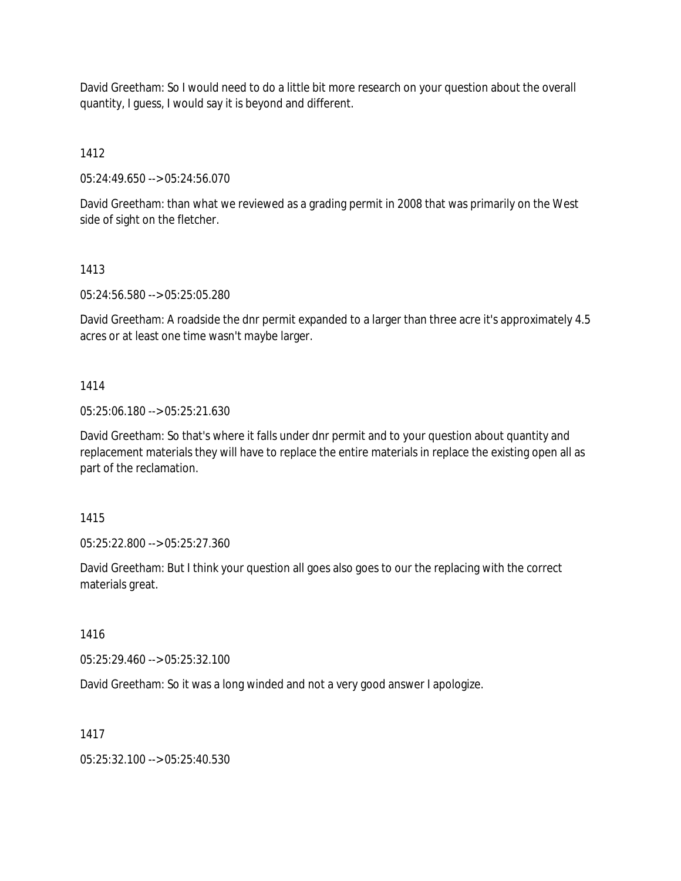David Greetham: So I would need to do a little bit more research on your question about the overall quantity, I guess, I would say it is beyond and different.

1412

05:24:49.650 --> 05:24:56.070

David Greetham: than what we reviewed as a grading permit in 2008 that was primarily on the West side of sight on the fletcher.

# 1413

05:24:56.580 --> 05:25:05.280

David Greetham: A roadside the dnr permit expanded to a larger than three acre it's approximately 4.5 acres or at least one time wasn't maybe larger.

## 1414

05:25:06.180 --> 05:25:21.630

David Greetham: So that's where it falls under dnr permit and to your question about quantity and replacement materials they will have to replace the entire materials in replace the existing open all as part of the reclamation.

## 1415

05:25:22.800 --> 05:25:27.360

David Greetham: But I think your question all goes also goes to our the replacing with the correct materials great.

1416

05:25:29.460 --> 05:25:32.100

David Greetham: So it was a long winded and not a very good answer I apologize.

# 1417

05:25:32.100 --> 05:25:40.530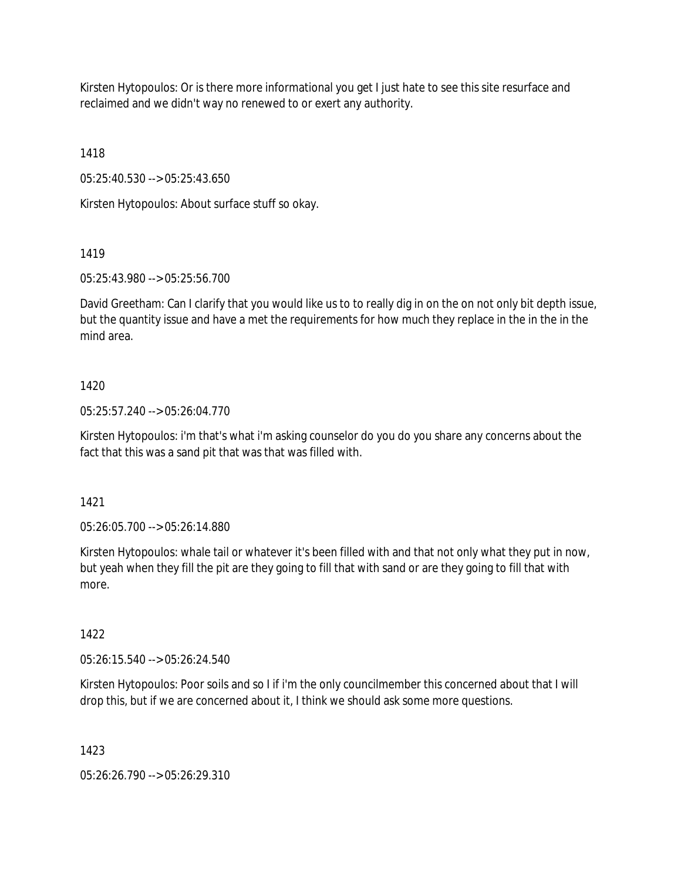Kirsten Hytopoulos: Or is there more informational you get I just hate to see this site resurface and reclaimed and we didn't way no renewed to or exert any authority.

1418

05:25:40.530 --> 05:25:43.650

Kirsten Hytopoulos: About surface stuff so okay.

# 1419

05:25:43.980 --> 05:25:56.700

David Greetham: Can I clarify that you would like us to to really dig in on the on not only bit depth issue, but the quantity issue and have a met the requirements for how much they replace in the in the in the mind area.

# 1420

05:25:57.240 --> 05:26:04.770

Kirsten Hytopoulos: i'm that's what i'm asking counselor do you do you share any concerns about the fact that this was a sand pit that was that was filled with.

# 1421

05:26:05.700 --> 05:26:14.880

Kirsten Hytopoulos: whale tail or whatever it's been filled with and that not only what they put in now, but yeah when they fill the pit are they going to fill that with sand or are they going to fill that with more.

# 1422

05:26:15.540 --> 05:26:24.540

Kirsten Hytopoulos: Poor soils and so I if i'm the only councilmember this concerned about that I will drop this, but if we are concerned about it, I think we should ask some more questions.

# 1423

05:26:26.790 --> 05:26:29.310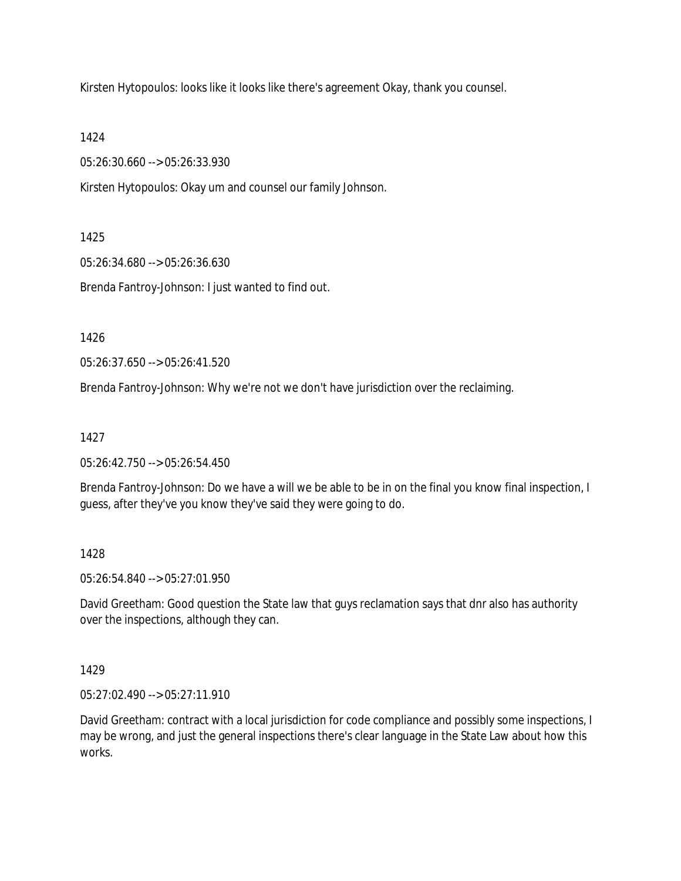Kirsten Hytopoulos: looks like it looks like there's agreement Okay, thank you counsel.

1424

05:26:30.660 --> 05:26:33.930

Kirsten Hytopoulos: Okay um and counsel our family Johnson.

1425

05:26:34.680 --> 05:26:36.630

Brenda Fantroy-Johnson: I just wanted to find out.

1426

05:26:37.650 --> 05:26:41.520

Brenda Fantroy-Johnson: Why we're not we don't have jurisdiction over the reclaiming.

1427

05:26:42.750 --> 05:26:54.450

Brenda Fantroy-Johnson: Do we have a will we be able to be in on the final you know final inspection, I guess, after they've you know they've said they were going to do.

1428

05:26:54.840 --> 05:27:01.950

David Greetham: Good question the State law that guys reclamation says that dnr also has authority over the inspections, although they can.

1429

05:27:02.490 --> 05:27:11.910

David Greetham: contract with a local jurisdiction for code compliance and possibly some inspections, I may be wrong, and just the general inspections there's clear language in the State Law about how this works.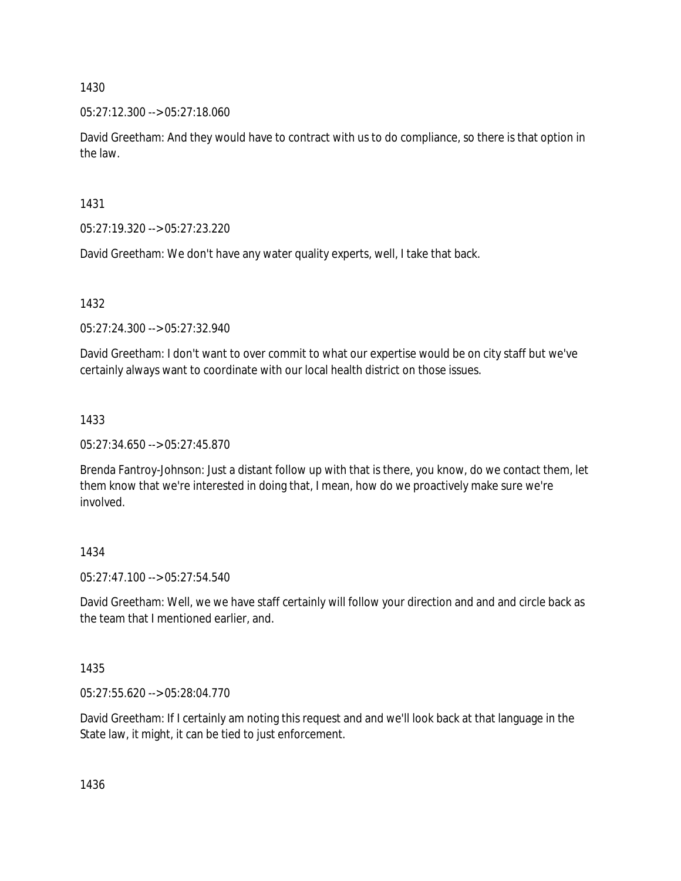05:27:12.300 --> 05:27:18.060

David Greetham: And they would have to contract with us to do compliance, so there is that option in the law.

1431

05:27:19.320 --> 05:27:23.220

David Greetham: We don't have any water quality experts, well, I take that back.

1432

05:27:24.300 --> 05:27:32.940

David Greetham: I don't want to over commit to what our expertise would be on city staff but we've certainly always want to coordinate with our local health district on those issues.

# 1433

05:27:34.650 --> 05:27:45.870

Brenda Fantroy-Johnson: Just a distant follow up with that is there, you know, do we contact them, let them know that we're interested in doing that, I mean, how do we proactively make sure we're involved.

# 1434

05:27:47.100 --> 05:27:54.540

David Greetham: Well, we we have staff certainly will follow your direction and and and circle back as the team that I mentioned earlier, and.

1435

05:27:55.620 --> 05:28:04.770

David Greetham: If I certainly am noting this request and and we'll look back at that language in the State law, it might, it can be tied to just enforcement.

1436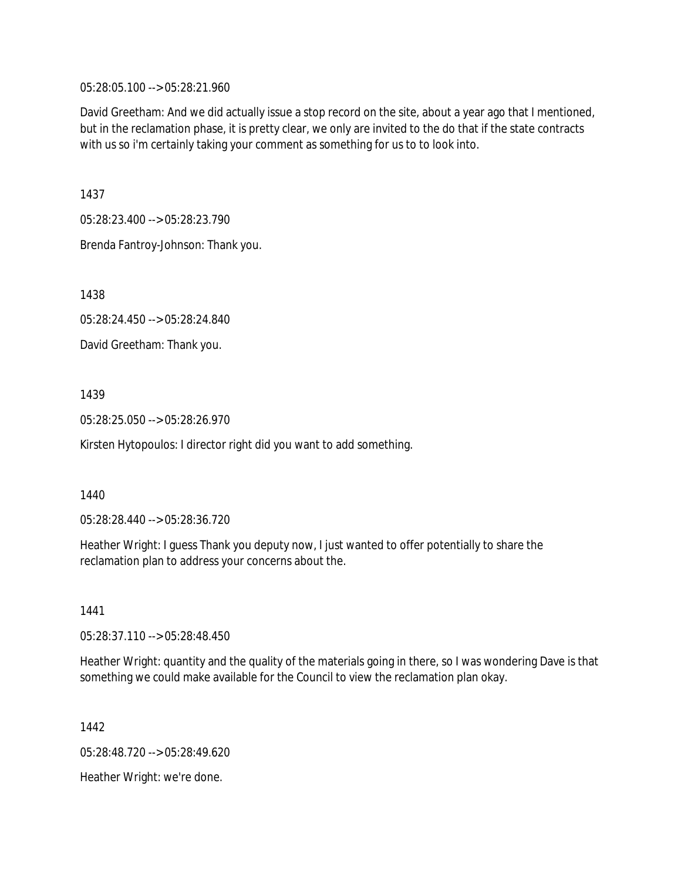05:28:05.100 --> 05:28:21.960

David Greetham: And we did actually issue a stop record on the site, about a year ago that I mentioned, but in the reclamation phase, it is pretty clear, we only are invited to the do that if the state contracts with us so i'm certainly taking your comment as something for us to to look into.

1437

05:28:23.400 --> 05:28:23.790

Brenda Fantroy-Johnson: Thank you.

1438

05:28:24.450 --> 05:28:24.840

David Greetham: Thank you.

1439

05:28:25.050 --> 05:28:26.970

Kirsten Hytopoulos: I director right did you want to add something.

1440

05:28:28.440 --> 05:28:36.720

Heather Wright: I guess Thank you deputy now, I just wanted to offer potentially to share the reclamation plan to address your concerns about the.

1441

05:28:37.110 --> 05:28:48.450

Heather Wright: quantity and the quality of the materials going in there, so I was wondering Dave is that something we could make available for the Council to view the reclamation plan okay.

1442

05:28:48.720 --> 05:28:49.620

Heather Wright: we're done.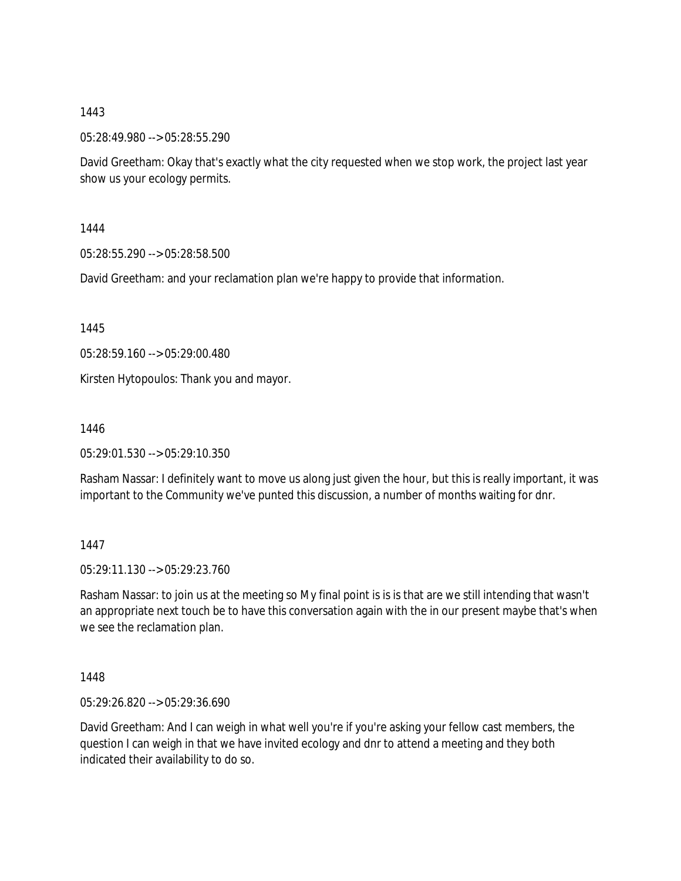05:28:49.980 --> 05:28:55.290

David Greetham: Okay that's exactly what the city requested when we stop work, the project last year show us your ecology permits.

1444

05:28:55.290 --> 05:28:58.500

David Greetham: and your reclamation plan we're happy to provide that information.

1445

05:28:59.160 --> 05:29:00.480

Kirsten Hytopoulos: Thank you and mayor.

1446

05:29:01.530 --> 05:29:10.350

Rasham Nassar: I definitely want to move us along just given the hour, but this is really important, it was important to the Community we've punted this discussion, a number of months waiting for dnr.

1447

05:29:11.130 --> 05:29:23.760

Rasham Nassar: to join us at the meeting so My final point is is is that are we still intending that wasn't an appropriate next touch be to have this conversation again with the in our present maybe that's when we see the reclamation plan.

1448

05:29:26.820 --> 05:29:36.690

David Greetham: And I can weigh in what well you're if you're asking your fellow cast members, the question I can weigh in that we have invited ecology and dnr to attend a meeting and they both indicated their availability to do so.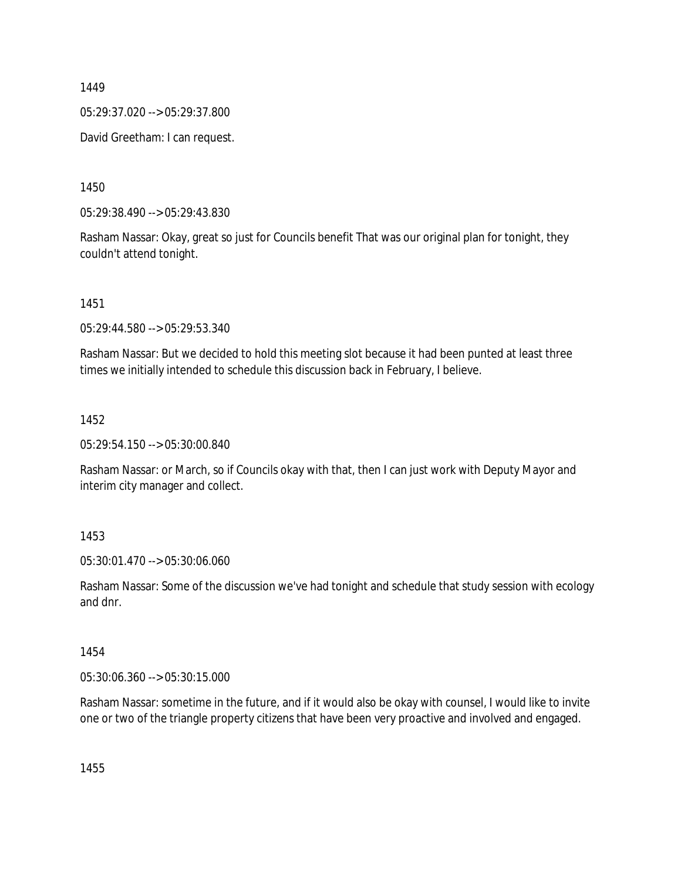05:29:37.020 --> 05:29:37.800

David Greetham: I can request.

1450

05:29:38.490 --> 05:29:43.830

Rasham Nassar: Okay, great so just for Councils benefit That was our original plan for tonight, they couldn't attend tonight.

1451

05:29:44.580 --> 05:29:53.340

Rasham Nassar: But we decided to hold this meeting slot because it had been punted at least three times we initially intended to schedule this discussion back in February, I believe.

1452

05:29:54.150 --> 05:30:00.840

Rasham Nassar: or March, so if Councils okay with that, then I can just work with Deputy Mayor and interim city manager and collect.

1453

05:30:01.470 --> 05:30:06.060

Rasham Nassar: Some of the discussion we've had tonight and schedule that study session with ecology and dnr.

1454

05:30:06.360 --> 05:30:15.000

Rasham Nassar: sometime in the future, and if it would also be okay with counsel, I would like to invite one or two of the triangle property citizens that have been very proactive and involved and engaged.

1455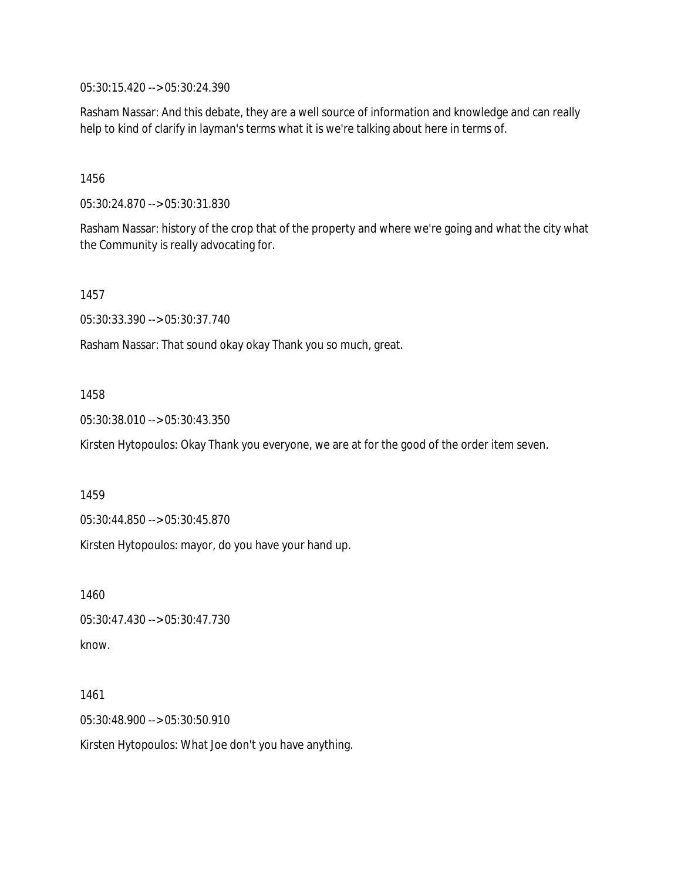05:30:15.420 --> 05:30:24.390

Rasham Nassar: And this debate, they are a well source of information and knowledge and can really help to kind of clarify in layman's terms what it is we're talking about here in terms of.

1456

05:30:24.870 --> 05:30:31.830

Rasham Nassar: history of the crop that of the property and where we're going and what the city what the Community is really advocating for.

1457

05:30:33.390 --> 05:30:37.740

Rasham Nassar: That sound okay okay Thank you so much, great.

1458

05:30:38.010 --> 05:30:43.350

Kirsten Hytopoulos: Okay Thank you everyone, we are at for the good of the order item seven.

1459

05:30:44.850 --> 05:30:45.870

Kirsten Hytopoulos: mayor, do you have your hand up.

1460 05:30:47.430 --> 05:30:47.730 know.

1461 05:30:48.900 --> 05:30:50.910 Kirsten Hytopoulos: What Joe don't you have anything.